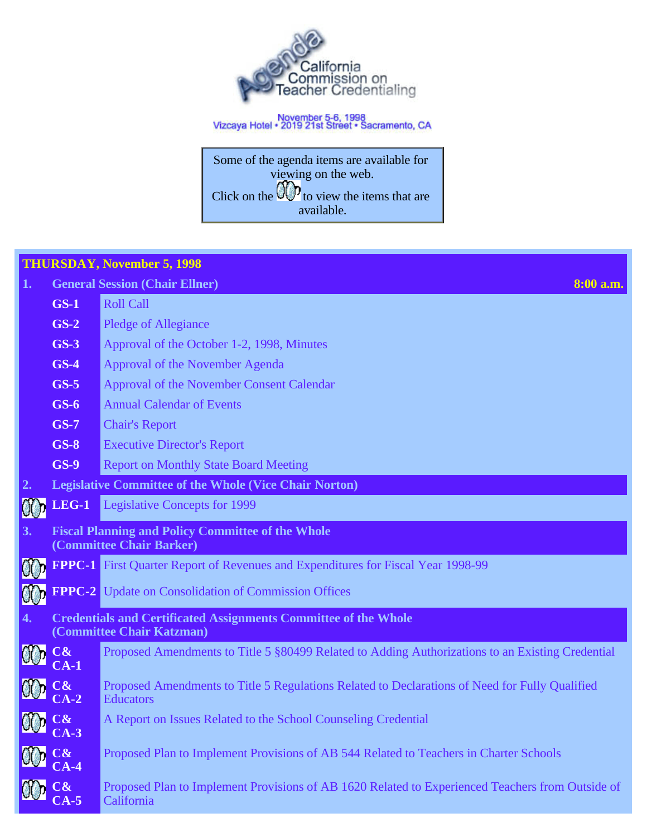

# November 5-6, 1998<br>Vizcaya Hotel • 2019 21st Street • Sacramento, CA

Some of the agenda items are available for viewing on the web. Click on the  $\mathbb{W}'$  to view the items that are available.

|    | <b>THURSDAY, November 5, 1998</b> |                                                                                                                    |  |  |  |  |  |  |  |
|----|-----------------------------------|--------------------------------------------------------------------------------------------------------------------|--|--|--|--|--|--|--|
| 1. |                                   | <b>General Session (Chair Ellner)</b><br>8:00 a.m.                                                                 |  |  |  |  |  |  |  |
|    | $GS-1$                            | <b>Roll Call</b>                                                                                                   |  |  |  |  |  |  |  |
|    | $GS-2$                            | <b>Pledge of Allegiance</b>                                                                                        |  |  |  |  |  |  |  |
|    | $GS-3$                            | Approval of the October 1-2, 1998, Minutes                                                                         |  |  |  |  |  |  |  |
|    | $GS-4$                            | Approval of the November Agenda                                                                                    |  |  |  |  |  |  |  |
|    | $GS-5$                            | Approval of the November Consent Calendar                                                                          |  |  |  |  |  |  |  |
|    | $GS-6$                            | <b>Annual Calendar of Events</b>                                                                                   |  |  |  |  |  |  |  |
|    | $GS-7$                            | <b>Chair's Report</b>                                                                                              |  |  |  |  |  |  |  |
|    | $GS-8$                            | <b>Executive Director's Report</b>                                                                                 |  |  |  |  |  |  |  |
|    | <b>GS-9</b>                       | <b>Report on Monthly State Board Meeting</b>                                                                       |  |  |  |  |  |  |  |
| 2. |                                   | <b>Legislative Committee of the Whole (Vice Chair Norton)</b>                                                      |  |  |  |  |  |  |  |
| 00 | <b>LEG-1</b>                      | <b>Legislative Concepts for 1999</b>                                                                               |  |  |  |  |  |  |  |
| 3. |                                   | <b>Fiscal Planning and Policy Committee of the Whole</b><br>(Committee Chair Barker)                               |  |  |  |  |  |  |  |
| 00 |                                   | FPPC-1 First Quarter Report of Revenues and Expenditures for Fiscal Year 1998-99                                   |  |  |  |  |  |  |  |
| 90 |                                   | <b>FPPC-2</b> Update on Consolidation of Commission Offices                                                        |  |  |  |  |  |  |  |
| 4. |                                   | <b>Credentials and Certificated Assignments Committee of the Whole</b><br>(Committee Chair Katzman)                |  |  |  |  |  |  |  |
|    | $\bf C\bf \&$<br>$CA-1$           | Proposed Amendments to Title 5 §80499 Related to Adding Authorizations to an Existing Credential                   |  |  |  |  |  |  |  |
|    | $\mathbb{C}\textbf{\&}$<br>$LA-2$ | Proposed Amendments to Title 5 Regulations Related to Declarations of Need for Fully Qualified<br><b>Educators</b> |  |  |  |  |  |  |  |
|    | <b>OD</b> C& CA-3                 | A Report on Issues Related to the School Counseling Credential                                                     |  |  |  |  |  |  |  |
|    | $C\&$<br>$CA-4$                   | Proposed Plan to Implement Provisions of AB 544 Related to Teachers in Charter Schools                             |  |  |  |  |  |  |  |
|    | $C\mathbf{\&}$<br>$2A-5$          | Proposed Plan to Implement Provisions of AB 1620 Related to Experienced Teachers from Outside of<br>California     |  |  |  |  |  |  |  |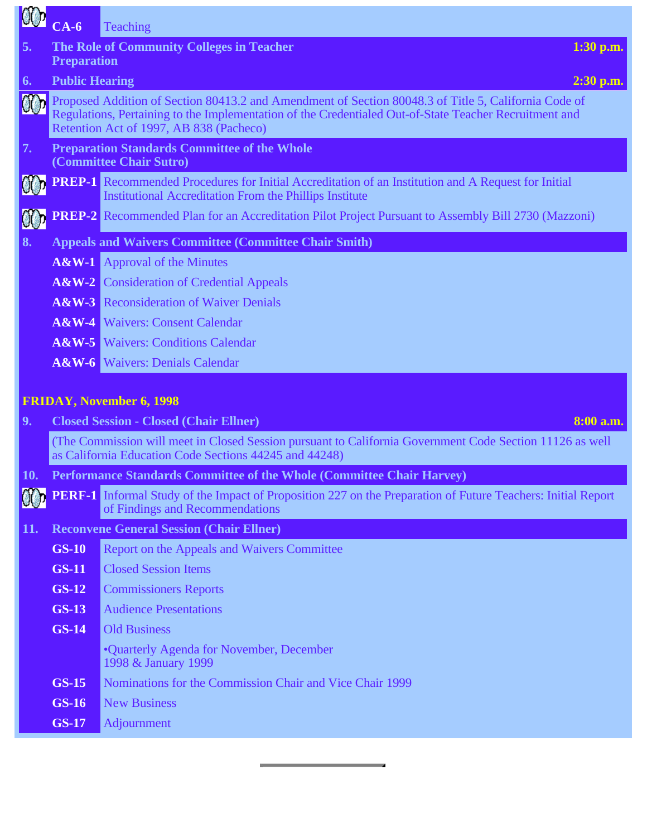| 60 <sub>0</sub> | $CA-6$                | <b>Teaching</b>                                                                                                                                                                                                                                           |
|-----------------|-----------------------|-----------------------------------------------------------------------------------------------------------------------------------------------------------------------------------------------------------------------------------------------------------|
| 5.              |                       | The Role of Community Colleges in Teacher<br>$1:30$ p.m.                                                                                                                                                                                                  |
|                 | <b>Preparation</b>    |                                                                                                                                                                                                                                                           |
| 6.              | <b>Public Hearing</b> | $2:30$ p.m.                                                                                                                                                                                                                                               |
|                 |                       | Proposed Addition of Section 80413.2 and Amendment of Section 80048.3 of Title 5, California Code of<br>Regulations, Pertaining to the Implementation of the Credentialed Out-of-State Teacher Recruitment and<br>Retention Act of 1997, AB 838 (Pacheco) |
| 7.              |                       | <b>Preparation Standards Committee of the Whole</b><br>(Committee Chair Sutro)                                                                                                                                                                            |
|                 |                       | <b>PREP-1</b> Recommended Procedures for Initial Accreditation of an Institution and A Request for Initial<br><b>Institutional Accreditation From the Phillips Institute</b>                                                                              |
|                 |                       | <b>PREP-2</b> Recommended Plan for an Accreditation Pilot Project Pursuant to Assembly Bill 2730 (Mazzoni)                                                                                                                                                |
| 8.              |                       | <b>Appeals and Waivers Committee (Committee Chair Smith)</b>                                                                                                                                                                                              |
|                 |                       | <b>A&amp;W-1</b> Approval of the Minutes                                                                                                                                                                                                                  |
|                 |                       | <b>A&amp;W-2</b> Consideration of Credential Appeals                                                                                                                                                                                                      |
|                 |                       | <b>A&amp;W-3</b> Reconsideration of Waiver Denials                                                                                                                                                                                                        |
|                 |                       | <b>A&amp;W-4</b> Waivers: Consent Calendar                                                                                                                                                                                                                |
|                 |                       | <b>A&amp;W-5</b> Waivers: Conditions Calendar                                                                                                                                                                                                             |
|                 |                       | <b>A&amp;W-6</b> Waivers: Denials Calendar                                                                                                                                                                                                                |
|                 |                       |                                                                                                                                                                                                                                                           |
|                 |                       | <b>FRIDAY, November 6, 1998</b>                                                                                                                                                                                                                           |
| 9.              |                       | <b>Closed Session - Closed (Chair Ellner)</b><br>8:00 a.m.                                                                                                                                                                                                |
|                 |                       | (The Commission will meet in Closed Session pursuant to California Government Code Section 11126 as well<br>as California Education Code Sections 44245 and 44248)                                                                                        |
| 10.             |                       | Performance Standards Committee of the Whole (Committee Chair Harvey)                                                                                                                                                                                     |
|                 |                       | <b>PERF-1</b> Informal Study of the Impact of Proposition 227 on the Preparation of Future Teachers: Initial Report<br>of Findings and Recommendations                                                                                                    |
| 11.             |                       | <b>Reconvene General Session (Chair Ellner)</b>                                                                                                                                                                                                           |
|                 | <b>GS-10</b>          | Report on the Appeals and Waivers Committee                                                                                                                                                                                                               |
|                 | <b>GS-11</b>          | <b>Closed Session Items</b>                                                                                                                                                                                                                               |
|                 | <b>GS-12</b>          | <b>Commissioners Reports</b>                                                                                                                                                                                                                              |
|                 | <b>GS-13</b>          | <b>Audience Presentations</b>                                                                                                                                                                                                                             |
|                 | <b>GS-14</b>          | <b>Old Business</b>                                                                                                                                                                                                                                       |
|                 |                       | •Quarterly Agenda for November, December<br>1998 & January 1999                                                                                                                                                                                           |
|                 | <b>GS-15</b>          | Nominations for the Commission Chair and Vice Chair 1999                                                                                                                                                                                                  |
|                 | <b>GS-16</b>          | <b>New Business</b>                                                                                                                                                                                                                                       |
|                 | <b>GS-17</b>          | Adjournment                                                                                                                                                                                                                                               |
|                 |                       |                                                                                                                                                                                                                                                           |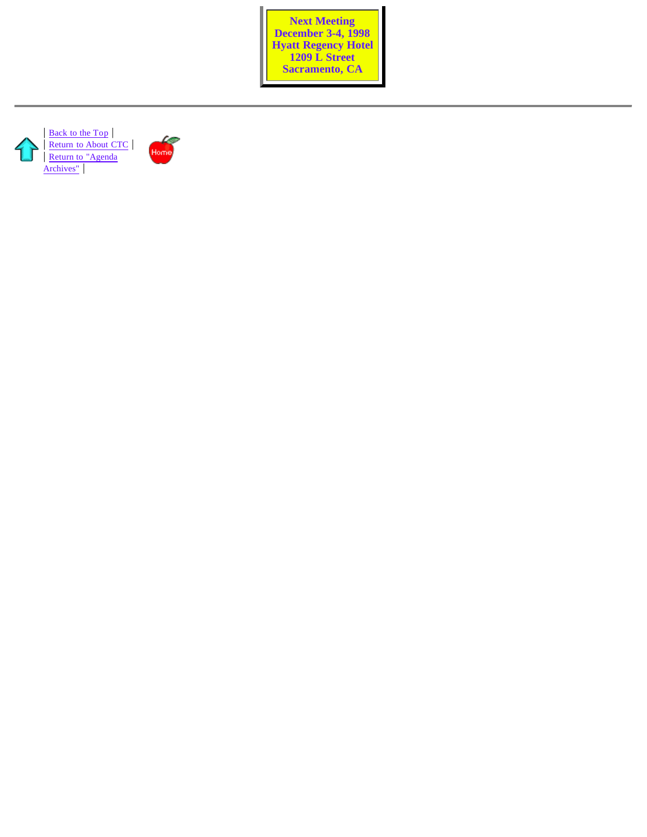**Next Meeting December 3-4, 1998 Hyatt Regency Hotel 1209 L Street Sacramento, CA**



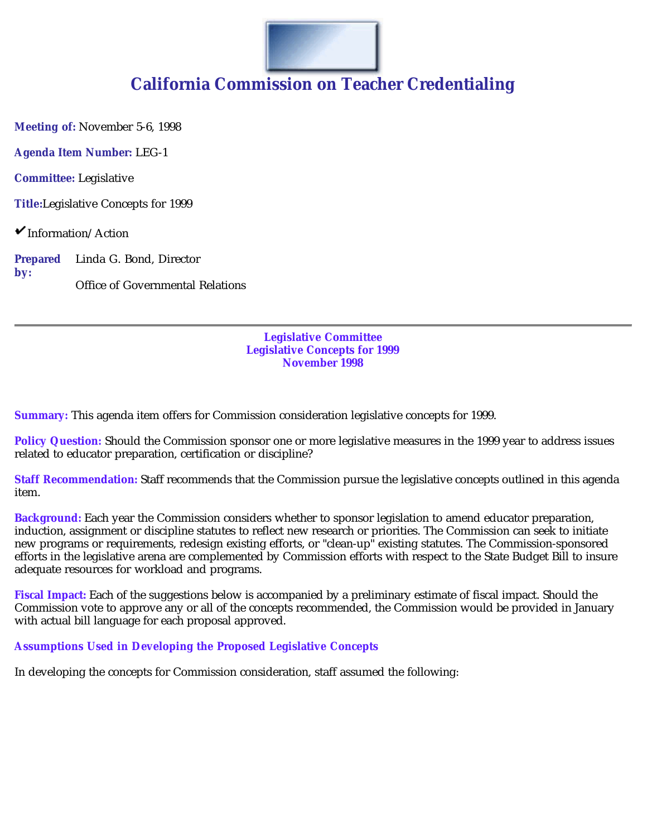

**Meeting of:** November 5-6, 1998

**Agenda Item Number:** LEG-1

**Committee:** Legislative

**Title:**Legislative Concepts for 1999

 $\checkmark$ Information/Action

**Prepared by:** Linda G. Bond, Director Office of Governmental Relations

> **Legislative Committee Legislative Concepts for 1999 November 1998**

**Summary:** This agenda item offers for Commission consideration legislative concepts for 1999.

**Policy Question:** Should the Commission sponsor one or more legislative measures in the 1999 year to address issues related to educator preparation, certification or discipline?

**Staff Recommendation:** Staff recommends that the Commission pursue the legislative concepts outlined in this agenda item.

**Background:** Each year the Commission considers whether to sponsor legislation to amend educator preparation, induction, assignment or discipline statutes to reflect new research or priorities. The Commission can seek to initiate new programs or requirements, redesign existing efforts, or "clean-up" existing statutes. The Commission-sponsored efforts in the legislative arena are complemented by Commission efforts with respect to the State Budget Bill to insure adequate resources for workload and programs.

**Fiscal Impact:** Each of the suggestions below is accompanied by a preliminary estimate of fiscal impact. Should the Commission vote to approve any or all of the concepts recommended, the Commission would be provided in January with actual bill language for each proposal approved.

**Assumptions Used in Developing the Proposed Legislative Concepts**

In developing the concepts for Commission consideration, staff assumed the following: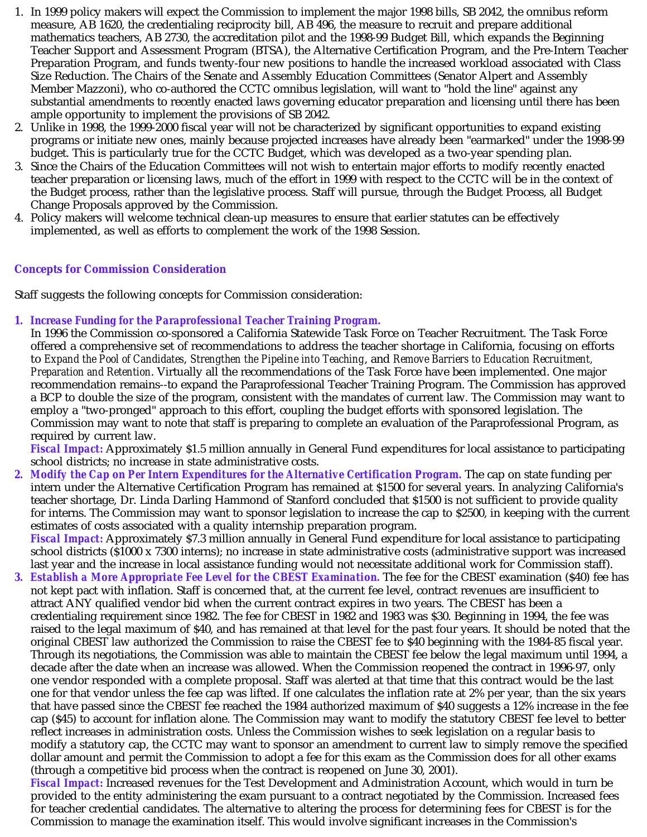- 1. In 1999 policy makers will expect the Commission to implement the major 1998 bills, SB 2042, the omnibus reform measure, AB 1620, the credentialing reciprocity bill, AB 496, the measure to recruit and prepare additional mathematics teachers, AB 2730, the accreditation pilot and the 1998-99 Budget Bill, which expands the Beginning Teacher Support and Assessment Program (BTSA), the Alternative Certification Program, and the Pre-Intern Teacher Preparation Program, and funds twenty-four new positions to handle the increased workload associated with Class Size Reduction. The Chairs of the Senate and Assembly Education Committees (Senator Alpert and Assembly Member Mazzoni), who co-authored the CCTC omnibus legislation, will want to "hold the line" against any substantial amendments to recently enacted laws governing educator preparation and licensing until there has been ample opportunity to implement the provisions of SB 2042.
- 2. Unlike in 1998, the 1999-2000 fiscal year will not be characterized by significant opportunities to expand existing programs or initiate new ones, mainly because projected increases have already been "earmarked" under the 1998-99 budget. This is particularly true for the CCTC Budget, which was developed as a two-year spending plan.
- 3. Since the Chairs of the Education Committees will not wish to entertain major efforts to modify recently enacted teacher preparation or licensing laws, much of the effort in 1999 with respect to the CCTC will be in the context of the Budget process, rather than the legislative process. Staff will pursue, through the Budget Process, all Budget Change Proposals approved by the Commission.
- 4. Policy makers will welcome technical clean-up measures to ensure that earlier statutes can be effectively implemented, as well as efforts to complement the work of the 1998 Session.

#### **Concepts for Commission Consideration**

Staff suggests the following concepts for Commission consideration:

*1. Increase Funding for the Paraprofessional Teacher Training Program.*

In 1996 the Commission co-sponsored a California Statewide Task Force on Teacher Recruitment. The Task Force offered a comprehensive set of recommendations to address the teacher shortage in California, focusing on efforts to *Expand the Pool of Candidates, Strengthen the Pipeline into Teaching,* and *Remove Barriers to Education Recruitment, Preparation and Retention*. Virtually all the recommendations of the Task Force have been implemented. One major recommendation remains--to expand the Paraprofessional Teacher Training Program. The Commission has approved a BCP to double the size of the program, consistent with the mandates of current law. The Commission may want to employ a "two-pronged" approach to this effort, coupling the budget efforts with sponsored legislation. The Commission may want to note that staff is preparing to complete an evaluation of the Paraprofessional Program, as required by current law.

*Fiscal Impact:* Approximately \$1.5 million annually in General Fund expenditures for local assistance to participating school districts; no increase in state administrative costs.

*2. Modify the Cap on Per Intern Expenditures for the Alternative Certification Program.* The cap on state funding per intern under the Alternative Certification Program has remained at \$1500 for several years. In analyzing California's teacher shortage, Dr. Linda Darling Hammond of Stanford concluded that \$1500 is not sufficient to provide quality for interns. The Commission may want to sponsor legislation to increase the cap to \$2500, in keeping with the current estimates of costs associated with a quality internship preparation program.

*Fiscal Impact:* Approximately \$7.3 million annually in General Fund expenditure for local assistance to participating school districts (\$1000 x 7300 interns); no increase in state administrative costs (administrative support was increased last year and the increase in local assistance funding would not necessitate additional work for Commission staff).

*3. Establish a More Appropriate Fee Level for the CBEST Examination.* The fee for the CBEST examination (\$40) fee has not kept pact with inflation. Staff is concerned that, at the current fee level, contract revenues are insufficient to attract ANY qualified vendor bid when the current contract expires in two years. The CBEST has been a credentialing requirement since 1982. The fee for CBEST in 1982 and 1983 was \$30. Beginning in 1994, the fee was raised to the legal maximum of \$40, and has remained at that level for the past four years. It should be noted that the original CBEST law authorized the Commission to raise the CBEST fee to \$40 beginning with the 1984-85 fiscal year. Through its negotiations, the Commission was able to maintain the CBEST fee below the legal maximum until 1994, a decade after the date when an increase was allowed. When the Commission reopened the contract in 1996-97, only one vendor responded with a complete proposal. Staff was alerted at that time that this contract would be the last one for that vendor unless the fee cap was lifted. If one calculates the inflation rate at 2% per year, than the six years that have passed since the CBEST fee reached the 1984 authorized maximum of \$40 suggests a 12% increase in the fee cap (\$45) to account for inflation alone. The Commission may want to modify the statutory CBEST fee level to better reflect increases in administration costs. Unless the Commission wishes to seek legislation on a regular basis to modify a statutory cap, the CCTC may want to sponsor an amendment to current law to simply remove the specified dollar amount and permit the Commission to adopt a fee for this exam as the Commission does for all other exams (through a competitive bid process when the contract is reopened on June 30, 2001).

*Fiscal Impact:* Increased revenues for the Test Development and Administration Account, which would in turn be provided to the entity administering the exam pursuant to a contract negotiated by the Commission. Increased fees for teacher credential candidates. The alternative to altering the process for determining fees for CBEST is for the Commission to manage the examination itself. This would involve significant increases in the Commission's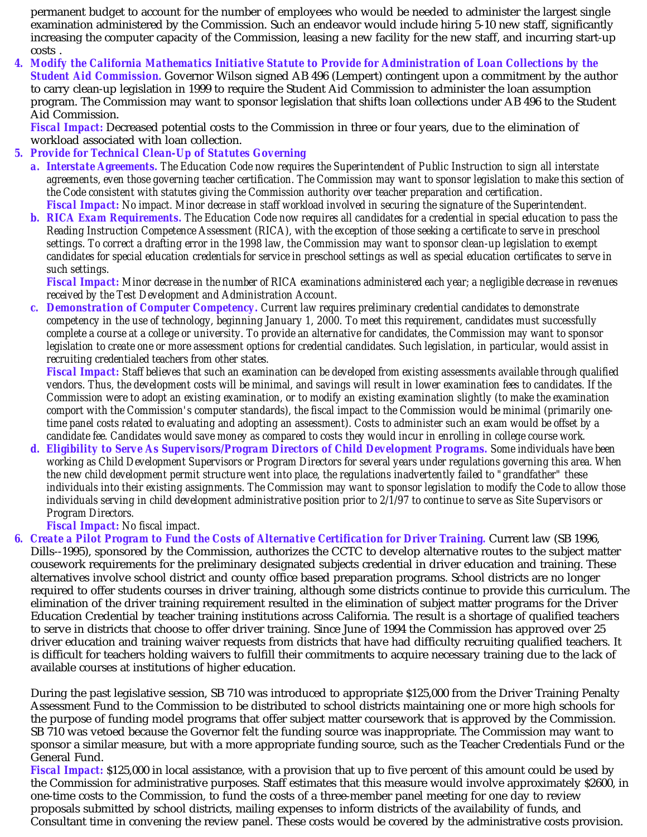permanent budget to account for the number of employees who would be needed to administer the largest single examination administered by the Commission. Such an endeavor would include hiring 5-10 new staff, significantly increasing the computer capacity of the Commission, leasing a new facility for the new staff, and incurring start-up costs .

*4. Modify the California Mathematics Initiative Statute to Provide for Administration of Loan Collections by the Student Aid Commission.* Governor Wilson signed AB 496 (Lempert) contingent upon a commitment by the author to carry clean-up legislation in 1999 to require the Student Aid Commission to administer the loan assumption program. The Commission may want to sponsor legislation that shifts loan collections under AB 496 to the Student Aid Commission.

*Fiscal Impact:* Decreased potential costs to the Commission in three or four years, due to the elimination of workload associated with loan collection.

#### *5. Provide for Technical Clean-Up of Statutes Governing*

- *a. Interstate Agreements. The Education Code now requires the Superintendent of Public Instruction to sign all interstate agreements, even those governing teacher certification. The Commission may want to sponsor legislation to make this section of the Code consistent with statutes giving the Commission authority over teacher preparation and certification. Fiscal Impact: No impact. Minor decrease in staff workload involved in securing the signature of the Superintendent.*
- *b. RICA Exam Requirements. The Education Code now requires all candidates for a credential in special education to pass the Reading Instruction Competence Assessment (RICA), with the exception of those seeking a certificate to serve in preschool settings. To correct a drafting error in the 1998 law, the Commission may want to sponsor clean-up legislation to exempt candidates for special education for service in preschool settings as well as special education to serve in credentials certificates such settings.*

*Fiscal Impact: Minor decrease in the number of RICA examinations administered each year; a negligible decrease in revenues received by the Test Development and Administration Account.*

*c. Demonstration of Computer Competency. Current law requires preliminary credential candidates to demonstrate competency in the use of technology, beginning January 1, 2000. To meet this requirement, candidates must successfully complete a course at a college or university. To provide an alternative for candidates, the Commission may want to sponsor legislation to create one or more assessment options for credential candidates. Such legislation, in particular, would assist in recruiting credentialed teachers from other states.*

*Fiscal Impact: Staff believes that such an examination can be developed from existing assessments available through qualified vendors. Thus, the development costs will be minimal, and savings will result in lower examination fees to candidates. If the Commission were to adopt an existing examination, or to modify an existing examination slightly (to make the examination comport with the Commission's computer standards), the fiscal impact to the Commission would be minimal (primarily onetime panel costs related to evaluating and adopting an assessment). Costs to administer such an exam would be offset by a candidate fee. Candidates would save money as compared to costs they would incur in enrolling in college course work.*

*d. Eligibility to Serve As Supervisors/Program Directors of Child Development Programs. Some individuals have been working as Child Development Supervisors or Program Directors for several years under regulations governing this area. When the new child development permit structure went into place, the regulations inadvertently failed to "grandfather" these individuals into their existing assignments. The Commission may want to sponsor legislation to modify the Code to allow those individuals serving in child development administrative position prior to 2/1/97 to continue to serve as Site Supervisors or Program Directors.*

*Fiscal Impact: No fiscal impact.*

*6. Create a Pilot Program to Fund the Costs of Alternative Certification for Driver Training.* Current law (SB 1996, Dills--1995), sponsored by the Commission, authorizes the CCTC to develop alternative routes to the subject matter cousework requirements for the preliminary designated subjects credential in driver education and training. These alternatives involve school district and county office based preparation programs. School districts are no longer required to offer students courses in driver training, although some districts continue to provide this curriculum. The elimination of the driver training requirement resulted in the elimination of subject matter programs for the Driver Education Credential by teacher training institutions across California. The result is a shortage of qualified teachers to serve in districts that choose to offer driver training. Since June of 1994 the Commission has approved over 25 driver education and training waiver requests from districts that have had difficulty recruiting qualified teachers. It is difficult for teachers holding waivers to fulfill their commitments to acquire necessary training due to the lack of available courses at institutions of higher education.

During the past legislative session, SB 710 was introduced to appropriate \$125,000 from the Driver Training Penalty Assessment Fund to the Commission to be distributed to school districts maintaining one or more high schools for the purpose of funding model programs that offer subject matter coursework that is approved by the Commission. SB 710 was vetoed because the Governor felt the funding source was inappropriate. The Commission may want to sponsor a similar measure, but with a more appropriate funding source, such as the Teacher Credentials Fund or the General Fund.

*Fiscal Impact:* \$125,000 in local assistance, with a provision that up to five percent of this amount could be used by the Commission for administrative purposes. Staff estimates that this measure would involve approximately \$2600, in one-time costs to the Commission, to fund the costs of a three-member panel meeting for one day to review proposals submitted by school districts, mailing expenses to inform districts of the availability of funds, and Consultant time in convening the review panel. These costs would be covered by the administrative costs provision.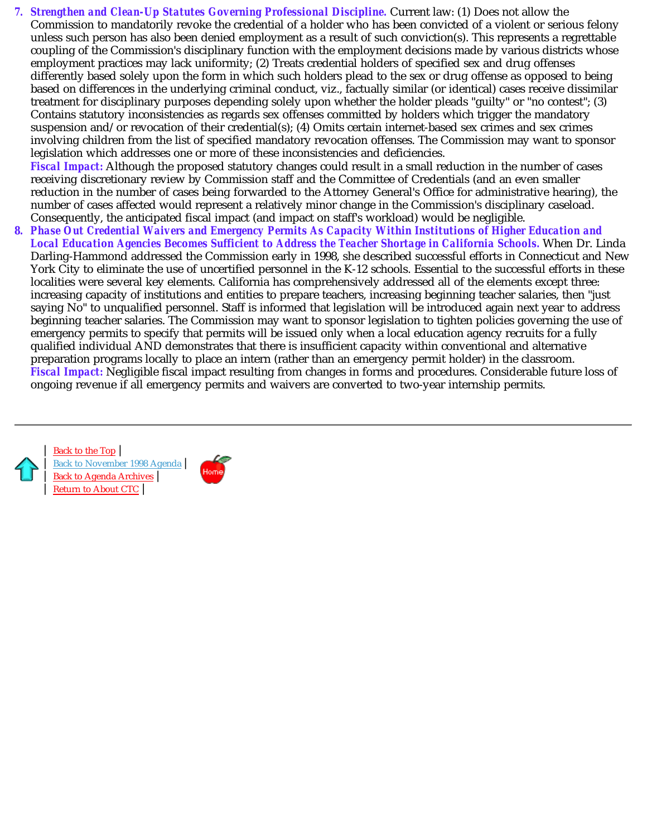*7. Strengthen and Clean-Up Statutes Governing Professional Discipline.* Current law: (1) Does not allow the Commission to mandatorily revoke the credential of a holder who has been convicted of a violent or serious felony unless such person has also been denied employment as a result of such conviction(s). This represents a regrettable coupling of the Commission's disciplinary function with the employment decisions made by various districts whose employment practices may lack uniformity; (2) Treats credential holders of specified sex and drug offenses differently based solely upon the form in which such holders plead to the sex or drug offense as opposed to being based on differences in the underlying criminal conduct, viz., factually similar (or identical) cases receive dissimilar treatment for disciplinary purposes depending solely upon whether the holder pleads "guilty" or "no contest"; (3) Contains statutory inconsistencies as regards sex offenses committed by holders which trigger the mandatory suspension and/or revocation of their credential(s); (4) Omits certain internet-based sex crimes and sex crimes involving children from the list of specified mandatory revocation offenses. The Commission may want to sponsor legislation which addresses one or more of these inconsistencies and deficiencies. *Fiscal Impact:* Although the proposed statutory changes could result in a small reduction in the number of cases receiving discretionary review by Commission staff and the Committee of Credentials (and an even smaller reduction in the number of cases being forwarded to the Attorney General's Office for administrative hearing), the

number of cases affected would represent a relatively minor change in the Commission's disciplinary caseload.

Consequently, the anticipated fiscal impact (and impact on staff's workload) would be negligible. *8. Phase Out Credential Waivers and Emergency Permits As Capacity Within Institutions of Higher Education and Local Education Agencies Becomes Sufficient to Address the Teacher Shortage in California Schools.* When Dr. Linda Darling-Hammond addressed the Commission early in 1998, she described successful efforts in Connecticut and New York City to eliminate the use of uncertified personnel in the K-12 schools. Essential to the successful efforts in these localities were several key elements. California has comprehensively addressed all of the elements except three: increasing capacity of institutions and entities to prepare teachers, increasing beginning teacher salaries, then "just saying No" to unqualified personnel. Staff is informed that legislation will be introduced again next year to address beginning teacher salaries. The Commission may want to sponsor legislation to tighten policies governing the use of emergency permits to specify that permits will be issued only when a local education agency recruits for a fully qualified individual AND demonstrates that there is insufficient capacity within conventional and alternative preparation programs locally to place an intern (rather than an emergency permit holder) in the classroom. *Fiscal Impact:* Negligible fiscal impact resulting from changes in forms and procedures. Considerable future loss of ongoing revenue if all emergency permits and waivers are converted to two-year internship permits.

| Back to the Top | Back to November 1998 Agenda | Back to Agenda Archives | Return to About CTC |

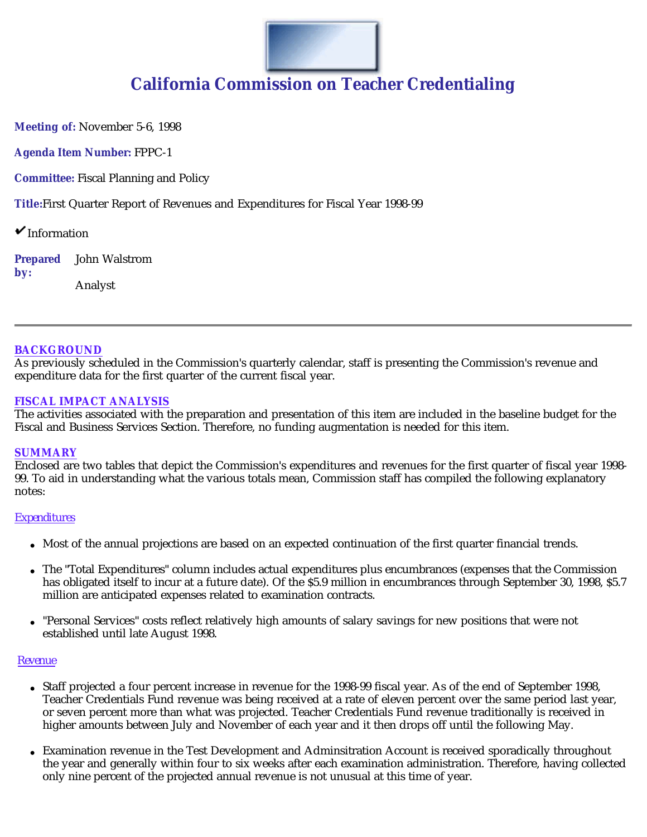

**Meeting of:** November 5-6, 1998

**Agenda Item Number:** FPPC-1

**Committee:** Fiscal Planning and Policy

**Title:**First Quarter Report of Revenues and Expenditures for Fiscal Year 1998-99

 $\mathbf{\check{v}}$  Information

**Prepared by:** John Walstrom Analyst

#### **BACKGROUND**

As previously scheduled in the Commission's quarterly calendar, staff is presenting the Commission's revenue and expenditure data for the first quarter of the current fiscal year.

#### **FISCAL IMPACT ANALYSIS**

The activities associated with the preparation and presentation of this item are included in the baseline budget for the Fiscal and Business Services Section. Therefore, no funding augmentation is needed for this item.

#### **SUMMARY**

Enclosed are two tables that depict the Commission's expenditures and revenues for the first quarter of fiscal year 1998- 99. To aid in understanding what the various totals mean, Commission staff has compiled the following explanatory notes:

#### *Expenditures*

- Most of the annual projections are based on an expected continuation of the first quarter financial trends.
- The "Total Expenditures" column includes actual expenditures plus encumbrances (expenses that the Commission has obligated itself to incur at a future date). Of the \$5.9 million in encumbrances through September 30, 1998, \$5.7 million are anticipated expenses related to examination contracts.
- "Personal Services" costs reflect relatively high amounts of salary savings for new positions that were not  $\bullet$ established until late August 1998.

#### *Revenue*

- Staff projected a four percent increase in revenue for the 1998-99 fiscal year. As of the end of September 1998, Teacher Credentials Fund revenue was being received at a rate of eleven percent over the same period last year, or seven percent more than what was projected. Teacher Credentials Fund revenue traditionally is received in higher amounts between July and November of each year and it then drops off until the following May.
- Examination revenue in the Test Development and Adminsitration Account is received sporadically throughout the year and generally within four to six weeks after each examination administration. Therefore, having collected only nine percent of the projected annual revenue is not unusual at this time of year.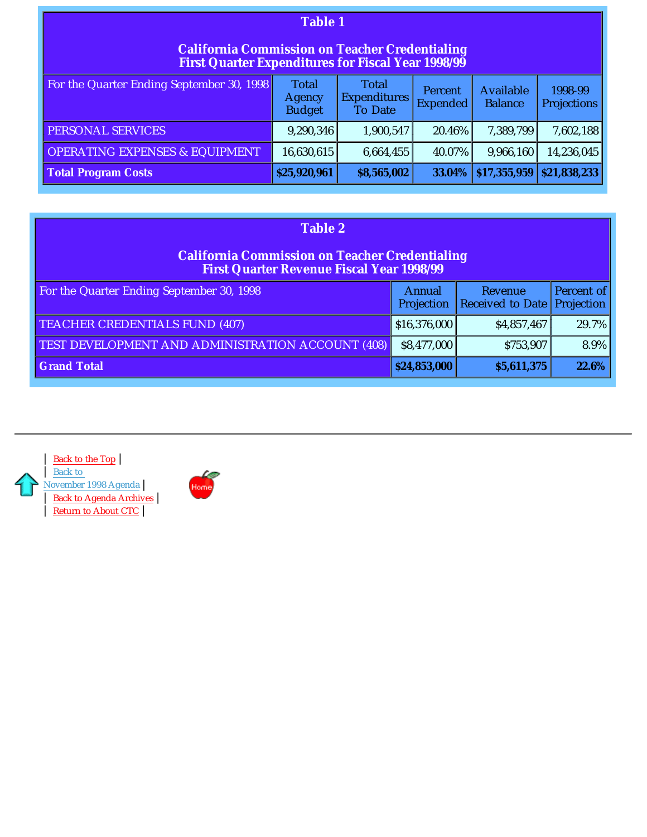| <b>Table 1</b>                                                                                                     |                                                                       |                                                       |                            |                                    |                               |  |  |
|--------------------------------------------------------------------------------------------------------------------|-----------------------------------------------------------------------|-------------------------------------------------------|----------------------------|------------------------------------|-------------------------------|--|--|
| <b>California Commission on Teacher Credentialing</b><br><b>First Quarter Expenditures for Fiscal Year 1998/99</b> |                                                                       |                                                       |                            |                                    |                               |  |  |
| For the Quarter Ending September 30, 1998                                                                          | Total<br><b>Agency</b><br><b>Budget</b>                               | <b>Total</b><br><b>Expenditures</b><br><b>To Date</b> | Percent<br><b>Expended</b> | <b>Available</b><br><b>Balance</b> | 1998-99<br><b>Projections</b> |  |  |
| PERSONAL SERVICES                                                                                                  | 9,290,346                                                             | 1,900,547                                             | 20.46%                     | 7,389,799                          | 7,602,188                     |  |  |
| <b>OPERATING EXPENSES &amp; EQUIPMENT</b>                                                                          | 16,630,615                                                            | 6,664,455                                             | 40.07%                     | 9,966,160                          | 14,236,045                    |  |  |
| <b>Total Program Costs</b>                                                                                         | \$17,355,959<br>\$21,838,233<br>\$25,920,961<br>\$8,565,002<br>33.04% |                                                       |                            |                                    |                               |  |  |

| <b>Table 2</b>                                                                                            |                             |                             |                          |  |  |  |  |
|-----------------------------------------------------------------------------------------------------------|-----------------------------|-----------------------------|--------------------------|--|--|--|--|
| <b>California Commission on Teacher Credentialing</b><br><b>First Quarter Revenue Fiscal Year 1998/99</b> |                             |                             |                          |  |  |  |  |
| For the Quarter Ending September 30, 1998                                                                 | <b>Annual</b><br>Projection | Revenue<br>Received to Date | Percent of<br>Projection |  |  |  |  |
| <b>TEACHER CREDENTIALS FUND (407)</b>                                                                     | \$16,376,000                | \$4,857,467                 | 29.7%                    |  |  |  |  |
| TEST DEVELOPMENT AND ADMINISTRATION ACCOUNT (408)                                                         | \$8,477,000                 | \$753,907                   | $8.9\%$                  |  |  |  |  |
| <b>Grand Total</b>                                                                                        | \$24,853,000                | \$5,611,375                 | $22.6\%$                 |  |  |  |  |



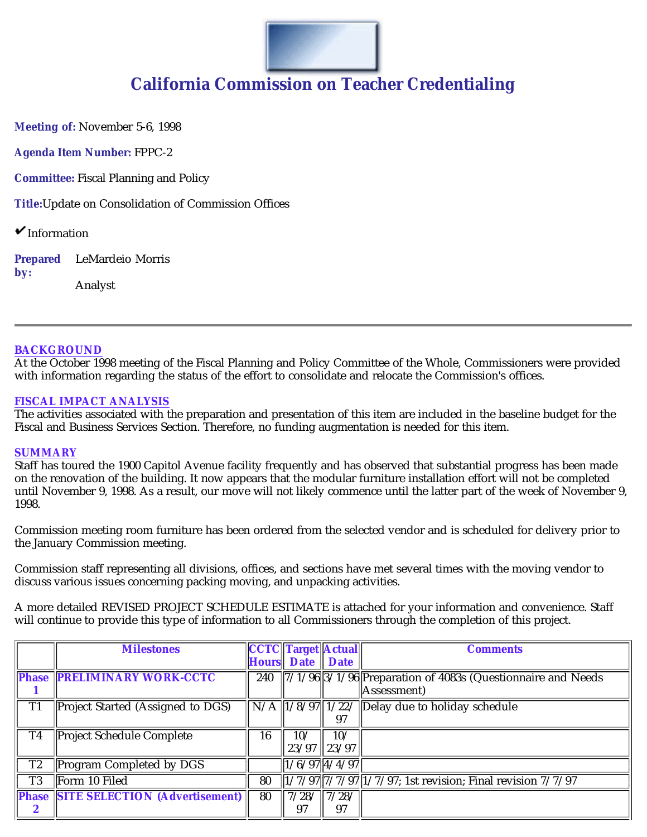

**Meeting of:** November 5-6, 1998

**Agenda Item Number:** FPPC-2

**Committee:** Fiscal Planning and Policy

**Title:**Update on Consolidation of Commission Offices

 $\mathbf{\check{v}}$  Information

**Prepared by:** LeMardeio Morris Analyst

**BACKGROUND**

At the October 1998 meeting of the Fiscal Planning and Policy Committee of the Whole, Commissioners were provided with information regarding the status of the effort to consolidate and relocate the Commission's offices.

#### **FISCAL IMPACT ANALYSIS**

The activities associated with the preparation and presentation of this item are included in the baseline budget for the Fiscal and Business Services Section. Therefore, no funding augmentation is needed for this item.

#### **SUMMARY**

Staff has toured the 1900 Capitol Avenue facility frequently and has observed that substantial progress has been made on the renovation of the building. It now appears that the modular furniture installation effort will not be completed until November 9, 1998. As a result, our move will not likely commence until the latter part of the week of November 9, 1998.

Commission meeting room furniture has been ordered from the selected vendor and is scheduled for delivery prior to the January Commission meeting.

Commission staff representing all divisions, offices, and sections have met several times with the moving vendor to discuss various issues concerning packing moving, and unpacking activities.

A more detailed *REVISED* PROJECT SCHEDULE ESTIMATE is attached for your information and convenience. Staff will continue to provide this type of information to all Commissioners through the completion of this project.

|                | <b>Milestones</b>                           |     | <b>CCTC Target Actual</b> |                   | <b>Comments</b>                                                                                                                      |
|----------------|---------------------------------------------|-----|---------------------------|-------------------|--------------------------------------------------------------------------------------------------------------------------------------|
|                |                                             |     | <b>Hours</b> Date Date    |                   |                                                                                                                                      |
|                | <b>Phase PRELIMINARY WORK-CCTC</b>          | 240 |                           |                   | $\sqrt{\frac{7}{1}\cdot\frac{1}{96}\cdot\frac{3}{1}\cdot\frac{1}{96}\cdot\frac{1}{1}}$ Preparation of 4083s (Questionnaire and Needs |
|                |                                             |     |                           |                   | Assessment)                                                                                                                          |
| T <sub>1</sub> | Project Started (Assigned to DGS)           |     |                           |                   | $\overline{\text{N/A}}$ $\left 1/8/97\right 1/22$ / Delay due to holiday schedule                                                    |
|                |                                             |     |                           |                   |                                                                                                                                      |
| T <sub>4</sub> | <b>Project Schedule Complete</b>            | 16  | 10/                       | 10/               |                                                                                                                                      |
|                |                                             |     |                           | $23/97$   $23/97$ |                                                                                                                                      |
| T <sub>2</sub> | Program Completed by DGS                    |     | $1/6/97$ 4/4/97           |                   |                                                                                                                                      |
| T <sub>3</sub> | Form 10 Filed                               | 80  |                           |                   | $\frac{1}{2}$ $\frac{7}{797}$ $\frac{7}{797}$ $\frac{1}{7797}$ ; 1st revision; Final revision $\frac{7}{797}$                        |
|                | <b>Phase SITE SELECTION (Advertisement)</b> | 80  | 7/28/                     | $\frac{17}{28}$   |                                                                                                                                      |
|                |                                             |     | 97                        | 97                |                                                                                                                                      |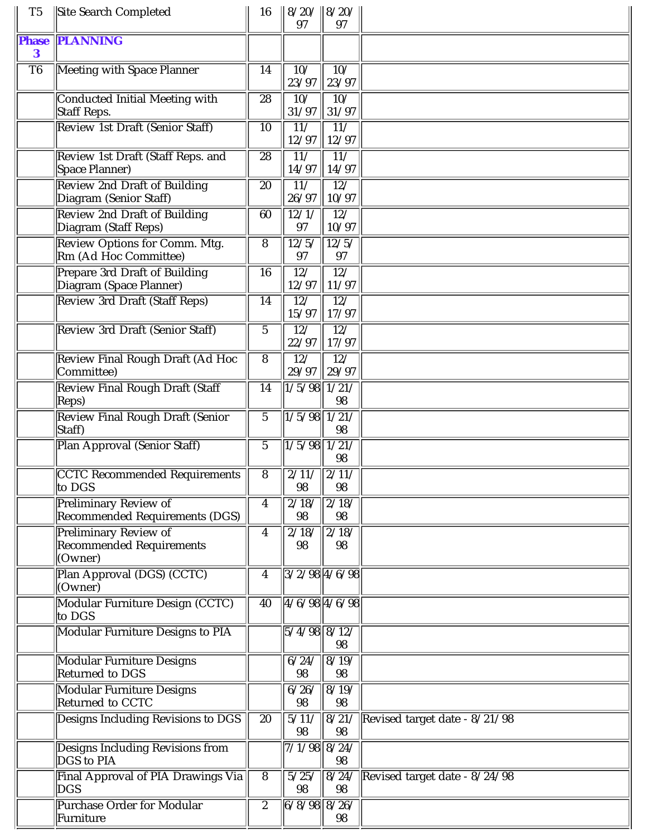| T <sub>5</sub>           | Site Search Completed                                                      | 16              | $8/20/$ 8/20/<br>97                 | 97                        |                               |
|--------------------------|----------------------------------------------------------------------------|-----------------|-------------------------------------|---------------------------|-------------------------------|
| <b>Phase</b><br>$\bf{3}$ | <b>PLANNING</b>                                                            |                 |                                     |                           |                               |
| T <sub>6</sub>           | Meeting with Space Planner                                                 | 14              | 10/<br>23/97                        | $\overline{10}$<br>23/97  |                               |
|                          | <b>Conducted Initial Meeting with</b><br>Staff Reps.                       | 28              | 10/<br>31/97                        | 10/<br>31/97              |                               |
|                          | <b>Review 1st Draft (Senior Staff)</b>                                     | 10              | $\overline{11/}$<br>12/97           | $\overline{117}$<br>12/97 |                               |
|                          | Review 1st Draft (Staff Reps. and<br>Space Planner)                        | $\overline{28}$ | 11/<br>14/97                        | $\overline{11/}$<br>14/97 |                               |
|                          | <b>Review 2nd Draft of Building</b><br>Diagram (Senior Staff)              | 20              | 11/<br>26/97                        | 12/<br>10/97              |                               |
|                          | <b>Review 2nd Draft of Building</b><br>Diagram (Staff Reps)                | 60              | 12/1/<br>97                         | $\overline{12/}$<br>10/97 |                               |
|                          | Review Options for Comm. Mtg.<br>Rm (Ad Hoc Committee)                     | 8               | 12/5/<br>97                         | 12/5/<br>97               |                               |
|                          | <b>Prepare 3rd Draft of Building</b><br>Diagram (Space Planner)            | 16              | $\overline{12/}$<br>12/97           | $\overline{12/}$<br>11/97 |                               |
|                          | <b>Review 3rd Draft (Staff Reps)</b>                                       | 14              | 12/<br>15/97                        | $\overline{12/}$<br>17/97 |                               |
|                          | Review 3rd Draft (Senior Staff)                                            | $\overline{5}$  | $\overline{12/}$<br>22/97           | $\overline{12/}$<br>17/97 |                               |
|                          | Review Final Rough Draft (Ad Hoc<br>Committee)                             | 8               | 12/<br>29/97                        | $\overline{127}$<br>29/97 |                               |
|                          | <b>Review Final Rough Draft (Staff</b><br>Reps)                            | 14              | 1/5/98                              | 1/21/<br>98               |                               |
|                          | <b>Review Final Rough Draft (Senior</b><br>Staff)                          | $\overline{5}$  | 1/5/98                              | 1/21/<br>98               |                               |
|                          | Plan Approval (Senior Staff)                                               | $\overline{5}$  | 1/5/98                              | 1/21/<br>98               |                               |
|                          | <b>CCTC Recommended Requirements</b><br>to DGS                             | 8               | $\frac{2}{11}$ $\frac{2}{11}$<br>98 | 98                        |                               |
|                          | Preliminary Review of<br><b>Recommended Requirements (DGS)</b>             | 4               | 2/18/<br>98                         | 2/18/<br>98               |                               |
|                          | <b>Preliminary Review of</b><br><b>Recommended Requirements</b><br>(Owner) | 4               | 2/18/<br>98                         | 2/18/<br>98               |                               |
|                          | Plan Approval (DGS) (CCTC)<br>(Owner)                                      | 4               | $3/2/98$ 4/6/98                     |                           |                               |
|                          | Modular Furniture Design (CCTC)<br>to DGS                                  | $\overline{40}$ | $4/6/98$ $4/6/98$                   |                           |                               |
|                          | <b>Modular Furniture Designs to PIA</b>                                    |                 | $5/4/98$ $8/12/$                    | 98                        |                               |
|                          | <b>Modular Furniture Designs</b><br>Returned to DGS                        |                 | 6/24/<br>98                         | 8/19/<br>98               |                               |
|                          | Modular Furniture Designs<br>Returned to CCTC                              |                 | 6/26/<br>98                         | $\sqrt{8/19/1}$<br>98     |                               |
|                          | Designs Including Revisions to DGS                                         | 20              | 5/11/<br>98                         | 8/21/<br>98               | Revised target date - 8/21/98 |
|                          | Designs Including Revisions from<br>DGS to PIA                             |                 | $7/1/98$ 8/24/                      | 98                        |                               |
|                          | Final Approval of PIA Drawings Via<br>DGS                                  | 8               | 5/25/<br>98                         | 8/24/<br>98               | Revised target date - 8/24/98 |
|                          | <b>Purchase Order for Modular</b><br>Furniture                             | $\overline{2}$  | $6/8/98$ 8/26/                      | 98                        |                               |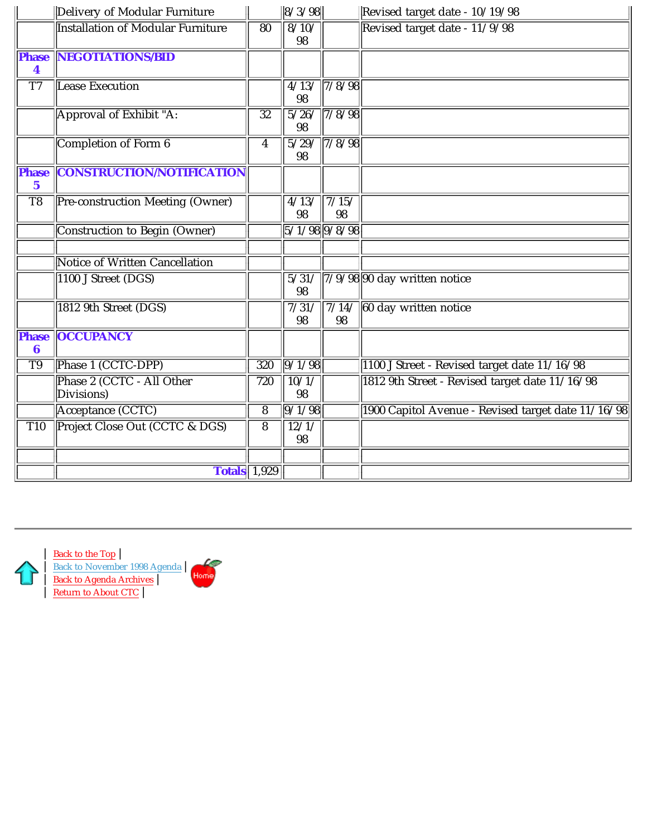|                             | Delivery of Modular Furniture            |                  | 8/3/98                   |                               | Revised target date - 10/19/98                     |
|-----------------------------|------------------------------------------|------------------|--------------------------|-------------------------------|----------------------------------------------------|
|                             | <b>Installation of Modular Furniture</b> | 80               | 8/10/<br>98              |                               | Revised target date - 11/9/98                      |
| <b>Phase</b><br>4           | <b>NEGOTIATIONS/BID</b>                  |                  |                          |                               |                                                    |
| $\overline{T7}$             | <b>Lease Execution</b>                   |                  | 98                       | $\frac{4}{13}/\frac{7}{8/98}$ |                                                    |
|                             | Approval of Exhibit "A:                  | $\overline{32}$  | 98                       | 5/26/7/8/98                   |                                                    |
|                             | Completion of Form 6                     | $\boldsymbol{4}$ | 98                       | 5/29/7/8/98                   |                                                    |
| <b>Phase</b><br>$\mathbf 5$ | <b>CONSTRUCTION/NOTIFICATION</b>         |                  |                          |                               |                                                    |
| T <sub>8</sub>              | Pre-construction Meeting (Owner)         |                  | 4/13/<br>98              | $\sqrt{7/15/}$<br>98          |                                                    |
|                             | Construction to Begin (Owner)            |                  | $5/1/98$ 9/8/98          |                               |                                                    |
|                             | <b>Notice of Written Cancellation</b>    |                  |                          |                               |                                                    |
|                             | 1100 J Street (DGS)                      |                  | $\overline{5/31}/$<br>98 |                               | $7/9/98$ 90 day written notice                     |
|                             | 1812 9th Street (DGS)                    |                  | 7/31/<br>98              | 7/14/<br>98                   | 60 day written notice                              |
| <b>Phase</b><br>6           | <b>OCCUPANCY</b>                         |                  |                          |                               |                                                    |
| T <sub>9</sub>              | Phase 1 (CCTC-DPP)                       | 320              | 9/1/98                   |                               | 1100 J Street - Revised target date 11/16/98       |
|                             | Phase 2 (CCTC - All Other<br>Divisions)  | 720              | 10/1/<br>98              |                               | 1812 9th Street - Revised target date 11/16/98     |
|                             | Acceptance (CCTC)                        | $\overline{8}$   | 9/1/98                   |                               | 1900 Capitol Avenue - Revised target date 11/16/98 |
| $\overline{T10}$            | Project Close Out (CCTC & DGS)           | $\overline{8}$   | 12/1/<br>98              |                               |                                                    |
|                             |                                          |                  |                          |                               |                                                    |
|                             | <b>Totals</b> 1,929                      |                  |                          |                               |                                                    |

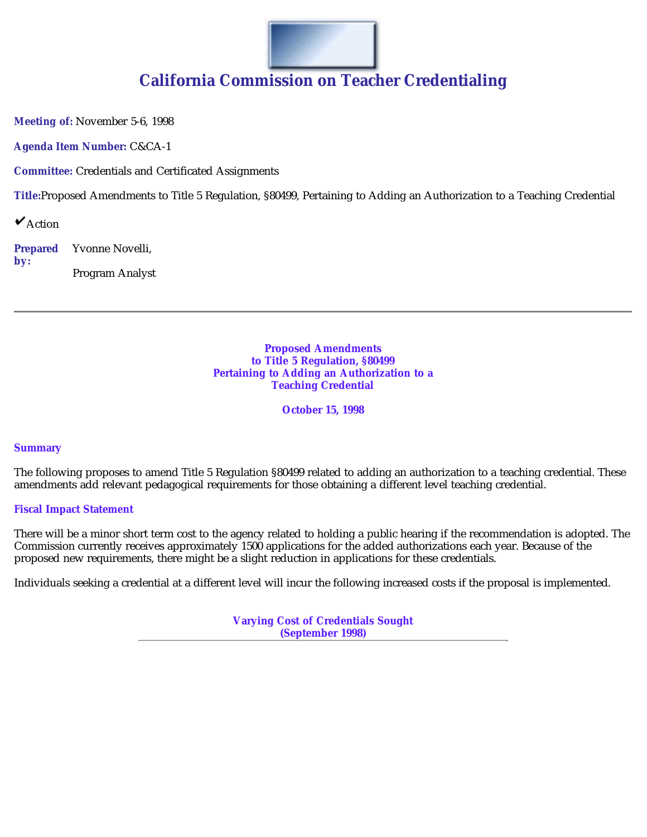

**Meeting of:** November 5-6, 1998

**Agenda Item Number:** C&CA-1

**Committee:** Credentials and Certificated Assignments

**Title:**Proposed Amendments to Title 5 Regulation, §80499, Pertaining to Adding an Authorization to a Teaching Credential

 $\mathbf{\check{v}}$  Action

**Prepared by:** Yvonne Novelli,

Program Analyst

**Proposed Amendments to Title 5 Regulation, §80499 Pertaining to Adding an Authorization to a Teaching Credential**

**October 15, 1998**

#### **Summary**

The following proposes to amend Title 5 Regulation §80499 related to adding an authorization to a teaching credential. These amendments add relevant pedagogical requirements for those obtaining a different level teaching credential.

#### **Fiscal Impact Statement**

There will be a minor short term cost to the agency related to holding a public hearing if the recommendation is adopted. The Commission currently receives approximately 1500 applications for the added authorizations each year. Because of the proposed new requirements, there might be a slight reduction in applications for these credentials.

Individuals seeking a credential at a different level will incur the following increased costs if the proposal is implemented.

**Varying Cost of Credentials Sought (September 1998)**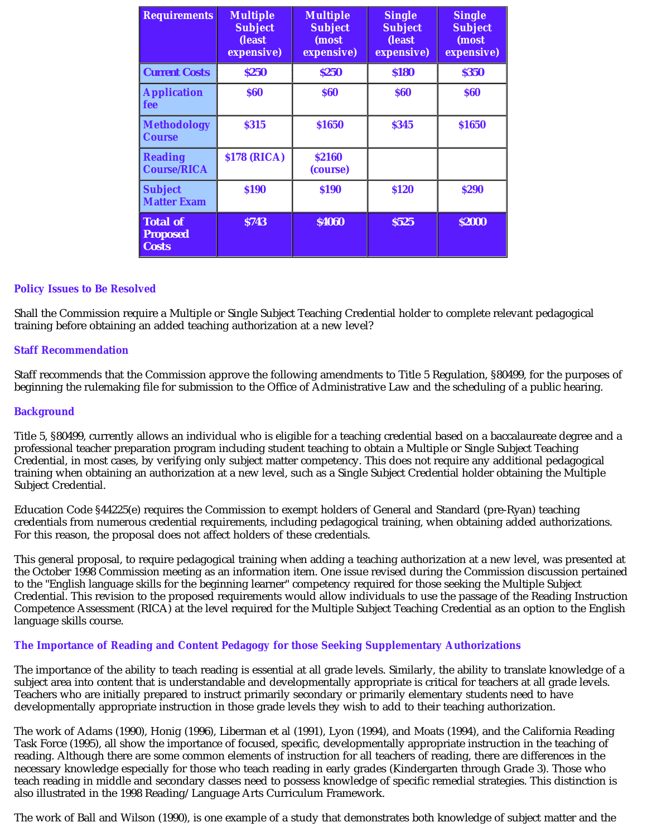| <b>Requirements</b>                                | <b>Multiple</b><br><b>Subject</b><br>(least<br>expensive) | <b>Multiple</b><br><b>Subject</b><br>(most<br>expensive) | <b>Single</b><br><b>Subject</b><br>(least<br>expensive) | <b>Single</b><br><b>Subject</b><br>(most<br>expensive) |
|----------------------------------------------------|-----------------------------------------------------------|----------------------------------------------------------|---------------------------------------------------------|--------------------------------------------------------|
| <b>Current Costs</b>                               | \$250                                                     | \$250                                                    | \$180                                                   | <b>\$350</b>                                           |
| <b>Application</b><br>fee                          | <b>S60</b>                                                | <b>\$60</b>                                              | <b>\$60</b>                                             | <b>\$60</b>                                            |
| <b>Methodology</b><br><b>Course</b>                | <b>\$315</b>                                              | <b>\$1650</b>                                            | <b>\$345</b>                                            | <b>\$1650</b>                                          |
| <b>Reading</b><br><b>Course/RICA</b>               | <b>\$178 (RICA)</b>                                       | <b>S2160</b><br>(course)                                 |                                                         |                                                        |
| <b>Subject</b><br><b>Matter Exam</b>               | <b>\$190</b>                                              | <b>S190</b>                                              | <b>S120</b>                                             | <b>\$290</b>                                           |
| <b>Total of</b><br><b>Proposed</b><br><b>Costs</b> | <b>\$743</b>                                              | <b>\$4060</b>                                            | <b>\$525</b>                                            | <b>\$2000</b>                                          |

#### **Policy Issues to Be Resolved**

Shall the Commission require a Multiple or Single Subject Teaching Credential holder to complete relevant pedagogical training before obtaining an added teaching authorization at a new level?

#### **Staff Recommendation**

Staff recommends that the Commission approve the following amendments to Title 5 Regulation, §80499, for the purposes of beginning the rulemaking file for submission to the Office of Administrative Law and the scheduling of a public hearing.

#### **Background**

Title 5, §80499, currently allows an individual who is eligible for a teaching credential based on a baccalaureate degree and a professional teacher preparation program including student teaching to obtain a Multiple or Single Subject Teaching Credential, in most cases, by verifying only subject matter competency. This does not require any additional pedagogical training when obtaining an authorization at a new level, such as a Single Subject Credential holder obtaining the Multiple Subject Credential.

Education Code §44225(e) requires the Commission to exempt holders of General and Standard (pre-Ryan) teaching credentials from numerous credential requirements, including pedagogical training, when obtaining added authorizations. For this reason, the proposal does not affect holders of these credentials.

This general proposal, to require pedagogical training when adding a teaching authorization at a new level, was presented at the October 1998 Commission meeting as an information item. One issue revised during the Commission discussion pertained to the "English language skills for the beginning learner" competency required for those seeking the Multiple Subject Credential. This revision to the proposed requirements would allow individuals to use the passage of the Reading Instruction Competence Assessment (RICA) at the level required for the Multiple Subject Teaching Credential as an option to the English language skills course.

#### **The Importance of Reading and Content Pedagogy for those Seeking Supplementary Authorizations**

The importance of the ability to teach reading is essential at all grade levels. Similarly, the ability to translate knowledge of a subject area into content that is understandable and developmentally appropriate is critical for teachers at all grade levels. Teachers who are initially prepared to instruct primarily secondary or primarily elementary students need to have developmentally appropriate instruction in those grade levels they wish to add to their teaching authorization.

The work of Adams (1990), Honig (1996), Liberman et al (1991), Lyon (1994), and Moats (1994), and the California Reading Task Force (1995), all show the importance of focused, specific, developmentally appropriate instruction in the teaching of reading. Although there are some common elements of instruction for all teachers of reading, there are differences in the necessary knowledge especially for those who teach reading in early grades (Kindergarten through Grade 3). Those who teach reading in middle and secondary classes need to possess knowledge of specific remedial strategies. This distinction is also illustrated in the 1998 Reading/Language Arts Curriculum Framework.

The work of Ball and Wilson (1990), is one example of a study that demonstrates both knowledge of subject matter and the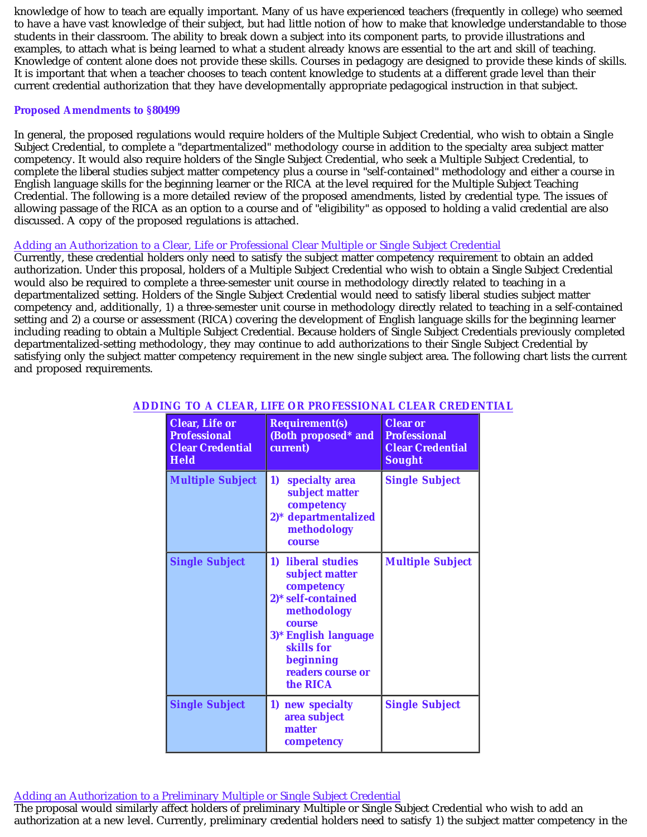knowledge of how to teach are equally important. Many of us have experienced teachers (frequently in college) who seemed to have a have vast knowledge of their subject, but had little notion of how to make that knowledge understandable to those students in their classroom. The ability to break down a subject into its component parts, to provide illustrations and examples, to attach what is being learned to what a student already knows are essential to the art and skill of teaching. Knowledge of content alone does not provide these skills. Courses in pedagogy are designed to provide these kinds of skills. It is important that when a teacher chooses to teach content knowledge to students at a different grade level than their current credential authorization that they have developmentally appropriate pedagogical instruction in that subject.

#### **Proposed Amendments to §80499**

In general, the proposed regulations would require holders of the Multiple Subject Credential, who wish to obtain a Single Subject Credential, to complete a "departmentalized" methodology course in addition to the specialty area subject matter competency. It would also require holders of the Single Subject Credential, who seek a Multiple Subject Credential, to complete the liberal studies subject matter competency plus a course in "self-contained" methodology and either a course in English language skills for the beginning learner or the RICA at the level required for the Multiple Subject Teaching Credential. The following is a more detailed review of the proposed amendments, listed by credential type. The issues of allowing passage of the RICA as an option to a course and of "eligibility" as opposed to holding a valid credential are also discussed. A copy of the proposed regulations is attached.

### Adding an Authorization to a Clear, Life or Professional Clear Multiple or Single Subject Credential

Currently, these credential holders only need to satisfy the subject matter competency requirement to obtain an added authorization. Under this proposal, holders of a Multiple Subject Credential who wish to obtain a Single Subject Credential would also be required to complete a three-semester unit course in methodology directly related to teaching in a departmentalized setting. Holders of the Single Subject Credential would need to satisfy liberal studies subject matter competency and, additionally, 1) a three-semester unit course in methodology directly related to teaching in a self-contained setting and 2) a course or assessment (RICA) covering the development of English language skills for the beginning learner including reading to obtain a Multiple Subject Credential. Because holders of Single Subject Credentials previously completed departmentalized-setting methodology, they may continue to add authorizations to their Single Subject Credential by satisfying only the subject matter competency requirement in the new single subject area. The following chart lists the current and proposed requirements.

| <b>Clear, Life or</b><br><b>Professional</b><br><b>Clear Credential</b><br><b>Held</b> | <b>Requirement(s)</b><br>(Both proposed* and<br>current)                                                                                                                                     | <b>Clear or</b><br><b>Professional</b><br><b>Clear Credential</b><br><b>Sought</b> |
|----------------------------------------------------------------------------------------|----------------------------------------------------------------------------------------------------------------------------------------------------------------------------------------------|------------------------------------------------------------------------------------|
| <b>Multiple Subject</b>                                                                | 1)<br>specialty area<br>subject matter<br>competency<br>2)* departmentalized<br>methodology<br><b>COUFSe</b>                                                                                 | <b>Single Subject</b>                                                              |
| <b>Single Subject</b>                                                                  | 1) liberal studies<br>subject matter<br>competency<br>2)* self-contained<br>methodology<br><b>COUFSe</b><br>3)* English language<br>skills for<br>beginning<br>readers course or<br>the RICA | <b>Multiple Subject</b>                                                            |
| <b>Single Subject</b>                                                                  | 1) new specialty<br>area subject<br>matter<br>competency                                                                                                                                     | <b>Single Subject</b>                                                              |

### **ADDING TO A CLEAR, LIFE OR PROFESSIONAL CLEAR CREDENTIAL**

Adding an Authorization to a Preliminary Multiple or Single Subject Credential

The proposal would similarly affect holders of preliminary Multiple or Single Subject Credential who wish to add an authorization at a new level. Currently, preliminary credential holders need to satisfy 1) the subject matter competency in the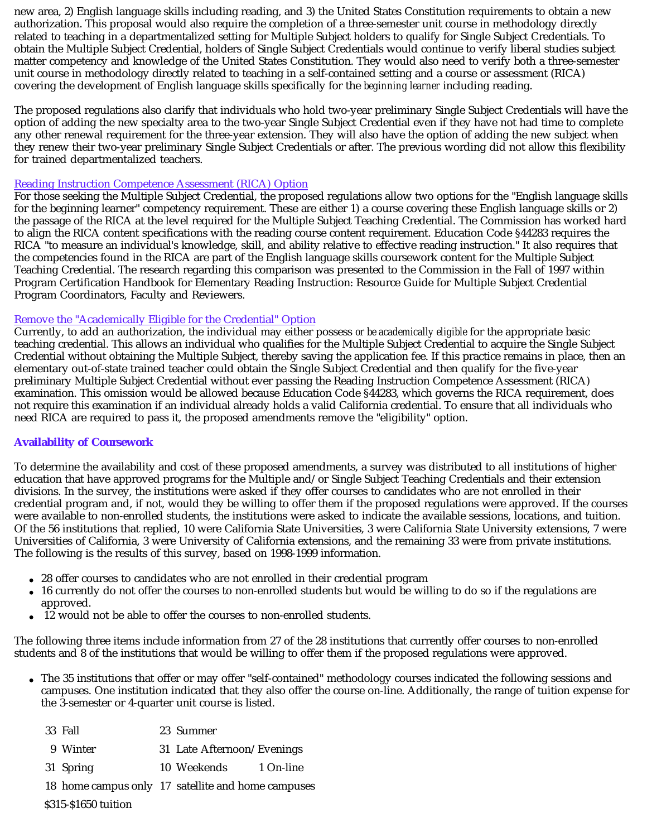new area, 2) English language skills including reading, and 3) the United States Constitution requirements to obtain a new authorization. This proposal would also require the completion of a three-semester unit course in methodology directly related to teaching in a departmentalized setting for Multiple Subject holders to qualify for Single Subject Credentials. To obtain the Multiple Subject Credential, holders of Single Subject Credentials would continue to verify liberal studies subject matter competency and knowledge of the United States Constitution. They would also need to verify both a three-semester unit course in methodology directly related to teaching in a self-contained setting and a course or assessment (RICA) covering the development of English language skills specifically for the *beginning learner* including reading.

The proposed regulations also clarify that individuals who hold two-year preliminary Single Subject Credentials will have the option of adding the new specialty area to the two-year Single Subject Credential even if they have not had time to complete any other renewal requirement for the three-year extension. They will also have the option of adding the new subject when they renew their two-year preliminary Single Subject Credentials or after. The previous wording did not allow this flexibility for trained departmentalized teachers.

#### Reading Instruction Competence Assessment (RICA) Option

For those seeking the Multiple Subject Credential, the proposed regulations allow two options for the "English language skills for the beginning learner" competency requirement. These are either 1) a course covering these English language skills or 2) the passage of the RICA at the level required for the Multiple Subject Teaching Credential. The Commission has worked hard to align the RICA content specifications with the reading course content requirement. Education Code §44283 requires the RICA "to measure an individual's knowledge, skill, and ability relative to effective reading instruction." It also requires that the competencies found in the RICA are part of the English language skills coursework content for the Multiple Subject Teaching Credential. The research regarding this comparison was presented to the Commission in the Fall of 1997 within Program Certification Handbook for Elementary Reading Instruction: Resource Guide for Multiple Subject Credential Program Coordinators, Faculty and Reviewers.

#### Remove the "Academically Eligible for the Credential" Option

Currently, to add an authorization, the individual may either possess *or be academically eligible* for the appropriate basic teaching credential. This allows an individual who qualifies for the Multiple Subject Credential to acquire the Single Subject Credential without obtaining the Multiple Subject, thereby saving the application fee. If this practice remains in place, then an elementary out-of-state trained teacher could obtain the Single Subject Credential and then qualify for the five-year preliminary Multiple Subject Credential without ever passing the Reading Instruction Competence Assessment (RICA) examination. This omission would be allowed because Education Code §44283, which governs the RICA requirement, does not require this examination if an individual already holds a valid California credential. To ensure that all individuals who need RICA are required to pass it, the proposed amendments remove the "eligibility" option.

#### **Availability of Coursework**

To determine the availability and cost of these proposed amendments, a survey was distributed to all institutions of higher education that have approved programs for the Multiple and/or Single Subject Teaching Credentials and their extension divisions. In the survey, the institutions were asked if they offer courses to candidates who are not enrolled in their credential program and, if not, would they be willing to offer them if the proposed regulations were approved. If the courses were available to non-enrolled students, the institutions were asked to indicate the available sessions, locations, and tuition. Of the 56 institutions that replied, 10 were California State Universities, 3 were California State University extensions, 7 were Universities of California, 3 were University of California extensions, and the remaining 33 were from private institutions. The following is the results of this survey, based on 1998-1999 information.

- 28 offer courses to candidates who are not enrolled in their credential program
- 16 currently do not offer the courses to non-enrolled students but would be willing to do so if the regulations are approved.
- 12 would not be able to offer the courses to non-enrolled students.

The following three items include information from 27 of the 28 institutions that currently offer courses to non-enrolled students and 8 of the institutions that would be willing to offer them if the proposed regulations were approved.

The 35 institutions that offer or may offer "self-contained" methodology courses indicated the following sessions and campuses. One institution indicated that they also offer the course on-line. Additionally, the range of tuition expense for the 3-semester or 4-quarter unit course is listed.

|                      | 33 Fall                                            |  | 23 Summer                  |           |  |  |
|----------------------|----------------------------------------------------|--|----------------------------|-----------|--|--|
|                      | 9 Winter                                           |  | 31 Late Afternoon/Evenings |           |  |  |
|                      | 31 Spring                                          |  | 10 Weekends                | 1 On-line |  |  |
|                      | 18 home campus only 17 satellite and home campuses |  |                            |           |  |  |
| \$315-\$1650 tuition |                                                    |  |                            |           |  |  |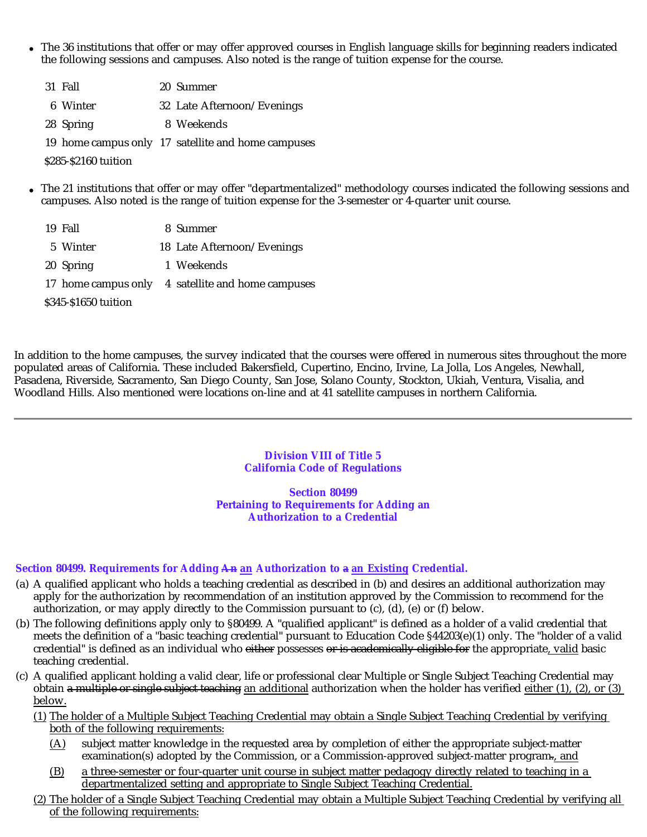- The 36 institutions that offer or may offer approved courses in English language skills for beginning readers indicated the following sessions and campuses. Also noted is the range of tuition expense for the course.
	- 31 Fall 20 Summer 6 Winter 32 Late Afternoon/Evenings 28 Spring 8 Weekends

19 home campus only 17 satellite and home campuses

\$285-\$2160 tuition

- The 21 institutions that offer or may offer "departmentalized" methodology courses indicated the following sessions and campuses. Also noted is the range of tuition expense for the 3-semester or 4-quarter unit course.
	- 19 Fall 8 Summer 5 Winter 18 Late Afternoon/Evenings 20 Spring 1 Weekends

17 home campus only 4 satellite and home campuses

\$345-\$1650 tuition

In addition to the home campuses, the survey indicated that the courses were offered in numerous sites throughout the more populated areas of California. These included Bakersfield, Cupertino, Encino, Irvine, La Jolla, Los Angeles, Newhall, Pasadena, Riverside, Sacramento, San Diego County, San Jose, Solano County, Stockton, Ukiah, Ventura, Visalia, and Woodland Hills. Also mentioned were locations on-line and at 41 satellite campuses in northern California.

> **Division VIII of Title 5 California Code of Regulations**

**Section 80499 Pertaining to Requirements for Adding an Authorization to a Credential**

#### **Section 80499. Requirements for Adding An an Authorization to a an Existing Credential.**

- (a) A qualified applicant who holds a teaching credential as described in (b) and desires an additional authorization may apply for the authorization by recommendation of an institution approved by the Commission to recommend for the authorization, or may apply directly to the Commission pursuant to (c), (d), (e) or (f) below.
- (b) The following definitions apply only to §80499. A "qualified applicant" is defined as a holder of a valid credential that meets the definition of a "basic teaching credential" pursuant to Education Code §44203(e)(1) only. The "holder of a valid credential" is defined as an individual who <del>either</del> possesses <del>or is academically eligible for</del> the appropriate<u>, valid</u> basic teaching credential.
- (c) A qualified applicant holding a valid clear, life or professional clear Multiple or Single Subject Teaching Credential may obtain a multiple or single subject teaching an additional authorization when the holder has verified either  $(1)$ ,  $(2)$ , or  $(3)$ below.
	- (1) The holder of a Multiple Subject Teaching Credential may obtain a Single Subject Teaching Credential by verifying both of the following requirements:
		- (A) subject matter knowledge in the requested area by completion of either the appropriate subject-matter examination(s) adopted by the Commission, or a Commission-approved subject-matter program., and
		- (B) a three-semester or four-quarter unit course in subject matter pedagogy directly related to teaching in a departmentalized setting and appropriate to Single Subject Teaching Credential.
	- (2) The holder of a Single Subject Teaching Credential may obtain a Multiple Subject Teaching Credential by verifying all of the following requirements: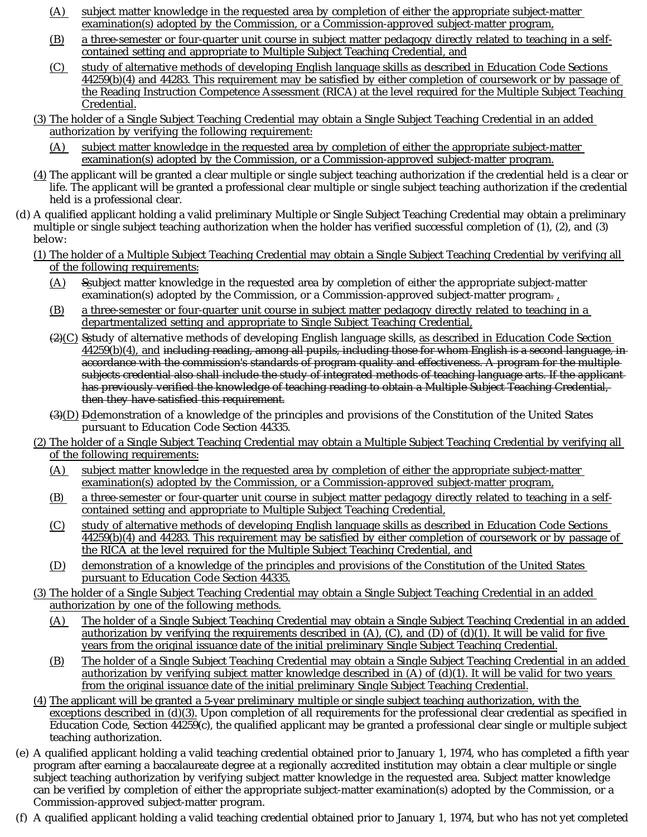- (A) subject matter knowledge in the requested area by completion of either the appropriate subject-matter examination(s) adopted by the Commission, or a Commission-approved subject-matter program,
- (B) a three-semester or four-quarter unit course in subject matter pedagogy directly related to teaching in a selfcontained setting and appropriate to Multiple Subject Teaching Credential, and
- (C) study of alternative methods of developing English language skills as described in Education Code Sections 44259(b)(4) and 44283. This requirement may be satisfied by either completion of coursework or by passage of the Reading Instruction Competence Assessment (RICA) at the level required for the Multiple Subject Teaching Credential.
- (3) The holder of a Single Subject Teaching Credential may obtain a Single Subject Teaching Credential in an added authorization by verifying the following requirement:
	- (A) subject matter knowledge in the requested area by completion of either the appropriate subject-matter examination(s) adopted by the Commission, or a Commission-approved subject-matter program.
- (4) The applicant will be granted a clear multiple or single subject teaching authorization if the credential held is a clear or life. The applicant will be granted a professional clear multiple or single subject teaching authorization if the credential held is a professional clear.
- (d) A qualified applicant holding a valid preliminary Multiple or Single Subject Teaching Credential may obtain a preliminary multiple or single subject teaching authorization when the holder has verified successful completion of (1), (2), and (3) below:
	- (1) The holder of a Multiple Subject Teaching Credential may obtain a Single Subject Teaching Credential by verifying all of the following requirements:
		- $(A)$  Ssubject matter knowledge in the requested area by completion of either the appropriate subject-matter examination(s) adopted by the Commission, or a Commission-approved subject-matter program-  $_{\textrm{\tiny{\textup{1}}}}$
		- (B) a three-semester or four-quarter unit course in subject matter pedagogy directly related to teaching in a departmentalized setting and appropriate to Single Subject Teaching Credential,
		- $(2)(C)$  Sstudy of alternative methods of developing English language skills, as described in Education Code Section 44259(b)(4), and including reading, among all pupils, including those for whom English is a second language, inaccordance with the commission's standards of program quality and effectiveness. A program for the multiple subjects credential also shall include the study of integrated methods of teaching language arts. If the applicant has previously verified the knowledge of teaching reading to obtain a Multiple Subject Teaching Credential, then they have satisfied this requirement.
		- $\left(\frac{3}{D}\right)$   $\frac{D}{D}$  emonstration of a knowledge of the principles and provisions of the Constitution of the United States pursuant to Education Code Section 44335.
	- (2) The holder of a Single Subject Teaching Credential may obtain a Multiple Subject Teaching Credential by verifying all of the following requirements:
		- (A) subject matter knowledge in the requested area by completion of either the appropriate subject-matter examination(s) adopted by the Commission, or a Commission-approved subject-matter program,
		- (B) a three-semester or four-quarter unit course in subject matter pedagogy directly related to teaching in a selfcontained setting and appropriate to Multiple Subject Teaching Credential,
		- (C) study of alternative methods of developing English language skills as described in Education Code Sections 44259(b)(4) and 44283. This requirement may be satisfied by either completion of coursework or by passage of the RICA at the level required for the Multiple Subject Teaching Credential, and
		- (D) demonstration of a knowledge of the principles and provisions of the Constitution of the United States pursuant to Education Code Section 44335.
	- (3) The holder of a Single Subject Teaching Credential may obtain a Single Subject Teaching Credential in an added authorization by one of the following methods.
		- (A) The holder of a Single Subject Teaching Credential may obtain a Single Subject Teaching Credential in an added authorization by verifying the requirements described in  $(A)$ ,  $(C)$ , and  $(D)$  of  $(d)(1)$ . It will be valid for five years from the original issuance date of the initial preliminary Single Subject Teaching Credential.
		- (B) The holder of a Single Subject Teaching Credential may obtain a Single Subject Teaching Credential in an added authorization by verifying subject matter knowledge described in (A) of (d)(1). It will be valid for two years from the original issuance date of the initial preliminary Single Subject Teaching Credential.
	- (4) The applicant will be granted a 5-year preliminary multiple or single subject teaching authorization, with the  $exceptions described in (d)(3)$ . Upon completion of all requirements for the professional clear credential as specified in Education Code, Section 44259(c), the qualified applicant may be granted a professional clear single or multiple subject teaching authorization.
- (e) A qualified applicant holding a valid teaching credential obtained prior to January 1, 1974, who has completed a fifth year program after earning a baccalaureate degree at a regionally accredited institution may obtain a clear multiple or single subject teaching authorization by verifying subject matter knowledge in the requested area. Subject matter knowledge can be verified by completion of either the appropriate subject-matter examination(s) adopted by the Commission, or a Commission-approved subject-matter program.
- (f) A qualified applicant holding a valid teaching credential obtained prior to January 1, 1974, but who has not yet completed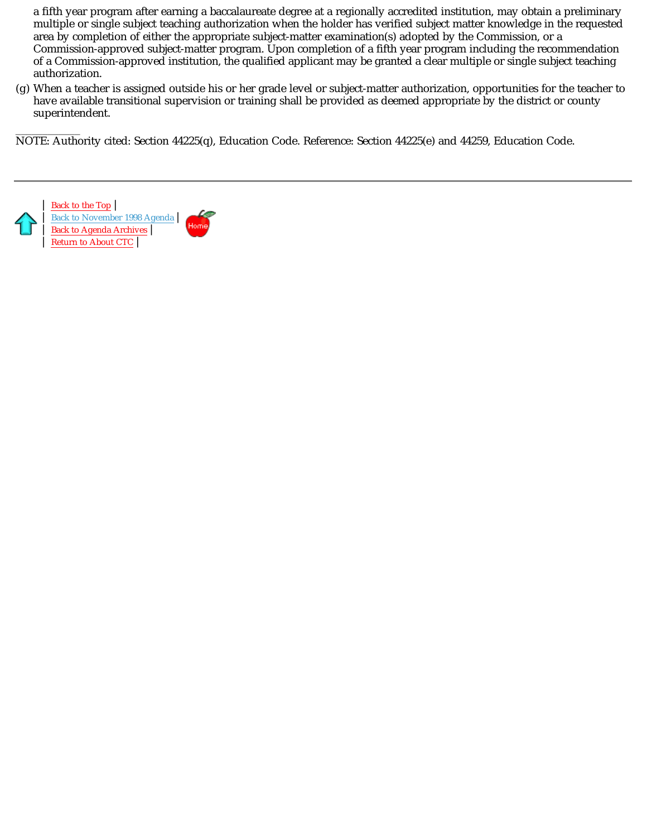a fifth year program after earning a baccalaureate degree at a regionally accredited institution, may obtain a preliminary multiple or single subject teaching authorization when the holder has verified subject matter knowledge in the requested area by completion of either the appropriate subject-matter examination(s) adopted by the Commission, or a Commission-approved subject-matter program. Upon completion of a fifth year program including the recommendation of a Commission-approved institution, the qualified applicant may be granted a clear multiple or single subject teaching authorization.

(g) When a teacher is assigned outside his or her grade level or subject-matter authorization, opportunities for the teacher to have available transitional supervision or training shall be provided as deemed appropriate by the district or county superintendent.

\_\_\_\_\_\_\_\_\_\_\_\_ NOTE: Authority cited: Section 44225(q), Education Code. Reference: Section 44225(e) and 44259, Education Code.



Back to November 1998 Agenda | Back to Agenda Archives | Return to About CTC |

| Back to the Top |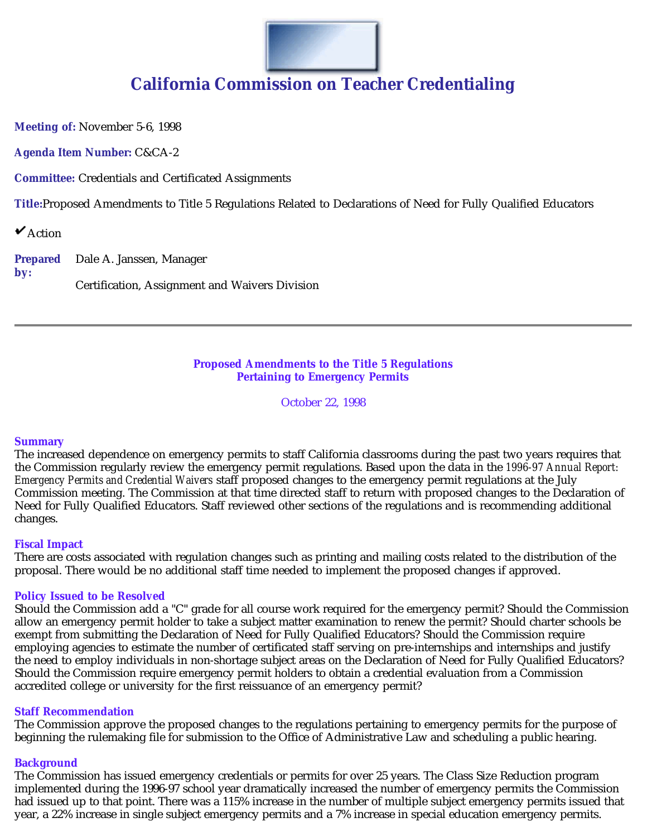

**Meeting of:** November 5-6, 1998

**Agenda Item Number:** C&CA-2

**Committee:** Credentials and Certificated Assignments

**Title:**Proposed Amendments to Title 5 Regulations Related to Declarations of Need for Fully Qualified Educators

 $\mathbf{\check{v}}$ Action

**Prepared by:** Dale A. Janssen, Manager Certification, Assignment and Waivers Division

#### **Proposed Amendments to the Title 5 Regulations Pertaining to Emergency Permits**

October 22, 1998

#### **Summary**

The increased dependence on emergency permits to staff California classrooms during the past two years requires that the Commission regularly review the emergency permit regulations. Based upon the data in the *1996-97 Annual Report: Emergency Permits and Credential Waivers* staff proposed changes to the emergency permit regulations at the July Commission meeting. The Commission at that time directed staff to return with proposed changes to the Declaration of Need for Fully Qualified Educators. Staff reviewed other sections of the regulations and is recommending additional changes.

#### **Fiscal Impact**

There are costs associated with regulation changes such as printing and mailing costs related to the distribution of the proposal. There would be no additional staff time needed to implement the proposed changes if approved.

#### **Policy Issued to be Resolved**

Should the Commission add a "C" grade for all course work required for the emergency permit? Should the Commission allow an emergency permit holder to take a subject matter examination to renew the permit? Should charter schools be exempt from submitting the Declaration of Need for Fully Qualified Educators? Should the Commission require employing agencies to estimate the number of certificated staff serving on pre-internships and internships and justify the need to employ individuals in non-shortage subject areas on the Declaration of Need for Fully Qualified Educators? Should the Commission require emergency permit holders to obtain a credential evaluation from a Commission accredited college or university for the first reissuance of an emergency permit?

#### **Staff Recommendation**

The Commission approve the proposed changes to the regulations pertaining to emergency permits for the purpose of beginning the rulemaking file for submission to the Office of Administrative Law and scheduling a public hearing.

#### **Background**

The Commission has issued emergency credentials or permits for over 25 years. The Class Size Reduction program implemented during the 1996-97 school year dramatically increased the number of emergency permits the Commission had issued up to that point. There was a 115% increase in the number of multiple subject emergency permits issued that year, a 22% increase in single subject emergency permits and a 7% increase in special education emergency permits.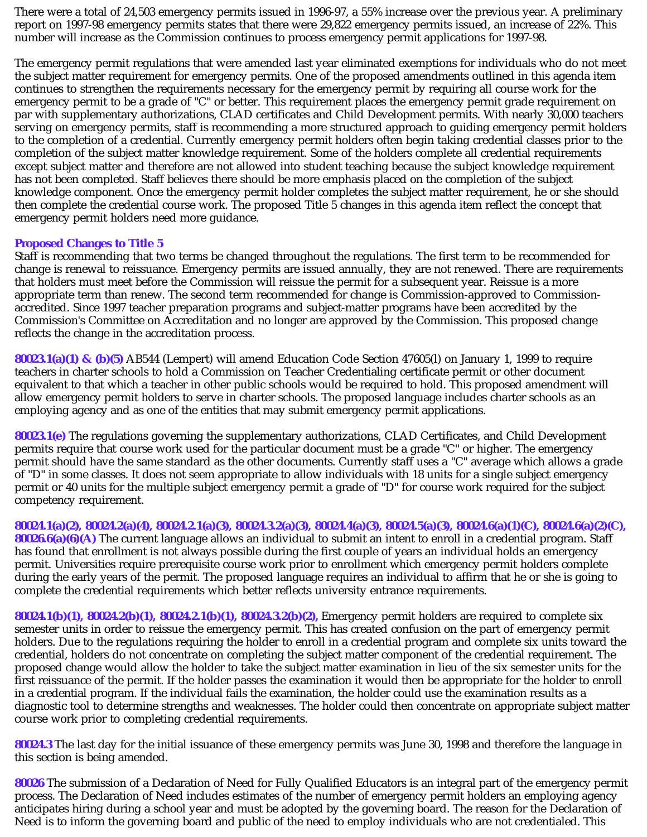There were a total of 24,503 emergency permits issued in 1996-97, a 55% increase over the previous year. A preliminary report on 1997-98 emergency permits states that there were 29,822 emergency permits issued, an increase of 22%. This number will increase as the Commission continues to process emergency permit applications for 1997-98.

The emergency permit regulations that were amended last year eliminated exemptions for individuals who do not meet the subject matter requirement for emergency permits. One of the proposed amendments outlined in this agenda item continues to strengthen the requirements necessary for the emergency permit by requiring all course work for the emergency permit to be a grade of "C" or better. This requirement places the emergency permit grade requirement on par with supplementary authorizations, CLAD certificates and Child Development permits. With nearly 30,000 teachers serving on emergency permits, staff is recommending a more structured approach to guiding emergency permit holders to the completion of a credential. Currently emergency permit holders often begin taking credential classes prior to the completion of the subject matter knowledge requirement. Some of the holders complete all credential requirements except subject matter and therefore are not allowed into student teaching because the subject knowledge requirement has not been completed. Staff believes there should be more emphasis placed on the completion of the subject knowledge component. Once the emergency permit holder completes the subject matter requirement, he or she should then complete the credential course work. The proposed Title 5 changes in this agenda item reflect the concept that emergency permit holders need more guidance.

#### **Proposed Changes to Title 5**

Staff is recommending that two terms be changed throughout the regulations. The first term to be recommended for change is renewal to reissuance. Emergency permits are issued annually, they are not renewed. There are requirements that holders must meet before the Commission will reissue the permit for a subsequent year. Reissue is a more appropriate term than renew. The second term recommended for change is Commission-approved to Commissionaccredited. Since 1997 teacher preparation programs and subject-matter programs have been accredited by the Commission's Committee on Accreditation and no longer are approved by the Commission. This proposed change reflects the change in the accreditation process.

**80023.1(a)(1) & (b)(5)** AB544 (Lempert) will amend Education Code Section 47605(l) on January 1, 1999 to require teachers in charter schools to hold a Commission on Teacher Credentialing certificate permit or other document equivalent to that which a teacher in other public schools would be required to hold. This proposed amendment will allow emergency permit holders to serve in charter schools. The proposed language includes charter schools as an employing agency and as one of the entities that may submit emergency permit applications.

**80023.1(e)** The regulations governing the supplementary authorizations, CLAD Certificates, and Child Development permits require that course work used for the particular document must be a grade "C" or higher. The emergency permit should have the same standard as the other documents. Currently staff uses a "C" average which allows a grade of "D" in some classes. It does not seem appropriate to allow individuals with 18 units for a single subject emergency permit or 40 units for the multiple subject emergency permit a grade of "D" for course work required for the subject competency requirement.

**80024.1(a)(2), 80024.2(a)(4), 80024.2.1(a)(3), 80024.3.2(a)(3), 80024.4(a)(3), 80024.5(a)(3), 80024.6(a)(1)(C), 80024.6(a)(2)(C), 80026.6(a)(6)(A)** The current language allows an individual to submit an intent to enroll in a credential program. Staff has found that enrollment is not always possible during the first couple of years an individual holds an emergency permit. Universities require prerequisite course work prior to enrollment which emergency permit holders complete during the early years of the permit. The proposed language requires an individual to affirm that he or she is going to complete the credential requirements which better reflects university entrance requirements.

**80024.1(b)(1), 80024.2(b)(1), 80024.2.1(b)(1), 80024.3.2(b)(2),** Emergency permit holders are required to complete six semester units in order to reissue the emergency permit. This has created confusion on the part of emergency permit holders. Due to the regulations requiring the holder to enroll in a credential program and complete six units toward the credential, holders do not concentrate on completing the subject matter component of the credential requirement. The proposed change would allow the holder to take the subject matter examination in lieu of the six semester units for the first reissuance of the permit. If the holder passes the examination it would then be appropriate for the holder to enroll in a credential program. If the individual fails the examination, the holder could use the examination results as a diagnostic tool to determine strengths and weaknesses. The holder could then concentrate on appropriate subject matter course work prior to completing credential requirements.

**80024.3** The last day for the initial issuance of these emergency permits was June 30, 1998 and therefore the language in this section is being amended.

**80026** The submission of a Declaration of Need for Fully Qualified Educators is an integral part of the emergency permit process. The Declaration of Need includes estimates of the number of emergency permit holders an employing agency anticipates hiring during a school year and must be adopted by the governing board. The reason for the Declaration of Need is to inform the governing board and public of the need to employ individuals who are not credentialed. This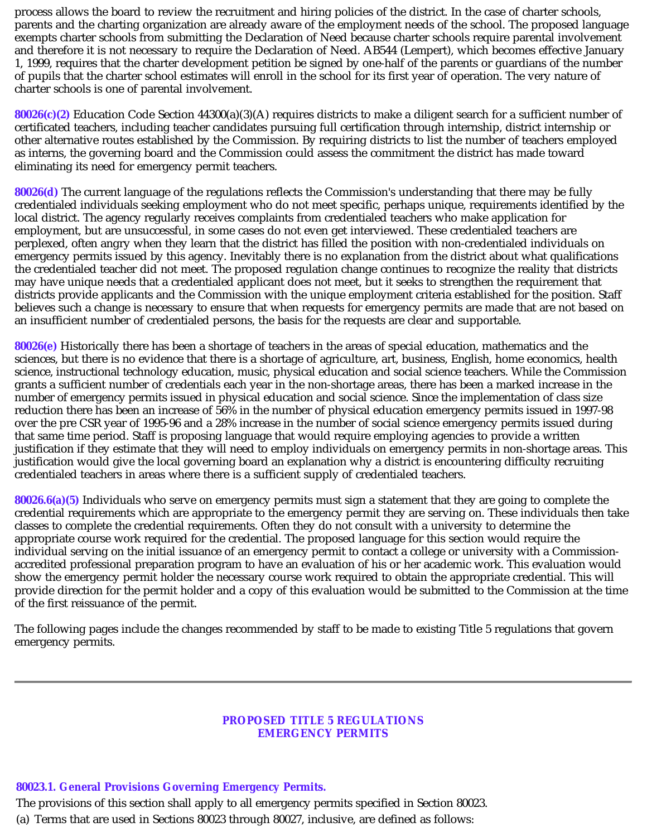process allows the board to review the recruitment and hiring policies of the district. In the case of charter schools, parents and the charting organization are already aware of the employment needs of the school. The proposed language exempts charter schools from submitting the Declaration of Need because charter schools require parental involvement and therefore it is not necessary to require the Declaration of Need. AB544 (Lempert), which becomes effective January 1, 1999, requires that the charter development petition be signed by one-half of the parents or guardians of the number of pupils that the charter school estimates will enroll in the school for its first year of operation. The very nature of charter schools is one of parental involvement.

**80026(c)(2)** Education Code Section 44300(a)(3)(A) requires districts to make a diligent search for a sufficient number of certificated teachers, including teacher candidates pursuing full certification through internship, district internship or other alternative routes established by the Commission. By requiring districts to list the number of teachers employed as interns, the governing board and the Commission could assess the commitment the district has made toward eliminating its need for emergency permit teachers.

**80026(d)** The current language of the regulations reflects the Commission's understanding that there may be fully credentialed individuals seeking employment who do not meet specific, perhaps unique, requirements identified by the local district. The agency regularly receives complaints from credentialed teachers who make application for employment, but are unsuccessful, in some cases do not even get interviewed. These credentialed teachers are perplexed, often angry when they learn that the district has filled the position with non-credentialed individuals on emergency permits issued by this agency. Inevitably there is no explanation from the district about what qualifications the credentialed teacher did not meet. The proposed regulation change continues to recognize the reality that districts may have unique needs that a credentialed applicant does not meet, but it seeks to strengthen the requirement that districts provide applicants and the Commission with the unique employment criteria established for the position. Staff believes such a change is necessary to ensure that when requests for emergency permits are made that are not based on an insufficient number of credentialed persons, the basis for the requests are clear and supportable.

**80026(e)** Historically there has been a shortage of teachers in the areas of special education, mathematics and the sciences, but there is no evidence that there is a shortage of agriculture, art, business, English, home economics, health science, instructional technology education, music, physical education and social science teachers. While the Commission grants a sufficient number of credentials each year in the non-shortage areas, there has been a marked increase in the number of emergency permits issued in physical education and social science. Since the implementation of class size reduction there has been an increase of 56% in the number of physical education emergency permits issued in 1997-98 over the pre CSR year of 1995-96 and a 28% increase in the number of social science emergency permits issued during that same time period. Staff is proposing language that would require employing agencies to provide a written justification if they estimate that they will need to employ individuals on emergency permits in non-shortage areas. This justification would give the local governing board an explanation why a district is encountering difficulty recruiting credentialed teachers in areas where there is a sufficient supply of credentialed teachers.

**80026.6(a)(5)** Individuals who serve on emergency permits must sign a statement that they are going to complete the credential requirements which are appropriate to the emergency permit they are serving on. These individuals then take classes to complete the credential requirements. Often they do not consult with a university to determine the appropriate course work required for the credential. The proposed language for this section would require the individual serving on the initial issuance of an emergency permit to contact a college or university with a Commissionaccredited professional preparation program to have an evaluation of his or her academic work. This evaluation would show the emergency permit holder the necessary course work required to obtain the appropriate credential. This will provide direction for the permit holder and a copy of this evaluation would be submitted to the Commission at the time of the first reissuance of the permit.

The following pages include the changes recommended by staff to be made to existing Title 5 regulations that govern emergency permits.

#### **PROPOSED TITLE 5 REGULATIONS EMERGENCY PERMITS**

#### **80023.1. General Provisions Governing Emergency Permits.**

The provisions of this section shall apply to all emergency permits specified in Section 80023. (a) Terms that are used in Sections 80023 through 80027, inclusive, are defined as follows: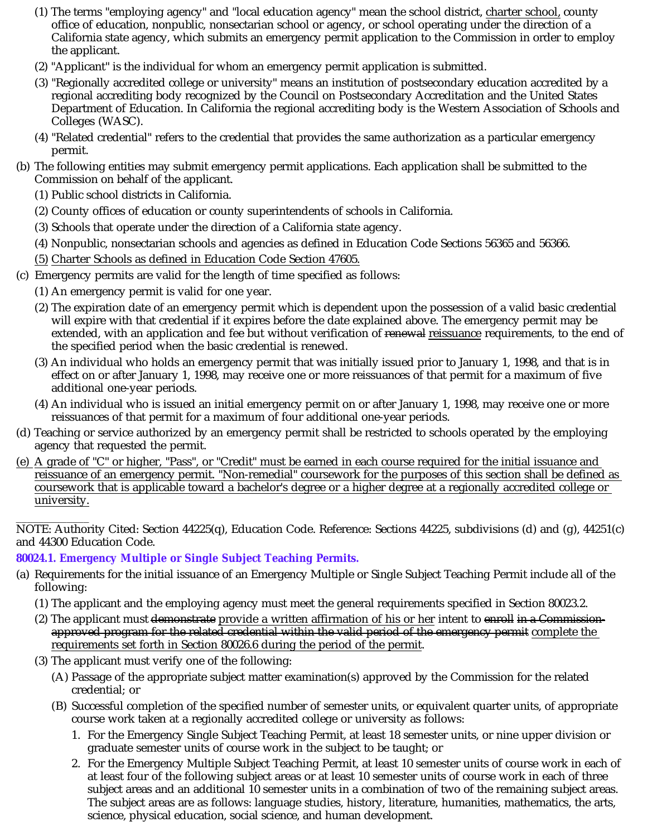- (1) The terms "employing agency" and "local education agency" mean the school district, <u>charter school,</u> county office of education, nonpublic, nonsectarian school or agency, or school operating under the direction of a California state agency, which submits an emergency permit application to the Commission in order to employ the applicant.
- (2) "Applicant" is the individual for whom an emergency permit application is submitted.
- (3) "Regionally accredited college or university" means an institution of postsecondary education accredited by a regional accrediting body recognized by the Council on Postsecondary Accreditation and the United States Department of Education. In California the regional accrediting body is the Western Association of Schools and Colleges (WASC).
- (4) "Related credential" refers to the credential that provides the same authorization as a particular emergency permit.
- (b) The following entities may submit emergency permit applications. Each application shall be submitted to the Commission on behalf of the applicant.
	- (1) Public school districts in California.
	- (2) County offices of education or county superintendents of schools in California.
	- (3) Schools that operate under the direction of a California state agency.
	- (4) Nonpublic, nonsectarian schools and agencies as defined in Education Code Sections 56365 and 56366.
	- (5) Charter Schools as defined in Education Code Section 47605.
- (c) Emergency permits are valid for the length of time specified as follows:
	- (1) An emergency permit is valid for one year.
	- (2) The expiration date of an emergency permit which is dependent upon the possession of a valid basic credential will expire with that credential if it expires before the date explained above. The emergency permit may be extended, with an application and fee but without verification of <del>renewal</del> <u>reissuance</u> requirements, to the end of the specified period when the basic credential is renewed.
	- (3) An individual who holds an emergency permit that was initially issued prior to January 1, 1998, and that is in effect on or after January 1, 1998, may receive one or more reissuances of that permit for a maximum of five additional one-year periods.
	- (4) An individual who is issued an initial emergency permit on or after January 1, 1998, may receive one or more reissuances of that permit for a maximum of four additional one-year periods.
- (d) Teaching or service authorized by an emergency permit shall be restricted to schools operated by the employing agency that requested the permit.
- (e) A grade of "C" or higher, "Pass", or "Credit" must be earned in each course required for the initial issuance and reissuance of an emergency permit. "Non-remedial" coursework for the purposes of this section shall be defined as coursework that is applicable toward a bachelor's degree or a higher degree at a regionally accredited college or university.

 $\overline{\phantom{a}}$ NOTE: Authority Cited: Section 44225(q), Education Code. Reference: Sections 44225, subdivisions (d) and (g), 44251(c) and 44300 Education Code.

# **80024.1. Emergency Multiple or Single Subject Teaching Permits.**

- (a) Requirements for the initial issuance of an Emergency Multiple or Single Subject Teaching Permit include all of the following:
	- (1) The applicant and the employing agency must meet the general requirements specified in Section 80023.2.
	- (2) The applicant must <del>demonstrat</del>e <u>provide a written affirmation of his or her</u> intent to <del>enroll in a Commission-</del> <u>requirements set forth in Section 80026.6 during the period of the permit</u>. approved program for the related credential within the valid period of the emergency permit complete the
	- (3) The applicant must verify one of the following:
		- (A) Passage of the appropriate subject matter examination(s) approved by the Commission for the related credential; or
		- (B) Successful completion of the specified number of semester units, or equivalent quarter units, of appropriate course work taken at a regionally accredited college or university as follows:
			- 1. For the Emergency Single Subject Teaching Permit, at least 18 semester units, or nine upper division or graduate semester units of course work in the subject to be taught; or
			- 2. For the Emergency Multiple Subject Teaching Permit, at least 10 semester units of course work in each of at least four of the following subject areas or at least 10 semester units of course work in each of three subject areas and an additional 10 semester units in a combination of two of the remaining subject areas. The subject areas are as follows: language studies, history, literature, humanities, mathematics, the arts, science, physical education, social science, and human development.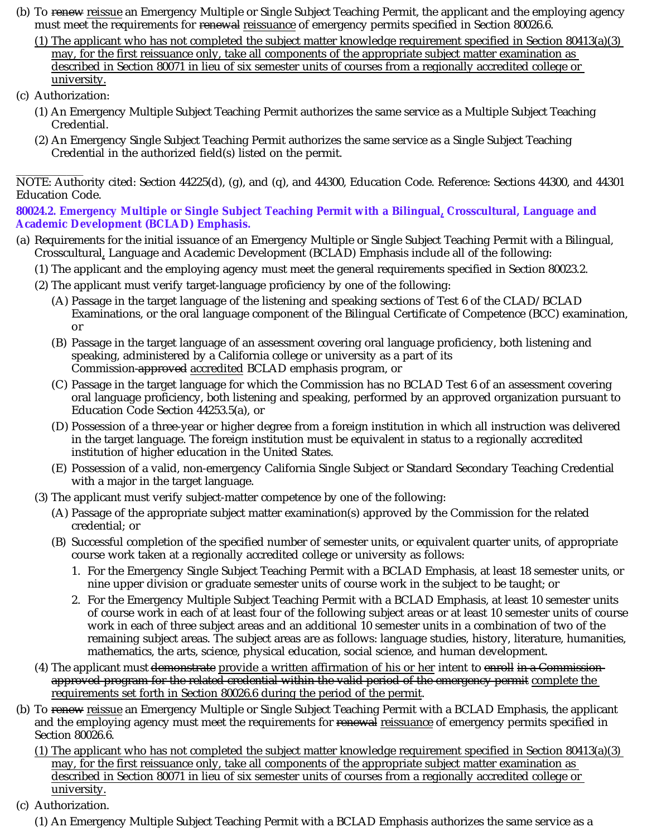- (b) To <del>renew</del> <u>reissue</u> an Emergency Multiple or Single Subject Teaching Permit, the applicant and the employing agency must meet the requirements for <del>renewal</del> <u>reissuance</u> of emergency permits specified in Section 80026.6.
	- (1) The applicant who has not completed the subject matter knowledge requirement specified in Section 80413(a)(3) may, for the first reissuance only, take all components of the appropriate subject matter examination as described in Section 80071 in lieu of six semester units of courses from a regionally accredited college or university.
- (c) Authorization:
	- (1) An Emergency Multiple Subject Teaching Permit authorizes the same service as a Multiple Subject Teaching Credential.
	- (2) An Emergency Single Subject Teaching Permit authorizes the same service as a Single Subject Teaching Credential in the authorized field(s) listed on the permit.

\_\_\_\_\_\_\_\_\_\_\_\_ NOTE: Authority cited: Section 44225(d), (g), and (q), and 44300, Education Code. Reference: Sections 44300, and 44301 Education Code.

80024.2. Emergency Multiple or Single Subject Teaching Permit with a Bilingual<u>,</u> Crosscultural, Language and **Academic Development (BCLAD) Emphasis.**

- (a) Requirements for the initial issuance of an Emergency Multiple or Single Subject Teaching Permit with a Bilingual, Crosscultural, Language and Academic Development (BCLAD) Emphasis include all of the following:
	- (1) The applicant and the employing agency must meet the general requirements specified in Section 80023.2.
	- (2) The applicant must verify target-language proficiency by one of the following:
		- (A) Passage in the target language of the listening and speaking sections of Test 6 of the CLAD/BCLAD Examinations, or the oral language component of the Bilingual Certificate of Competence (BCC) examination, or
		- (B) Passage in the target language of an assessment covering oral language proficiency, both listening and speaking, administered by a California college or university as a part of its Commission-approved accredited BCLAD emphasis program, or
		- (C) Passage in the target language for which the Commission has no BCLAD Test 6 of an assessment covering oral language proficiency, both listening and speaking, performed by an approved organization pursuant to Education Code Section 44253.5(a), or
		- (D) Possession of a three-year or higher degree from a foreign institution in which all instruction was delivered in the target language. The foreign institution must be equivalent in status to a regionally accredited institution of higher education in the United States.
		- (E) Possession of a valid, non-emergency California Single Subject or Standard Secondary Teaching Credential with a major in the target language.
	- (3) The applicant must verify subject-matter competence by one of the following:
		- (A) Passage of the appropriate subject matter examination(s) approved by the Commission for the related credential; or
		- (B) Successful completion of the specified number of semester units, or equivalent quarter units, of appropriate course work taken at a regionally accredited college or university as follows:
			- 1. For the Emergency Single Subject Teaching Permit with a BCLAD Emphasis, at least 18 semester units, or nine upper division or graduate semester units of course work in the subject to be taught; or
			- 2. For the Emergency Multiple Subject Teaching Permit with a BCLAD Emphasis, at least 10 semester units of course work in each of at least four of the following subject areas or at least 10 semester units of course work in each of three subject areas and an additional 10 semester units in a combination of two of the remaining subject areas. The subject areas are as follows: language studies, history, literature, humanities, mathematics, the arts, science, physical education, social science, and human development.
	- (4) The applicant must <del>demonstrate</del> provide a written affirmation of his or her intent to enroll in a Commission-. requirements set forth in Section 80026.6 during the period of the permit approved program for the related credential within the valid period of the emergency permit complete the
- (b) To <del>renew</del> <u>reissue</u> an Emergency Multiple or Single Subject Teaching Permit with a BCLAD Emphasis, the applicant and the employing agency must meet the requirements for <del>renewal</del> <u>reissuance</u> of emergency permits specified in Section 80026.6.
	- (1) The applicant who has not completed the subject matter knowledge requirement specified in Section 80413(a)(3) may, for the first reissuance only, take all components of the appropriate subject matter examination as described in Section 80071 in lieu of six semester units of courses from a regionally accredited college or university.
- (c) Authorization.
	- (1) An Emergency Multiple Subject Teaching Permit with a BCLAD Emphasis authorizes the same service as a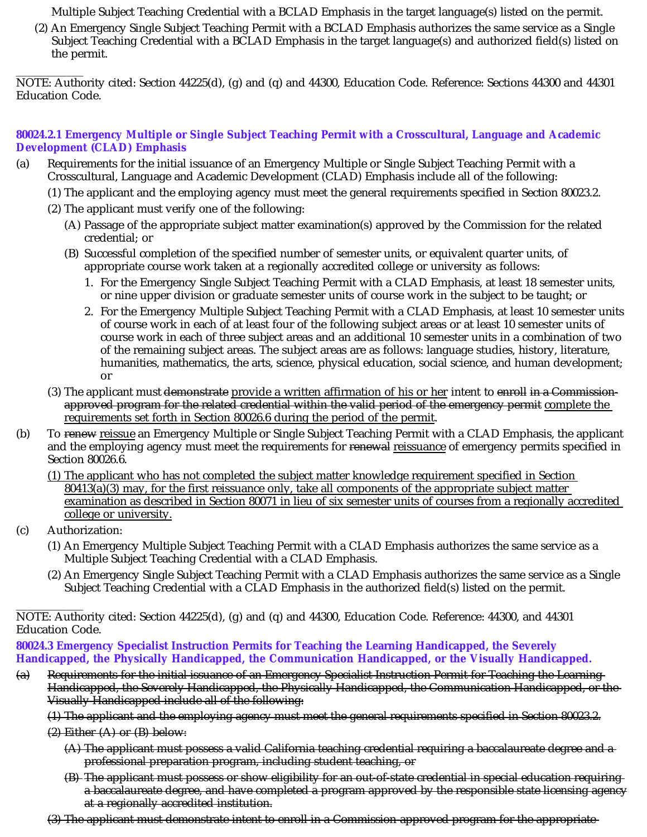Multiple Subject Teaching Credential with a BCLAD Emphasis in the target language(s) listed on the permit.

(2) An Emergency Single Subject Teaching Permit with a BCLAD Emphasis authorizes the same service as a Single Subject Teaching Credential with a BCLAD Emphasis in the target language(s) and authorized field(s) listed on the permit.

\_\_\_\_\_\_\_\_\_\_\_\_ NOTE: Authority cited: Section 44225(d), (g) and (q) and 44300, Education Code. Reference: Sections 44300 and 44301 Education Code.

### **80024.2.1 Emergency Multiple or Single Subject Teaching Permit with a Crosscultural, Language and Academic Development (CLAD) Emphasis**

- (a) Requirements for the initial issuance of an Emergency Multiple or Single Subject Teaching Permit with a Crosscultural, Language and Academic Development (CLAD) Emphasis include all of the following:
	- (1) The applicant and the employing agency must meet the general requirements specified in Section 80023.2.
	- (2) The applicant must verify one of the following:
		- (A) Passage of the appropriate subject matter examination(s) approved by the Commission for the related credential; or
		- (B) Successful completion of the specified number of semester units, or equivalent quarter units, of appropriate course work taken at a regionally accredited college or university as follows:
			- 1. For the Emergency Single Subject Teaching Permit with a CLAD Emphasis, at least 18 semester units, or nine upper division or graduate semester units of course work in the subject to be taught; or
			- 2. For the Emergency Multiple Subject Teaching Permit with a CLAD Emphasis, at least 10 semester units of course work in each of at least four of the following subject areas or at least 10 semester units of course work in each of three subject areas and an additional 10 semester units in a combination of two of the remaining subject areas. The subject areas are as follows: language studies, history, literature, humanities, mathematics, the arts, science, physical education, social science, and human development; or
	- (3) The applicant must <del>demonstrate</del> provide a written affirmation of his or her intent to enroll in a Commission-. requirements set forth in Section 80026.6 during the period of the permit approved program for the related credential within the valid period of the emergency permit complete the
- (b) To <del>renew</del> <u>reissue</u> an Emergency Multiple or Single Subject Teaching Permit with a CLAD Emphasis, the applicant and the employing agency must meet the requirements for <del>renewal</del> <u>reissuance</u> of emergency permits specified in Section 80026.6.
	- (1) The applicant who has not completed the subject matter knowledge requirement specified in Section  $80413(a)(3)$  may, for the first reissuance only, take all components of the appropriate subject matter examination as described in Section 80071 in lieu of six semester units of courses from a regionally accredited college or university.
- (c) Authorization:
	- (1) An Emergency Multiple Subject Teaching Permit with a CLAD Emphasis authorizes the same service as a Multiple Subject Teaching Credential with a CLAD Emphasis.
	- (2) An Emergency Single Subject Teaching Permit with a CLAD Emphasis authorizes the same service as a Single Subject Teaching Credential with a CLAD Emphasis in the authorized field(s) listed on the permit.

\_\_\_\_\_\_\_\_\_\_\_\_ NOTE: Authority cited: Section 44225(d), (g) and (q) and 44300, Education Code. Reference: 44300, and 44301 Education Code.

**80024.3 Emergency Specialist Instruction Permits for Teaching the Learning Handicapped, the Severely Handicapped, the Physically Handicapped, the Communication Handicapped, or the Visually Handicapped.**

(a) Requirements for the initial issuance of an Emergency Specialist Instruction Permit for Teaching the Learning Handicapped, the Severely Handicapped, the Physically Handicapped, the Communication Handicapped, or the Visually Handicapped include all of the following:

(1) The applicant and the employing agency must meet the general requirements specified in Section 80023.2.

 $(2)$  Either  $(A)$  or  $(B)$  below:

- (A) The applicant must possess a valid California teaching credential requiring a baccalaureate degree and a professional preparation program, including student teaching, or
- (B) The applicant must possess or show eligibility for an out-of-state credential in special education requiring a baccalaureate degree, and have completed a program approved by the responsible state licensing agency at a regionally accredited institution.
- (3) The applicant must demonstrate intent to enroll in a Commission-approved program for the appropriate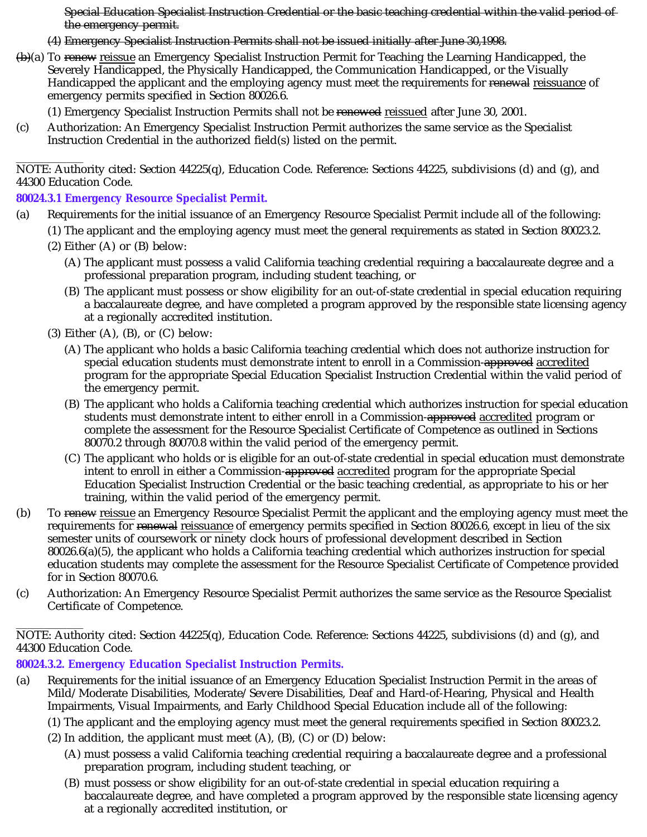Special Education Specialist Instruction Credential or the basic teaching credential within the valid period of the emergency permit.

- (4) Emergency Specialist Instruction Permits shall not be issued initially after June 30,1998.
- <del>(b)</del>(a) To <del>renew</del> <u>reissue</u> an Emergency Specialist Instruction Permit for Teaching the Learning Handicapped, the Severely Handicapped, the Physically Handicapped, the Communication Handicapped, or the Visually Handicapped the applicant and the employing agency must meet the requirements for <del>renewal</del> <u>reissuance</u> of emergency permits specified in Section 80026.6.
	- (1) Emergency Specialist Instruction Permits shall not be renewed reissued after June 30, 2001.
- (c) Authorization: An Emergency Specialist Instruction Permit authorizes the same service as the Specialist Instruction Credential in the authorized field(s) listed on the permit.

\_\_\_\_\_\_\_\_\_\_\_\_ NOTE: Authority cited: Section 44225(q), Education Code. Reference: Sections 44225, subdivisions (d) and (g), and 44300 Education Code.

**80024.3.1 Emergency Resource Specialist Permit.**

- (a) Requirements for the initial issuance of an Emergency Resource Specialist Permit include all of the following:
	- (1) The applicant and the employing agency must meet the general requirements as stated in Section 80023.2.
	- (2) Either (A) or (B) below:
		- (A) The applicant must possess a valid California teaching credential requiring a baccalaureate degree and a professional preparation program, including student teaching, or
		- (B) The applicant must possess or show eligibility for an out-of-state credential in special education requiring a baccalaureate degree, and have completed a program approved by the responsible state licensing agency at a regionally accredited institution.
	- $(3)$  Either  $(A)$ ,  $(B)$ , or  $(C)$  below:
		- (A) The applicant who holds a basic California teaching credential which does not authorize instruction for special education students must demonstrate intent to enroll in a Commission-<del>approved</del> <u>accredited</u> program for the appropriate Special Education Specialist Instruction Credential within the valid period of the emergency permit.
		- (B) The applicant who holds a California teaching credential which authorizes instruction for special education students must demonstrate intent to either enroll in a Commission-<del>approved</del> <u>accredited</u> program or complete the assessment for the Resource Specialist Certificate of Competence as outlined in Sections 80070.2 through 80070.8 within the valid period of the emergency permit.
		- (C) The applicant who holds or is eligible for an out-of-state credential in special education must demonstrate intent to enroll in either a Commission-<del>approved</del> <u>accredited</u> program for the appropriate Special Education Specialist Instruction Credential or the basic teaching credential, as appropriate to his or her training, within the valid period of the emergency permit.
- (b) To renew reissue an Emergency Resource Specialist Permit the applicant and the employing agency must meet the requirements for <del>renewal</del> <u>reissuance</u> of emergency permits specified in Section 80026.6, except in lieu of the six semester units of coursework or ninety clock hours of professional development described in Section 80026.6(a)(5), the applicant who holds a California teaching credential which authorizes instruction for special education students may complete the assessment for the Resource Specialist Certificate of Competence provided for in Section 80070.6.
- (c) Authorization: An Emergency Resource Specialist Permit authorizes the same service as the Resource Specialist Certificate of Competence.

\_\_\_\_\_\_\_\_\_\_\_\_ NOTE: Authority cited: Section 44225(q), Education Code. Reference: Sections 44225, subdivisions (d) and (g), and 44300 Education Code.

**80024.3.2. Emergency Education Specialist Instruction Permits.**

- (a) Requirements for the initial issuance of an Emergency Education Specialist Instruction Permit in the areas of Mild/Moderate Disabilities, Moderate/Severe Disabilities, Deaf and Hard-of-Hearing, Physical and Health Impairments, Visual Impairments, and Early Childhood Special Education include all of the following:
	- (1) The applicant and the employing agency must meet the general requirements specified in Section 80023.2.
	- $(2)$  In addition, the applicant must meet  $(A)$ ,  $(B)$ ,  $(C)$  or  $(D)$  below:
		- (A) must possess a valid California teaching credential requiring a baccalaureate degree and a professional preparation program, including student teaching, or
		- (B) must possess or show eligibility for an out-of-state credential in special education requiring a baccalaureate degree, and have completed a program approved by the responsible state licensing agency at a regionally accredited institution, or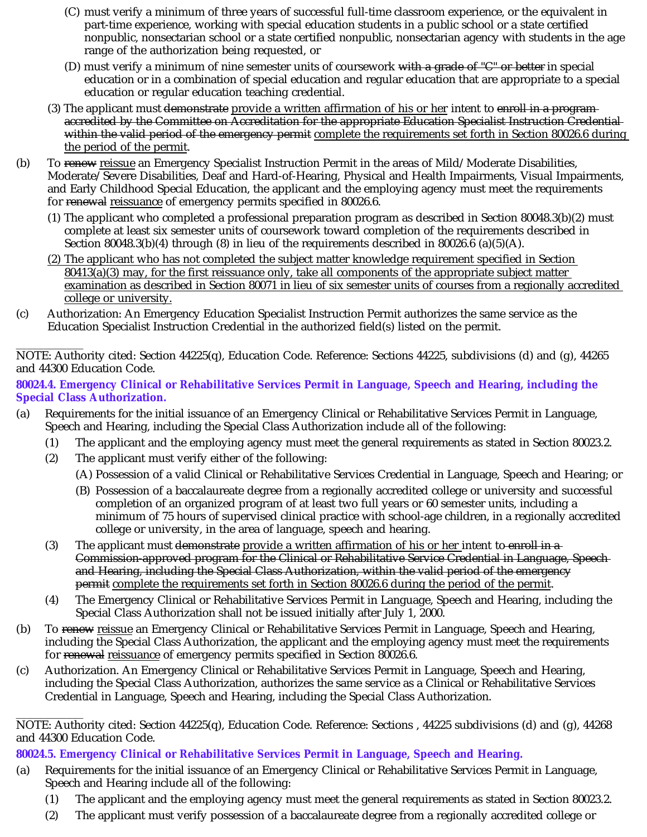- (C) must verify a minimum of three years of successful full-time classroom experience, or the equivalent in part-time experience, working with special education students in a public school or a state certified nonpublic, nonsectarian school or a state certified nonpublic, nonsectarian agency with students in the age range of the authorization being requested, or
- (D) must verify a minimum of nine semester units of coursework with a grade of "C" or better in special education or in a combination of special education and regular education that are appropriate to a special education or regular education teaching credential.
- (3) The applicant must <del>demonstrate</del> provide a written affirmation of his or her intent to e<del>nroll in a program</del> the period of the permit. accredited by the Committee on Accreditation for the appropriate Education Specialist Instruction Credential within the valid period of the emergency permit complete the requirements set forth in Section 80026.6 during
- (b) To <del>renew</del> <u>reissue</u> an Emergency Specialist Instruction Permit in the areas of Mild/Moderate Disabilities, Moderate/Severe Disabilities, Deaf and Hard-of-Hearing, Physical and Health Impairments, Visual Impairments, and Early Childhood Special Education, the applicant and the employing agency must meet the requirements for <del>renewal</del> <u>reissuance</u> of emergency permits specified in 80026.6.
	- (1) The applicant who completed a professional preparation program as described in Section 80048.3(b)(2) must complete at least six semester units of coursework toward completion of the requirements described in Section 80048.3(b)(4) through (8) in lieu of the requirements described in 80026.6 (a)(5)(A).
	- (2) The applicant who has not completed the subject matter knowledge requirement specified in Section 80413(a)(3) may, for the first reissuance only, take all components of the appropriate subject matter examination as described in Section 80071 in lieu of six semester units of courses from a regionally accredited college or university.
- (c) Authorization: An Emergency Education Specialist Instruction Permit authorizes the same service as the Education Specialist Instruction Credential in the authorized field(s) listed on the permit.

\_\_\_\_\_\_\_\_\_\_\_\_ NOTE: Authority cited: Section 44225(q), Education Code. Reference: Sections 44225, subdivisions (d) and (g), 44265 and 44300 Education Code.

**80024.4. Emergency Clinical or Rehabilitative Services Permit in Language, Speech and Hearing, including the Special Class Authorization.**

- (a) Requirements for the initial issuance of an Emergency Clinical or Rehabilitative Services Permit in Language, Speech and Hearing, including the Special Class Authorization include all of the following:
	- (1) The applicant and the employing agency must meet the general requirements as stated in Section 80023.2.
	- (2) The applicant must verify either of the following:
		- (A) Possession of a valid Clinical or Rehabilitative Services Credential in Language, Speech and Hearing; or
		- (B) Possession of a baccalaureate degree from a regionally accredited college or university and successful completion of an organized program of at least two full years or 60 semester units, including a minimum of 75 hours of supervised clinical practice with school-age children, in a regionally accredited college or university, in the area of language, speech and hearing.
	- (3) The applicant must <del>demonstrate</del> provide a written affirmation of his or her intent to-enroll in a . permit complete the requirements set forth in Section 80026.6 during the period of the permit Commission-approved program for the Clinical or Rehabilitative Service Credential in Language, Speech and Hearing, including the Special Class Authorization, within the valid period of the emergency
	- (4) The Emergency Clinical or Rehabilitative Services Permit in Language, Speech and Hearing, including the Special Class Authorization shall not be issued initially after July 1, 2000.
- (b) To renew reissue an Emergency Clinical or Rehabilitative Services Permit in Language, Speech and Hearing, including the Special Class Authorization, the applicant and the employing agency must meet the requirements for <del>renewal</del> <u>reissuance</u> of emergency permits specified in Section 80026.6.
- (c) Authorization. An Emergency Clinical or Rehabilitative Services Permit in Language, Speech and Hearing, including the Special Class Authorization, authorizes the same service as a Clinical or Rehabilitative Services Credential in Language, Speech and Hearing, including the Special Class Authorization.

**80024.5. Emergency Clinical or Rehabilitative Services Permit in Language, Speech and Hearing.**

- (a) Requirements for the initial issuance of an Emergency Clinical or Rehabilitative Services Permit in Language, Speech and Hearing include all of the following:
	- (1) The applicant and the employing agency must meet the general requirements as stated in Section 80023.2.
	- (2) The applicant must verify possession of a baccalaureate degree from a regionally accredited college or

\_\_\_\_\_\_\_\_\_\_\_\_ NOTE: Authority cited: Section 44225(q), Education Code. Reference: Sections , 44225 subdivisions (d) and (g), 44268 and 44300 Education Code.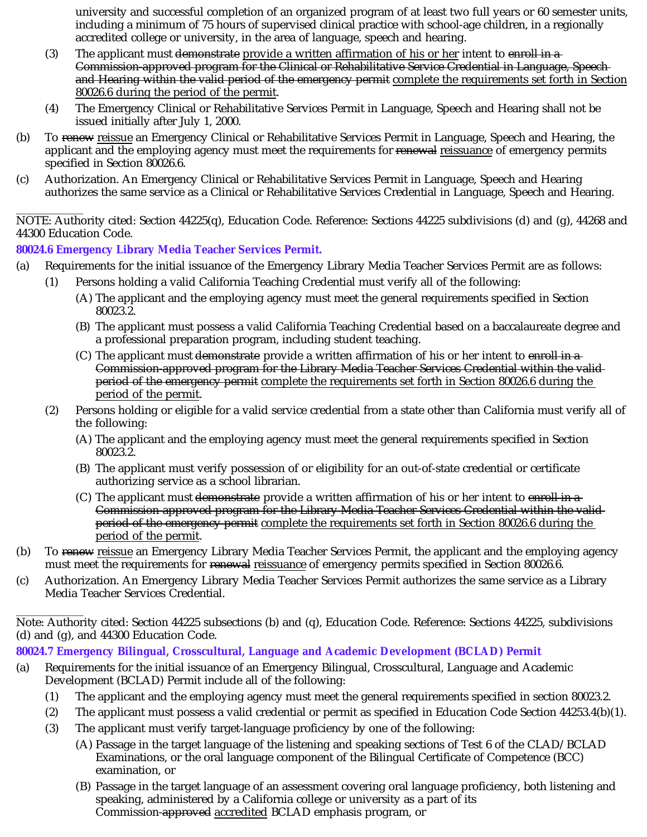university and successful completion of an organized program of at least two full years or 60 semester units, including a minimum of 75 hours of supervised clinical practice with school-age children, in a regionally accredited college or university, in the area of language, speech and hearing.

- (3) The applicant must <del>demonstrate</del> provide a written affirmation of his or her intent to enroll in a . 80026.6 during the period of the permit Commission-approved program for the Clinical or Rehabilitative Service Credential in Language, Speech and Hearing within the valid period of the emergency permit complete the requirements set forth in Section
- (4) The Emergency Clinical or Rehabilitative Services Permit in Language, Speech and Hearing shall not be issued initially after July 1, 2000.
- (b) To <del>renew</del> <u>reissue</u> an Emergency Clinical or Rehabilitative Services Permit in Language, Speech and Hearing, the applicant and the employing agency must meet the requirements for <del>renewal</del> <u>reissuance</u> of emergency permits <sub>.</sub> specified in Section 80026.6.
- (c) Authorization. An Emergency Clinical or Rehabilitative Services Permit in Language, Speech and Hearing authorizes the same service as a Clinical or Rehabilitative Services Credential in Language, Speech and Hearing.

\_\_\_\_\_\_\_\_\_\_\_\_ NOTE: Authority cited: Section 44225(q), Education Code. Reference: Sections 44225 subdivisions (d) and (g), 44268 and 44300 Education Code.

**80024.6 Emergency Library Media Teacher Services Permit.**

- (a) Requirements for the initial issuance of the Emergency Library Media Teacher Services Permit are as follows:
	- (1) Persons holding a valid California Teaching Credential must verify all of the following:
		- (A) The applicant and the employing agency must meet the general requirements specified in Section 80023.2.
		- (B) The applicant must possess a valid California Teaching Credential based on a baccalaureate degree and a professional preparation program, including student teaching.
		- (C) The applicant must <del>demonstrate</del> provide a written affirmation of his or her intent to <del>enroll in a</del> . period of the permit Commission-approved program for the Library Media Teacher Services Credential within the valid period of the emergency permit complete the requirements set forth in Section 80026.6 during the
	- (2) Persons holding or eligible for a valid service credential from a state other than California must verify all of the following:
		- (A) The applicant and the employing agency must meet the general requirements specified in Section 80023.2.
		- (B) The applicant must verify possession of or eligibility for an out-of-state credential or certificate authorizing service as a school librarian.
		- (C) The applicant must <del>demonstrate</del> provide a written affirmation of his or her intent to <del>enroll in a</del> . period of the permit Commission-approved program for the Library Media Teacher Services Credential within the valid period of the emergency permit complete the requirements set forth in Section 80026.6 during the
- (b) To <del>renew</del> <u>reissue</u> an Emergency Library Media Teacher Services Permit, the applicant and the employing agency must meet the requirements for <del>renewal</del> <u>reissuance</u> of emergency permits specified in Section 80026.6.
- (c) Authorization. An Emergency Library Media Teacher Services Permit authorizes the same service as a Library Media Teacher Services Credential.

\_\_\_\_\_\_\_\_\_\_\_\_ Note: Authority cited: Section 44225 subsections (b) and (q), Education Code. Reference: Sections 44225, subdivisions (d) and (g), and 44300 Education Code.

### **80024.7 Emergency Bilingual, Crosscultural, Language and Academic Development (BCLAD) Permit**

- (a) Requirements for the initial issuance of an Emergency Bilingual, Crosscultural, Language and Academic Development (BCLAD) Permit include all of the following:
	- (1) The applicant and the employing agency must meet the general requirements specified in section 80023.2.
	- (2) The applicant must possess a valid credential or permit as specified in Education Code Section 44253.4(b)(1).
	- (3) The applicant must verify target-language proficiency by one of the following:
		- (A) Passage in the target language of the listening and speaking sections of Test 6 of the CLAD/BCLAD Examinations, or the oral language component of the Bilingual Certificate of Competence (BCC) examination, or
			- (B) Passage in the target language of an assessment covering oral language proficiency, both listening and speaking, administered by a California college or university as a part of its Commission-approved accredited BCLAD emphasis program, or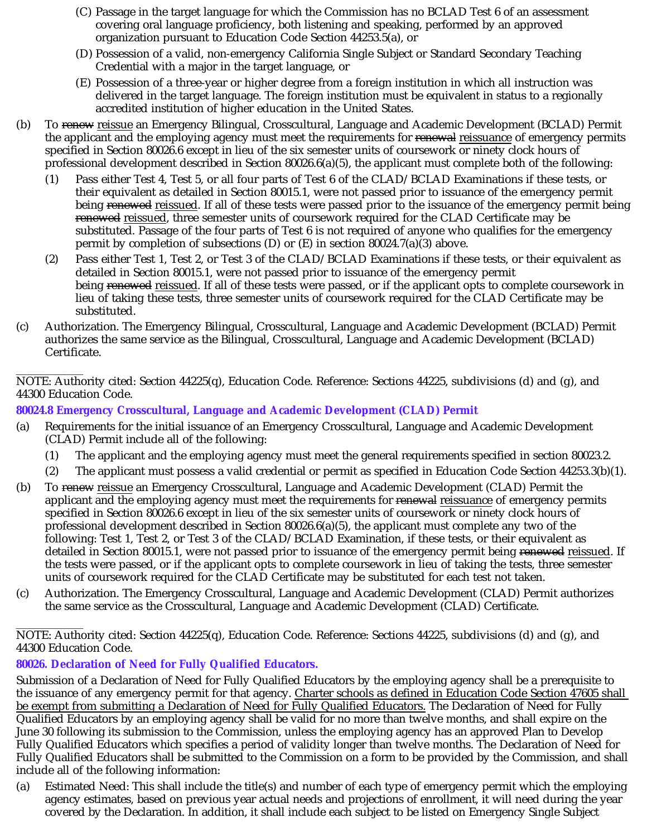- (C) Passage in the target language for which the Commission has no BCLAD Test 6 of an assessment covering oral language proficiency, both listening and speaking, performed by an approved organization pursuant to Education Code Section 44253.5(a), or
- (D) Possession of a valid, non-emergency California Single Subject or Standard Secondary Teaching Credential with a major in the target language, or
- (E) Possession of a three-year or higher degree from a foreign institution in which all instruction was delivered in the target language. The foreign institution must be equivalent in status to a regionally accredited institution of higher education in the United States.
- (b) To renew reissue an Emergency Bilingual, Crosscultural, Language and Academic Development (BCLAD) Permit the applicant and the employing agency must meet the requirements for <del>renewal</del> <u>reissuance</u> of emergency permits specified in Section 80026.6 except in lieu of the six semester units of coursework or ninety clock hours of professional development described in Section 80026.6(a)(5), the applicant must complete both of the following:
	- (1) Pass either Test 4, Test 5, or all four parts of Test 6 of the CLAD/BCLAD Examinations if these tests, or their equivalent as detailed in Section 80015.1, were not passed prior to issuance of the emergency permit being <del>renewed</del> <u>reissued</u>. If all of these tests were passed prior to the issuance of the emergency permit being <del>renewed</del> <u>reissued</u>, three semester units of coursework required for the CLAD Certificate may be substituted. Passage of the four parts of Test 6 is not required of anyone who qualifies for the emergency permit by completion of subsections (D) or  $(E)$  in section 80024.7(a)(3) above.
	- (2) Pass either Test 1, Test 2, or Test 3 of the CLAD/BCLAD Examinations if these tests, or their equivalent as detailed in Section 80015.1, were not passed prior to issuance of the emergency permit being <del>renewed</del> <u>reissued</u>. If all of these tests were passed, or if the applicant opts to complete coursework in lieu of taking these tests, three semester units of coursework required for the CLAD Certificate may be substituted.
- (c) Authorization. The Emergency Bilingual, Crosscultural, Language and Academic Development (BCLAD) Permit authorizes the same service as the Bilingual, Crosscultural, Language and Academic Development (BCLAD) Certificate.

\_\_\_\_\_\_\_\_\_\_\_\_ NOTE: Authority cited: Section 44225(q), Education Code. Reference: Sections 44225, subdivisions (d) and (g), and 44300 Education Code.

**80024.8 Emergency Crosscultural, Language and Academic Development (CLAD) Permit**

- (a) Requirements for the initial issuance of an Emergency Crosscultural, Language and Academic Development (CLAD) Permit include all of the following:
	- (1) The applicant and the employing agency must meet the general requirements specified in section 80023.2.
	- (2) The applicant must possess a valid credential or permit as specified in Education Code Section 44253.3(b)(1).
- (b) To renew reissue an Emergency Crosscultural, Language and Academic Development (CLAD) Permit the applicant and the employing agency must meet the requirements for <del>renewal</del> <u>reissuance</u> of emergency permits specified in Section 80026.6 except in lieu of the six semester units of coursework or ninety clock hours of professional development described in Section  $80026.6(a)(5)$ , the applicant must complete any two of the following: Test 1, Test 2, or Test 3 of the CLAD/BCLAD Examination, if these tests, or their equivalent as detailed in Section 80015.1, were not passed prior to issuance of the emergency permit being <del>renewed</del> <u>reissued</u>. If the tests were passed, or if the applicant opts to complete coursework in lieu of taking the tests, three semester units of coursework required for the CLAD Certificate may be substituted for each test not taken.
- (c) Authorization. The Emergency Crosscultural, Language and Academic Development (CLAD) Permit authorizes the same service as the Crosscultural, Language and Academic Development (CLAD) Certificate.

\_\_\_\_\_\_\_\_\_\_\_\_ NOTE: Authority cited: Section 44225(q), Education Code. Reference: Sections 44225, subdivisions (d) and (g), and 44300 Education Code.

# **80026. Declaration of Need for Fully Qualified Educators.**

Submission of a Declaration of Need for Fully Qualified Educators by the employing agency shall be a prerequisite to the issuance of any emergency permit for that agency. <u>Charter schools as defined in Education Code Section 47605 shall</u> <u>be exempt from submitting a Declaration of Need for Fully Qualified Educators.</u> The Declaration of Need for Fully Qualified Educators by an employing agency shall be valid for no more than twelve months, and shall expire on the June 30 following its submission to the Commission, unless the employing agency has an approved Plan to Develop Fully Qualified Educators which specifies a period of validity longer than twelve months. The Declaration of Need for Fully Qualified Educators shall be submitted to the Commission on a form to be provided by the Commission, and shall include all of the following information:

(a) Estimated Need: This shall include the title(s) and number of each type of emergency permit which the employing agency estimates, based on previous year actual needs and projections of enrollment, it will need during the year covered by the Declaration. In addition, it shall include each subject to be listed on Emergency Single Subject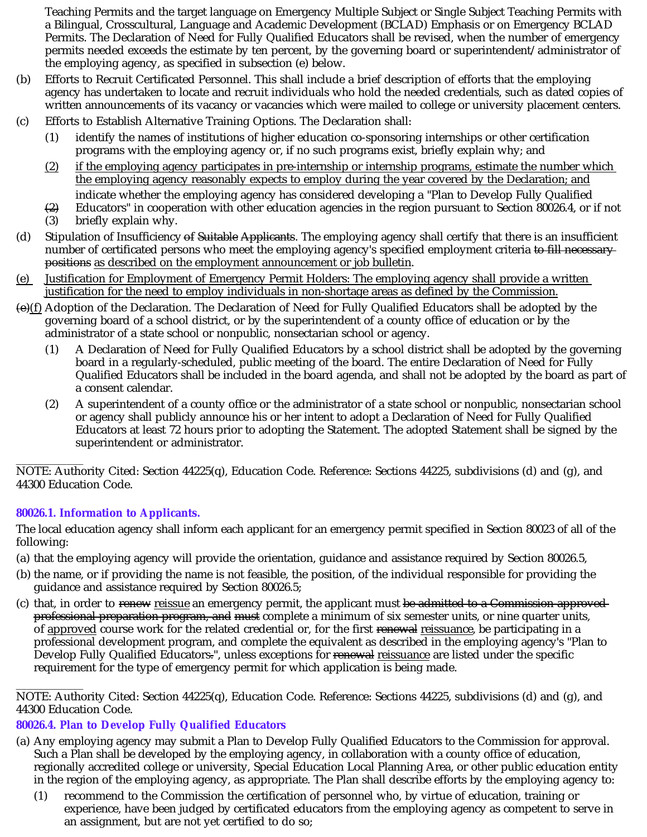Teaching Permits and the target language on Emergency Multiple Subject or Single Subject Teaching Permits with a Bilingual, Crosscultural, Language and Academic Development (BCLAD) Emphasis or on Emergency BCLAD Permits. The Declaration of Need for Fully Qualified Educators shall be revised, when the number of emergency permits needed exceeds the estimate by ten percent, by the governing board or superintendent/administrator of the employing agency, as specified in subsection (e) below.

- (b) Efforts to Recruit Certificated Personnel. This shall include a brief description of efforts that the employing agency has undertaken to locate and recruit individuals who hold the needed credentials, such as dated copies of written announcements of its vacancy or vacancies which were mailed to college or university placement centers.
- (c) Efforts to Establish Alternative Training Options. The Declaration shall:
	- (1) identify the names of institutions of higher education co-sponsoring internships or other certification programs with the employing agency or, if no such programs exist, briefly explain why; and
	- (2) if the employing agency participates in pre-internship or internship programs, estimate the number which the employing agency reasonably expects to employ during the year covered by the Declaration; and
	- $(2)$ indicate whether the employing agency has considered developing a "Plan to Develop Fully Qualified Educators" in cooperation with other education agencies in the region pursuant to Section 80026.4, or if not
	- (3) briefly explain why.
- (d) Stipulation of Insufficiency of Suitable Applicants. The employing agency shall certify that there is an insufficient number of certificated persons who meet the employing agency's specified employment criteria <del>to fill necessary</del> <del>positions</del> as described on the employment announcement or job bulletin.
- (e) Justification for Employment of Emergency Permit Holders: The employing agency shall provide a written justification for the need to employ individuals in non-shortage areas as defined by the Commission.
- (e)(f) Adoption of the Declaration. The Declaration of Need for Fully Qualified Educators shall be adopted by the governing board of a school district, or by the superintendent of a county office of education or by the administrator of a state school or nonpublic, nonsectarian school or agency.
	- (1) A Declaration of Need for Fully Qualified Educators by a school district shall be adopted by the governing board in a regularly-scheduled, public meeting of the board. The entire Declaration of Need for Fully Qualified Educators shall be included in the board agenda, and shall not be adopted by the board as part of a consent calendar.
	- (2) A superintendent of a county office or the administrator of a state school or nonpublic, nonsectarian school or agency shall publicly announce his or her intent to adopt a Declaration of Need for Fully Qualified Educators at least 72 hours prior to adopting the Statement. The adopted Statement shall be signed by the superintendent or administrator.

\_\_\_\_\_\_\_\_\_\_\_\_ NOTE: Authority Cited: Section 44225(q), Education Code. Reference: Sections 44225, subdivisions (d) and (g), and 44300 Education Code.

# **80026.1. Information to Applicants.**

The local education agency shall inform each applicant for an emergency permit specified in Section 80023 of all of the following:

- (a) that the employing agency will provide the orientation, guidance and assistance required by Section 80026.5,
- (b) the name, or if providing the name is not feasible, the position, of the individual responsible for providing the guidance and assistance required by Section 80026.5;
- (c) that, in order to <del>renew</del> reissue an emergency permit, the applicant must <del>be admitted to a Commission approved</del> <del>professional preparation program, and must</del> complete a minimum of six semester units, or nine quarter units, of <u>approved</u> course work for the related credential or, for the first <del>renewal</del> <u>reissuance</u>, be participating in a professional development program, and complete the equivalent as described in the employing agency's "Plan to Develop Fully Qualified Educators<del>.</del>", unless exceptions for <del>renewal</del> <u>reissuance</u> are listed under the specific requirement for the type of emergency permit for which application is being made.

\_\_\_\_\_\_\_\_\_\_\_\_ NOTE: Authority Cited: Section 44225(q), Education Code. Reference: Sections 44225, subdivisions (d) and (g), and 44300 Education Code.

# **80026.4. Plan to Develop Fully Qualified Educators**

- (a) Any employing agency may submit a Plan to Develop Fully Qualified Educators to the Commission for approval. Such a Plan shall be developed by the employing agency, in collaboration with a county office of education, regionally accredited college or university, Special Education Local Planning Area, or other public education entity in the region of the employing agency, as appropriate. The Plan shall describe efforts by the employing agency to:
	- (1) recommend to the Commission the certification of personnel who, by virtue of education, training or experience, have been judged by certificated educators from the employing agency as competent to serve in an assignment, but are not yet certified to do so;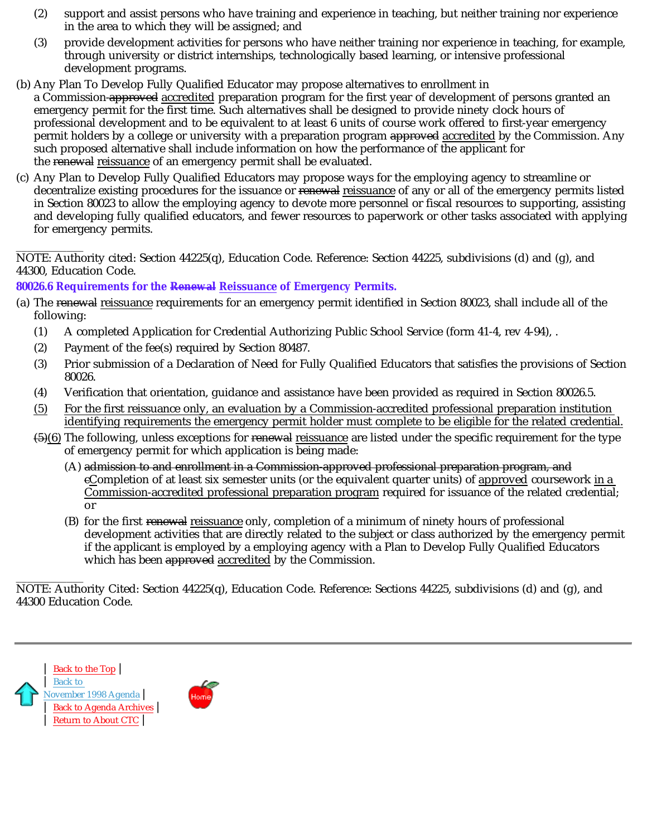- (2) support and assist persons who have training and experience in teaching, but neither training nor experience in the area to which they will be assigned; and
- (3) provide development activities for persons who have neither training nor experience in teaching, for example, through university or district internships, technologically based learning, or intensive professional development programs.
- (b) Any Plan To Develop Fully Qualified Educator may propose alternatives to enrollment in a Commission-<del>approved</del> <u>accredited</u> preparation program for the first year of development of persons granted an emergency permit for the first time. Such alternatives shall be designed to provide ninety clock hours of professional development and to be equivalent to at least 6 units of course work offered to first-year emergency permit holders by a college or university with a preparation program <del>approved</del> <u>accredited</u> by the Commission. Any such proposed alternative shall include information on how the performance of the applicant for the <del>renewal</del> <u>reissuance</u> of an emergency permit shall be evaluated.
- (c) Any Plan to Develop Fully Qualified Educators may propose ways for the employing agency to streamline or decentralize existing procedures for the issuance or <del>renewal</del> <u>reissuance</u> of any or all of the emergency permits listed in Section 80023 to allow the employing agency to devote more personnel or fiscal resources to supporting, assisting and developing fully qualified educators, and fewer resources to paperwork or other tasks associated with applying for emergency permits.

\_\_\_\_\_\_\_\_\_\_\_\_ NOTE: Authority cited: Section 44225(q), Education Code. Reference: Section 44225, subdivisions (d) and (g), and 44300, Education Code.

### **80026.6 Requirements for the Renewal Reissuance of Emergency Permits.**

- (a) The <del>renewal</del> <u>reissuance</u> requirements for an emergency permit identified in Section 80023, shall include all of the following:
	- (1) A completed Application for Credential Authorizing Public School Service (form 41-4, rev 4-94), .
	- (2) Payment of the fee(s) required by Section 80487.
	- (3) Prior submission of a Declaration of Need for Fully Qualified Educators that satisfies the provisions of Section 80026.
	- (4) Verification that orientation, guidance and assistance have been provided as required in Section 80026.5.
	- (5) For the first reissuance only, an evaluation by a Commission-accredited professional preparation institution identifying requirements the emergency permit holder must complete to be eligible for the related credential.
	- <del>(5)</del>(6) The following, unless exceptions for <del>renewal</del> <u>reissuance</u> are listed under the specific requirement for the type of emergency permit for which application is being made:
		- (A) admission to and enrollment in a Commission-approved professional preparation program, and eCompletion of at least six semester units (or the equivalent quarter units) of <u>approved</u> coursework <u>in a</u> <u>Commission-accredited professional preparation program</u> required for issuance of the related credential; or
		- (B) for the first <del>renewal</del> reissuance only, completion of a minimum of ninety hours of professional development activities that are directly related to the subject or class authorized by the emergency permit if the applicant is employed by a employing agency with a Plan to Develop Fully Qualified Educators which has been <del>approved</del> <u>accredited</u> by the Commission.

\_\_\_\_\_\_\_\_\_\_\_\_ NOTE: Authority Cited: Section 44225(q), Education Code. Reference: Sections 44225, subdivisions (d) and (g), and 44300 Education Code.



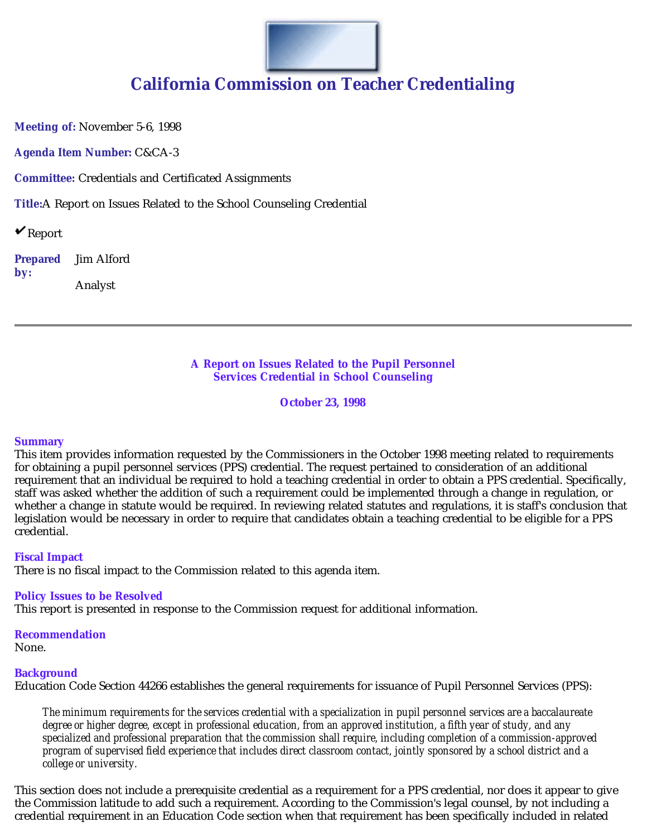

**Meeting of:** November 5-6, 1998

**Agenda Item Number:** C&CA-3

**Committee:** Credentials and Certificated Assignments

**Title:**A Report on Issues Related to the School Counseling Credential

 $\mathbf{v}_{\text{Report}}$ 

**Prepared by:** Jim Alford Analyst

#### **A Report on Issues Related to the Pupil Personnel Services Credential in School Counseling**

**October 23, 1998**

#### **Summary**

This item provides information requested by the Commissioners in the October 1998 meeting related to requirements for obtaining a pupil personnel services (PPS) credential. The request pertained to consideration of an additional requirement that an individual be required to hold a teaching credential in order to obtain a PPS credential. Specifically, staff was asked whether the addition of such a requirement could be implemented through a change in regulation, or whether a change in statute would be required. In reviewing related statutes and regulations, it is staff's conclusion that legislation would be necessary in order to require that candidates obtain a teaching credential to be eligible for a PPS credential.

#### **Fiscal Impact**

There is no fiscal impact to the Commission related to this agenda item.

#### **Policy Issues to be Resolved**

This report is presented in response to the Commission request for additional information.

#### **Recommendation**

None.

#### **Background**

Education Code Section 44266 establishes the general requirements for issuance of Pupil Personnel Services (PPS):

*The minimum requirements for the services credential with a specialization in pupil personnel services are a baccalaureate degree or higher degree, except in professional education, from an approved institution, a fifth year of study, and any specialized and professional preparation that the commission shall require, including completion of a commission-approved program of supervised field experience that includes direct classroom contact, jointly sponsored by a school district and a college or university.*

This section does not include a prerequisite credential as a requirement for a PPS credential, nor does it appear to give the Commission latitude to add such a requirement. According to the Commission's legal counsel, by not including a credential requirement in an Education Code section when that requirement has been specifically included in related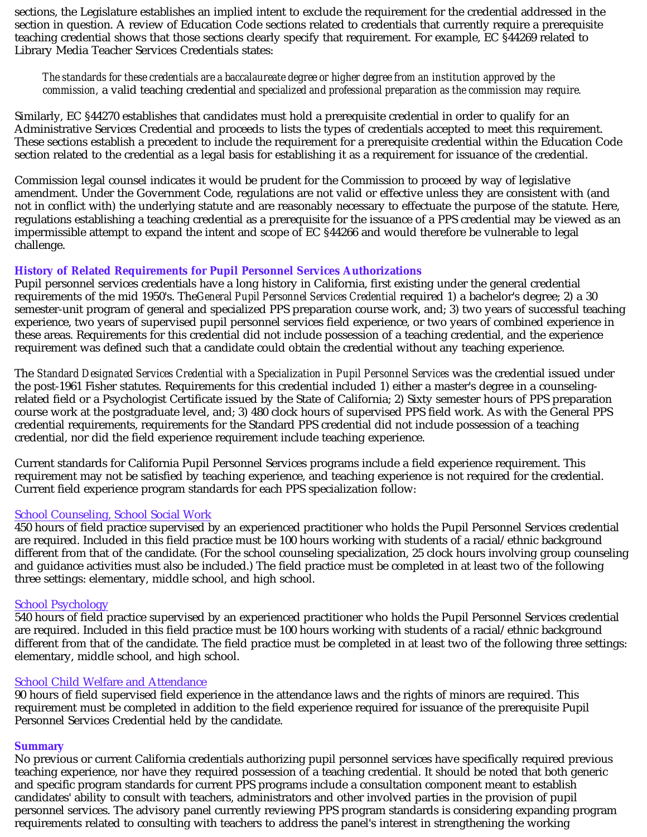sections, the Legislature establishes an implied intent to exclude the requirement for the credential addressed in the section in question. A review of Education Code sections related to credentials that currently require a prerequisite teaching credential shows that those sections clearly specify that requirement. For example, EC §44269 related to Library Media Teacher Services Credentials states:

### commission, a valid teaching credential and specialized and professional preparation as the commission may require. *The standards for these credentials are a baccalaureate degree or higher degree from an institution approved by the*

Similarly, EC §44270 establishes that candidates must hold a prerequisite credential in order to qualify for an Administrative Services Credential and proceeds to lists the types of credentials accepted to meet this requirement. These sections establish a precedent to include the requirement for a prerequisite credential within the Education Code section related to the credential as a legal basis for establishing it as a requirement for issuance of the credential.

Commission legal counsel indicates it would be prudent for the Commission to proceed by way of legislative amendment. Under the Government Code, regulations are not valid or effective unless they are consistent with (and not in conflict with) the underlying statute and are reasonably necessary to effectuate the purpose of the statute. Here, regulations establishing a teaching credential as a prerequisite for the issuance of a PPS credential may be viewed as an impermissible attempt to expand the intent and scope of EC §44266 and would therefore be vulnerable to legal challenge.

### **History of Related Requirements for Pupil Personnel Services Authorizations**

Pupil personnel services credentials have a long history in California, first existing under the general credential requirements of the mid 1950's. The*General Pupil Personnel Services Credential* required 1) a bachelor's degree; 2) a 30 semester-unit program of general and specialized PPS preparation course work, and; 3) two years of successful teaching experience, two years of supervised pupil personnel services field experience, or two years of combined experience in these areas. Requirements for this credential did not include possession of a teaching credential, and the experience requirement was defined such that a candidate could obtain the credential without any teaching experience.

The *Standard Designated Services Credential with a Specialization in Pupil Personnel Services* was the credential issued under the post-1961 Fisher statutes. Requirements for this credential included 1) either a master's degree in a counselingrelated field or a Psychologist Certificate issued by the State of California; 2) Sixty semester hours of PPS preparation course work at the postgraduate level, and; 3) 480 clock hours of supervised PPS field work. As with the General PPS credential requirements, requirements for the Standard PPS credential did not include possession of a teaching credential, nor did the field experience requirement include teaching experience.

Current standards for California Pupil Personnel Services programs include a field experience requirement. This requirement may not be satisfied by teaching experience, and teaching experience is not required for the credential. Current field experience program standards for each PPS specialization follow:

#### School Counseling, School Social Work

450 hours of field practice supervised by an experienced practitioner who holds the Pupil Personnel Services credential are required. Included in this field practice must be 100 hours working with students of a racial/ethnic background different from that of the candidate. (For the school counseling specialization, 25 clock hours involving group counseling and guidance activities must also be included.) The field practice must be completed in at least two of the following three settings: elementary, middle school, and high school.

#### School Psychology

540 hours of field practice supervised by an experienced practitioner who holds the Pupil Personnel Services credential are required. Included in this field practice must be 100 hours working with students of a racial/ethnic background different from that of the candidate. The field practice must be completed in at least two of the following three settings: elementary, middle school, and high school.

#### School Child Welfare and Attendance

90 hours of field supervised field experience in the attendance laws and the rights of minors are required. This requirement must be completed in addition to the field experience required for issuance of the prerequisite Pupil Personnel Services Credential held by the candidate.

#### **Summary**

No previous or current California credentials authorizing pupil personnel services have specifically required previous teaching experience, nor have they required possession of a teaching credential. It should be noted that both generic and specific program standards for current PPS programs include a consultation component meant to establish candidates' ability to consult with teachers, administrators and other involved parties in the provision of pupil personnel services. The advisory panel currently reviewing PPS program standards is considering expanding program requirements related to consulting with teachers to address the panel's interest in strengthening the working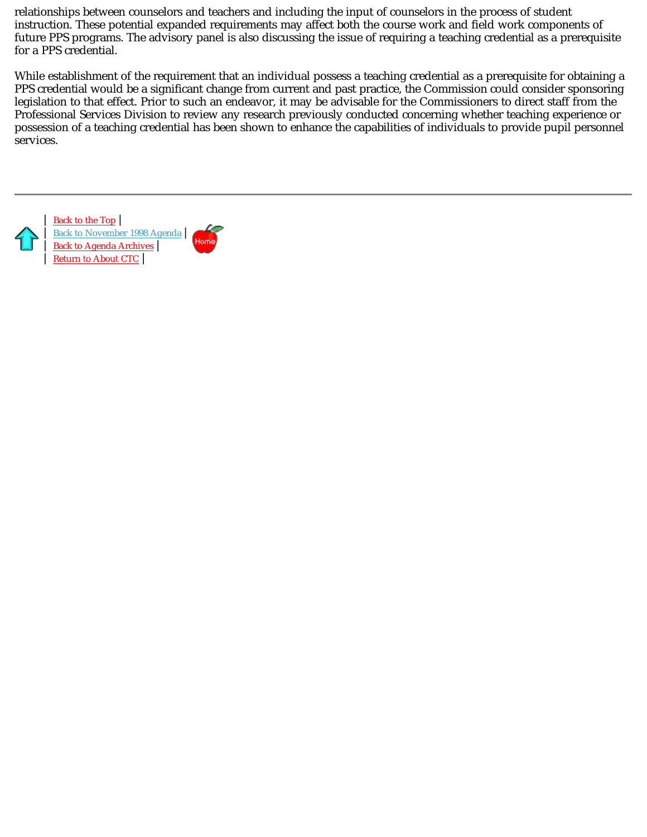relationships between counselors and teachers and including the input of counselors in the process of student instruction. These potential expanded requirements may affect both the course work and field work components of future PPS programs. The advisory panel is also discussing the issue of requiring a teaching credential as a prerequisite for a PPS credential.

While establishment of the requirement that an individual possess a teaching credential as a prerequisite for obtaining a PPS credential would be a significant change from current and past practice, the Commission could consider sponsoring legislation to that effect. Prior to such an endeavor, it may be advisable for the Commissioners to direct staff from the Professional Services Division to review any research previously conducted concerning whether teaching experience or possession of a teaching credential has been shown to enhance the capabilities of individuals to provide pupil personnel services.

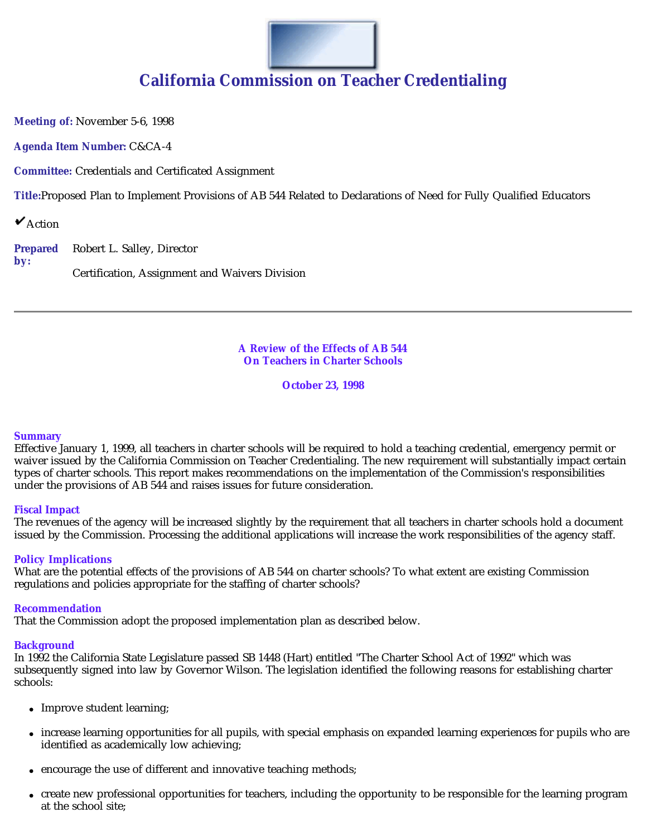

**Meeting of:** November 5-6, 1998

**Agenda Item Number:** C&CA-4

**Committee:** Credentials and Certificated Assignment

**Title:**Proposed Plan to Implement Provisions of AB 544 Related to Declarations of Need for Fully Qualified Educators

 $\mathbf{\check{v}}$  Action

**Prepared by:** Robert L. Salley, Director

Certification, Assignment and Waivers Division

#### **A Review of the Effects of AB 544 On Teachers in Charter Schools**

**October 23, 1998**

#### **Summary**

Effective January 1, 1999, all teachers in charter schools will be required to hold a teaching credential, emergency permit or waiver issued by the California Commission on Teacher Credentialing. The new requirement will substantially impact certain types of charter schools. This report makes recommendations on the implementation of the Commission's responsibilities under the provisions of AB 544 and raises issues for future consideration.

#### **Fiscal Impact**

The revenues of the agency will be increased slightly by the requirement that all teachers in charter schools hold a document issued by the Commission. Processing the additional applications will increase the work responsibilities of the agency staff.

#### **Policy Implications**

What are the potential effects of the provisions of AB 544 on charter schools? To what extent are existing Commission regulations and policies appropriate for the staffing of charter schools?

#### **Recommendation**

That the Commission adopt the proposed implementation plan as described below.

#### **Background**

In 1992 the California State Legislature passed SB 1448 (Hart) entitled "The Charter School Act of 1992" which was subsequently signed into law by Governor Wilson. The legislation identified the following reasons for establishing charter schools:

- Improve student learning;
- increase learning opportunities for all pupils, with special emphasis on expanded learning experiences for pupils who are identified as academically low achieving;
- encourage the use of different and innovative teaching methods;
- create new professional opportunities for teachers, including the opportunity to be responsible for the learning program at the school site;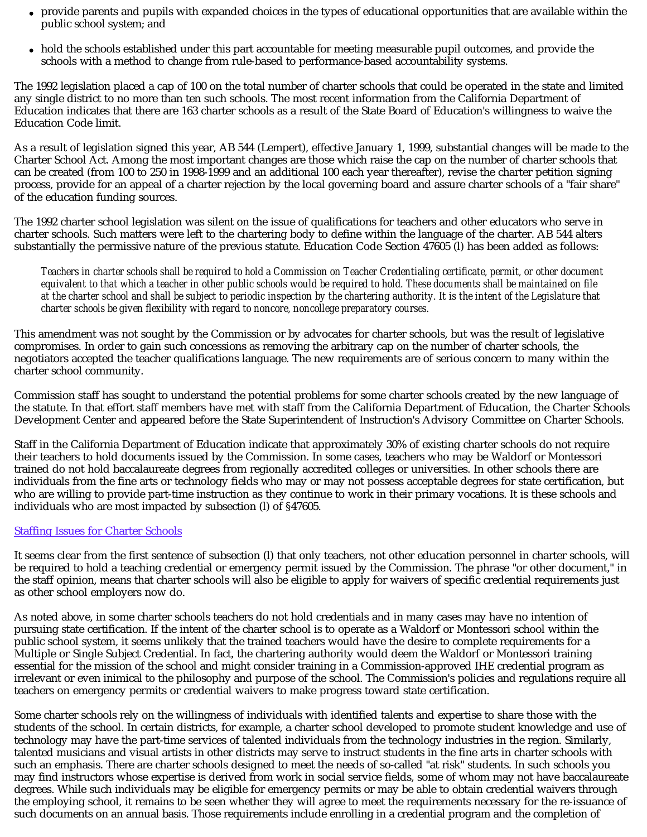- provide parents and pupils with expanded choices in the types of educational opportunities that are available within the public school system; and
- hold the schools established under this part accountable for meeting measurable pupil outcomes, and provide the schools with a method to change from rule-based to performance-based accountability systems.

The 1992 legislation placed a cap of 100 on the total number of charter schools that could be operated in the state and limited any single district to no more than ten such schools. The most recent information from the California Department of Education indicates that there are 163 charter schools as a result of the State Board of Education's willingness to waive the Education Code limit.

As a result of legislation signed this year, AB 544 (Lempert), effective January 1, 1999, substantial changes will be made to the Charter School Act. Among the most important changes are those which raise the cap on the number of charter schools that can be created (from 100 to 250 in 1998-1999 and an additional 100 each year thereafter), revise the charter petition signing process, provide for an appeal of a charter rejection by the local governing board and assure charter schools of a "fair share" of the education funding sources.

The 1992 charter school legislation was silent on the issue of qualifications for teachers and other educators who serve in charter schools. Such matters were left to the chartering body to define within the language of the charter. AB 544 alters substantially the permissive nature of the previous statute. Education Code Section 47605 (l) has been added as follows:

*Teachers in charter schools shall be required to hold a Commission on Teacher Credentialing certificate, permit, or other document equivalent to that which a teacher in other public schools would be required to hold. These documents shall be maintained on file at the charter school and shall be subject to periodic inspection by the chartering authority. It is the intent of the Legislature that charter schools be given flexibility with regard to noncore, noncollege preparatory courses.*

This amendment was not sought by the Commission or by advocates for charter schools, but was the result of legislative compromises. In order to gain such concessions as removing the arbitrary cap on the number of charter schools, the negotiators accepted the teacher qualifications language. The new requirements are of serious concern to many within the charter school community.

Commission staff has sought to understand the potential problems for some charter schools created by the new language of the statute. In that effort staff members have met with staff from the California Department of Education, the Charter Schools Development Center and appeared before the State Superintendent of Instruction's Advisory Committee on Charter Schools.

Staff in the California Department of Education indicate that approximately 30% of existing charter schools do not require their teachers to hold documents issued by the Commission. In some cases, teachers who may be Waldorf or Montessori trained do not hold baccalaureate degrees from regionally accredited colleges or universities. In other schools there are individuals from the fine arts or technology fields who may or may not possess acceptable degrees for state certification, but who are willing to provide part-time instruction as they continue to work in their primary vocations. It is these schools and individuals who are most impacted by subsection (l) of §47605.

#### Staffing Issues for Charter Schools

It seems clear from the first sentence of subsection (l) that only teachers, not other education personnel in charter schools, will be required to hold a teaching credential or emergency permit issued by the Commission. The phrase "or other document," in the staff opinion, means that charter schools will also be eligible to apply for waivers of specific credential requirements just as other school employers now do.

As noted above, in some charter schools teachers do not hold credentials and in many cases may have no intention of pursuing state certification. If the intent of the charter school is to operate as a Waldorf or Montessori school within the public school system, it seems unlikely that the trained teachers would have the desire to complete requirements for a Multiple or Single Subject Credential. In fact, the chartering authority would deem the Waldorf or Montessori training essential for the mission of the school and might consider training in a Commission-approved IHE credential program as irrelevant or even inimical to the philosophy and purpose of the school. The Commission's policies and regulations require all teachers on emergency permits or credential waivers to make progress toward state certification.

Some charter schools rely on the willingness of individuals with identified talents and expertise to share those with the students of the school. In certain districts, for example, a charter school developed to promote student knowledge and use of technology may have the part-time services of talented individuals from the technology industries in the region. Similarly, talented musicians and visual artists in other districts may serve to instruct students in the fine arts in charter schools with such an emphasis. There are charter schools designed to meet the needs of so-called "at risk" students. In such schools you may find instructors whose expertise is derived from work in social service fields, some of whom may not have baccalaureate degrees. While such individuals may be eligible for emergency permits or may be able to obtain credential waivers through the employing school, it remains to be seen whether they will agree to meet the requirements necessary for the re-issuance of such documents on an annual basis. Those requirements include enrolling in a credential program and the completion of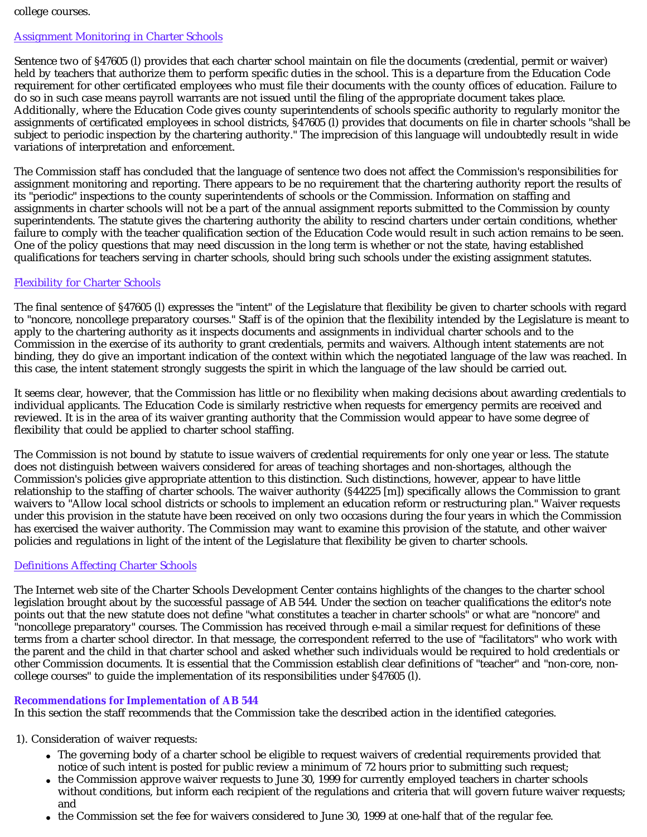### college courses.

### Assignment Monitoring in Charter Schools

Sentence two of §47605 (l) provides that each charter school maintain on file the documents (credential, permit or waiver) held by teachers that authorize them to perform specific duties in the school. This is a departure from the Education Code requirement for other certificated employees who must file their documents with the county offices of education. Failure to do so in such case means payroll warrants are not issued until the filing of the appropriate document takes place. Additionally, where the Education Code gives county superintendents of schools specific authority to regularly monitor the assignments of certificated employees in school districts, §47605 (l) provides that documents on file in charter schools "shall be subject to periodic inspection by the chartering authority." The imprecision of this language will undoubtedly result in wide variations of interpretation and enforcement.

The Commission staff has concluded that the language of sentence two does not affect the Commission's responsibilities for assignment monitoring and reporting. There appears to be no requirement that the chartering authority report the results of its "periodic" inspections to the county superintendents of schools or the Commission. Information on staffing and assignments in charter schools will not be a part of the annual assignment reports submitted to the Commission by county superintendents. The statute gives the chartering authority the ability to rescind charters under certain conditions, whether failure to comply with the teacher qualification section of the Education Code would result in such action remains to be seen. One of the policy questions that may need discussion in the long term is whether or not the state, having established qualifications for teachers serving in charter schools, should bring such schools under the existing assignment statutes.

### Flexibility for Charter Schools

The final sentence of §47605 (l) expresses the "intent" of the Legislature that flexibility be given to charter schools with regard to "noncore, noncollege preparatory courses." Staff is of the opinion that the flexibility intended by the Legislature is meant to apply to the chartering authority as it inspects documents and assignments in individual charter schools and to the Commission in the exercise of its authority to grant credentials, permits and waivers. Although intent statements are not binding, they do give an important indication of the context within which the negotiated language of the law was reached. In this case, the intent statement strongly suggests the spirit in which the language of the law should be carried out.

It seems clear, however, that the Commission has little or no flexibility when making decisions about awarding credentials to individual applicants. The Education Code is similarly restrictive when requests for emergency permits are received and reviewed. It is in the area of its waiver granting authority that the Commission would appear to have some degree of flexibility that could be applied to charter school staffing.

The Commission is not bound by statute to issue waivers of credential requirements for only one year or less. The statute does not distinguish between waivers considered for areas of teaching shortages and non-shortages, although the Commission's policies give appropriate attention to this distinction. Such distinctions, however, appear to have little relationship to the staffing of charter schools. The waiver authority (§44225 [m]) specifically allows the Commission to grant waivers to "Allow local school districts or schools to implement an education reform or restructuring plan." Waiver requests under this provision in the statute have been received on only two occasions during the four years in which the Commission has exercised the waiver authority. The Commission may want to examine this provision of the statute, and other waiver policies and regulations in light of the intent of the Legislature that flexibility be given to charter schools.

### Definitions Affecting Charter Schools

The Internet web site of the Charter Schools Development Center contains highlights of the changes to the charter school legislation brought about by the successful passage of AB 544. Under the section on teacher qualifications the editor's note points out that the new statute does not define "what constitutes a teacher in charter schools" or what are "noncore" and "noncollege preparatory" courses. The Commission has received through e-mail a similar request for definitions of these terms from a charter school director. In that message, the correspondent referred to the use of "facilitators" who work with the parent and the child in that charter school and asked whether such individuals would be required to hold credentials or other Commission documents. It is essential that the Commission establish clear definitions of "teacher" and "non-core, noncollege courses" to guide the implementation of its responsibilities under §47605 (l).

### **Recommendations for Implementation of AB 544**

In this section the staff recommends that the Commission take the described action in the identified categories.

### 1). Consideration of waiver requests:

- The governing body of a charter school be eligible to request waivers of credential requirements provided that notice of such intent is posted for public review a minimum of 72 hours prior to submitting such request;
- the Commission approve waiver requests to June 30, 1999 for currently employed teachers in charter schools without conditions, but inform each recipient of the regulations and criteria that will govern future waiver requests; and
- the Commission set the fee for waivers considered to June 30, 1999 at one-half that of the regular fee.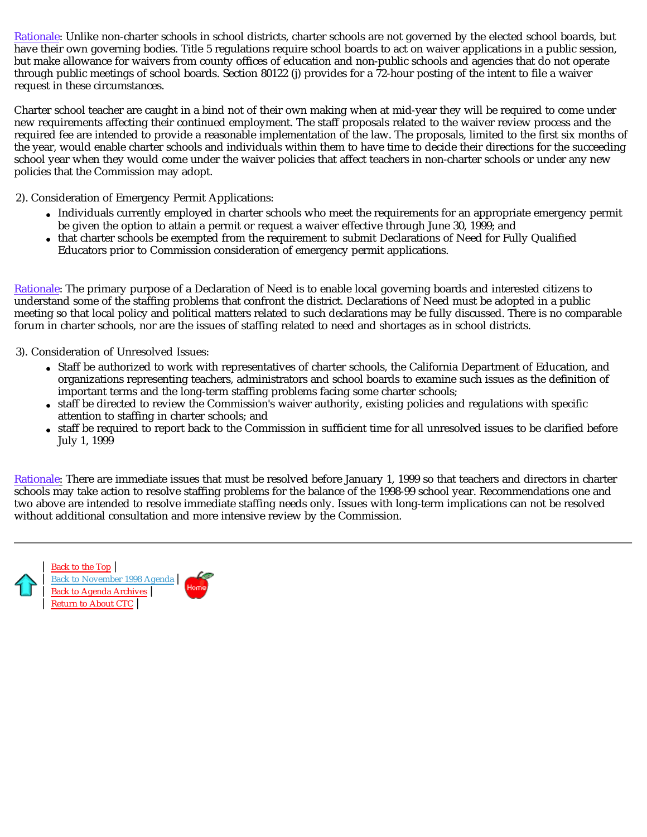Rationale: Unlike non-charter schools in school districts, charter schools are not governed by the elected school boards, but have their own governing bodies. Title 5 regulations require school boards to act on waiver applications in a public session, but make allowance for waivers from county offices of education and non-public schools and agencies that do not operate through public meetings of school boards. Section 80122 (j) provides for a 72-hour posting of the intent to file a waiver request in these circumstances.

Charter school teacher are caught in a bind not of their own making when at mid-year they will be required to come under new requirements affecting their continued employment. The staff proposals related to the waiver review process and the required fee are intended to provide a reasonable implementation of the law. The proposals, limited to the first six months of the year, would enable charter schools and individuals within them to have time to decide their directions for the succeeding school year when they would come under the waiver policies that affect teachers in non-charter schools or under any new policies that the Commission may adopt.

2). Consideration of Emergency Permit Applications:

- Individuals currently employed in charter schools who meet the requirements for an appropriate emergency permit be given the option to attain a permit or request a waiver effective through June 30, 1999; and
- that charter schools be exempted from the requirement to submit Declarations of Need for Fully Qualified Educators prior to Commission consideration of emergency permit applications.

Rationale: The primary purpose of a Declaration of Need is to enable local governing boards and interested citizens to understand some of the staffing problems that confront the district. Declarations of Need must be adopted in a public meeting so that local policy and political matters related to such declarations may be fully discussed. There is no comparable forum in charter schools, nor are the issues of staffing related to need and shortages as in school districts.

3). Consideration of Unresolved Issues:

- Staff be authorized to work with representatives of charter schools, the California Department of Education, and organizations representing teachers, administrators and school boards to examine such issues as the definition of important terms and the long-term staffing problems facing some charter schools;
- staff be directed to review the Commission's waiver authority, existing policies and regulations with specific attention to staffing in charter schools; and
- staff be required to report back to the Commission in sufficient time for all unresolved issues to be clarified before July 1, 1999

 $\rm{Rationale}_{\rm}:$  There are immediate issues that must be resolved before January 1, 1999 so that teachers and directors in charter schools may take action to resolve staffing problems for the balance of the 1998-99 school year. Recommendations one and two above are intended to resolve immediate staffing needs only. Issues with long-term implications can not be resolved without additional consultation and more intensive review by the Commission.



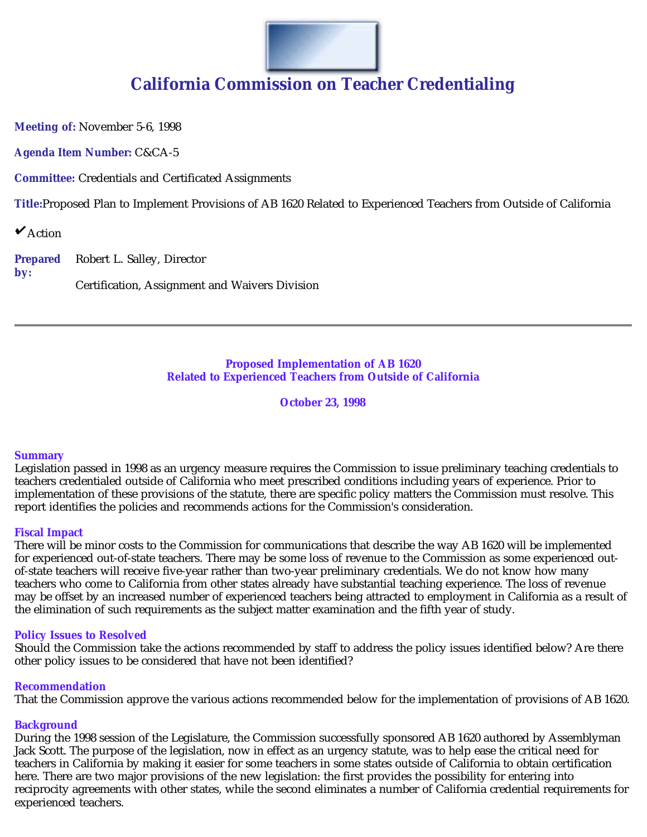

# **California Commission on Teacher Credentialing**

**Meeting of:** November 5-6, 1998

**Agenda Item Number:** C&CA-5

**Committee:** Credentials and Certificated Assignments

**Title:**Proposed Plan to Implement Provisions of AB 1620 Related to Experienced Teachers from Outside of California

 $\mathbf{\mathsf{v}}$  Action

**Prepared by:** Robert L. Salley, Director Certification, Assignment and Waivers Division

### **Proposed Implementation of AB 1620 Related to Experienced Teachers from Outside of California**

**October 23, 1998**

### **Summary**

Legislation passed in 1998 as an urgency measure requires the Commission to issue preliminary teaching credentials to teachers credentialed outside of California who meet prescribed conditions including years of experience. Prior to implementation of these provisions of the statute, there are specific policy matters the Commission must resolve. This report identifies the policies and recommends actions for the Commission's consideration.

### **Fiscal Impact**

There will be minor costs to the Commission for communications that describe the way AB 1620 will be implemented for experienced out-of-state teachers. There may be some loss of revenue to the Commission as some experienced outof-state teachers will receive five-year rather than two-year preliminary credentials. We do not know how many teachers who come to California from other states already have substantial teaching experience. The loss of revenue may be offset by an increased number of experienced teachers being attracted to employment in California as a result of the elimination of such requirements as the subject matter examination and the fifth year of study.

### **Policy Issues to Resolved**

Should the Commission take the actions recommended by staff to address the policy issues identified below? Are there other policy issues to be considered that have not been identified?

### **Recommendation**

That the Commission approve the various actions recommended below for the implementation of provisions of AB 1620.

### **Background**

During the 1998 session of the Legislature, the Commission successfully sponsored AB 1620 authored by Assemblyman Jack Scott. The purpose of the legislation, now in effect as an urgency statute, was to help ease the critical need for teachers in California by making it easier for some teachers in some states outside of California to obtain certification here. There are two major provisions of the new legislation: the first provides the possibility for entering into reciprocity agreements with other states, while the second eliminates a number of California credential requirements for experienced teachers.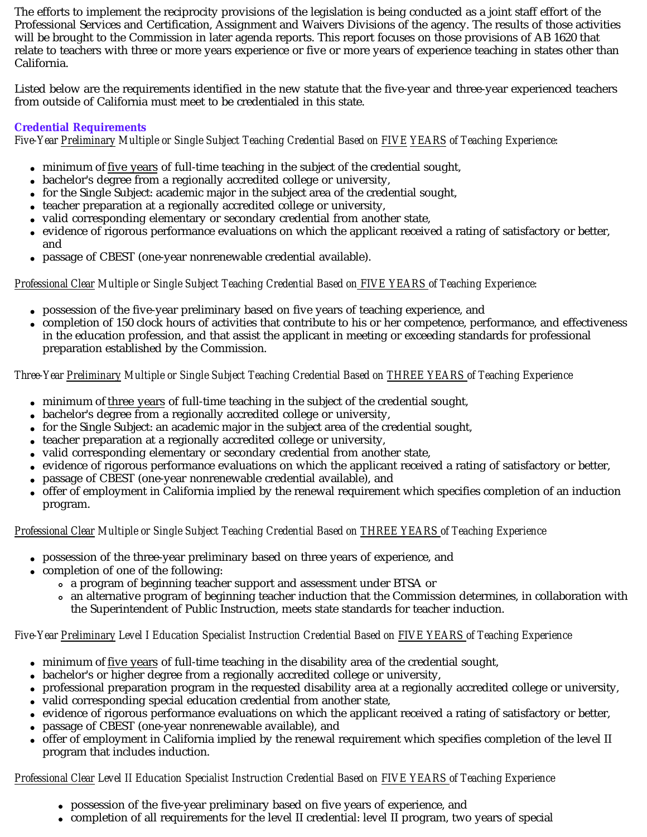The efforts to implement the reciprocity provisions of the legislation is being conducted as a joint staff effort of the Professional Services and Certification, Assignment and Waivers Divisions of the agency. The results of those activities will be brought to the Commission in later agenda reports. This report focuses on those provisions of AB 1620 that relate to teachers with three or more years experience or five or more years of experience teaching in states other than California.

Listed below are the requirements identified in the new statute that the five-year and three-year experienced teachers from outside of California must meet to be credentialed in this state.

# **Credential Requirements**

*Five-Year Preliminary Multiple or Single Subject Teaching Credential Based on FIVE YEARS of Teaching Experience:* 

- $\bullet$  minimum of five years of full-time teaching in the subject of the credential sought,
- bachelor's degree from a regionally accredited college or university,
- for the Single Subject: academic major in the subject area of the credential sought,
- teacher preparation at a regionally accredited college or university,
- valid corresponding elementary or secondary credential from another state,
- evidence of rigorous performance evaluations on which the applicant received a rating of satisfactory or better,  $\bullet$ and
- passage of CBEST (one-year nonrenewable credential available).

# *Professional Clear Multiple or Single Subject Teaching Credential Based on FIVE YEARS of Teaching Experience:*

- possession of the five-year preliminary based on five years of teaching experience, and
- completion of 150 clock hours of activities that contribute to his or her competence, performance, and effectiveness in the education profession, and that assist the applicant in meeting or exceeding standards for professional preparation established by the Commission.

# *Three-Year Preliminary Multiple or Single Subject Teaching Credential Based on THREE YEARS of Teaching Experience*

- $\bullet$  minimum of three years of full-time teaching in the subject of the credential sought,
- bachelor's degree from a regionally accredited college or university,
- for the Single Subject: an academic major in the subject area of the credential sought,
- teacher preparation at a regionally accredited college or university,
- valid corresponding elementary or secondary credential from another state,
- evidence of rigorous performance evaluations on which the applicant received a rating of satisfactory or better,
- passage of CBEST (one-year nonrenewable credential available), and  $\bullet$
- offer of employment in California implied by the renewal requirement which specifies completion of an induction  $\bullet$ program.

# *Professional Clear Multiple or Single Subject Teaching Credential Based on THREE YEARS of Teaching Experience*

- possession of the three-year preliminary based on three years of experience, and
- completion of one of the following:
	- a program of beginning teacher support and assessment under BTSA or
	- an alternative program of beginning teacher induction that the Commission determines, in collaboration with the Superintendent of Public Instruction, meets state standards for teacher induction.

# *Five-Year Preliminary Level I Education Specialist Instruction Credential Based on FIVE YEARS of Teaching Experience*

- minimum of five years of full-time teaching in the disability area of the credential sought,
- bachelor's or higher degree from a regionally accredited college or university,
- professional preparation program in the requested disability area at a regionally accredited college or university,
- valid corresponding special education credential from another state,
- evidence of rigorous performance evaluations on which the applicant received a rating of satisfactory or better,
- passage of CBEST (one-year nonrenewable available), and
- offer of employment in California implied by the renewal requirement which specifies completion of the level II program that includes induction.

# *Professional Clear Level II Education Specialist Instruction Credential Based on FIVE YEARS of Teaching Experience*

- possession of the five-year preliminary based on five years of experience, and
- completion of all requirements for the level II credential: level II program, two years of special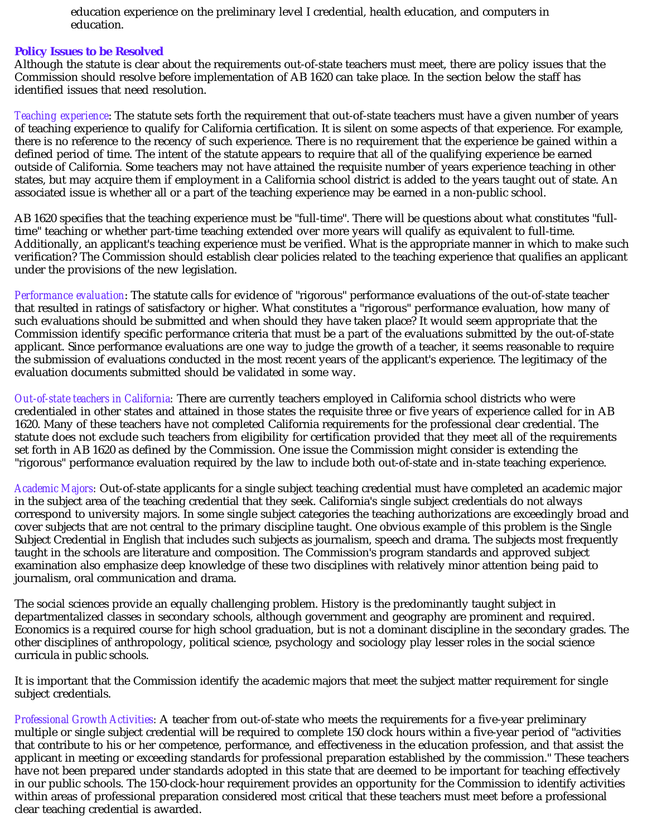education experience on the preliminary level I credential, health education, and computers in education.

### **Policy Issues to be Resolved**

Although the statute is clear about the requirements out-of-state teachers must meet, there are policy issues that the Commission should resolve before implementation of AB 1620 can take place. In the section below the staff has identified issues that need resolution.

*Teaching experience*: The statute sets forth the requirement that out-of-state teachers must have a given number of years of teaching experience to qualify for California certification. It is silent on some aspects of that experience. For example, there is no reference to the recency of such experience. There is no requirement that the experience be gained within a defined period of time. The intent of the statute appears to require that all of the qualifying experience be earned outside of California. Some teachers may not have attained the requisite number of years experience teaching in other states, but may acquire them if employment in a California school district is added to the years taught out of state. An associated issue is whether all or a part of the teaching experience may be earned in a non-public school.

AB 1620 specifies that the teaching experience must be "full-time". There will be questions about what constitutes "fulltime" teaching or whether part-time teaching extended over more years will qualify as equivalent to full-time. Additionally, an applicant's teaching experience must be verified. What is the appropriate manner in which to make such verification? The Commission should establish clear policies related to the teaching experience that qualifies an applicant under the provisions of the new legislation.

*Performance evaluation*: The statute calls for evidence of "rigorous" performance evaluations of the out-of-state teacher that resulted in ratings of satisfactory or higher. What constitutes a "rigorous" performance evaluation, how many of such evaluations should be submitted and when should they have taken place? It would seem appropriate that the Commission identify specific performance criteria that must be a part of the evaluations submitted by the out-of-state applicant. Since performance evaluations are one way to judge the growth of a teacher, it seems reasonable to require the submission of evaluations conducted in the most recent years of the applicant's experience. The legitimacy of the evaluation documents submitted should be validated in some way.

*Out-of-state teachers in California:* There are currently teachers employed in California school districts who were credentialed in other states and attained in those states the requisite three or five years of experience called for in AB 1620. Many of these teachers have not completed California requirements for the professional clear credential. The statute does not exclude such teachers from eligibility for certification provided that they meet all of the requirements set forth in AB 1620 as defined by the Commission. One issue the Commission might consider is extending the "rigorous" performance evaluation required by the law to include both out-of-state and in-state teaching experience.

Academic Majors: Out-of-state applicants for a single subject teaching credential must have completed an academic major in the subject area of the teaching credential that they seek. California's single subject credentials do not always correspond to university majors. In some single subject categories the teaching authorizations are exceedingly broad and cover subjects that are not central to the primary discipline taught. One obvious example of this problem is the Single Subject Credential in English that includes such subjects as journalism, speech and drama. The subjects most frequently taught in the schools are literature and composition. The Commission's program standards and approved subject examination also emphasize deep knowledge of these two disciplines with relatively minor attention being paid to journalism, oral communication and drama.

The social sciences provide an equally challenging problem. History is the predominantly taught subject in departmentalized classes in secondary schools, although government and geography are prominent and required. Economics is a required course for high school graduation, but is not a dominant discipline in the secondary grades. The other disciplines of anthropology, political science, psychology and sociology play lesser roles in the social science curricula in public schools.

It is important that the Commission identify the academic majors that meet the subject matter requirement for single subject credentials.

Professional Growth Activities: A teacher from out-of-state who meets the requirements for a five-year preliminary multiple or single subject credential will be required to complete 150 clock hours within a five-year period of "activities that contribute to his or her competence, performance, and effectiveness in the education profession, and that assist the applicant in meeting or exceeding standards for professional preparation established by the commission." These teachers have not been prepared under standards adopted in this state that are deemed to be important for teaching effectively in our public schools. The 150-clock-hour requirement provides an opportunity for the Commission to identify activities within areas of professional preparation considered most critical that these teachers must meet before a professional clear teaching credential is awarded.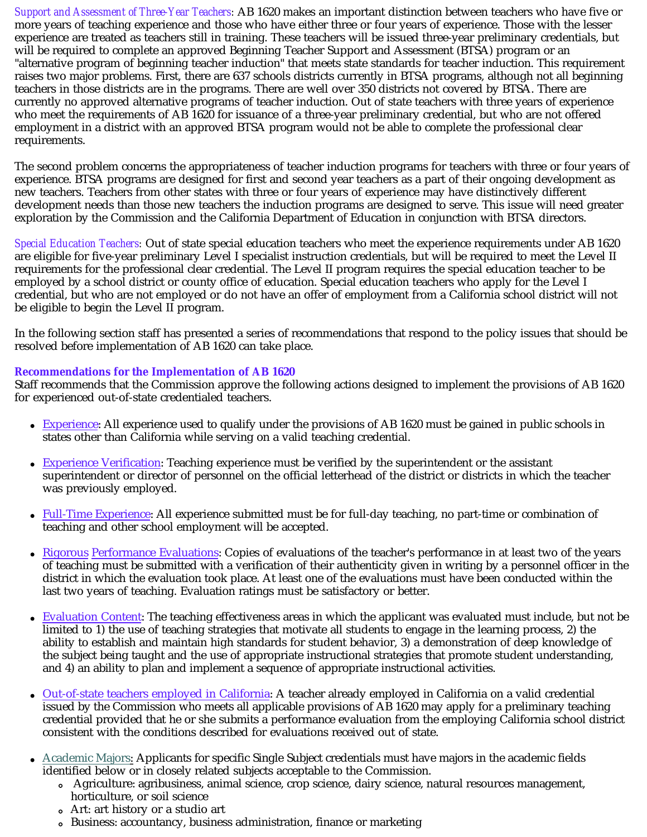*Support and Assessment of Three-Year Teachers* AB 1620 makes an important distinction between teachers who have five or *:*  more years of teaching experience and those who have either three or four years of experience. Those with the lesser experience are treated as teachers still in training. These teachers will be issued three-year preliminary credentials, but will be required to complete an approved Beginning Teacher Support and Assessment (BTSA) program or an "alternative program of beginning teacher induction" that meets state standards for teacher induction. This requirement raises two major problems. First, there are 637 schools districts currently in BTSA programs, although not all beginning teachers in those districts are in the programs. There are well over 350 districts not covered by BTSA. There are currently no approved alternative programs of teacher induction. Out of state teachers with three years of experience who meet the requirements of AB 1620 for issuance of a three-year preliminary credential, but who are not offered employment in a district with an approved BTSA program would not be able to complete the professional clear requirements.

The second problem concerns the appropriateness of teacher induction programs for teachers with three or four years of experience. BTSA programs are designed for first and second year teachers as a part of their ongoing development as new teachers. Teachers from other states with three or four years of experience may have distinctively different development needs than those new teachers the induction programs are designed to serve. This issue will need greater exploration by the Commission and the California Department of Education in conjunction with BTSA directors.

*Special Education Teachers:* Out of state special education teachers who meet the experience requirements under AB 1620 are eligible for five-year preliminary Level I specialist instruction credentials, but will be required to meet the Level II requirements for the professional clear credential. The Level II program requires the special education teacher to be employed by a school district or county office of education. Special education teachers who apply for the Level I credential, but who are not employed or do not have an offer of employment from a California school district will not be eligible to begin the Level II program.

In the following section staff has presented a series of recommendations that respond to the policy issues that should be resolved before implementation of AB 1620 can take place.

# **Recommendations for the Implementation of AB 1620**

Staff recommends that the Commission approve the following actions designed to implement the provisions of AB 1620 for experienced out-of-state credentialed teachers.

- Experience: All experience used to qualify under the provisions of AB 1620 must be gained in public schools in states other than California while serving on a valid teaching credential.
- **Experience Verification:** Teaching experience must be verified by the superintendent or the assistant superintendent or director of personnel on the official letterhead of the district or districts in which the teacher was previously employed.
- Full-Time Experience: All experience submitted must be for full-day teaching, no part-time or combination of teaching and other school employment will be accepted.
- Rigorous Performance Evaluations: Copies of evaluations of the teacher's performance in at least two of the years of teaching must be submitted with a verification of their authenticity given in writing by a personnel officer in the district in which the evaluation took place. At least one of the evaluations must have been conducted within the last two years of teaching. Evaluation ratings must be satisfactory or better.
- Evaluation Content: The teaching effectiveness areas in which the applicant was evaluated must include, but not be  $\bullet$ limited to 1) the use of teaching strategies that motivate all students to engage in the learning process, 2) the ability to establish and maintain high standards for student behavior, 3) a demonstration of deep knowledge of the subject being taught and the use of appropriate instructional strategies that promote student understanding, and 4) an ability to plan and implement a sequence of appropriate instructional activities.
- Out-of-state teachers employed in California: A teacher already employed in California on a valid credential  $\bullet$ issued by the Commission who meets all applicable provisions of AB 1620 may apply for a preliminary teaching credential provided that he or she submits a performance evaluation from the employing California school district consistent with the conditions described for evaluations received out of state.
- $\bullet$  $\Delta$ cademic Majors: Applicants for specific Single Subject credentials must have majors in the academic fields identified below or in closely related subjects acceptable to the Commission.
	- Agriculture: agribusiness, animal science, crop science, dairy science, natural resources management, horticulture, or soil science
	- Art: art history or a studio art
	- Business: accountancy, business administration, finance or marketing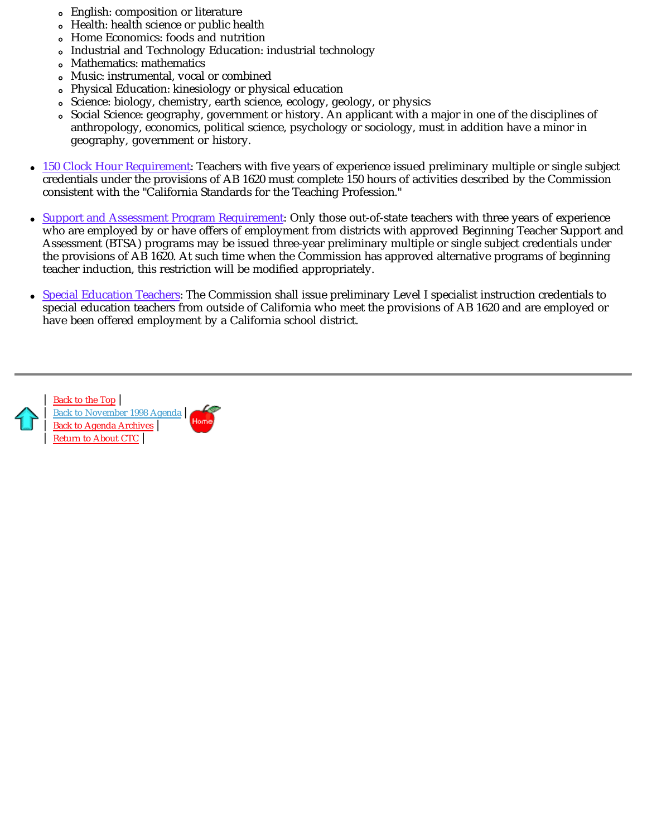- English: composition or literature
- Health: health science or public health
- Home Economics: foods and nutrition  $\circ$
- Industrial and Technology Education: industrial technology
- Mathematics: mathematics  $\circ$
- Music: instrumental, vocal or combined  $\bullet$
- Physical Education: kinesiology or physical education  $\circ$
- Science: biology, chemistry, earth science, ecology, geology, or physics  $\circ$
- Social Science: geography, government or history. An applicant with a major in one of the disciplines of anthropology, economics, political science, psychology or sociology, must in addition have a minor in geography, government or history.
- 150 Clock Hour Requirement: Teachers with five years of experience issued preliminary multiple or single subject credentials under the provisions of AB 1620 must complete 150 hours of activities described by the Commission consistent with the "California Standards for the Teaching Profession."
- Support and Assessment Program Requirement: Only those out-of-state teachers with three years of experience  $\bullet$ who are employed by or have offers of employment from districts with approved Beginning Teacher Support and Assessment (BTSA) programs may be issued three-year preliminary multiple or single subject credentials under the provisions of AB 1620. At such time when the Commission has approved alternative programs of beginning teacher induction, this restriction will be modified appropriately.
- Special Education Teachers: The Commission shall issue preliminary Level I specialist instruction credentials to special education teachers from outside of California who meet the provisions of AB 1620 and are employed or have been offered employment by a California school district.



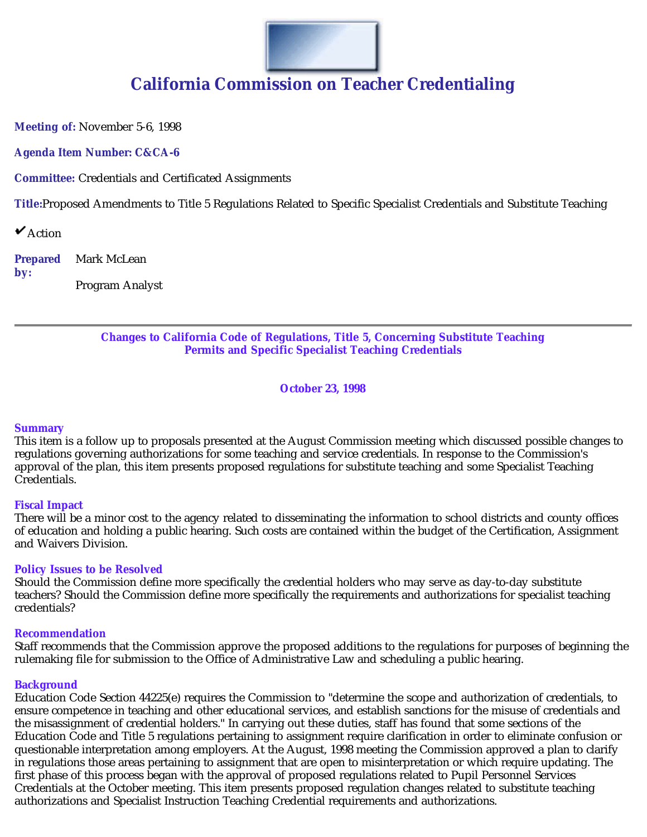

# **California Commission on Teacher Credentialing**

**Meeting of:** November 5-6, 1998

**Agenda Item Number: C&CA-6**

**Committee:** Credentials and Certificated Assignments

**Title:**Proposed Amendments to Title 5 Regulations Related to Specific Specialist Credentials and Substitute Teaching

 $\mathbf{\mathsf{v}}$  Action

**Prepared by:** Mark McLean Program Analyst

# **Changes to California Code of Regulations, Title 5, Concerning Substitute Teaching Permits and Specific Specialist Teaching Credentials**

**October 23, 1998**

### **Summary**

This item is a follow up to proposals presented at the August Commission meeting which discussed possible changes to regulations governing authorizations for some teaching and service credentials. In response to the Commission's approval of the plan, this item presents proposed regulations for substitute teaching and some Specialist Teaching Credentials.

### **Fiscal Impact**

There will be a minor cost to the agency related to disseminating the information to school districts and county offices of education and holding a public hearing. Such costs are contained within the budget of the Certification, Assignment and Waivers Division.

### **Policy Issues to be Resolved**

Should the Commission define more specifically the credential holders who may serve as day-to-day substitute teachers? Should the Commission define more specifically the requirements and authorizations for specialist teaching credentials?

### **Recommendation**

Staff recommends that the Commission approve the proposed additions to the regulations for purposes of beginning the rulemaking file for submission to the Office of Administrative Law and scheduling a public hearing.

### **Background**

Education Code Section 44225(e) requires the Commission to "determine the scope and authorization of credentials, to ensure competence in teaching and other educational services, and establish sanctions for the misuse of credentials and the misassignment of credential holders." In carrying out these duties, staff has found that some sections of the Education Code and Title 5 regulations pertaining to assignment require clarification in order to eliminate confusion or questionable interpretation among employers. At the August, 1998 meeting the Commission approved a plan to clarify in regulations those areas pertaining to assignment that are open to misinterpretation or which require updating. The first phase of this process began with the approval of proposed regulations related to Pupil Personnel Services Credentials at the October meeting. This item presents proposed regulation changes related to substitute teaching authorizations and Specialist Instruction Teaching Credential requirements and authorizations.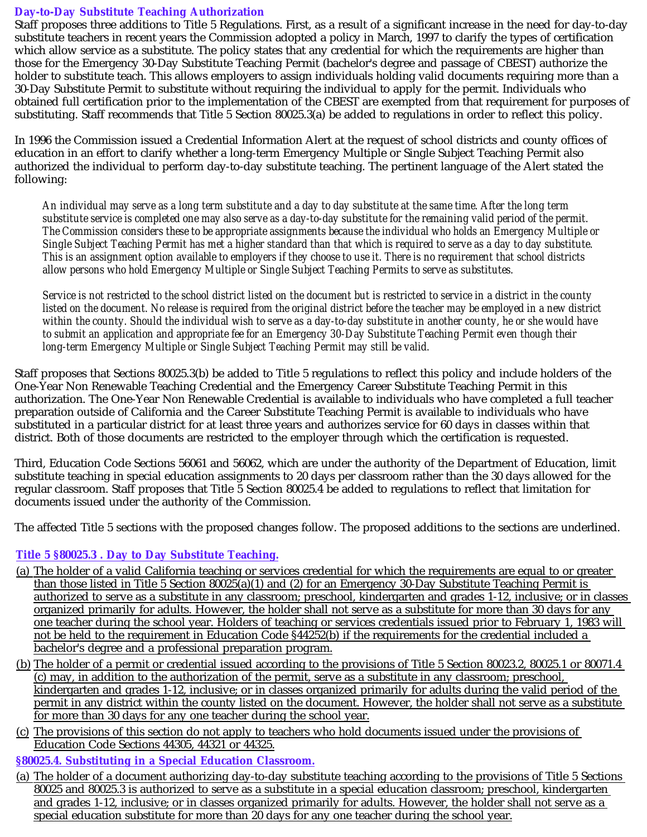# **Day-to-Day Substitute Teaching Authorization**

Staff proposes three additions to Title 5 Regulations. First, as a result of a significant increase in the need for day-to-day substitute teachers in recent years the Commission adopted a policy in March, 1997 to clarify the types of certification which allow service as a substitute. The policy states that any credential for which the requirements are higher than those for the Emergency 30-Day Substitute Teaching Permit (bachelor's degree and passage of CBEST) authorize the holder to substitute teach. This allows employers to assign individuals holding valid documents requiring more than a 30-Day Substitute Permit to substitute without requiring the individual to apply for the permit. Individuals who obtained full certification prior to the implementation of the CBEST are exempted from that requirement for purposes of substituting. Staff recommends that Title 5 Section 80025.3(a) be added to regulations in order to reflect this policy.

In 1996 the Commission issued a Credential Information Alert at the request of school districts and county offices of education in an effort to clarify whether a long-term Emergency Multiple or Single Subject Teaching Permit also authorized the individual to perform day-to-day substitute teaching. The pertinent language of the Alert stated the following:

*An individual may serve as a long term substitute and a day to day substitute at the same time. After the long term substitute service is completed one may also serve as a day-to-day substitute for the remaining valid period of the permit. The Commission considers these to be appropriate assignments because the individual who holds an Emergency Multiple or Single Subject Teaching Permit has met a higher standard than that which is required to serve as a day to day substitute. This is an assignment option available to employers if they choose to use it. There is no requirement that school districts allow persons who hold Emergency Multiple or Single Subject Teaching Permits to serve as substitutes.*

*Service is not restricted to the school district listed on the document but is restricted to service in a district in the county listed on the document. No release is required from the original district before the teacher may be employed in a new district within the county. Should the individual wish to serve as a day-to-day substitute in another county, he or she would have to submit an application and appropriate fee for an Emergency 30-Day Substitute Teaching Permit even though their long-term Emergency Multiple or Single Subject Teaching Permit may still be valid.*

Staff proposes that Sections 80025.3(b) be added to Title 5 regulations to reflect this policy and include holders of the One-Year Non Renewable Teaching Credential and the Emergency Career Substitute Teaching Permit in this authorization. The One-Year Non Renewable Credential is available to individuals who have completed a full teacher preparation outside of California and the Career Substitute Teaching Permit is available to individuals who have substituted in a particular district for at least three years and authorizes service for 60 days in classes within that district. Both of those documents are restricted to the employer through which the certification is requested.

Third, Education Code Sections 56061 and 56062, which are under the authority of the Department of Education, limit substitute teaching in special education assignments to 20 days per classroom rather than the 30 days allowed for the regular classroom. Staff proposes that Title 5 Section 80025.4 be added to regulations to reflect that limitation for documents issued under the authority of the Commission.

The affected Title 5 sections with the proposed changes follow. The proposed additions to the sections are underlined.

# **Title 5 §80025.3 . Day to Day Substitute Teaching.**

- (a) The holder of a valid California teaching or services credential for which the requirements are equal to or greater than those listed in Title 5 Section 80025(a)(1) and (2) for an Emergency 30-Day Substitute Teaching Permit is authorized to serve as a substitute in any classroom; preschool, kindergarten and grades 1-12, inclusive; or in classes organized primarily for adults. However, the holder shall not serve as a substitute for more than 30 days for any one teacher during the school year. Holders of teaching or services credentials issued prior to February 1, 1983 will not be held to the requirement in Education Code §44252(b) if the requirements for the credential included a bachelor's degree and a professional preparation program.
- (b) The holder of a permit or credential issued according to the provisions of Title 5 Section 80023.2, 80025.1 or 80071.4 (c) may, in addition to the authorization of the permit, serve as a substitute in any classroom; preschool, kindergarten and grades 1-12, inclusive; or in classes organized primarily for adults during the valid period of the permit in any district within the county listed on the document. However, the holder shall not serve as a substitute for more than 30 days for any one teacher during the school year.
- (c) The provisions of this section do not apply to teachers who hold documents issued under the provisions of Education Code Sections 44305, 44321 or 44325.

### **§80025.4. Substituting in a Special Education Classroom.**

(a) The holder of a document authorizing day-to-day substitute teaching according to the provisions of Title 5 Sections 80025 and 80025.3 is authorized to serve as a substitute in a special education classroom; preschool, kindergarten and grades 1-12, inclusive; or in classes organized primarily for adults. However, the holder shall not serve as a special education substitute for more than 20 days for any one teacher during the school year.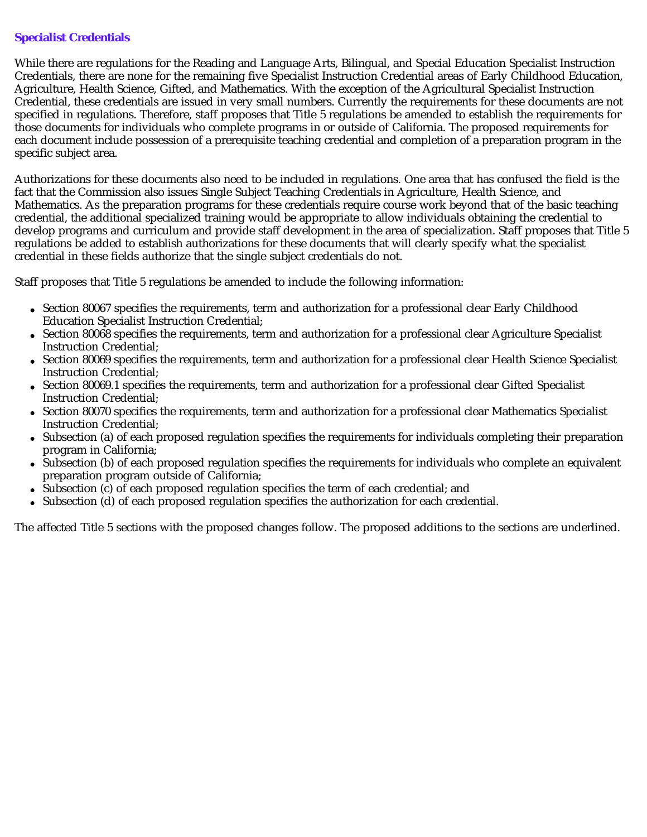# **Specialist Credentials**

While there are regulations for the Reading and Language Arts, Bilingual, and Special Education Specialist Instruction Credentials, there are none for the remaining five Specialist Instruction Credential areas of Early Childhood Education, Agriculture, Health Science, Gifted, and Mathematics. With the exception of the Agricultural Specialist Instruction Credential, these credentials are issued in very small numbers. Currently the requirements for these documents are not specified in regulations. Therefore, staff proposes that Title 5 regulations be amended to establish the requirements for those documents for individuals who complete programs in or outside of California. The proposed requirements for each document include possession of a prerequisite teaching credential and completion of a preparation program in the specific subject area.

Authorizations for these documents also need to be included in regulations. One area that has confused the field is the fact that the Commission also issues Single Subject Teaching Credentials in Agriculture, Health Science, and Mathematics. As the preparation programs for these credentials require course work beyond that of the basic teaching credential, the additional specialized training would be appropriate to allow individuals obtaining the credential to develop programs and curriculum and provide staff development in the area of specialization. Staff proposes that Title 5 regulations be added to establish authorizations for these documents that will clearly specify what the specialist credential in these fields authorize that the single subject credentials do not.

Staff proposes that Title 5 regulations be amended to include the following information:

- Section 80067 specifies the requirements, term and authorization for a professional clear Early Childhood Education Specialist Instruction Credential;
- Section 80068 specifies the requirements, term and authorization for a professional clear Agriculture Specialist Instruction Credential;
- Section 80069 specifies the requirements, term and authorization for a professional clear Health Science Specialist Instruction Credential;
- Section 80069.1 specifies the requirements, term and authorization for a professional clear Gifted Specialist Instruction Credential;
- Section 80070 specifies the requirements, term and authorization for a professional clear Mathematics Specialist  $\bullet$ Instruction Credential;
- Subsection (a) of each proposed regulation specifies the requirements for individuals completing their preparation program in California;
- Subsection (b) of each proposed regulation specifies the requirements for individuals who complete an equivalent preparation program outside of California;
- Subsection (c) of each proposed regulation specifies the term of each credential; and  $\bullet$
- Subsection (d) of each proposed regulation specifies the authorization for each credential.

The affected Title 5 sections with the proposed changes follow. The proposed additions to the sections are underlined.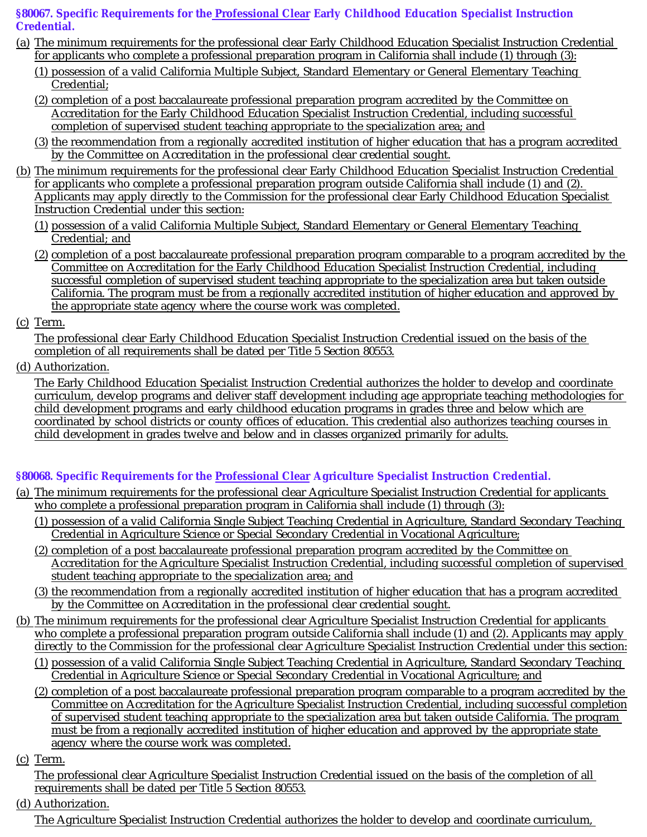# §80067. Specific Requirements for the <u>Professional Clear</u> Early Childhood Education Specialist Instruction **Credential.**

- (a) The minimum requirements for the professional clear Early Childhood Education Specialist Instruction Credential for applicants who complete a professional preparation program in California shall include (1) through (3):
	- (1) possession of a valid California Multiple Subject, Standard Elementary or General Elementary Teaching Credential;
	- (2) completion of a post baccalaureate professional preparation program accredited by the Committee on Accreditation for the Early Childhood Education Specialist Instruction Credential, including successful completion of supervised student teaching appropriate to the specialization area; and
	- (3) the recommendation from a regionally accredited institution of higher education that has a program accredited by the Committee on Accreditation in the professional clear credential sought.
- (b) The minimum requirements for the professional clear Early Childhood Education Specialist Instruction Credential for applicants who complete a professional preparation program outside California shall include (1) and (2). Applicants may apply directly to the Commission for the professional clear Early Childhood Education Specialist Instruction Credential under this section:
	- (1) possession of a valid California Multiple Subject, Standard Elementary or General Elementary Teaching Credential; and
	- (2) completion of a post baccalaureate professional preparation program comparable to a program accredited by the Committee on Accreditation for the Early Childhood Education Specialist Instruction Credential, including successful completion of supervised student teaching appropriate to the specialization area but taken outside California. The program must be from a regionally accredited institution of higher education and approved by the appropriate state agency where the course work was completed.
- (c) Term.

The professional clear Early Childhood Education Specialist Instruction Credential issued on the basis of the completion of all requirements shall be dated per Title 5 Section 80553.

(d) Authorization.

The Early Childhood Education Specialist Instruction Credential authorizes the holder to develop and coordinate curriculum, develop programs and deliver staff development including age appropriate teaching methodologies for child development programs and early childhood education programs in grades three and below which are coordinated by school districts or county offices of education. This credential also authorizes teaching courses in child development in grades twelve and below and in classes organized primarily for adults.

# **§80068. Specific Requirements for the Professional Clear Agriculture Specialist Instruction Credential.**

- (a) The minimum requirements for the professional clear Agriculture Specialist Instruction Credential for applicants who complete a professional preparation program in California shall include (1) through (3):
	- (1) possession of a valid California Single Subject Teaching Credential in Agriculture, Standard Secondary Teaching Credential in Agriculture Science or Special Secondary Credential in Vocational Agriculture;
	- (2) completion of a post baccalaureate professional preparation program accredited by the Committee on Accreditation for the Agriculture Specialist Instruction Credential, including successful completion of supervised student teaching appropriate to the specialization area; and
	- (3) the recommendation from a regionally accredited institution of higher education that has a program accredited by the Committee on Accreditation in the professional clear credential sought.
- (b) The minimum requirements for the professional clear Agriculture Specialist Instruction Credential for applicants who complete a professional preparation program outside California shall include (1) and (2). Applicants may apply directly to the Commission for the professional clear Agriculture Specialist Instruction Credential under this section:
	- (1) possession of a valid California Single Subject Teaching Credential in Agriculture, Standard Secondary Teaching Credential in Agriculture Science or Special Secondary Credential in Vocational Agriculture; and
	- (2) completion of a post baccalaureate professional preparation program comparable to a program accredited by the Committee on Accreditation for the Agriculture Specialist Instruction Credential, including successful completion of supervised student teaching appropriate to the specialization area but taken outside California. The program must be from a regionally accredited institution of higher education and approved by the appropriate state agency where the course work was completed.
- (c) Term.

The professional clear Agriculture Specialist Instruction Credential issued on the basis of the completion of all requirements shall be dated per Title 5 Section 80553.

(d) Authorization.

The Agriculture Specialist Instruction Credential authorizes the holder to develop and coordinate curriculum,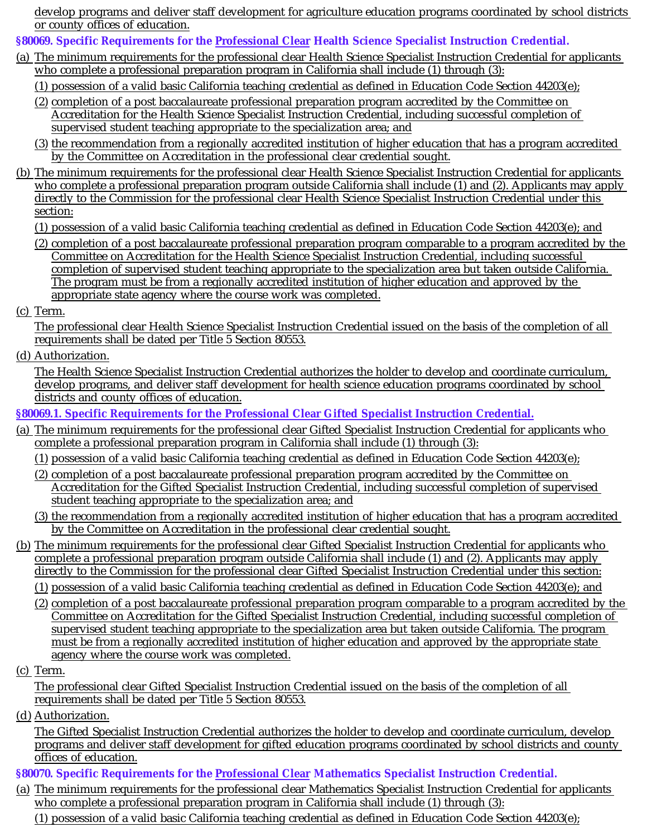develop programs and deliver staff development for agriculture education programs coordinated by school districts or county offices of education.

**§80069.** Specific Requirements for the Professional Clear Health Science Specialist Instruction Credential.

- (a) The minimum requirements for the professional clear Health Science Specialist Instruction Credential for applicants who complete a professional preparation program in California shall include (1) through (3):
	- (1) possession of a valid basic California teaching credential as defined in Education Code Section 44203(e);
	- (2) completion of a post baccalaureate professional preparation program accredited by the Committee on Accreditation for the Health Science Specialist Instruction Credential, including successful completion of supervised student teaching appropriate to the specialization area; and
	- (3) the recommendation from a regionally accredited institution of higher education that has a program accredited by the Committee on Accreditation in the professional clear credential sought.
- (b) The minimum requirements for the professional clear Health Science Specialist Instruction Credential for applicants who complete a professional preparation program outside California shall include (1) and (2). Applicants may apply directly to the Commission for the professional clear Health Science Specialist Instruction Credential under this section:
	- (1) possession of a valid basic California teaching credential as defined in Education Code Section 44203(e); and
	- (2) completion of a post baccalaureate professional preparation program comparable to a program accredited by the Committee on Accreditation for the Health Science Specialist Instruction Credential, including successful completion of supervised student teaching appropriate to the specialization area but taken outside California. The program must be from a regionally accredited institution of higher education and approved by the appropriate state agency where the course work was completed.
- (c) Term.

The professional clear Health Science Specialist Instruction Credential issued on the basis of the completion of all requirements shall be dated per Title 5 Section 80553.

(d) Authorization.

The Health Science Specialist Instruction Credential authorizes the holder to develop and coordinate curriculum, develop programs, and deliver staff development for health science education programs coordinated by school districts and county offices of education.

**§80069.1. Specific Requirements for the Professional Clear Gifted Specialist Instruction Credential.**

- (a) The minimum requirements for the professional clear Gifted Specialist Instruction Credential for applicants who complete a professional preparation program in California shall include (1) through (3):
	- (1) possession of a valid basic California teaching credential as defined in Education Code Section 44203(e);
	- (2) completion of a post baccalaureate professional preparation program accredited by the Committee on Accreditation for the Gifted Specialist Instruction Credential, including successful completion of supervised student teaching appropriate to the specialization area; and
	- (3) the recommendation from a regionally accredited institution of higher education that has a program accredited by the Committee on Accreditation in the professional clear credential sought.
- (b) The minimum requirements for the professional clear Gifted Specialist Instruction Credential for applicants who complete a professional preparation program outside California shall include (1) and (2). Applicants may apply directly to the Commission for the professional clear Gifted Specialist Instruction Credential under this section:
	- (1) possession of a valid basic California teaching credential as defined in Education Code Section 44203(e); and
	- (2) completion of a post baccalaureate professional preparation program comparable to a program accredited by the Committee on Accreditation for the Gifted Specialist Instruction Credential, including successful completion of supervised student teaching appropriate to the specialization area but taken outside California. The program must be from a regionally accredited institution of higher education and approved by the appropriate state agency where the course work was completed.
- (c) Term.

The professional clear Gifted Specialist Instruction Credential issued on the basis of the completion of all requirements shall be dated per Title 5 Section 80553.

(d) Authorization.

The Gifted Specialist Instruction Credential authorizes the holder to develop and coordinate curriculum, develop programs and deliver staff development for gifted education programs coordinated by school districts and county offices of education.

# §80070. Specific Requirements for the Professional Clear Mathematics Specialist Instruction Credential.

(a) The minimum requirements for the professional clear Mathematics Specialist Instruction Credential for applicants who complete a professional preparation program in California shall include (1) through (3):

(1) possession of a valid basic California teaching credential as defined in Education Code Section 44203(e);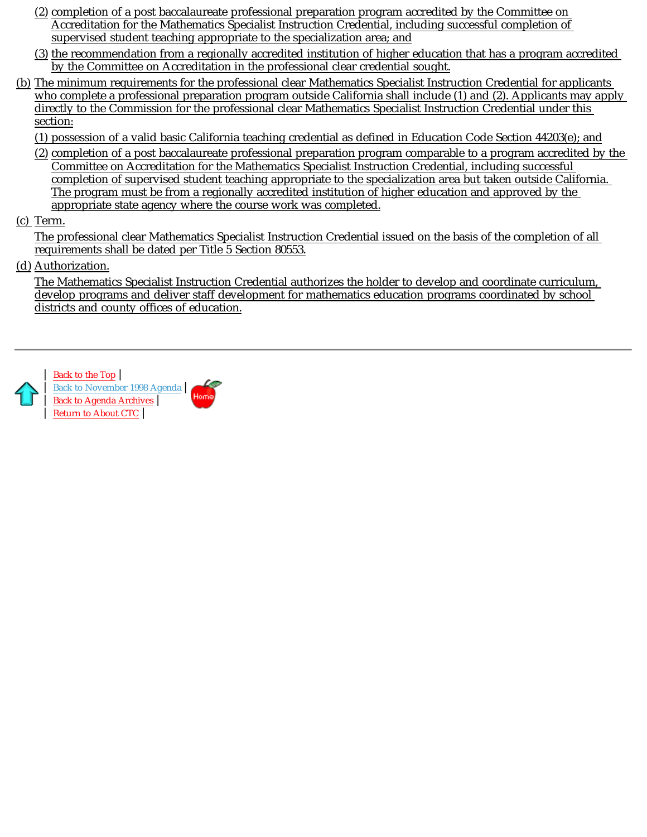- (2) completion of a post baccalaureate professional preparation program accredited by the Committee on Accreditation for the Mathematics Specialist Instruction Credential, including successful completion of supervised student teaching appropriate to the specialization area; and
- (3) the recommendation from a regionally accredited institution of higher education that has a program accredited by the Committee on Accreditation in the professional clear credential sought.
- (b) The minimum requirements for the professional clear Mathematics Specialist Instruction Credential for applicants who complete a professional preparation program outside California shall include (1) and (2). Applicants may apply directly to the Commission for the professional clear Mathematics Specialist Instruction Credential under this section:
	- (1) possession of a valid basic California teaching credential as defined in Education Code Section 44203(e); and
	- (2) completion of a post baccalaureate professional preparation program comparable to a program accredited by the Committee on Accreditation for the Mathematics Specialist Instruction Credential, including successful completion of supervised student teaching appropriate to the specialization area but taken outside California. The program must be from a regionally accredited institution of higher education and approved by the appropriate state agency where the course work was completed.
- (c) Term.

The professional clear Mathematics Specialist Instruction Credential issued on the basis of the completion of all requirements shall be dated per Title 5 Section 80553.

(d) Authorization.

The Mathematics Specialist Instruction Credential authorizes the holder to develop and coordinate curriculum, develop programs and deliver staff development for mathematics education programs coordinated by school districts and county offices of education.



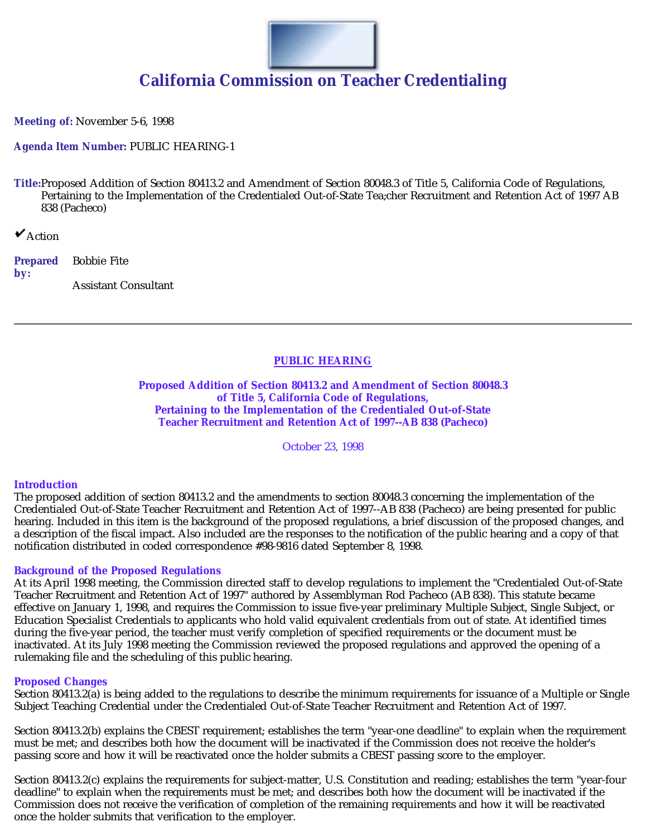

# **California Commission on Teacher Credentialing**

**Meeting of:** November 5-6, 1998

**Agenda Item Number:** PUBLIC HEARING-1

**Title:**Proposed Addition of Section 80413.2 and Amendment of Section 80048.3 of Title 5, California Code of Regulations, Pertaining to the Implementation of the Credentialed Out-of-State Tea;cher Recruitment and Retention Act of 1997 AB 838 (Pacheco)

 $\mathbf{v}_{\text{Action}}$ 

**Prepared by:** Bobbie Fite Assistant Consultant

# **PUBLIC HEARING**

**Proposed Addition of Section 80413.2 and Amendment of Section 80048.3 of Title 5, California Code of Regulations, Pertaining to the Implementation of the Credentialed Out-of-State Teacher Recruitment and Retention Act of 1997--AB 838 (Pacheco)**

October 23, 1998

### **Introduction**

The proposed addition of section 80413.2 and the amendments to section 80048.3 concerning the implementation of the Credentialed Out-of-State Teacher Recruitment and Retention Act of 1997--AB 838 (Pacheco) are being presented for public hearing. Included in this item is the background of the proposed regulations, a brief discussion of the proposed changes, and a description of the fiscal impact. Also included are the responses to the notification of the public hearing and a copy of that notification distributed in coded correspondence #98-9816 dated September 8, 1998.

### **Background of the Proposed Regulations**

At its April 1998 meeting, the Commission directed staff to develop regulations to implement the "Credentialed Out-of-State Teacher Recruitment and Retention Act of 1997" authored by Assemblyman Rod Pacheco (AB 838). This statute became effective on January 1, 1998, and requires the Commission to issue five-year preliminary Multiple Subject, Single Subject, or Education Specialist Credentials to applicants who hold valid equivalent credentials from out of state. At identified times during the five-year period, the teacher must verify completion of specified requirements or the document must be inactivated. At its July 1998 meeting the Commission reviewed the proposed regulations and approved the opening of a rulemaking file and the scheduling of this public hearing.

### **Proposed Changes**

Section 80413.2(a) is being added to the regulations to describe the minimum requirements for issuance of a Multiple or Single Subject Teaching Credential under the Credentialed Out-of-State Teacher Recruitment and Retention Act of 1997.

Section 80413.2(b) explains the CBEST requirement; establishes the term "year-one deadline" to explain when the requirement must be met; and describes both how the document will be inactivated if the Commission does not receive the holder's passing score and how it will be reactivated once the holder submits a CBEST passing score to the employer.

Section 80413.2(c) explains the requirements for subject-matter, U.S. Constitution and reading; establishes the term "year-four deadline" to explain when the requirements must be met; and describes both how the document will be inactivated if the Commission does not receive the verification of completion of the remaining requirements and how it will be reactivated once the holder submits that verification to the employer.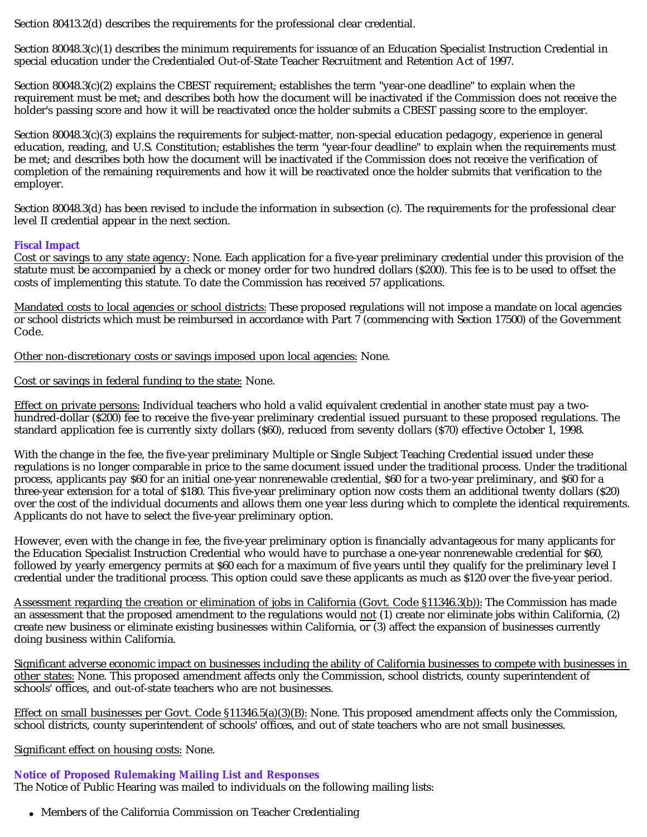Section 80413.2(d) describes the requirements for the professional clear credential.

Section 80048.3(c)(1) describes the minimum requirements for issuance of an Education Specialist Instruction Credential in special education under the Credentialed Out-of-State Teacher Recruitment and Retention Act of 1997.

Section 80048.3(c)(2) explains the CBEST requirement; establishes the term "year-one deadline" to explain when the requirement must be met; and describes both how the document will be inactivated if the Commission does not receive the holder's passing score and how it will be reactivated once the holder submits a CBEST passing score to the employer.

Section 80048.3(c)(3) explains the requirements for subject-matter, non-special education pedagogy, experience in general education, reading, and U.S. Constitution; establishes the term "year-four deadline" to explain when the requirements must be met; and describes both how the document will be inactivated if the Commission does not receive the verification of completion of the remaining requirements and how it will be reactivated once the holder submits that verification to the employer.

Section 80048.3(d) has been revised to include the information in subsection (c). The requirements for the professional clear level II credential appear in the next section.

### **Fiscal Impact**

Cost or savings to any state agency: None. Each application for a five-year preliminary credential under this provision of the statute must be accompanied by a check or money order for two hundred dollars (\$200). This fee is to be used to offset the costs of implementing this statute. To date the Commission has received 57 applications.

<u>Mandated costs to local agencies or school districts:</u> These proposed regulations will not impose a mandate on local agencies or school districts which must be reimbursed in accordance with Part 7 (commencing with Section 17500) of the Government Code.

Other non-discretionary costs or savings imposed upon local agencies: None.

Cost or savings in federal funding to the state: None.

<u>Effect on private persons:</u> Individual teachers who hold a valid equivalent credential in another state must pay a twohundred-dollar (\$200) fee to receive the five-year preliminary credential issued pursuant to these proposed regulations. The standard application fee is currently sixty dollars (\$60), reduced from seventy dollars (\$70) effective October 1, 1998.

With the change in the fee, the five-year preliminary Multiple or Single Subject Teaching Credential issued under these regulations is no longer comparable in price to the same document issued under the traditional process. Under the traditional process, applicants pay \$60 for an initial one-year nonrenewable credential, \$60 for a two-year preliminary, and \$60 for a three-year extension for a total of \$180. This five-year preliminary option now costs them an additional twenty dollars (\$20) over the cost of the individual documents and allows them one year less during which to complete the identical requirements. Applicants do not have to select the five-year preliminary option.

However, even with the change in fee, the five-year preliminary option is financially advantageous for many applicants for the Education Specialist Instruction Credential who would have to purchase a one-year nonrenewable credential for \$60, followed by yearly emergency permits at \$60 each for a maximum of five years until they qualify for the preliminary level I credential under the traditional process. This option could save these applicants as much as \$120 over the five-year period.

<u>Assessment regarding the creation or elimination of jobs in California (Govt. Code §11346.3(b)):</u> The Commission has made an assessment that the proposed amendment to the regulations would <u>not</u> (1) create nor eliminate jobs within California, (2) create new business or eliminate existing businesses within California, or (3) affect the expansion of businesses currently doing business within California.

<u>other states:</u> None. This proposed amendment affects only the Commission, school districts, county superintendent of schools' offices, and out-of-state teachers who are not businesses. Significant adverse economic impact on businesses including the ability of California businesses to compete with businesses in

Effect on small businesses per Govt. Code  $\S 11346.5(a)(3)(B)$ : None. This proposed amendment affects only the Commission, school districts, county superintendent of schools' offices, and out of state teachers who are not small businesses.

Significant effect on housing costs: None.

# **Notice of Proposed Rulemaking Mailing List and Responses**

The Notice of Public Hearing was mailed to individuals on the following mailing lists:

Members of the California Commission on Teacher Credentialing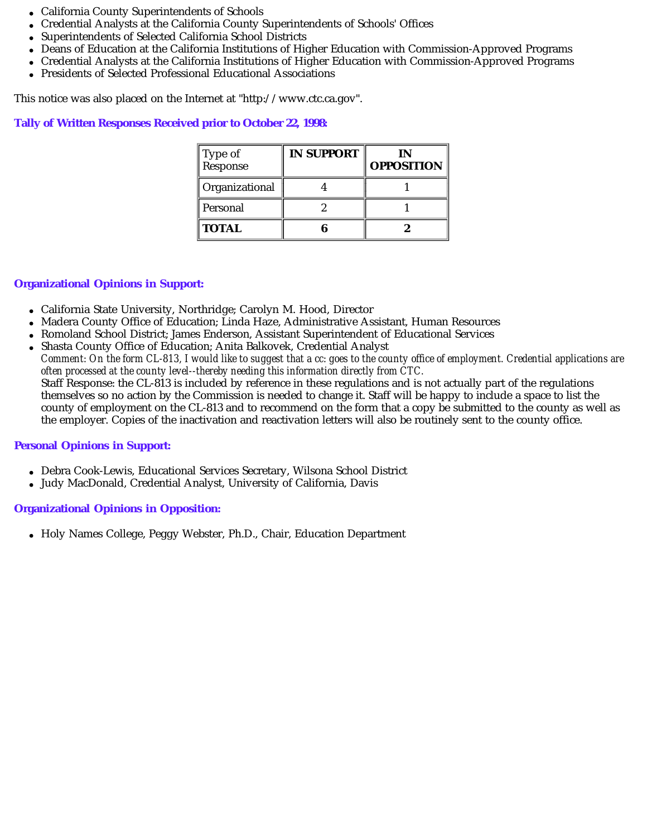- California County Superintendents of Schools
- Credential Analysts at the California County Superintendents of Schools' Offices
- Superintendents of Selected California School Districts
- Deans of Education at the California Institutions of Higher Education with Commission-Approved Programs
- Credential Analysts at the California Institutions of Higher Education with Commission-Approved Programs  $\bullet$
- Presidents of Selected Professional Educational Associations

This notice was also placed on the Internet at "http://www.ctc.ca.gov".

### **Tally of Written Responses Received prior to October 22, 1998:**

| Type of<br>Response | <b>IN SUPPORT</b> | IN<br><b>OPPOSITION</b> |
|---------------------|-------------------|-------------------------|
| Organizational      |                   |                         |
| Personal            |                   |                         |
| <b>TOTAL</b>        |                   |                         |

### **Organizational Opinions in Support:**

- California State University, Northridge; Carolyn M. Hood, Director
- Madera County Office of Education; Linda Haze, Administrative Assistant, Human Resources
- Romoland School District; James Enderson, Assistant Superintendent of Educational Services
- Shasta County Office of Education; Anita Balkovek, Credential Analyst Staff Response: the CL-813 is included by reference in these regulations and is not actually part of the regulations themselves so no action by the Commission is needed to change it. Staff will be happy to include a space to list the county of employment on the CL-813 and to recommend on the form that a copy be submitted to the county as well as the employer. Copies of the inactivation and reactivation letters will also be routinely sent to the county office. *Comment: On the form CL-813, I would like to suggest that a cc: goes to the county office of employment. Credential applications are often processed at the county level--thereby needing this information directly from CTC.*

### **Personal Opinions in Support:**

- Debra Cook-Lewis, Educational Services Secretary, Wilsona School District
- Judy MacDonald, Credential Analyst, University of California, Davis

### **Organizational Opinions in Opposition:**

Holy Names College, Peggy Webster, Ph.D., Chair, Education Department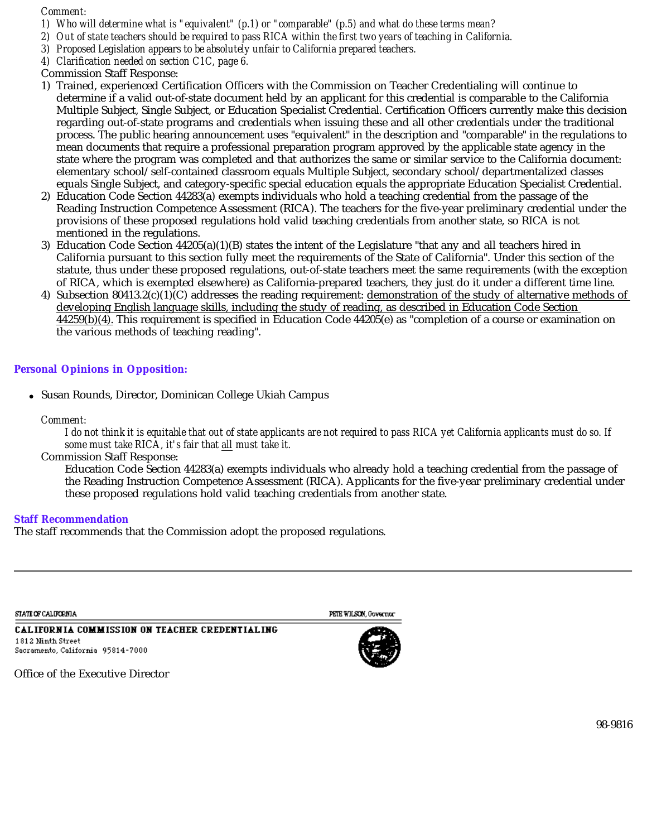### *Comment:*

*1) Who will determine what is "equivalent" (p.1) or "comparable" (p.5) and what do these terms mean?*

*2) Out of state teachers should be required to pass RICA within the first two years of teaching in California.*

- *3) Proposed Legislation appears to be absolutely unfair to California prepared teachers.*
- *4) Clarification needed on section C1C, page 6.*
- Commission Staff Response:
- 1) Trained, experienced Certification Officers with the Commission on Teacher Credentialing will continue to determine if a valid out-of-state document held by an applicant for this credential is comparable to the California Multiple Subject, Single Subject, or Education Specialist Credential. Certification Officers currently make this decision regarding out-of-state programs and credentials when issuing these and all other credentials under the traditional process. The public hearing announcement uses "equivalent" in the description and "comparable" in the regulations to mean documents that require a professional preparation program approved by the applicable state agency in the state where the program was completed and that authorizes the same or similar service to the California document: elementary school/self-contained classroom equals Multiple Subject, secondary school/departmentalized classes equals Single Subject, and category-specific special education equals the appropriate Education Specialist Credential.
- 2) Education Code Section 44283(a) exempts individuals who hold a teaching credential from the passage of the Reading Instruction Competence Assessment (RICA). The teachers for the five-year preliminary credential under the provisions of these proposed regulations hold valid teaching credentials from another state, so RICA is not mentioned in the regulations.
- 3) Education Code Section 44205(a)(1)(B) states the intent of the Legislature "that any and all teachers hired in California pursuant to this section fully meet the requirements of the State of California". Under this section of the statute, thus under these proposed regulations, out-of-state teachers meet the same requirements (with the exception of RICA, which is exempted elsewhere) as California-prepared teachers, they just do it under a different time line.
- 4) Subsection 80413.2(c)(1)(C) addresses the reading requirement: <u>demonstration of the study of alternative methods of</u>  $44259(b)(4)$ . This requirement is specified in Education Code 44205(e) as "completion of a course or examination on  $\,$ the various methods of teaching reading". developing English language skills, including the study of reading, as described in Education Code Section

# **Personal Opinions in Opposition:**

Susan Rounds, Director, Dominican College Ukiah Campus

*Comment:* 

*I do not think it is equitable that out of state applicants are not required to pass RICA yet California applicants must do so. If*  some must take RICA, it's fair that all must take it.

Commission Staff Response:

Education Code Section 44283(a) exempts individuals who already hold a teaching credential from the passage of the Reading Instruction Competence Assessment (RICA). Applicants for the five-year preliminary credential under these proposed regulations hold valid teaching credentials from another state.

### **Staff Recommendation**

The staff recommends that the Commission adopt the proposed regulations*.*

**STATE OF CALIFORMIA** 

PETE WILSON, Governor

**CALIFORNIA COMMISSION ON TEACHER CREDENTIALING** 1812 Ninth Street Sacramento, California 95814-7000

Office of the Executive Director

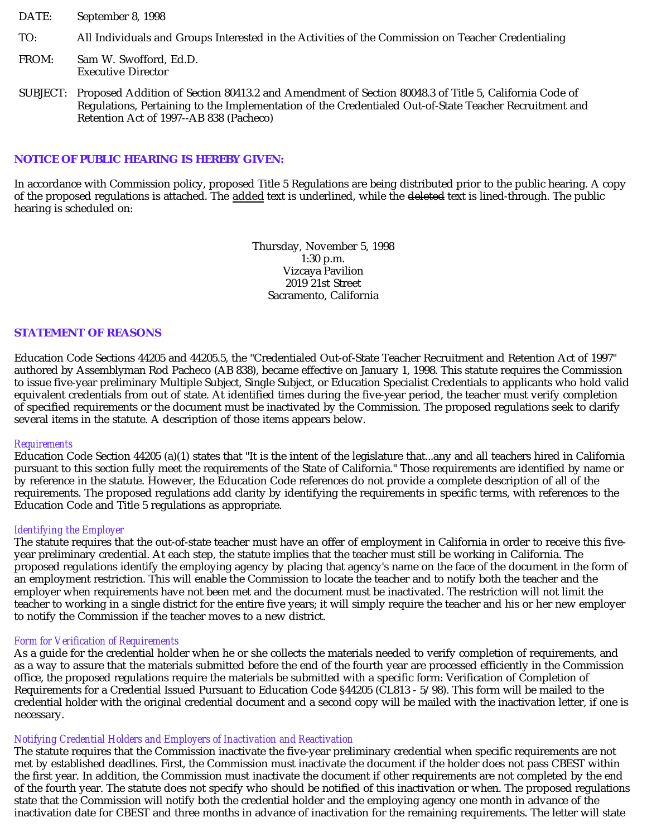- DATE: September 8, 1998
- TO: All Individuals and Groups Interested in the Activities of the Commission on Teacher Credentialing
- FROM: Sam W. Swofford, Ed.D. Executive Director
- SUBJECT: Proposed Addition of Section 80413.2 and Amendment of Section 80048.3 of Title 5, California Code of Regulations, Pertaining to the Implementation of the Credentialed Out-of-State Teacher Recruitment and Retention Act of 1997--AB 838 (Pacheco)

### **NOTICE OF PUBLIC HEARING IS HEREBY GIVEN:**

In accordance with Commission policy, proposed Title 5 Regulations are being distributed prior to the public hearing. A copy of the proposed regulations is attached. The <u>added</u> text is underlined, while the <del>deleted</del> text is lined-through. The public hearing is scheduled on:

> Thursday, November 5, 1998 1:30 p.m. Vizcaya Pavilion 2019 21st Street Sacramento, California

#### **STATEMENT OF REASONS**

Education Code Sections 44205 and 44205.5, the "Credentialed Out-of-State Teacher Recruitment and Retention Act of 1997" authored by Assemblyman Rod Pacheco (AB 838), became effective on January 1, 1998. This statute requires the Commission to issue five-year preliminary Multiple Subject, Single Subject, or Education Specialist Credentials to applicants who hold valid equivalent credentials from out of state. At identified times during the five-year period, the teacher must verify completion of specified requirements or the document must be inactivated by the Commission. The proposed regulations seek to clarify several items in the statute. A description of those items appears below.

#### *Requirements*

Education Code Section 44205 (a)(1) states that "It is the intent of the legislature that...any and all teachers hired in California pursuant to this section fully meet the requirements of the State of California." Those requirements are identified by name or by reference in the statute. However, the Education Code references do not provide a complete description of all of the requirements. The proposed regulations add clarity by identifying the requirements in specific terms, with references to the Education Code and Title 5 regulations as appropriate.

#### *Identifying the Employer*

The statute requires that the out-of-state teacher must have an offer of employment in California in order to receive this fiveyear preliminary credential. At each step, the statute implies that the teacher must still be working in California. The proposed regulations identify the employing agency by placing that agency's name on the face of the document in the form of an employment restriction. This will enable the Commission to locate the teacher and to notify both the teacher and the employer when requirements have not been met and the document must be inactivated. The restriction will not limit the teacher to working in a single district for the entire five years; it will simply require the teacher and his or her new employer to notify the Commission if the teacher moves to a new district.

#### *Form for Verification of Requirements*

As a guide for the credential holder when he or she collects the materials needed to verify completion of requirements, and as a way to assure that the materials submitted before the end of the fourth year are processed efficiently in the Commission office, the proposed regulations require the materials be submitted with a specific form: Verification of Completion of Requirements for a Credential Issued Pursuant to Education Code §44205 (CL813 - 5/98). This form will be mailed to the credential holder with the original credential document and a second copy will be mailed with the inactivation letter, if one is necessary.

#### *Notifying Credential Holders and Employers of Inactivation and Reactivation*

The statute requires that the Commission inactivate the five-year preliminary credential when specific requirements are not met by established deadlines. First, the Commission must inactivate the document if the holder does not pass CBEST within the first year. In addition, the Commission must inactivate the document if other requirements are not completed by the end of the fourth year. The statute does not specify who should be notified of this inactivation or when. The proposed regulations state that the Commission will notify both the credential holder and the employing agency one month in advance of the inactivation date for CBEST and three months in advance of inactivation for the remaining requirements. The letter will state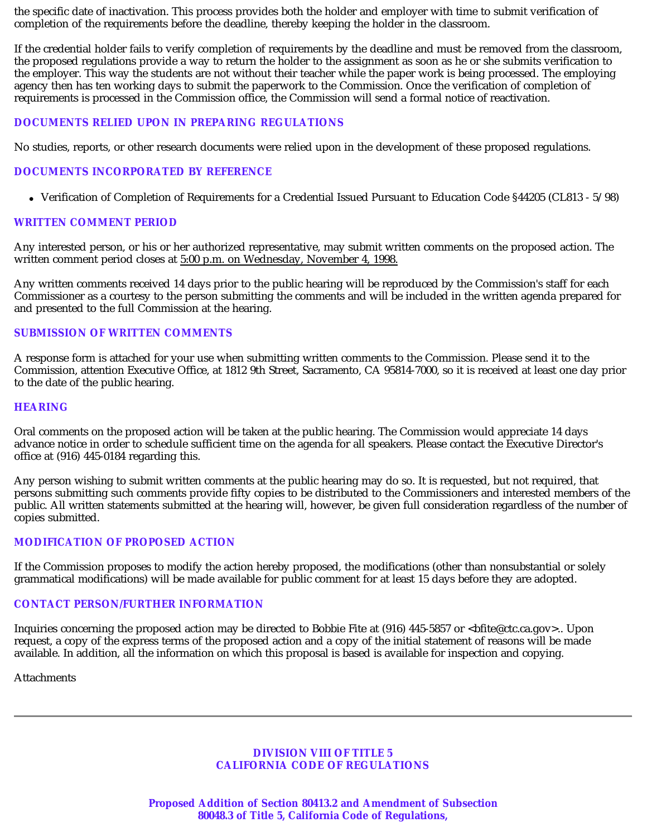the specific date of inactivation. This process provides both the holder and employer with time to submit verification of completion of the requirements before the deadline, thereby keeping the holder in the classroom.

If the credential holder fails to verify completion of requirements by the deadline and must be removed from the classroom, the proposed regulations provide a way to return the holder to the assignment as soon as he or she submits verification to the employer. This way the students are not without their teacher while the paper work is being processed. The employing agency then has ten working days to submit the paperwork to the Commission. Once the verification of completion of requirements is processed in the Commission office, the Commission will send a formal notice of reactivation.

### **DOCUMENTS RELIED UPON IN PREPARING REGULATIONS**

No studies, reports, or other research documents were relied upon in the development of these proposed regulations.

### **DOCUMENTS INCORPORATED BY REFERENCE**

Verification of Completion of Requirements for a Credential Issued Pursuant to Education Code §44205 (CL813 - 5/98)

### **WRITTEN COMMENT PERIOD**

Any interested person, or his or her authorized representative, may submit written comments on the proposed action. The written comment period closes at 5:00 p.m. on Wednesday, November 4, 1998.

Any written comments received 14 days prior to the public hearing will be reproduced by the Commission's staff for each Commissioner as a courtesy to the person submitting the comments and will be included in the written agenda prepared for and presented to the full Commission at the hearing.

### **SUBMISSION OF WRITTEN COMMENTS**

A response form is attached for your use when submitting written comments to the Commission. Please send it to the Commission, attention Executive Office, at 1812 9th Street, Sacramento, CA 95814-7000, so it is received at least one day prior to the date of the public hearing.

### **HEARING**

Oral comments on the proposed action will be taken at the public hearing. The Commission would appreciate 14 days advance notice in order to schedule sufficient time on the agenda for all speakers. Please contact the Executive Director's office at (916) 445-0184 regarding this.

Any person wishing to submit written comments at the public hearing may do so. It is requested, but not required, that persons submitting such comments provide fifty copies to be distributed to the Commissioners and interested members of the public. All written statements submitted at the hearing will, however, be given full consideration regardless of the number of copies submitted.

### **MODIFICATION OF PROPOSED ACTION**

If the Commission proposes to modify the action hereby proposed, the modifications (other than nonsubstantial or solely grammatical modifications) will be made available for public comment for at least 15 days before they are adopted.

### **CONTACT PERSON/FURTHER INFORMATION**

Inquiries concerning the proposed action may be directed to Bobbie Fite at (916) 445-5857 or  $\lt$ bfite@ctc.ca.gov>.. Upon request, a copy of the express terms of the proposed action and a copy of the initial statement of reasons will be made available. In addition, all the information on which this proposal is based is available for inspection and copying.

Attachments

### **DIVISION VIII OF TITLE 5 CALIFORNIA CODE OF REGULATIONS**

**Proposed Addition of Section 80413.2 and Amendment of Subsection 80048.3 of Title 5, California Code of Regulations,**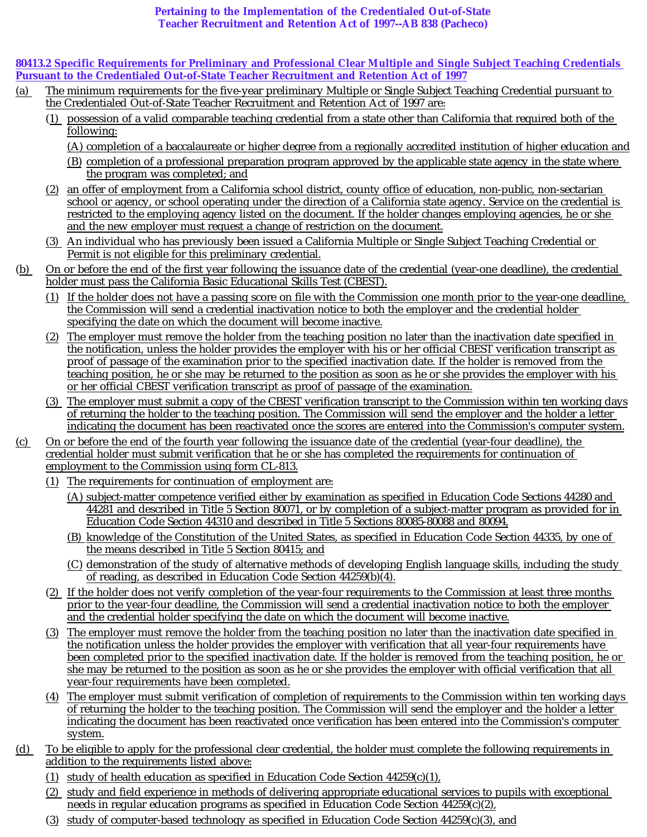### **Pertaining to the Implementation of the Credentialed Out-of-State Teacher Recruitment and Retention Act of 1997--AB 838 (Pacheco)**

**80413.2 Specific Requirements for Preliminary and Professional Clear Multiple and Single Subject Teaching Credentials Pursuant to the Credentialed Out-of-State Teacher Recruitment and Retention Act of 1997**

- (a) The minimum requirements for the five-year preliminary Multiple or Single Subject Teaching Credential pursuant to the Credentialed Out-of-State Teacher Recruitment and Retention Act of 1997 are:
	- (1) possession of a valid comparable teaching credential from a state other than California that required both of the following:
		- (A) completion of a baccalaureate or higher degree from a regionally accredited institution of higher education and
		- (B) completion of a professional preparation program approved by the applicable state agency in the state where the program was completed; and
	- (2) an offer of employment from a California school district, county office of education, non-public, non-sectarian school or agency, or school operating under the direction of a California state agency. Service on the credential is restricted to the employing agency listed on the document. If the holder changes employing agencies, he or she and the new employer must request a change of restriction on the document.
	- (3) An individual who has previously been issued a California Multiple or Single Subject Teaching Credential or Permit is not eligible for this preliminary credential.
- (b) On or before the end of the first year following the issuance date of the credential (year-one deadline), the credential holder must pass the California Basic Educational Skills Test (CBEST).
	- (1) If the holder does not have a passing score on file with the Commission one month prior to the year-one deadline, the Commission will send a credential inactivation notice to both the employer and the credential holder specifying the date on which the document will become inactive.
	- (2) The employer must remove the holder from the teaching position no later than the inactivation date specified in the notification, unless the holder provides the employer with his or her official CBEST verification transcript as proof of passage of the examination prior to the specified inactivation date. If the holder is removed from the teaching position, he or she may be returned to the position as soon as he or she provides the employer with his or her official CBEST verification transcript as proof of passage of the examination.
	- (3) The employer must submit a copy of the CBEST verification transcript to the Commission within ten working days of returning the holder to the teaching position. The Commission will send the employer and the holder a letter indicating the document has been reactivated once the scores are entered into the Commission's computer system.
- (c) On or before the end of the fourth year following the issuance date of the credential (year-four deadline), the credential holder must submit verification that he or she has completed the requirements for continuation of employment to the Commission using form CL-813.
	- (1) The requirements for continuation of employment are:
		- (A) subject-matter competence verified either by examination as specified in Education Code Sections 44280 and 44281 and described in Title 5 Section 80071, or by completion of a subject-matter program as provided for in Education Code Section 44310 and described in Title 5 Sections 80085-80088 and 80094,
		- (B) knowledge of the Constitution of the United States, as specified in Education Code Section 44335, by one of the means described in Title 5 Section 80415; and
		- (C) demonstration of the study of alternative methods of developing English language skills, including the study of reading, as described in Education Code Section 44259(b)(4).
	- (2) If the holder does not verify completion of the year-four requirements to the Commission at least three months prior to the year-four deadline, the Commission will send a credential inactivation notice to both the employer and the credential holder specifying the date on which the document will become inactive.
	- (3) The employer must remove the holder from the teaching position no later than the inactivation date specified in the notification unless the holder provides the employer with verification that all year-four requirements have been completed prior to the specified inactivation date. If the holder is removed from the teaching position, he or she may be returned to the position as soon as he or she provides the employer with official verification that all year-four requirements have been completed.
	- (4) The employer must submit verification of completion of requirements to the Commission within ten working days of returning the holder to the teaching position. The Commission will send the employer and the holder a letter indicating the document has been reactivated once verification has been entered into the Commission's computer system.
- (d) To be eligible to apply for the professional clear credential, the holder must complete the following requirements in addition to the requirements listed above:
	- (1) study of health education as specified in Education Code Section  $44259(c)(1)$ ,
	- (2) study and field experience in methods of delivering appropriate educational services to pupils with exceptional needs in regular education programs as specified in Education Code Section 44259(c)(2),
	- (3) study of computer-based technology as specified in Education Code Section 44259(c)(3), and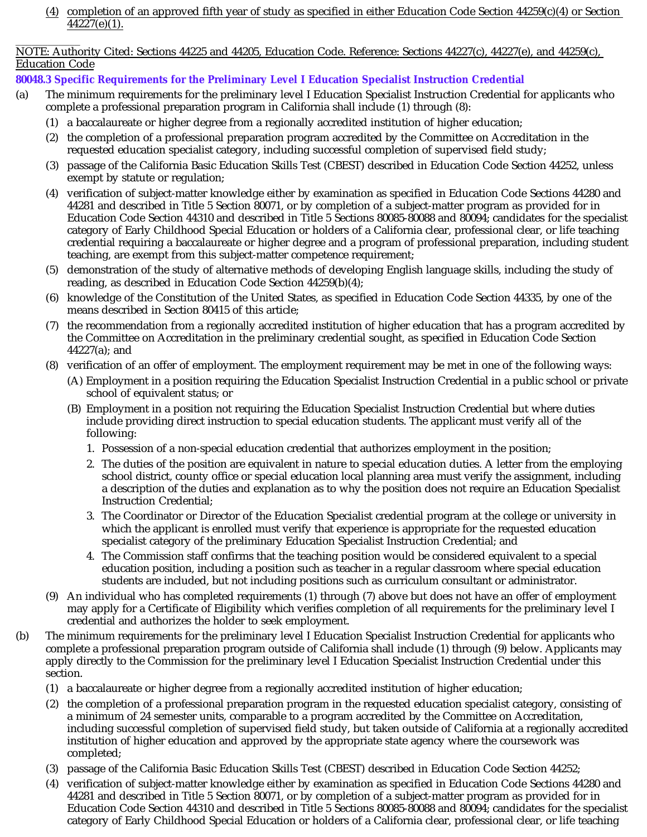(4) completion of an approved fifth year of study as specified in either Education Code Section 44259(c)(4) or Section 44227(e)(1).

### \_\_\_\_\_\_\_\_\_\_\_\_ NOTE: Authority Cited: Sections 44225 and 44205, Education Code. Reference: Sections 44227(c), 44227(e), and 44259(c), Education Code

# **80048.3 Specific Requirements for the Preliminary Level I Education Specialist Instruction Credential**

- (a) The minimum requirements for the preliminary level I Education Specialist Instruction Credential for applicants who complete a professional preparation program in California shall include (1) through (8):
	- (1) a baccalaureate or higher degree from a regionally accredited institution of higher education;
	- (2) the completion of a professional preparation program accredited by the Committee on Accreditation in the requested education specialist category, including successful completion of supervised field study;
	- (3) passage of the California Basic Education Skills Test (CBEST) described in Education Code Section 44252, unless exempt by statute or regulation;
	- (4) verification of subject-matter knowledge either by examination as specified in Education Code Sections 44280 and 44281 and described in Title 5 Section 80071, or by completion of a subject-matter program as provided for in Education Code Section 44310 and described in Title 5 Sections 80085-80088 and 80094; candidates for the specialist category of Early Childhood Special Education or holders of a California clear, professional clear, or life teaching credential requiring a baccalaureate or higher degree and a program of professional preparation, including student teaching, are exempt from this subject-matter competence requirement;
	- (5) demonstration of the study of alternative methods of developing English language skills, including the study of reading, as described in Education Code Section 44259(b)(4);
	- (6) knowledge of the Constitution of the United States, as specified in Education Code Section 44335, by one of the means described in Section 80415 of this article;
	- (7) the recommendation from a regionally accredited institution of higher education that has a program accredited by the Committee on Accreditation in the preliminary credential sought, as specified in Education Code Section 44227(a); and
	- (8) verification of an offer of employment. The employment requirement may be met in one of the following ways:
		- (A) Employment in a position requiring the Education Specialist Instruction Credential in a public school or private school of equivalent status; or
		- (B) Employment in a position not requiring the Education Specialist Instruction Credential but where duties include providing direct instruction to special education students. The applicant must verify all of the following:
			- 1. Possession of a non-special education credential that authorizes employment in the position;
			- 2. The duties of the position are equivalent in nature to special education duties. A letter from the employing school district, county office or special education local planning area must verify the assignment, including a description of the duties and explanation as to why the position does not require an Education Specialist Instruction Credential;
			- 3. The Coordinator or Director of the Education Specialist credential program at the college or university in which the applicant is enrolled must verify that experience is appropriate for the requested education specialist category of the preliminary Education Specialist Instruction Credential; and
			- 4. The Commission staff confirms that the teaching position would be considered equivalent to a special education position, including a position such as teacher in a regular classroom where special education students are included, but not including positions such as curriculum consultant or administrator.
	- (9) An individual who has completed requirements (1) through (7) above but does not have an offer of employment may apply for a Certificate of Eligibility which verifies completion of all requirements for the preliminary level I credential and authorizes the holder to seek employment.
- (b) The minimum requirements for the preliminary level I Education Specialist Instruction Credential for applicants who complete a professional preparation program outside of California shall include (1) through (9) below. Applicants may apply directly to the Commission for the preliminary level I Education Specialist Instruction Credential under this section.
	- (1) a baccalaureate or higher degree from a regionally accredited institution of higher education;
	- (2) the completion of a professional preparation program in the requested education specialist category, consisting of a minimum of 24 semester units, comparable to a program accredited by the Committee on Accreditation, including successful completion of supervised field study, but taken outside of California at a regionally accredited institution of higher education and approved by the appropriate state agency where the coursework was completed;
	- (3) passage of the California Basic Education Skills Test (CBEST) described in Education Code Section 44252;
	- (4) verification of subject-matter knowledge either by examination as specified in Education Code Sections 44280 and 44281 and described in Title 5 Section 80071, or by completion of a subject-matter program as provided for in Education Code Section 44310 and described in Title 5 Sections 80085-80088 and 80094; candidates for the specialist category of Early Childhood Special Education or holders of a California clear, professional clear, or life teaching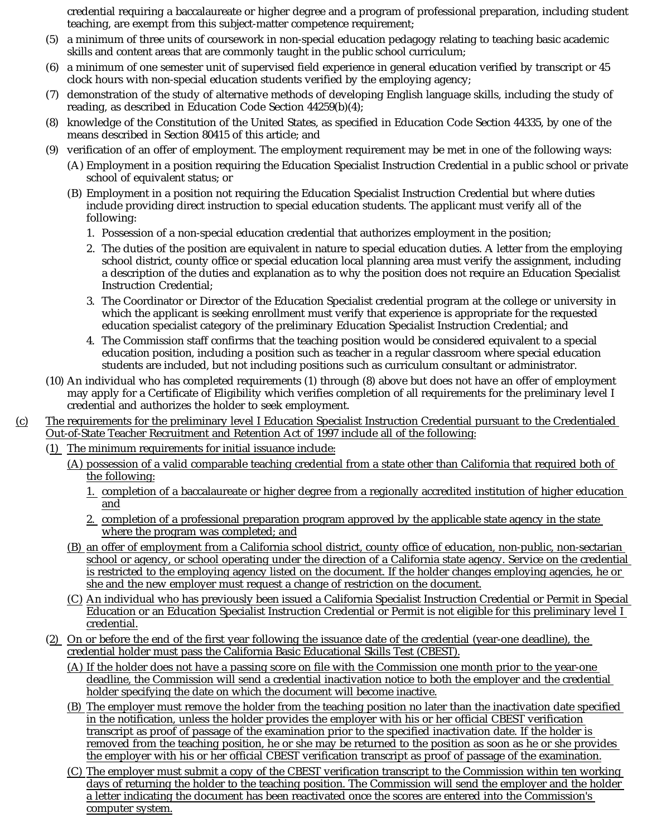credential requiring a baccalaureate or higher degree and a program of professional preparation, including student teaching, are exempt from this subject-matter competence requirement;

- (5) a minimum of three units of coursework in non-special education pedagogy relating to teaching basic academic skills and content areas that are commonly taught in the public school curriculum;
- (6) a minimum of one semester unit of supervised field experience in general education verified by transcript or 45 clock hours with non-special education students verified by the employing agency;
- (7) demonstration of the study of alternative methods of developing English language skills, including the study of reading, as described in Education Code Section 44259(b)(4);
- (8) knowledge of the Constitution of the United States, as specified in Education Code Section 44335, by one of the means described in Section 80415 of this article; and
- (9) verification of an offer of employment. The employment requirement may be met in one of the following ways:
	- (A) Employment in a position requiring the Education Specialist Instruction Credential in a public school or private school of equivalent status; or
	- (B) Employment in a position not requiring the Education Specialist Instruction Credential but where duties include providing direct instruction to special education students. The applicant must verify all of the following:
		- 1. Possession of a non-special education credential that authorizes employment in the position;
		- 2. The duties of the position are equivalent in nature to special education duties. A letter from the employing school district, county office or special education local planning area must verify the assignment, including a description of the duties and explanation as to why the position does not require an Education Specialist Instruction Credential;
		- 3. The Coordinator or Director of the Education Specialist credential program at the college or university in which the applicant is seeking enrollment must verify that experience is appropriate for the requested education specialist category of the preliminary Education Specialist Instruction Credential; and
		- 4. The Commission staff confirms that the teaching position would be considered equivalent to a special education position, including a position such as teacher in a regular classroom where special education students are included, but not including positions such as curriculum consultant or administrator.
- (10) An individual who has completed requirements (1) through (8) above but does not have an offer of employment may apply for a Certificate of Eligibility which verifies completion of all requirements for the preliminary level I credential and authorizes the holder to seek employment.
- (c) The requirements for the preliminary level I Education Specialist Instruction Credential pursuant to the Credentialed Out-of-State Teacher Recruitment and Retention Act of 1997 include all of the following:
	- (1) The minimum requirements for initial issuance include:
		- (A) possession of a valid comparable teaching credential from a state other than California that required both of the following:
			- 1. completion of a baccalaureate or higher degree from a regionally accredited institution of higher education and
			- 2. completion of a professional preparation program approved by the applicable state agency in the state where the program was completed; and
		- (B) an offer of employment from a California school district, county office of education, non-public, non-sectarian school or agency, or school operating under the direction of a California state agency. Service on the credential is restricted to the employing agency listed on the document. If the holder changes employing agencies, he or she and the new employer must request a change of restriction on the document.
		- (C) An individual who has previously been issued a California Specialist Instruction Credential or Permit in Special Education or an Education Specialist Instruction Credential or Permit is not eligible for this preliminary level I credential.
	- (2) On or before the end of the first year following the issuance date of the credential (year-one deadline), the credential holder must pass the California Basic Educational Skills Test (CBEST).
		- (A) If the holder does not have a passing score on file with the Commission one month prior to the year-one deadline, the Commission will send a credential inactivation notice to both the employer and the credential holder specifying the date on which the document will become inactive.
		- (B) The employer must remove the holder from the teaching position no later than the inactivation date specified in the notification, unless the holder provides the employer with his or her official CBEST verification transcript as proof of passage of the examination prior to the specified inactivation date. If the holder is removed from the teaching position, he or she may be returned to the position as soon as he or she provides the employer with his or her official CBEST verification transcript as proof of passage of the examination.
		- (C) The employer must submit a copy of the CBEST verification transcript to the Commission within ten working days of returning the holder to the teaching position. The Commission will send the employer and the holder a letter indicating the document has been reactivated once the scores are entered into the Commission's computer system.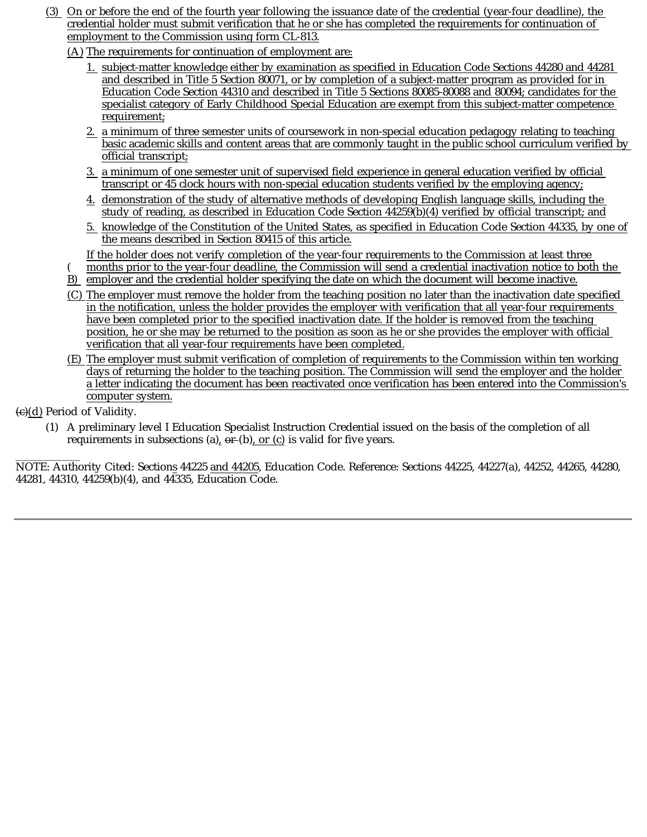- (3) On or before the end of the fourth year following the issuance date of the credential (year-four deadline), the credential holder must submit verification that he or she has completed the requirements for continuation of employment to the Commission using form CL-813.
	- (A) The requirements for continuation of employment are:
		- 1. subject-matter knowledge either by examination as specified in Education Code Sections 44280 and 44281 and described in Title 5 Section 80071, or by completion of a subject-matter program as provided for in Education Code Section 44310 and described in Title 5 Sections 80085-80088 and 80094; candidates for the specialist category of Early Childhood Special Education are exempt from this subject-matter competence requirement;
		- 2. a minimum of three semester units of coursework in non-special education pedagogy relating to teaching basic academic skills and content areas that are commonly taught in the public school curriculum verified by official transcript;
		- 3. a minimum of one semester unit of supervised field experience in general education verified by official transcript or 45 clock hours with non-special education students verified by the employing agency;
		- 4. demonstration of the study of alternative methods of developing English language skills, including the study of reading, as described in Education Code Section 44259(b)(4) verified by official transcript; and
		- 5. knowledge of the Constitution of the United States, as specified in Education Code Section 44335, by one of the means described in Section 80415 of this article.

If the holder does not verify completion of the year-four requirements to the Commission at least three

- B) employer and the credential holder specifying the date on which the document will become inactive. months prior to the year-four deadline, the Commission will send a credential inactivation notice to both the
- (C) The employer must remove the holder from the teaching position no later than the inactivation date specified in the notification, unless the holder provides the employer with verification that all year-four requirements have been completed prior to the specified inactivation date. If the holder is removed from the teaching position, he or she may be returned to the position as soon as he or she provides the employer with official verification that all year-four requirements have been completed.
- (E) The employer must submit verification of completion of requirements to the Commission within ten working days of returning the holder to the teaching position. The Commission will send the employer and the holder a letter indicating the document has been reactivated once verification has been entered into the Commission's computer system.
- (c)(d) Period of Validity.

(

(1) A preliminary level I Education Specialist Instruction Credential issued on the basis of the completion of all requirements in subsections (a),  $\theta F$ (b), or (c) is valid for five years.

\_\_\_\_\_\_\_\_\_\_\_\_ NOTE: Authority Cited: Section<u>s</u> 44225 <u>and 44205</u>, Education Code. Reference: Sections 44225, 44227(a), 44252, 44265, 44280, 44281, 44310, 44259(b)(4), and 44335, Education Code.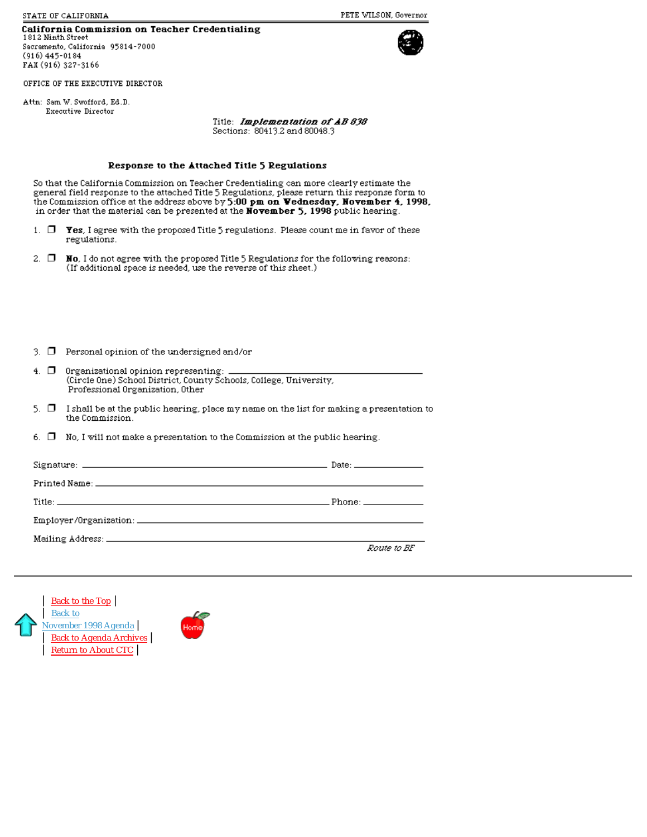STATE OF CALIFORMIA

### California Commission on Teacher Credentialing

1812 Ninth Street Sacramento, California 95814-7000  $(916)$  445-0184 FAX (916) 327-3166





OFFICE OF THE EXECUTIVE DIRECTOR

Attn: Sam W. Swofford, Ed.D. Executive Director

> Title: Implementation of AB 838 Sections: 80413.2 and 80048.3

#### Response to the Attached Title 5 Regulations

So that the California Commission on Teacher Credentialing can more clearly estimate the general field response to the attached Title 5 Regulations, please return this response form to the Commission office at the address above by 5:00 pm on Vednesday, November 4, 1998, in order that the material can be presented at the **November 5, 1998** public hearing.

- 1.  $\Box$  **Yes**, I agree with the proposed Title 5 regulations. Please count me in favor of these regulations.
- 2.  $\Box$  **No**, I do not agree with the proposed Title 5 Regulations for the following reasons: (If additional space is needed, use the reverse of this sheet.)
- $3.$   $\Box$  Personal opinion of the undersigned and/or
- 4.  $\Box$  Organizational opinion representing: (Circle One) School District, County Schools, College, University, Professional Organization, Other
- 5.  $\Box$  I shall be at the public hearing, place my name on the list for making a presentation to the Commission.
- 6.  $\Box$  No, I will not make a presentation to the Commission at the public hearing.

| Date: _________________ |
|-------------------------|
|                         |
|                         |
|                         |
|                         |
|                         |
| Route to BF             |



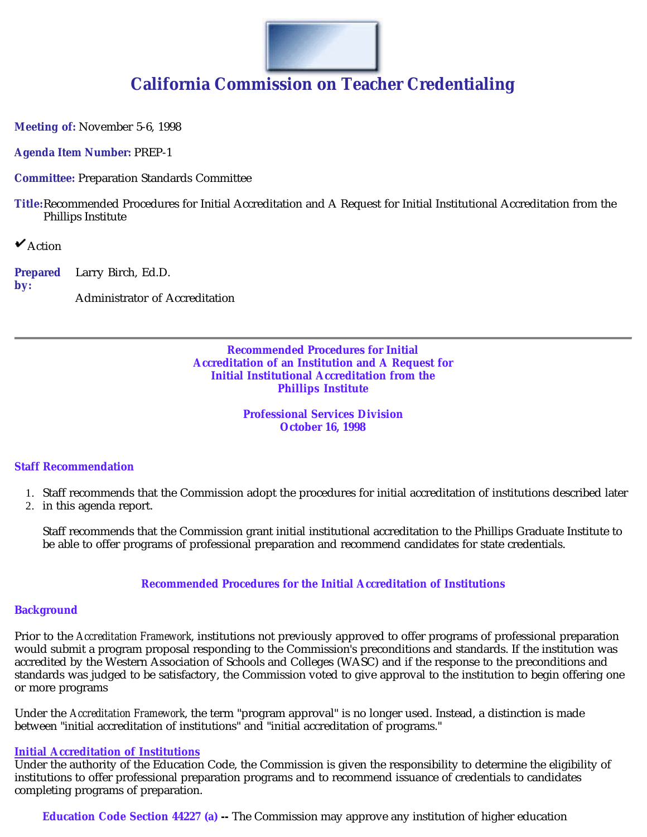

# **California Commission on Teacher Credentialing**

**Meeting of:** November 5-6, 1998

**Agenda Item Number:** PREP-1

**Committee:** Preparation Standards Committee

**Title:**Recommended Procedures for Initial Accreditation and A Request for Initial Institutional Accreditation from the Phillips Institute

 $\mathbf{\mathsf{v}}$  Action

**Prepared by:** Larry Birch, Ed.D. Administrator of Accreditation

> **Recommended Procedures for Initial Accreditation of an Institution and A Request for Initial Institutional Accreditation from the Phillips Institute**

> > **Professional Services Division October 16, 1998**

### **Staff Recommendation**

- 1. Staff recommends that the Commission adopt the procedures for initial accreditation of institutions described later
- 2. in this agenda report.

Staff recommends that the Commission grant initial institutional accreditation to the Phillips Graduate Institute to be able to offer programs of professional preparation and recommend candidates for state credentials.

### **Recommended Procedures for the Initial Accreditation of Institutions**

### **Background**

Prior to the *Accreditation Framework*, institutions not previously approved to offer programs of professional preparation would submit a program proposal responding to the Commission's preconditions and standards. If the institution was accredited by the Western Association of Schools and Colleges (WASC) and if the response to the preconditions and standards was judged to be satisfactory, the Commission voted to give approval to the institution to begin offering one or more programs

Under the *Accreditation Framework*, the term "program approval" is no longer used. Instead, a distinction is made between "initial accreditation of institutions" and "initial accreditation of programs." *Accreditation Framework*

### **Initial Accreditation of Institutions**

Under the authority of the Education Code, the Commission is given the responsibility to determine the eligibility of institutions to offer professional preparation programs and to recommend issuance of credentials to candidates completing programs of preparation.

**Education Code Section 44227 (a) --** The Commission may approve any institution of higher education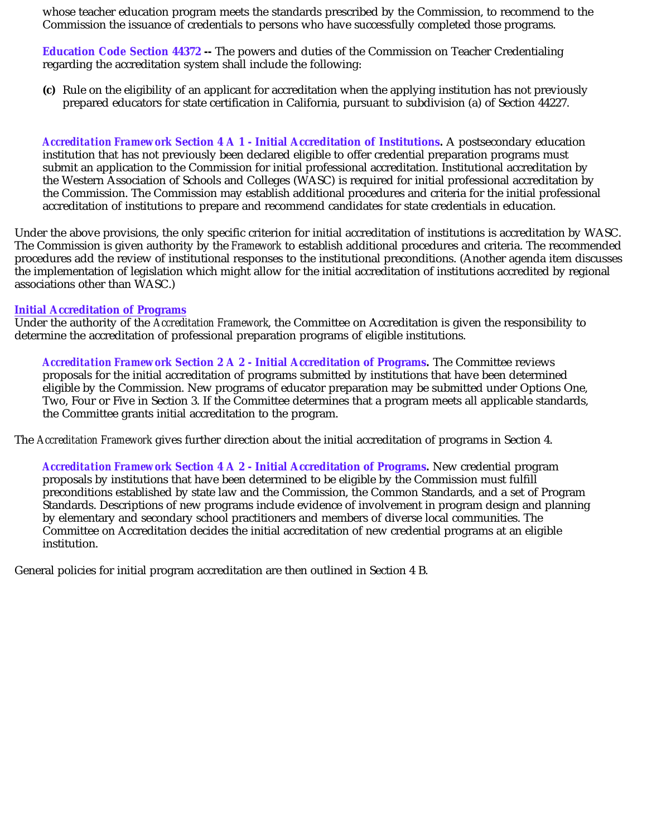whose teacher education program meets the standards prescribed by the Commission, to recommend to the Commission the issuance of credentials to persons who have successfully completed those programs.

**Education Code Section 44372 -**- The powers and duties of the Commission on Teacher Credentialing regarding the accreditation system shall include the following:

**(c)** Rule on the eligibility of an applicant for accreditation when the applying institution has not previously prepared educators for state certification in California, pursuant to subdivision (a) of Section 44227.

*Accreditation Framework* **Section 4 A 1 - Initial Accreditation of Institutions** A postsecondary education **.**  institution that has not previously been declared eligible to offer credential preparation programs must submit an application to the Commission for initial professional accreditation. Institutional accreditation by the Western Association of Schools and Colleges (WASC) is required for initial professional accreditation by the Commission. The Commission may establish additional procedures and criteria for the initial professional accreditation of institutions to prepare and recommend candidates for state credentials in education.

Under the above provisions, the only specific criterion for initial accreditation of institutions is accreditation by WASC. The Commission is given authority by the *Framework* to establish additional procedures and criteria. The recommended procedures add the review of institutional responses to the institutional preconditions. (Another agenda item discusses the implementation of legislation which might allow for the initial accreditation of institutions accredited by regional associations other than WASC.)

### **Initial Accreditation of Programs**

Under the authority of the *Accreditation Framework*, the Committee on Accreditation is given the responsibility to determine the accreditation of professional preparation programs of eligible institutions.

*Accreditation Framework* **Section 2 A 2 - Initial Accreditation of Programs** The Committee reviews **.** proposals for the initial accreditation of programs submitted by institutions that have been determined eligible by the Commission. New programs of educator preparation may be submitted under Options One, Two, Four or Five in Section 3. If the Committee determines that a program meets all applicable standards, the Committee grants initial accreditation to the program.

The Accreditation Framework gives further direction about the initial accreditation of programs in Section 4.

*Accreditation Framework* **Section 4 A 2 - Initial Accreditation of Programs** New credential program **.**  proposals by institutions that have been determined to be eligible by the Commission must fulfill preconditions established by state law and the Commission, the Common Standards, and a set of Program Standards. Descriptions of new programs include evidence of involvement in program design and planning by elementary and secondary school practitioners and members of diverse local communities. The Committee on Accreditation decides the initial accreditation of new credential programs at an eligible institution.

General policies for initial program accreditation are then outlined in Section 4 B.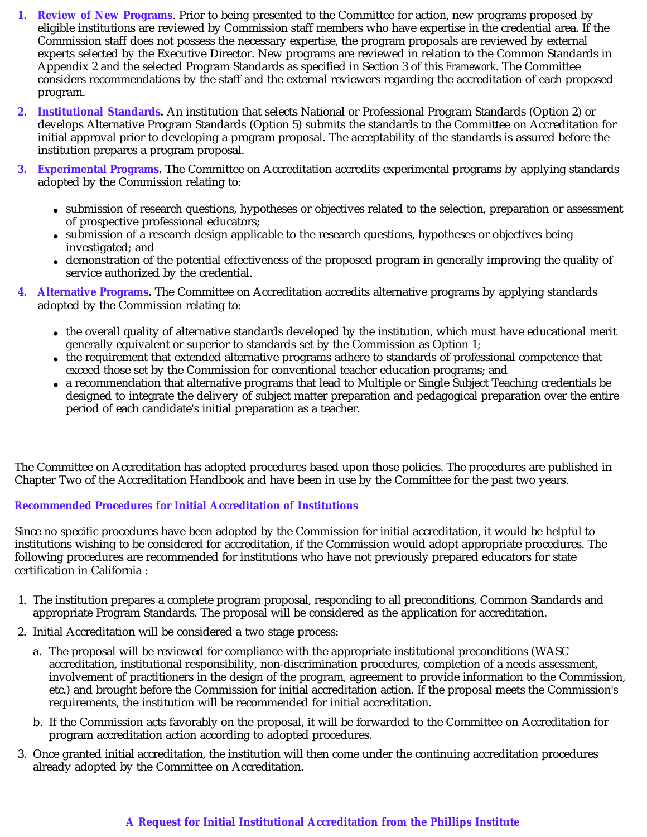- **1. Review of New Programs**. Prior to being presented to the Committee for action, new programs proposed by eligible institutions are reviewed by Commission staff members who have expertise in the credential area. If the Commission staff does not possess the necessary expertise, the program proposals are reviewed by external experts selected by the Executive Director. New programs are reviewed in relation to the Common Standards in Appendix 2 and the selected Program Standards as specified in Section 3 of this *Framework*. The Committee considers recommendations by the staff and the external reviewers regarding the accreditation of each proposed program.
- **2. Institutional Standards** An institution that selects National or Professional Program Standards (Option 2) or **.**  develops Alternative Program Standards (Option 5) submits the standards to the Committee on Accreditation for initial approval prior to developing a program proposal. The acceptability of the standards is assured before the institution prepares a program proposal.
- **3. Experimental Programs** The Committee on Accreditation accredits experimental programs by applying standards **.**  adopted by the Commission relating to:
	- submission of research questions, hypotheses or objectives related to the selection, preparation or assessment of prospective professional educators;
	- submission of a research design applicable to the research questions, hypotheses or objectives being investigated; and
	- demonstration of the potential effectiveness of the proposed program in generally improving the quality of service authorized by the credential.
- **4. Alternative Programs** The Committee on Accreditation accredits alternative programs by applying standards **.**  adopted by the Commission relating to:
	- the overall quality of alternative standards developed by the institution, which must have educational merit generally equivalent or superior to standards set by the Commission as Option 1;
	- the requirement that extended alternative programs adhere to standards of professional competence that exceed those set by the Commission for conventional teacher education programs; and
	- a recommendation that alternative programs that lead to Multiple or Single Subject Teaching credentials be designed to integrate the delivery of subject matter preparation and pedagogical preparation over the entire period of each candidate's initial preparation as a teacher.

The Committee on Accreditation has adopted procedures based upon those policies. The procedures are published in Chapter Two of the Accreditation Handbook and have been in use by the Committee for the past two years.

# **Recommended Procedures for Initial Accreditation of Institutions**

Since no specific procedures have been adopted by the Commission for initial accreditation, it would be helpful to institutions wishing to be considered for accreditation, if the Commission would adopt appropriate procedures. The following procedures are recommended for institutions who have not previously prepared educators for state certification in California :

- 1. The institution prepares a complete program proposal, responding to all preconditions, Common Standards and appropriate Program Standards. The proposal will be considered as the application for accreditation.
- 2. Initial Accreditation will be considered a two stage process:
	- a. The proposal will be reviewed for compliance with the appropriate institutional preconditions (WASC accreditation, institutional responsibility, non-discrimination procedures, completion of a needs assessment, involvement of practitioners in the design of the program, agreement to provide information to the Commission, etc.) and brought before the Commission for initial accreditation action. If the proposal meets the Commission's requirements, the institution will be recommended for initial accreditation.
	- b. If the Commission acts favorably on the proposal, it will be forwarded to the Committee on Accreditation for program accreditation action according to adopted procedures.
- 3. Once granted initial accreditation, the institution will then come under the continuing accreditation procedures already adopted by the Committee on Accreditation.

# **A Request for Initial Institutional Accreditation from the Phillips Institute**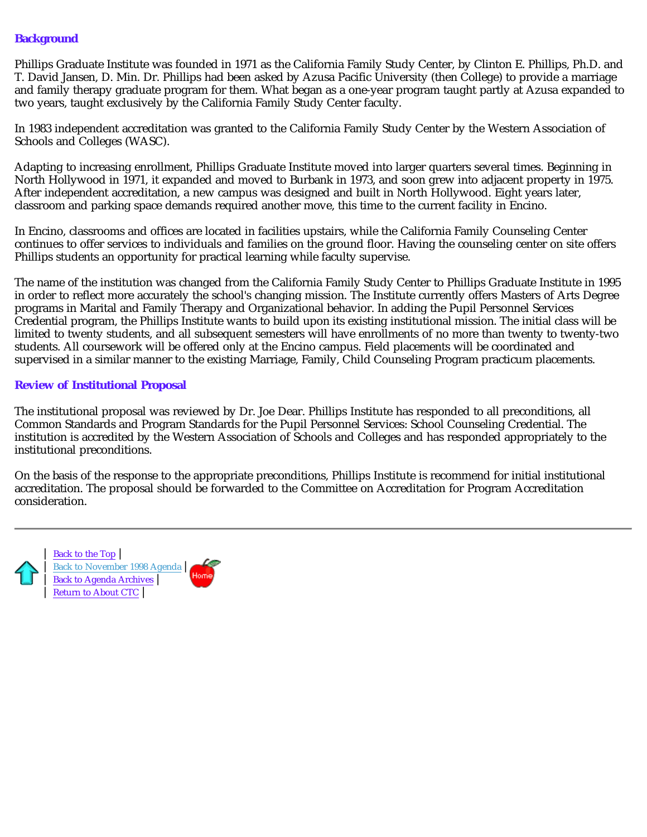# **Background**

Phillips Graduate Institute was founded in 1971 as the California Family Study Center, by Clinton E. Phillips, Ph.D. and T. David Jansen, D. Min. Dr. Phillips had been asked by Azusa Pacific University (then College) to provide a marriage and family therapy graduate program for them. What began as a one-year program taught partly at Azusa expanded to two years, taught exclusively by the California Family Study Center faculty.

In 1983 independent accreditation was granted to the California Family Study Center by the Western Association of Schools and Colleges (WASC).

Adapting to increasing enrollment, Phillips Graduate Institute moved into larger quarters several times. Beginning in North Hollywood in 1971, it expanded and moved to Burbank in 1973, and soon grew into adjacent property in 1975. After independent accreditation, a new campus was designed and built in North Hollywood. Eight years later, classroom and parking space demands required another move, this time to the current facility in Encino.

In Encino, classrooms and offices are located in facilities upstairs, while the California Family Counseling Center continues to offer services to individuals and families on the ground floor. Having the counseling center on site offers Phillips students an opportunity for practical learning while faculty supervise.

The name of the institution was changed from the California Family Study Center to Phillips Graduate Institute in 1995 in order to reflect more accurately the school's changing mission. The Institute currently offers Masters of Arts Degree programs in Marital and Family Therapy and Organizational behavior. In adding the Pupil Personnel Services Credential program, the Phillips Institute wants to build upon its existing institutional mission. The initial class will be limited to twenty students, and all subsequent semesters will have enrollments of no more than twenty to twenty-two students. All coursework will be offered only at the Encino campus. Field placements will be coordinated and supervised in a similar manner to the existing Marriage, Family, Child Counseling Program practicum placements.

### **Review of Institutional Proposal**

The institutional proposal was reviewed by Dr. Joe Dear. Phillips Institute has responded to all preconditions, all Common Standards and Program Standards for the Pupil Personnel Services: School Counseling Credential. The institution is accredited by the Western Association of Schools and Colleges and has responded appropriately to the institutional preconditions.

On the basis of the response to the appropriate preconditions, Phillips Institute is recommend for initial institutional accreditation. The proposal should be forwarded to the Committee on Accreditation for Program Accreditation consideration.

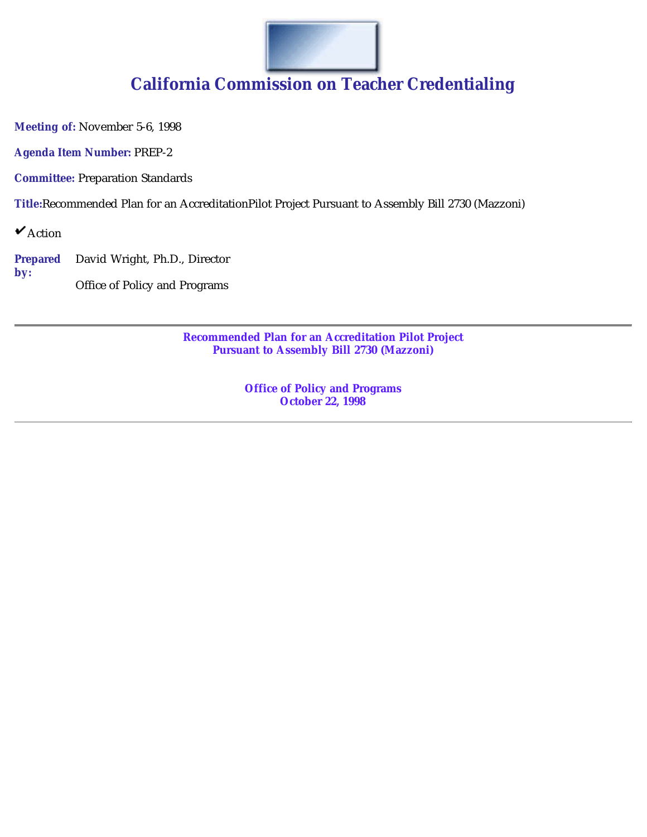

# **California Commission on Teacher Credentialing**

**Meeting of:** November 5-6, 1998

**Agenda Item Number:** PREP-2

**Committee:** Preparation Standards

**Title:**Recommended Plan for an AccreditationPilot Project Pursuant to Assembly Bill 2730 (Mazzoni)

 $\mathbf{\check{v}}$ Action

**Prepared by:** David Wright, Ph.D., Director

Office of Policy and Programs

**Recommended Plan for an Accreditation Pilot Project Pursuant to Assembly Bill 2730 (Mazzoni)**

> **Office of Policy and Programs October 22, 1998**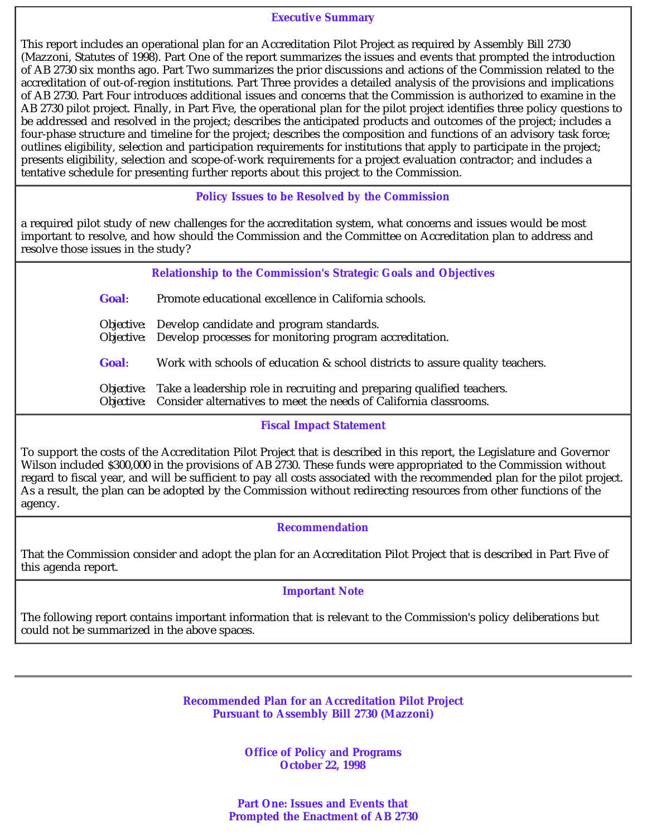### **Executive Summary**

This report includes an operational plan for an Accreditation Pilot Project as required by Assembly Bill 2730 (Mazzoni, Statutes of 1998). Part One of the report summarizes the issues and events that prompted the introduction of AB 2730 six months ago. Part Two summarizes the prior discussions and actions of the Commission related to the accreditation of out-of-region institutions. Part Three provides a detailed analysis of the provisions and implications of AB 2730. Part Four introduces additional issues and concerns that the Commission is authorized to examine in the AB 2730 pilot project. Finally, in Part Five, the operational plan for the pilot project identifies three policy questions to be addressed and resolved in the project; describes the anticipated products and outcomes of the project; includes a four-phase structure and timeline for the project; describes the composition and functions of an advisory task force; outlines eligibility, selection and participation requirements for institutions that apply to participate in the project; presents eligibility, selection and scope-of-work requirements for a project evaluation contractor; and includes a tentative schedule for presenting further reports about this project to the Commission.

### **Policy Issues to be Resolved by the Commission**

a required pilot study of new challenges for the accreditation system, what concerns and issues would be most important to resolve, and how should the Commission and the Committee on Accreditation plan to address and resolve those issues in the study?

# **Relationship to the Commission's Strategic Goals and Objectives**

*Goal:* Promote educational excellence in California schools.

*Objective:* Develop candidate and program standards.

*Objective:* Develop processes for monitoring program accreditation.

*Goal:* Work with schools of education & school districts to assure quality teachers.

*Objective:* Take a leadership role in recruiting and preparing qualified teachers. *Objective:* Consider alternatives to meet the needs of California classrooms.

## **Fiscal Impact Statement**

To support the costs of the Accreditation Pilot Project that is described in this report, the Legislature and Governor Wilson included \$300,000 in the provisions of AB 2730. These funds were appropriated to the Commission without regard to fiscal year, and will be sufficient to pay all costs associated with the recommended plan for the pilot project. As a result, the plan can be adopted by the Commission without redirecting resources from other functions of the agency.

### **Recommendation**

That the Commission consider and adopt the plan for an Accreditation Pilot Project that is described in Part Five of this agenda report.

### **Important Note**

The following report contains important information that is relevant to the Commission's policy deliberations but could not be summarized in the above spaces.

> **Recommended Plan for an Accreditation Pilot Project Pursuant to Assembly Bill 2730 (Mazzoni)**

> > **Office of Policy and Programs October 22, 1998**

**Part One: Issues and Events that Prompted the Enactment of AB 2730**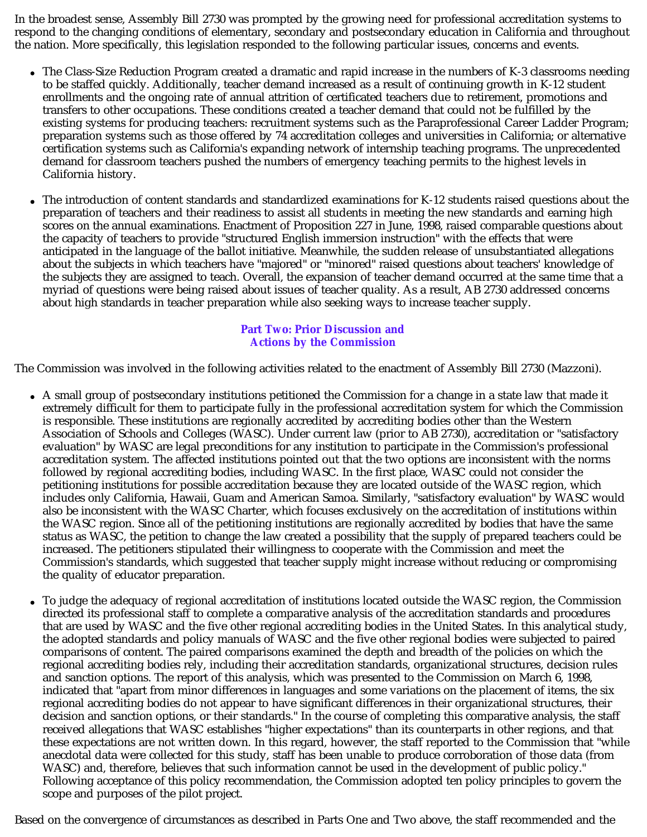In the broadest sense, Assembly Bill 2730 was prompted by the growing need for professional accreditation systems to respond to the changing conditions of elementary, secondary and postsecondary education in California and throughout the nation. More specifically, this legislation responded to the following particular issues, concerns and events.

- The Class-Size Reduction Program created a dramatic and rapid increase in the numbers of K-3 classrooms needing to be staffed quickly. Additionally, teacher demand increased as a result of continuing growth in K-12 student enrollments and the ongoing rate of annual attrition of certificated teachers due to retirement, promotions and transfers to other occupations. These conditions created a teacher demand that could not be fulfilled by the existing systems for producing teachers: recruitment systems such as the Paraprofessional Career Ladder Program; preparation systems such as those offered by 74 accreditation colleges and universities in California; or alternative certification systems such as California's expanding network of internship teaching programs. The unprecedented demand for classroom teachers pushed the numbers of emergency teaching permits to the highest levels in California history.
- The introduction of content standards and standardized examinations for K-12 students raised questions about the preparation of teachers and their readiness to assist all students in meeting the new standards and earning high scores on the annual examinations. Enactment of Proposition 227 in June, 1998, raised comparable questions about the capacity of teachers to provide "structured English immersion instruction" with the effects that were anticipated in the language of the ballot initiative. Meanwhile, the sudden release of unsubstantiated allegations about the subjects in which teachers have "majored" or "minored" raised questions about teachers' knowledge of the subjects they are assigned to teach. Overall, the expansion of teacher demand occurred at the same time that a myriad of questions were being raised about issues of teacher quality. As a result, AB 2730 addressed concerns about high standards in teacher preparation while also seeking ways to increase teacher supply.

# **Part Two: Prior Discussion and Actions by the Commission**

The Commission was involved in the following activities related to the enactment of Assembly Bill 2730 (Mazzoni).

- A small group of postsecondary institutions petitioned the Commission for a change in a state law that made it extremely difficult for them to participate fully in the professional accreditation system for which the Commission is responsible. These institutions are regionally accredited by accrediting bodies other than the Western Association of Schools and Colleges (WASC). Under current law (prior to AB 2730), accreditation or "satisfactory evaluation" by WASC are legal preconditions for any institution to participate in the Commission's professional accreditation system. The affected institutions pointed out that the two options are inconsistent with the norms followed by regional accrediting bodies, including WASC. In the first place, WASC could not consider the petitioning institutions for possible accreditation because they are located outside of the WASC region, which includes only California, Hawaii, Guam and American Samoa. Similarly, "satisfactory evaluation" by WASC would also be inconsistent with the WASC Charter, which focuses exclusively on the accreditation of institutions within the WASC region. Since all of the petitioning institutions are regionally accredited by bodies that have the same status as WASC, the petition to change the law created a possibility that the supply of prepared teachers could be increased. The petitioners stipulated their willingness to cooperate with the Commission and meet the Commission's standards, which suggested that teacher supply might increase without reducing or compromising the quality of educator preparation.
- To judge the adequacy of regional accreditation of institutions located outside the WASC region, the Commission directed its professional staff to complete a comparative analysis of the accreditation standards and procedures that are used by WASC and the five other regional accrediting bodies in the United States. In this analytical study, the adopted standards and policy manuals of WASC and the five other regional bodies were subjected to paired comparisons of content. The paired comparisons examined the depth and breadth of the policies on which the regional accrediting bodies rely, including their accreditation standards, organizational structures, decision rules and sanction options. The report of this analysis, which was presented to the Commission on March 6, 1998, indicated that "apart from minor differences in languages and some variations on the placement of items, the six regional accrediting bodies do not appear to have significant differences in their organizational structures, their decision and sanction options, or their standards." In the course of completing this comparative analysis, the staff received allegations that WASC establishes "higher expectations" than its counterparts in other regions, and that these expectations are not written down. In this regard, however, the staff reported to the Commission that "while anecdotal data were collected for this study, staff has been unable to produce corroboration of those data (from WASC) and, therefore, believes that such information cannot be used in the development of public policy." Following acceptance of this policy recommendation, the Commission adopted ten policy principles to govern the scope and purposes of the pilot project.

Based on the convergence of circumstances as described in Parts One and Two above, the staff recommended and the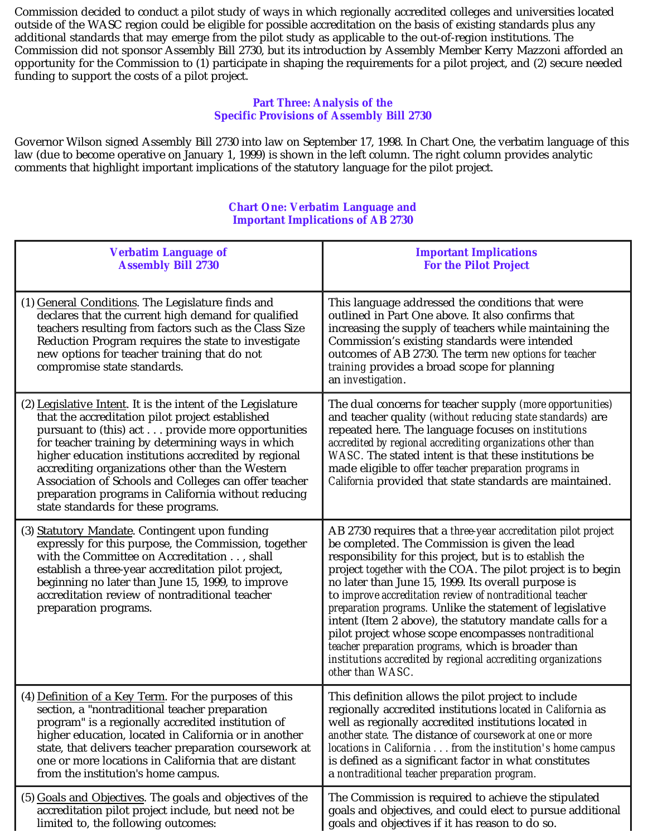Commission decided to conduct a pilot study of ways in which regionally accredited colleges and universities located outside of the WASC region could be eligible for possible accreditation on the basis of existing standards plus any additional standards that may emerge from the pilot study as applicable to the out-of-region institutions. The Commission did not sponsor Assembly Bill 2730, but its introduction by Assembly Member Kerry Mazzoni afforded an opportunity for the Commission to (1) participate in shaping the requirements for a pilot project, and (2) secure needed funding to support the costs of a pilot project.

# **Part Three: Analysis of the Specific Provisions of Assembly Bill 2730**

Governor Wilson signed Assembly Bill 2730 into law on September 17, 1998. In Chart One, the verbatim language of this law (due to become operative on January 1, 1999) is shown in the left column. The right column provides analytic comments that highlight important implications of the statutory language for the pilot project.

### **Chart One: Verbatim Language and Important Implications of AB 2730**

| <b>Verbatim Language of</b>                                                                                                                                                                                                                                                                                                                                                                                                                                                                  | <b>Important Implications</b>                                                                                                                                                                                                                                                                                                                                                                                                                                                                                                                                                                                                                                                                               |
|----------------------------------------------------------------------------------------------------------------------------------------------------------------------------------------------------------------------------------------------------------------------------------------------------------------------------------------------------------------------------------------------------------------------------------------------------------------------------------------------|-------------------------------------------------------------------------------------------------------------------------------------------------------------------------------------------------------------------------------------------------------------------------------------------------------------------------------------------------------------------------------------------------------------------------------------------------------------------------------------------------------------------------------------------------------------------------------------------------------------------------------------------------------------------------------------------------------------|
| <b>Assembly Bill 2730</b>                                                                                                                                                                                                                                                                                                                                                                                                                                                                    | <b>For the Pilot Project</b>                                                                                                                                                                                                                                                                                                                                                                                                                                                                                                                                                                                                                                                                                |
| (1) General Conditions. The Legislature finds and<br>declares that the current high demand for qualified<br>teachers resulting from factors such as the Class Size<br>Reduction Program requires the state to investigate<br>new options for teacher training that do not<br>compromise state standards.                                                                                                                                                                                     | This language addressed the conditions that were<br>outlined in Part One above. It also confirms that<br>increasing the supply of teachers while maintaining the<br>Commission's existing standards were intended<br>outcomes of AB 2730. The term new options for teacher<br>training provides a broad scope for planning<br>an investigation.                                                                                                                                                                                                                                                                                                                                                             |
| (2) Legislative Intent. It is the intent of the Legislature<br>that the accreditation pilot project established<br>pursuant to (this) act provide more opportunities<br>for teacher training by determining ways in which<br>higher education institutions accredited by regional<br>accrediting organizations other than the Western<br>Association of Schools and Colleges can offer teacher<br>preparation programs in California without reducing<br>state standards for these programs. | The dual concerns for teacher supply (more opportunities)<br>and teacher quality (without reducing state standards) are<br>repeated here. The language focuses on institutions<br>accredited by regional accrediting organizations other than<br>WASC. The stated intent is that these institutions be<br>made eligible to offer teacher preparation programs in<br>California provided that state standards are maintained.                                                                                                                                                                                                                                                                                |
| (3) Statutory Mandate. Contingent upon funding<br>expressly for this purpose, the Commission, together<br>with the Committee on Accreditation , shall<br>establish a three-year accreditation pilot project,<br>beginning no later than June 15, 1999, to improve<br>accreditation review of nontraditional teacher<br>preparation programs.                                                                                                                                                 | AB 2730 requires that a <i>three-year accreditation pilot project</i><br>be completed. The Commission is given the lead<br>responsibility for this project, but is to establish the<br>project together with the COA. The pilot project is to begin<br>no later than June 15, 1999. Its overall purpose is<br>to improve accreditation review of nontraditional teacher<br><i>preparation programs.</i> Unlike the statement of legislative<br>intent (Item 2 above), the statutory mandate calls for a<br>pilot project whose scope encompasses nontraditional<br>teacher preparation programs, which is broader than<br>institutions accredited by regional accrediting organizations<br>other than WASC. |
| (4) Definition of a Key Term. For the purposes of this                                                                                                                                                                                                                                                                                                                                                                                                                                       | This definition allows the pilot project to include                                                                                                                                                                                                                                                                                                                                                                                                                                                                                                                                                                                                                                                         |
| section, a "nontraditional teacher preparation                                                                                                                                                                                                                                                                                                                                                                                                                                               | regionally accredited institutions located in California as                                                                                                                                                                                                                                                                                                                                                                                                                                                                                                                                                                                                                                                 |
| program" is a regionally accredited institution of                                                                                                                                                                                                                                                                                                                                                                                                                                           | well as regionally accredited institutions located in                                                                                                                                                                                                                                                                                                                                                                                                                                                                                                                                                                                                                                                       |
| higher education, located in California or in another                                                                                                                                                                                                                                                                                                                                                                                                                                        | another state. The distance of coursework at one or more                                                                                                                                                                                                                                                                                                                                                                                                                                                                                                                                                                                                                                                    |
| state, that delivers teacher preparation coursework at                                                                                                                                                                                                                                                                                                                                                                                                                                       | locations in California from the institution's home campus                                                                                                                                                                                                                                                                                                                                                                                                                                                                                                                                                                                                                                                  |
| one or more locations in California that are distant                                                                                                                                                                                                                                                                                                                                                                                                                                         | is defined as a significant factor in what constitutes                                                                                                                                                                                                                                                                                                                                                                                                                                                                                                                                                                                                                                                      |
| from the institution's home campus.                                                                                                                                                                                                                                                                                                                                                                                                                                                          | a nontraditional teacher preparation program.                                                                                                                                                                                                                                                                                                                                                                                                                                                                                                                                                                                                                                                               |
| (5) Goals and Objectives. The goals and objectives of the                                                                                                                                                                                                                                                                                                                                                                                                                                    | The Commission is required to achieve the stipulated                                                                                                                                                                                                                                                                                                                                                                                                                                                                                                                                                                                                                                                        |
| accreditation pilot project include, but need not be                                                                                                                                                                                                                                                                                                                                                                                                                                         | goals and objectives, and could elect to pursue additional                                                                                                                                                                                                                                                                                                                                                                                                                                                                                                                                                                                                                                                  |
| limited to, the following outcomes:                                                                                                                                                                                                                                                                                                                                                                                                                                                          | goals and objectives if it has reason to do so.                                                                                                                                                                                                                                                                                                                                                                                                                                                                                                                                                                                                                                                             |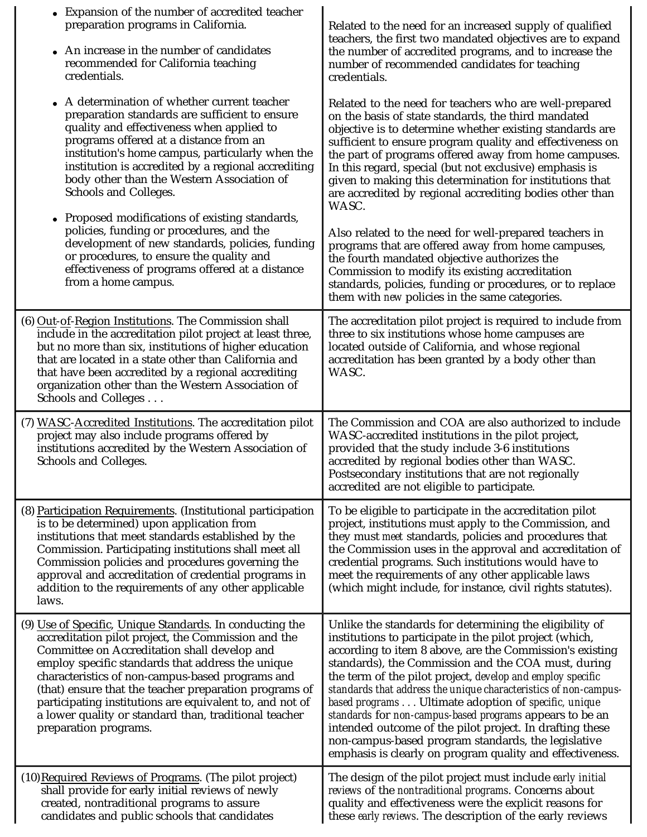| Expansion of the number of accredited teacher<br>preparation programs in California.<br>An increase in the number of candidates<br>recommended for California teaching<br>credentials.                                                                                                                                                                                                                                                                                                                                                                                                                               | Related to the need for an increased supply of qualified<br>teachers, the first two mandated objectives are to expand<br>the number of accredited programs, and to increase the<br>number of recommended candidates for teaching<br>credentials.                                                                                                                                                                                                                                                                                                                                                                                                                             |
|----------------------------------------------------------------------------------------------------------------------------------------------------------------------------------------------------------------------------------------------------------------------------------------------------------------------------------------------------------------------------------------------------------------------------------------------------------------------------------------------------------------------------------------------------------------------------------------------------------------------|------------------------------------------------------------------------------------------------------------------------------------------------------------------------------------------------------------------------------------------------------------------------------------------------------------------------------------------------------------------------------------------------------------------------------------------------------------------------------------------------------------------------------------------------------------------------------------------------------------------------------------------------------------------------------|
| A determination of whether current teacher<br>preparation standards are sufficient to ensure<br>quality and effectiveness when applied to<br>programs offered at a distance from an<br>institution's home campus, particularly when the<br>institution is accredited by a regional accrediting<br>body other than the Western Association of<br>Schools and Colleges.<br>Proposed modifications of existing standards,<br>policies, funding or procedures, and the<br>development of new standards, policies, funding<br>or procedures, to ensure the quality and<br>effectiveness of programs offered at a distance | Related to the need for teachers who are well-prepared<br>on the basis of state standards, the third mandated<br>objective is to determine whether existing standards are<br>sufficient to ensure program quality and effectiveness on<br>the part of programs offered away from home campuses.<br>In this regard, special (but not exclusive) emphasis is<br>given to making this determination for institutions that<br>are accredited by regional accrediting bodies other than<br>WASC.<br>Also related to the need for well-prepared teachers in<br>programs that are offered away from home campuses,<br>the fourth mandated objective authorizes the                  |
| from a home campus.                                                                                                                                                                                                                                                                                                                                                                                                                                                                                                                                                                                                  | Commission to modify its existing accreditation<br>standards, policies, funding or procedures, or to replace<br>them with <i>new</i> policies in the same categories.                                                                                                                                                                                                                                                                                                                                                                                                                                                                                                        |
| (6) Out-of-Region Institutions. The Commission shall<br>include in the accreditation pilot project at least three,<br>but no more than six, institutions of higher education<br>that are located in a state other than California and<br>that have been accredited by a regional accrediting<br>organization other than the Western Association of<br>Schools and Colleges                                                                                                                                                                                                                                           | The accreditation pilot project is required to include from<br>three to six institutions whose home campuses are<br>located outside of California, and whose regional<br>accreditation has been granted by a body other than<br>WASC.                                                                                                                                                                                                                                                                                                                                                                                                                                        |
| (7) WASC-Accredited Institutions. The accreditation pilot<br>project may also include programs offered by<br>institutions accredited by the Western Association of<br>Schools and Colleges.                                                                                                                                                                                                                                                                                                                                                                                                                          | The Commission and COA are also authorized to include<br>WASC-accredited institutions in the pilot project,<br>provided that the study include 3-6 institutions<br>accredited by regional bodies other than WASC.<br>Postsecondary institutions that are not regionally<br>accredited are not eligible to participate.                                                                                                                                                                                                                                                                                                                                                       |
| (8) Participation Requirements. (Institutional participation<br>is to be determined) upon application from<br>institutions that meet standards established by the<br>Commission. Participating institutions shall meet all<br>Commission policies and procedures governing the<br>approval and accreditation of credential programs in<br>addition to the requirements of any other applicable<br>laws.                                                                                                                                                                                                              | To be eligible to participate in the accreditation pilot<br>project, institutions must apply to the Commission, and<br>they must meet standards, policies and procedures that<br>the Commission uses in the approval and accreditation of<br>credential programs. Such institutions would have to<br>meet the requirements of any other applicable laws<br>(which might include, for instance, civil rights statutes).                                                                                                                                                                                                                                                       |
| (9) Use of Specific, Unique Standards. In conducting the<br>accreditation pilot project, the Commission and the<br>Committee on Accreditation shall develop and<br>employ specific standards that address the unique<br>characteristics of non-campus-based programs and<br>(that) ensure that the teacher preparation programs of<br>participating institutions are equivalent to, and not of<br>a lower quality or standard than, traditional teacher<br>preparation programs.                                                                                                                                     | Unlike the standards for determining the eligibility of<br>institutions to participate in the pilot project (which,<br>according to item 8 above, are the Commission's existing<br>standards), the Commission and the COA must, during<br>the term of the pilot project, develop and employ specific<br>standards that address the unique characteristics of non-campus-<br>based programs Ultimate adoption of specific, unique<br>standards for non-campus-based programs appears to be an<br>intended outcome of the pilot project. In drafting these<br>non-campus-based program standards, the legislative<br>emphasis is clearly on program quality and effectiveness. |
| (10) Required Reviews of Programs. (The pilot project)<br>shall provide for early initial reviews of newly<br>created, nontraditional programs to assure<br>candidates and public schools that candidates                                                                                                                                                                                                                                                                                                                                                                                                            | The design of the pilot project must include early initial<br>reviews of the nontraditional programs. Concerns about<br>quality and effectiveness were the explicit reasons for<br>these early reviews. The description of the early reviews                                                                                                                                                                                                                                                                                                                                                                                                                                 |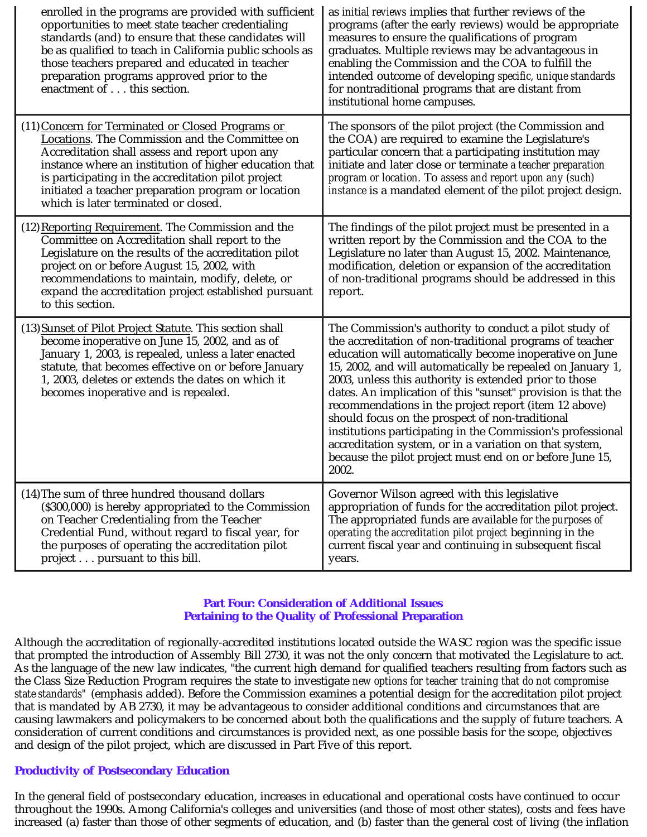| enrolled in the programs are provided with sufficient<br>opportunities to meet state teacher credentialing<br>standards (and) to ensure that these candidates will<br>be as qualified to teach in California public schools as<br>those teachers prepared and educated in teacher<br>preparation programs approved prior to the<br>enactment of this section.         | as <i>initial reviews</i> implies that further reviews of the<br>programs (after the early reviews) would be appropriate<br>measures to ensure the qualifications of program<br>graduates. Multiple reviews may be advantageous in<br>enabling the Commission and the COA to fulfill the<br>intended outcome of developing specific, unique standards<br>for nontraditional programs that are distant from<br>institutional home campuses.                                                                                                                                                                                                                                       |
|-----------------------------------------------------------------------------------------------------------------------------------------------------------------------------------------------------------------------------------------------------------------------------------------------------------------------------------------------------------------------|----------------------------------------------------------------------------------------------------------------------------------------------------------------------------------------------------------------------------------------------------------------------------------------------------------------------------------------------------------------------------------------------------------------------------------------------------------------------------------------------------------------------------------------------------------------------------------------------------------------------------------------------------------------------------------|
| (11) Concern for Terminated or Closed Programs or<br>Locations. The Commission and the Committee on<br>Accreditation shall assess and report upon any<br>instance where an institution of higher education that<br>is participating in the accreditation pilot project<br>initiated a teacher preparation program or location<br>which is later terminated or closed. | The sponsors of the pilot project (the Commission and<br>the COA) are required to examine the Legislature's<br>particular concern that a participating institution may<br>initiate and later close or terminate a teacher preparation<br>program or location. To assess and report upon any (such)<br>instance is a mandated element of the pilot project design.                                                                                                                                                                                                                                                                                                                |
| (12) Reporting Requirement. The Commission and the<br>Committee on Accreditation shall report to the<br>Legislature on the results of the accreditation pilot<br>project on or before August 15, 2002, with<br>recommendations to maintain, modify, delete, or<br>expand the accreditation project established pursuant<br>to this section.                           | The findings of the pilot project must be presented in a<br>written report by the Commission and the COA to the<br>Legislature no later than August 15, 2002. Maintenance,<br>modification, deletion or expansion of the accreditation<br>of non-traditional programs should be addressed in this<br>report.                                                                                                                                                                                                                                                                                                                                                                     |
| (13) Sunset of Pilot Project Statute. This section shall<br>become inoperative on June 15, 2002, and as of<br>January 1, 2003, is repealed, unless a later enacted<br>statute, that becomes effective on or before January<br>1, 2003, deletes or extends the dates on which it<br>becomes inoperative and is repealed.                                               | The Commission's authority to conduct a pilot study of<br>the accreditation of non-traditional programs of teacher<br>education will automatically become inoperative on June<br>15, 2002, and will automatically be repealed on January 1,<br>2003, unless this authority is extended prior to those<br>dates. An implication of this "sunset" provision is that the<br>recommendations in the project report (item 12 above)<br>should focus on the prospect of non-traditional<br>institutions participating in the Commission's professional<br>accreditation system, or in a variation on that system,<br>because the pilot project must end on or before June 15,<br>2002. |
| (14) The sum of three hundred thousand dollars<br>(\$300,000) is hereby appropriated to the Commission<br>on Teacher Credentialing from the Teacher<br>Credential Fund, without regard to fiscal year, for<br>the purposes of operating the accreditation pilot<br>project pursuant to this bill.                                                                     | Governor Wilson agreed with this legislative<br>appropriation of funds for the accreditation pilot project.<br>The appropriated funds are available for the purposes of<br>operating the accreditation pilot project beginning in the<br>current fiscal year and continuing in subsequent fiscal<br>years.                                                                                                                                                                                                                                                                                                                                                                       |

### **Part Four: Consideration of Additional Issues Pertaining to the Quality of Professional Preparation**

Although the accreditation of regionally-accredited institutions located outside the WASC region was the specific issue that prompted the introduction of Assembly Bill 2730, it was not the only concern that motivated the Legislature to act. As the language of the new law indicates, "the current high demand for qualified teachers resulting from factors such as the Class Size Reduction Program requires the state to investigate *new options for teacher training that do not compromise*  state standards" (emphasis added). Before the Commission examines a potential design for the accreditation pilot project that is mandated by AB 2730, it may be advantageous to consider additional conditions and circumstances that are causing lawmakers and policymakers to be concerned about both the qualifications and the supply of future teachers. A consideration of current conditions and circumstances is provided next, as one possible basis for the scope, objectives and design of the pilot project, which are discussed in Part Five of this report.

### **Productivity of Postsecondary Education**

In the general field of postsecondary education, increases in educational and operational costs have continued to occur throughout the 1990s. Among California's colleges and universities (and those of most other states), costs and fees have increased (a) faster than those of other segments of education, and (b) faster than the general cost of living (the inflation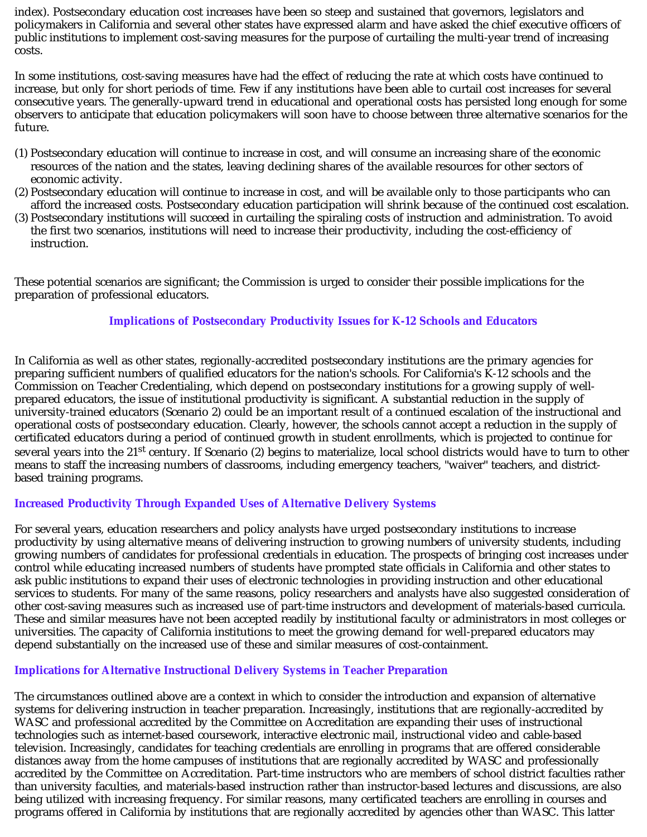index). Postsecondary education cost increases have been so steep and sustained that governors, legislators and policymakers in California and several other states have expressed alarm and have asked the chief executive officers of public institutions to implement cost-saving measures for the purpose of curtailing the multi-year trend of increasing costs.

In some institutions, cost-saving measures have had the effect of reducing the rate at which costs have continued to increase, but only for short periods of time. Few if any institutions have been able to curtail cost increases for several consecutive years. The generally-upward trend in educational and operational costs has persisted long enough for some observers to anticipate that education policymakers will soon have to choose between three alternative scenarios for the future.

- (1) Postsecondary education will continue to increase in cost, and will consume an increasing share of the economic resources of the nation and the states, leaving declining shares of the available resources for other sectors of economic activity.
- (2) Postsecondary education will continue to increase in cost, and will be available only to those participants who can afford the increased costs. Postsecondary education participation will shrink because of the continued cost escalation.
- (3) Postsecondary institutions will succeed in curtailing the spiraling costs of instruction and administration. To avoid the first two scenarios, institutions will need to increase their productivity, including the cost-efficiency of instruction.

These potential scenarios are significant; the Commission is urged to consider their possible implications for the preparation of professional educators.

# **Implications of Postsecondary Productivity Issues for K-12 Schools and Educators**

In California as well as other states, regionally-accredited postsecondary institutions are the primary agencies for preparing sufficient numbers of qualified educators for the nation's schools. For California's K-12 schools and the Commission on Teacher Credentialing, which depend on postsecondary institutions for a growing supply of wellprepared educators, the issue of institutional productivity is significant. A substantial reduction in the supply of university-trained educators (Scenario 2) could be an important result of a continued escalation of the instructional and operational costs of postsecondary education. Clearly, however, the schools cannot accept a reduction in the supply of certificated educators during a period of continued growth in student enrollments, which is projected to continue for several years into the 21<sup>st</sup> century. If Scenario (2) begins to materialize, local school districts would have to turn to other means to staff the increasing numbers of classrooms, including emergency teachers, "waiver" teachers, and districtbased training programs.

### **Increased Productivity Through Expanded Uses of Alternative Delivery Systems**

For several years, education researchers and policy analysts have urged postsecondary institutions to increase productivity by using alternative means of delivering instruction to growing numbers of university students, including growing numbers of candidates for professional credentials in education. The prospects of bringing cost increases under control while educating increased numbers of students have prompted state officials in California and other states to ask public institutions to expand their uses of electronic technologies in providing instruction and other educational services to students. For many of the same reasons, policy researchers and analysts have also suggested consideration of other cost-saving measures such as increased use of part-time instructors and development of materials-based curricula. These and similar measures have not been accepted readily by institutional faculty or administrators in most colleges or universities. The capacity of California institutions to meet the growing demand for well-prepared educators may depend substantially on the increased use of these and similar measures of cost-containment.

### **Implications for Alternative Instructional Delivery Systems in Teacher Preparation**

The circumstances outlined above are a context in which to consider the introduction and expansion of alternative systems for delivering instruction in teacher preparation. Increasingly, institutions that are regionally-accredited by WASC and professional accredited by the Committee on Accreditation are expanding their uses of instructional technologies such as internet-based coursework, interactive electronic mail, instructional video and cable-based television. Increasingly, candidates for teaching credentials are enrolling in programs that are offered considerable distances away from the home campuses of institutions that are regionally accredited by WASC and professionally accredited by the Committee on Accreditation. Part-time instructors who are members of school district faculties rather than university faculties, and materials-based instruction rather than instructor-based lectures and discussions, are also being utilized with increasing frequency. For similar reasons, many certificated teachers are enrolling in courses and programs offered in California by institutions that are regionally accredited by agencies other than WASC. This latter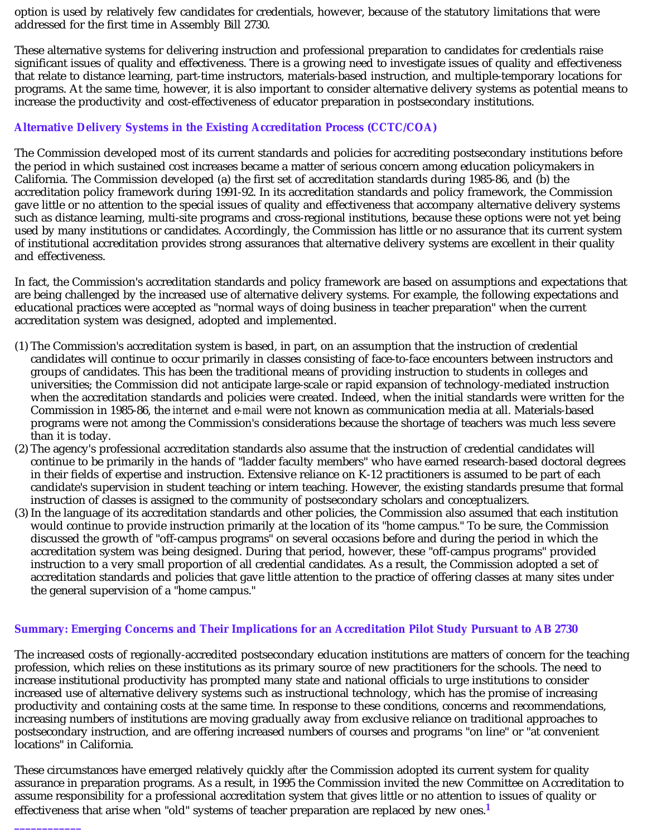option is used by relatively few candidates for credentials, however, because of the statutory limitations that were addressed for the first time in Assembly Bill 2730.

These alternative systems for delivering instruction and professional preparation to candidates for credentials raise significant issues of quality and effectiveness. There is a growing need to investigate issues of quality and effectiveness that relate to distance learning, part-time instructors, materials-based instruction, and multiple-temporary locations for programs. At the same time, however, it is also important to consider alternative delivery systems as potential means to increase the productivity and cost-effectiveness of educator preparation in postsecondary institutions.

### **Alternative Delivery Systems in the Existing Accreditation Process (CCTC/COA)**

The Commission developed most of its current standards and policies for accrediting postsecondary institutions before the period in which sustained cost increases became a matter of serious concern among education policymakers in California. The Commission developed (a) the first set of accreditation standards during 1985-86, and (b) the accreditation policy framework during 1991-92. In its accreditation standards and policy framework, the Commission gave little or no attention to the special issues of quality and effectiveness that accompany alternative delivery systems such as distance learning, multi-site programs and cross-regional institutions, because these options were not yet being used by many institutions or candidates. Accordingly, the Commission has little or no assurance that its current system of institutional accreditation provides strong assurances that alternative delivery systems are excellent in their quality and effectiveness.

In fact, the Commission's accreditation standards and policy framework are based on assumptions and expectations that are being challenged by the increased use of alternative delivery systems. For example, the following expectations and educational practices were accepted as "normal ways of doing business in teacher preparation" when the current accreditation system was designed, adopted and implemented.

- (1) The Commission's accreditation system is based, in part, on an assumption that the instruction of credential candidates will continue to occur primarily in classes consisting of face-to-face encounters between instructors and groups of candidates. This has been the traditional means of providing instruction to students in colleges and universities; the Commission did not anticipate large-scale or rapid expansion of technology-mediated instruction when the accreditation standards and policies were created. Indeed, when the initial standards were written for the Commission in 1985-86, the *internet* and *e-mail* were not known as communication media at all. Materials-based programs were not among the Commission's considerations because the shortage of teachers was much less severe than it is today.
- (2) The agency's professional accreditation standards also assume that the instruction of credential candidates will continue to be primarily in the hands of "ladder faculty members" who have earned research-based doctoral degrees in their fields of expertise and instruction. Extensive reliance on K-12 practitioners is assumed to be part of each candidate's supervision in student teaching or intern teaching. However, the existing standards presume that formal instruction of classes is assigned to the community of postsecondary scholars and conceptualizers.
- (3) In the language of its accreditation standards and other policies, the Commission also assumed that each institution would continue to provide instruction primarily at the location of its "home campus." To be sure, the Commission discussed the growth of "off-campus programs" on several occasions before and during the period in which the accreditation system was being designed. During that period, however, these "off-campus programs" provided instruction to a very small proportion of all credential candidates. As a result, the Commission adopted a set of accreditation standards and policies that gave little attention to the practice of offering classes at many sites under the general supervision of a "home campus."

### **Summary: Emerging Concerns and Their Implications for an Accreditation Pilot Study Pursuant to AB 2730**

The increased costs of regionally-accredited postsecondary education institutions are matters of concern for the teaching profession, which relies on these institutions as its primary source of new practitioners for the schools. The need to increase institutional productivity has prompted many state and national officials to urge institutions to consider increased use of alternative delivery systems such as instructional technology, which has the promise of increasing productivity and containing costs at the same time. In response to these conditions, concerns and recommendations, increasing numbers of institutions are moving gradually away from exclusive reliance on traditional approaches to postsecondary instruction, and are offering increased numbers of courses and programs "on line" or "at convenient locations" in California.

These circumstances have emerged relatively quickly *after* the Commission adopted its current system for quality assurance in preparation programs. As a result, in 1995 the Commission invited the new Committee on Accreditation to assume responsibility for a professional accreditation system that gives little or no attention to issues of quality or effectiveness that arise when "old" systems of teacher preparation are replaced by new ones. **1**

**\_\_\_\_\_\_\_\_\_\_\_\_**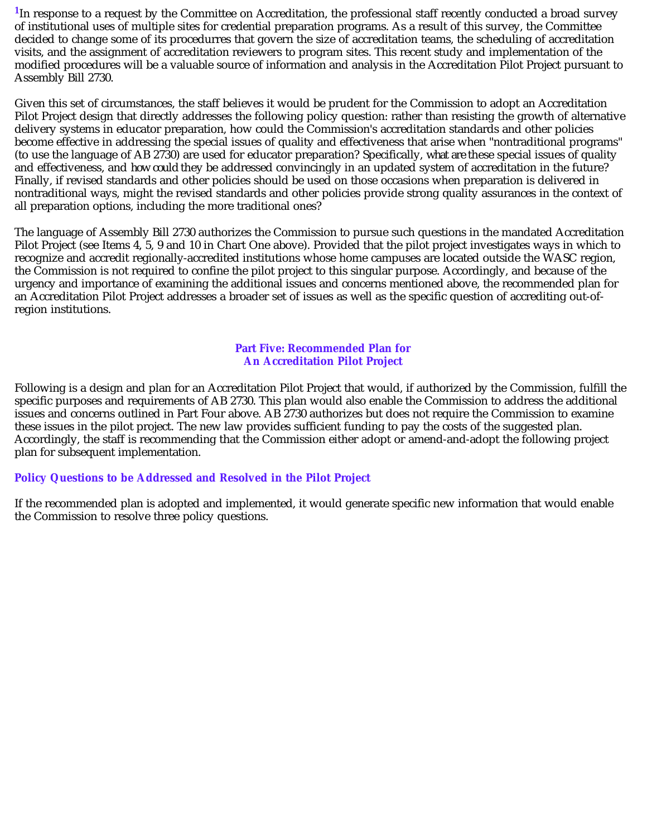<sup>1</sup>In response to a request by the Committee on Accreditation, the professional staff recently conducted a broad survey of institutional uses of multiple sites for credential preparation programs. As a result of this survey, the Committee decided to change some of its procedurres that govern the size of accreditation teams, the scheduling of accreditation visits, and the assignment of accreditation reviewers to program sites. This recent study and implementation of the modified procedures will be a valuable source of information and analysis in the Accreditation Pilot Project pursuant to Assembly Bill 2730.

Given this set of circumstances, the staff believes it would be prudent for the Commission to adopt an Accreditation Pilot Project design that directly addresses the following policy question: rather than resisting the growth of alternative delivery systems in educator preparation, how could the Commission's accreditation standards and other policies become effective in addressing the special issues of quality and effectiveness that arise when "nontraditional programs" (to use the language of AB 2730) are used for educator preparation? Specifically, *what are* these special issues of quality and effectiveness, and *how could* they be addressed convincingly in an updated system of accreditation in the future? Finally, if revised standards and other policies should be used on those occasions when preparation is delivered in nontraditional ways, might the revised standards and other policies provide strong quality assurances in the context of all preparation options, including the more traditional ones?

The language of Assembly Bill 2730 authorizes the Commission to pursue such questions in the mandated Accreditation Pilot Project (see Items 4, 5, 9 and 10 in Chart One above). Provided that the pilot project investigates ways in which to recognize and accredit regionally-accredited institutions whose home campuses are located outside the WASC region, the Commission is not required to confine the pilot project to this singular purpose. Accordingly, and because of the urgency and importance of examining the additional issues and concerns mentioned above, the recommended plan for an Accreditation Pilot Project addresses a broader set of issues as well as the specific question of accrediting out-ofregion institutions.

# **Part Five: Recommended Plan for An Accreditation Pilot Project**

Following is a design and plan for an Accreditation Pilot Project that would, if authorized by the Commission, fulfill the specific purposes and requirements of AB 2730. This plan would also enable the Commission to address the additional issues and concerns outlined in Part Four above. AB 2730 authorizes but does not require the Commission to examine these issues in the pilot project. The new law provides sufficient funding to pay the costs of the suggested plan. Accordingly, the staff is recommending that the Commission either adopt or amend-and-adopt the following project plan for subsequent implementation.

# **Policy Questions to be Addressed and Resolved in the Pilot Project**

If the recommended plan is adopted and implemented, it would generate specific new information that would enable the Commission to resolve three policy questions.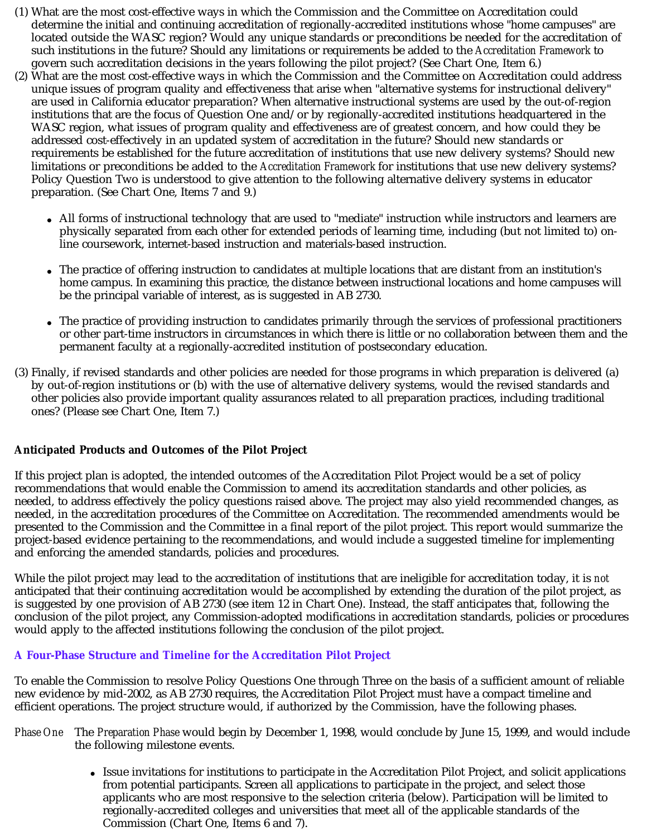- (1) What are the most cost-effective ways in which the Commission and the Committee on Accreditation could determine the initial and continuing accreditation of regionally-accredited institutions whose "home campuses" are located outside the WASC region? Would any unique standards or preconditions be needed for the accreditation of such institutions in the future? Should any limitations or requirements be added to the *Accreditation Framework* to govern such accreditation decisions in the years following the pilot project? (See Chart One, Item 6.)
- (2) What are the most cost-effective ways in which the Commission and the Committee on Accreditation could address unique issues of program quality and effectiveness that arise when "alternative systems for instructional delivery" are used in California educator preparation? When alternative instructional systems are used by the out-of-region institutions that are the focus of Question One and/or by regionally-accredited institutions headquartered in the WASC region, what issues of program quality and effectiveness are of greatest concern, and how could they be addressed cost-effectively in an updated system of accreditation in the future? Should new standards or requirements be established for the future accreditation of institutions that use new delivery systems? Should new limitations or preconditions be added to the *Accreditation Framework* for institutions that use new delivery systems? Policy Question Two is understood to give attention to the following alternative delivery systems in educator preparation. (See Chart One, Items 7 and 9.)
	- All forms of instructional technology that are used to "mediate" instruction while instructors and learners are physically separated from each other for extended periods of learning time, including (but not limited to) online coursework, internet-based instruction and materials-based instruction.
	- The practice of offering instruction to candidates at multiple locations that are distant from an institution's home campus. In examining this practice, the distance between instructional locations and home campuses will be the principal variable of interest, as is suggested in AB 2730.
	- The practice of providing instruction to candidates primarily through the services of professional practitioners or other part-time instructors in circumstances in which there is little or no collaboration between them and the permanent faculty at a regionally-accredited institution of postsecondary education.
- (3) Finally, if revised standards and other policies are needed for those programs in which preparation is delivered (a) by out-of-region institutions or (b) with the use of alternative delivery systems, would the revised standards and other policies also provide important quality assurances related to all preparation practices, including traditional ones? (Please see Chart One, Item 7.)

# **Anticipated Products and Outcomes of the Pilot Project**

If this project plan is adopted, the intended outcomes of the Accreditation Pilot Project would be a set of policy recommendations that would enable the Commission to amend its accreditation standards and other policies, as needed, to address effectively the policy questions raised above. The project may also yield recommended changes, as needed, in the accreditation procedures of the Committee on Accreditation. The recommended amendments would be presented to the Commission and the Committee in a final report of the pilot project. This report would summarize the project-based evidence pertaining to the recommendations, and would include a suggested timeline for implementing and enforcing the amended standards, policies and procedures.

While the pilot project may lead to the accreditation of institutions that are ineligible for accreditation today, it is *not* anticipated that their continuing accreditation would be accomplished by extending the duration of the pilot project, as is suggested by one provision of AB 2730 (see item 12 in Chart One). Instead, the staff anticipates that, following the conclusion of the pilot project, any Commission-adopted modifications in accreditation standards, policies or procedures would apply to the affected institutions following the conclusion of the pilot project.

# **A Four-Phase Structure and Timeline for the Accreditation Pilot Project**

To enable the Commission to resolve Policy Questions One through Three on the basis of a sufficient amount of reliable new evidence by mid-2002, as AB 2730 requires, the Accreditation Pilot Project must have a compact timeline and efficient operations. The project structure would, if authorized by the Commission, have the following phases.

- *Phase One* The *Preparation Phase* would begin by December 1, 1998, would conclude by June 15, 1999, and would include the following milestone events.
	- Issue invitations for institutions to participate in the Accreditation Pilot Project, and solicit applications from potential participants. Screen all applications to participate in the project, and select those applicants who are most responsive to the selection criteria (below). Participation will be limited to regionally-accredited colleges and universities that meet all of the applicable standards of the Commission (Chart One, Items 6 and 7).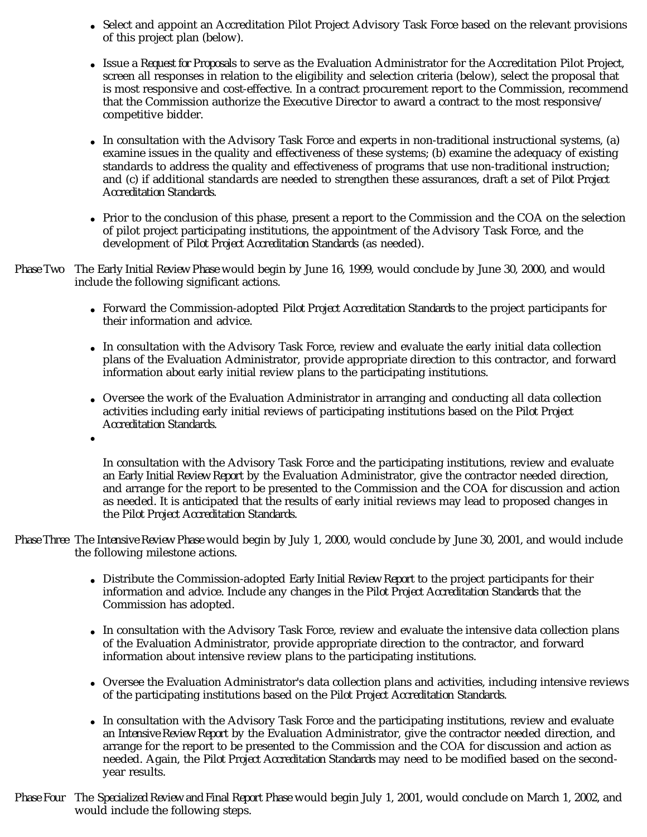- Select and appoint an Accreditation Pilot Project Advisory Task Force based on the relevant provisions of this project plan (below).
- Issue a *Request for Proposals* to serve as the Evaluation Administrator for the Accreditation Pilot Project, screen all responses in relation to the eligibility and selection criteria (below), select the proposal that is most responsive and cost-effective. In a contract procurement report to the Commission, recommend that the Commission authorize the Executive Director to award a contract to the most responsive/ competitive bidder.
- In consultation with the Advisory Task Force and experts in non-traditional instructional systems, (a) examine issues in the quality and effectiveness of these systems; (b) examine the adequacy of existing standards to address the quality and effectiveness of programs that use non-traditional instruction; and (c) if additional standards are needed to strengthen these assurances, draft a set of *Pilot Project*  . *Accreditation Standards*
- Prior to the conclusion of this phase, present a report to the Commission and the COA on the selection of pilot project participating institutions, the appointment of the Advisory Task Force, and the development of *Pilot Project Accreditation Standards* (as needed).
- Phase Two The Early Initial Review Phase would begin by June 16, 1999, would conclude by June 30, 2000, and would include the following significant actions.
	- Forward the Commission-adopted *Pilot Project Accreditation Standards* to the project participants for their information and advice.
	- In consultation with the Advisory Task Force, review and evaluate the early initial data collection plans of the Evaluation Administrator, provide appropriate direction to this contractor, and forward information about early initial review plans to the participating institutions.
	- Oversee the work of the Evaluation Administrator in arranging and conducting all data collection activities including early initial reviews of participating institutions based on the *Pilot Project Accreditation Standards.*
	- $\bullet$

In consultation with the Advisory Task Force and the participating institutions, review and evaluate an *Early Initial Review Report* by the Evaluation Administrator, give the contractor needed direction, and arrange for the report to be presented to the Commission and the COA for discussion and action as needed. It is anticipated that the results of early initial reviews may lead to proposed changes in the *Pilot Project Accreditation Standards.*

- *Phase Three* The *Intensive Review Phase* would begin by July 1, 2000, would conclude by June 30, 2001, and would include the following milestone actions.
	- Distribute the Commission-adopted *Early Initial Review Report* to the project participants for their information and advice. Include any changes in the *Pilot Project Accreditation Standards* that the Commission has adopted.
	- In consultation with the Advisory Task Force, review and evaluate the intensive data collection plans of the Evaluation Administrator, provide appropriate direction to the contractor, and forward information about intensive review plans to the participating institutions.
	- Oversee the Evaluation Administrator's data collection plans and activities, including intensive reviews of the participating institutions based on the *Pilot Project Accreditation Standards.*
	- In consultation with the Advisory Task Force and the participating institutions, review and evaluate an *Intensive Review Report* by the Evaluation Administrator, give the contractor needed direction, and arrange for the report to be presented to the Commission and the COA for discussion and action as needed. Again, the *Pilot Project Accreditation Standards* may need to be modified based on the secondyear results.
- *Phase Four "*The *Specialized Review and Final Report Phase* would begin July 1, 2001, would conclude on March 1, 2002, and would include the following steps.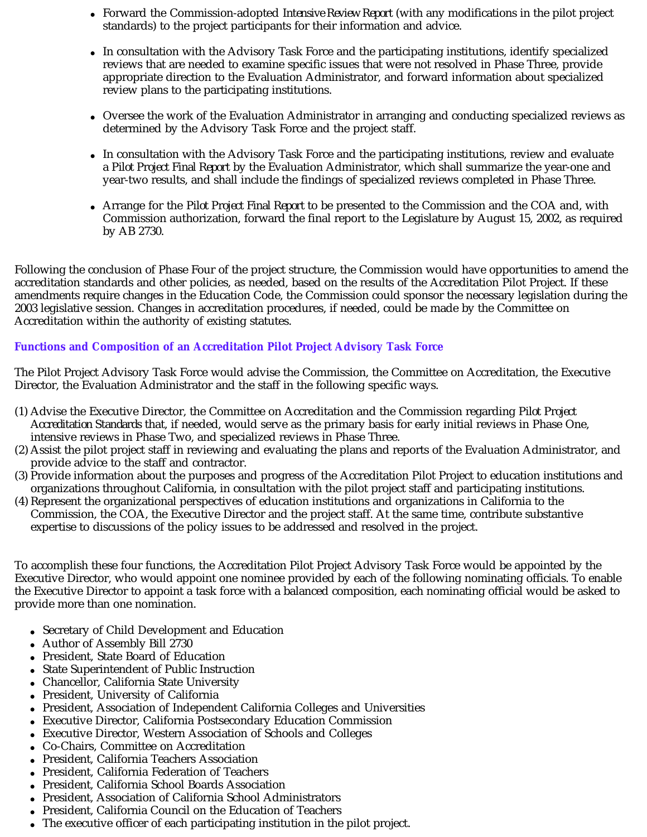- Forward the Commission-adopted *Intensive Review Report* (with any modifications in the pilot project standards) to the project participants for their information and advice.
- In consultation with the Advisory Task Force and the participating institutions, identify specialized reviews that are needed to examine specific issues that were not resolved in Phase Three, provide appropriate direction to the Evaluation Administrator, and forward information about specialized review plans to the participating institutions.
- Oversee the work of the Evaluation Administrator in arranging and conducting specialized reviews as determined by the Advisory Task Force and the project staff.
- In consultation with the Advisory Task Force and the participating institutions, review and evaluate a *Pilot Project Final Report* by the Evaluation Administrator, which shall summarize the year-one and year-two results, and shall include the findings of specialized reviews completed in Phase Three.
- Arrange for the *Pilot Project Final Report* to be presented to the Commission and the COA and, with Commission authorization, forward the final report to the Legislature by August 15, 2002, as required by AB 2730.

Following the conclusion of Phase Four of the project structure, the Commission would have opportunities to amend the accreditation standards and other policies, as needed, based on the results of the Accreditation Pilot Project. If these amendments require changes in the Education Code, the Commission could sponsor the necessary legislation during the 2003 legislative session. Changes in accreditation procedures, if needed, could be made by the Committee on Accreditation within the authority of existing statutes.

# **Functions and Composition of an Accreditation Pilot Project Advisory Task Force**

The Pilot Project Advisory Task Force would advise the Commission, the Committee on Accreditation, the Executive Director, the Evaluation Administrator and the staff in the following specific ways.

- (1) Advise the Executive Director, the Committee on Accreditation and the Commission regarding *Pilot Project*  Accreditation Standards that, if needed, would serve as the primary basis for early initial reviews in Phase One, intensive reviews in Phase Two, and specialized reviews in Phase Three.
- (2) Assist the pilot project staff in reviewing and evaluating the plans and reports of the Evaluation Administrator, and provide advice to the staff and contractor.
- (3) Provide information about the purposes and progress of the Accreditation Pilot Project to education institutions and organizations throughout California, in consultation with the pilot project staff and participating institutions.
- (4) Represent the organizational perspectives of education institutions and organizations in California to the Commission, the COA, the Executive Director and the project staff. At the same time, contribute substantive expertise to discussions of the policy issues to be addressed and resolved in the project.

To accomplish these four functions, the Accreditation Pilot Project Advisory Task Force would be appointed by the Executive Director, who would appoint one nominee provided by each of the following nominating officials. To enable the Executive Director to appoint a task force with a balanced composition, each nominating official would be asked to provide more than one nomination.

- Secretary of Child Development and Education
- Author of Assembly Bill 2730
- President, State Board of Education
- State Superintendent of Public Instruction
- Chancellor, California State University
- President, University of California
- President, Association of Independent California Colleges and Universities
- Executive Director, California Postsecondary Education Commission  $\bullet$
- Executive Director, Western Association of Schools and Colleges
- Co-Chairs, Committee on Accreditation
- President, California Teachers Association
- President, California Federation of Teachers  $\bullet$
- President, California School Boards Association  $\bullet$
- President, Association of California School Administrators  $\bullet$
- President, California Council on the Education of Teachers
- The executive officer of each participating institution in the pilot project.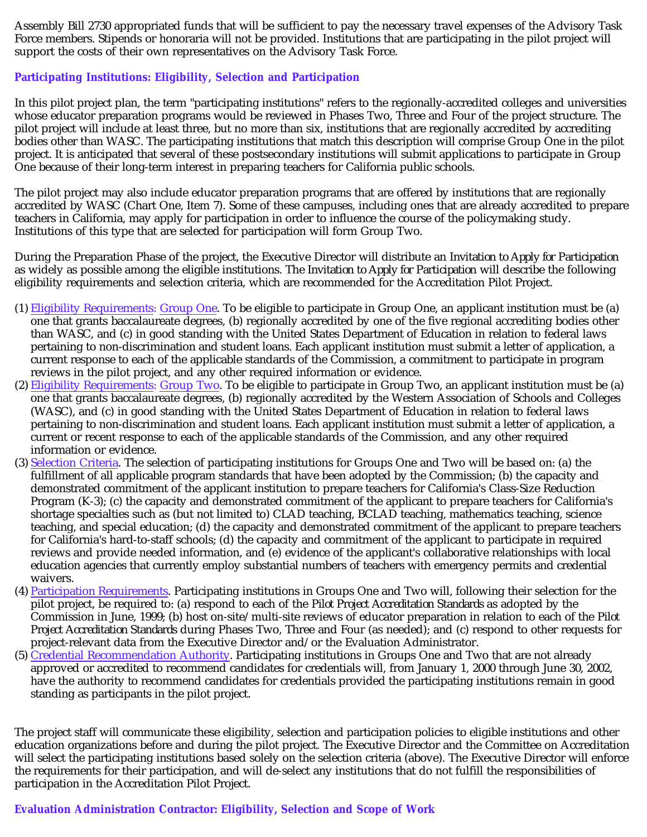Assembly Bill 2730 appropriated funds that will be sufficient to pay the necessary travel expenses of the Advisory Task Force members. Stipends or honoraria will not be provided. Institutions that are participating in the pilot project will support the costs of their own representatives on the Advisory Task Force.

# **Participating Institutions: Eligibility, Selection and Participation**

In this pilot project plan, the term "participating institutions" refers to the regionally-accredited colleges and universities whose educator preparation programs would be reviewed in Phases Two, Three and Four of the project structure. The pilot project will include at least three, but no more than six, institutions that are regionally accredited by accrediting bodies other than WASC. The participating institutions that match this description will comprise Group One in the pilot project. It is anticipated that several of these postsecondary institutions will submit applications to participate in Group One because of their long-term interest in preparing teachers for California public schools.

The pilot project may also include educator preparation programs that are offered by institutions that are regionally accredited by WASC (Chart One, Item 7). Some of these campuses, including ones that are already accredited to prepare teachers in California, may apply for participation in order to influence the course of the policymaking study. Institutions of this type that are selected for participation will form Group Two.

During the Preparation Phase of the project, the Executive Director will distribute an *Invitation to Apply for Participation* as widely as possible among the eligible institutions. The *Invitation to Apply for Participation* will describe the following eligibility requirements and selection criteria, which are recommended for the Accreditation Pilot Project.

- (1) Eligibility Requirements: Group One. To be eligible to participate in Group One, an applicant institution must be (a) one that grants baccalaureate degrees, (b) regionally accredited by one of the five regional accrediting bodies other than WASC, and (c) in good standing with the United States Department of Education in relation to federal laws pertaining to non-discrimination and student loans. Each applicant institution must submit a letter of application, a current response to each of the applicable standards of the Commission, a commitment to participate in program reviews in the pilot project, and any other required information or evidence.
- (2) Eligibility Requirements: Group Two. To be eligible to participate in Group Two, an applicant institution must be (a) one that grants baccalaureate degrees, (b) regionally accredited by the Western Association of Schools and Colleges (WASC), and (c) in good standing with the United States Department of Education in relation to federal laws pertaining to non-discrimination and student loans. Each applicant institution must submit a letter of application, a current or recent response to each of the applicable standards of the Commission, and any other required information or evidence.
- (3) Selection Criteria. The selection of participating institutions for Groups One and Two will be based on: (a) the fulfillment of all applicable program standards that have been adopted by the Commission; (b) the capacity and demonstrated commitment of the applicant institution to prepare teachers for California's Class-Size Reduction Program (K-3); (c) the capacity and demonstrated commitment of the applicant to prepare teachers for California's shortage specialties such as (but not limited to) CLAD teaching, BCLAD teaching, mathematics teaching, science teaching, and special education; (d) the capacity and demonstrated commitment of the applicant to prepare teachers for California's hard-to-staff schools; (d) the capacity and commitment of the applicant to participate in required reviews and provide needed information, and (e) evidence of the applicant's collaborative relationships with local education agencies that currently employ substantial numbers of teachers with emergency permits and credential waivers.
- (4) Participation Requirements. Participating institutions in Groups One and Two will, following their selection for the pilot project, be required to: (a) respond to each of the *Pilot Project Accreditation Standards* as adopted by the Commission in June, 1999; (b) host on-site/multi-site reviews of educator preparation in relation to each of the *Pilot Project Accreditation Standards* during Phases Two, Three and Four (as needed); and (c) respond to other requests for project-relevant data from the Executive Director and/or the Evaluation Administrator.
- (5) Credential Recommendation Authority. Participating institutions in Groups One and Two that are not already approved or accredited to recommend candidates for credentials will, from January 1, 2000 through June 30, 2002, have the authority to recommend candidates for credentials provided the participating institutions remain in good standing as participants in the pilot project.

The project staff will communicate these eligibility, selection and participation policies to eligible institutions and other education organizations before and during the pilot project. The Executive Director and the Committee on Accreditation will select the participating institutions based solely on the selection criteria (above). The Executive Director will enforce the requirements for their participation, and will de-select any institutions that do not fulfill the responsibilities of participation in the Accreditation Pilot Project.

# **Evaluation Administration Contractor: Eligibility, Selection and Scope of Work**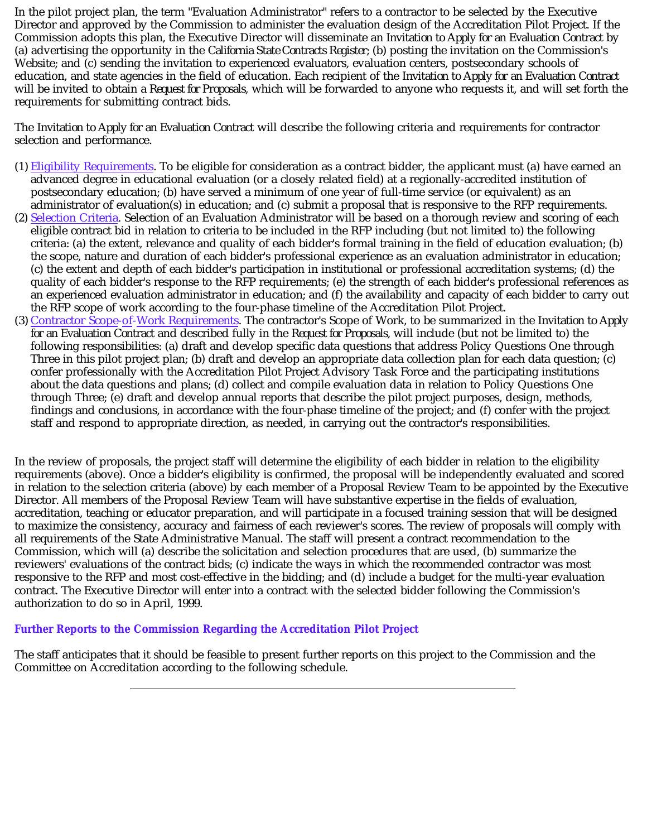In the pilot project plan, the term "Evaluation Administrator" refers to a contractor to be selected by the Executive Director and approved by the Commission to administer the evaluation design of the Accreditation Pilot Project. If the Commission adopts this plan, the Executive Director will disseminate an *Invitation to Apply for an Evaluation Contract* by (a) advertising the opportunity in the *California State Contracts Register;* (b) posting the invitation on the Commission's Website; and (c) sending the invitation to experienced evaluators, evaluation centers, postsecondary schools of education, and state agencies in the field of education. Each recipient of the *Invitation to Apply for an Evaluation Contract* will be invited to obtain a *Request for Proposals,* which will be forwarded to anyone who requests it, and will set forth the requirements for submitting contract bids.

The *Invitation to Apply for an Evaluation Contract* will describe the following criteria and requirements for contractor selection and performance.

- (1) Eligibility Requirements. To be eligible for consideration as a contract bidder, the applicant must (a) have earned an advanced degree in educational evaluation (or a closely related field) at a regionally-accredited institution of postsecondary education; (b) have served a minimum of one year of full-time service (or equivalent) as an administrator of evaluation(s) in education; and (c) submit a proposal that is responsive to the RFP requirements.
- (2) Selection Criteria. Selection of an Evaluation Administrator will be based on a thorough review and scoring of each eligible contract bid in relation to criteria to be included in the RFP including (but not limited to) the following criteria: (a) the extent, relevance and quality of each bidder's formal training in the field of education evaluation; (b) the scope, nature and duration of each bidder's professional experience as an evaluation administrator in education; (c) the extent and depth of each bidder's participation in institutional or professional accreditation systems; (d) the quality of each bidder's response to the RFP requirements; (e) the strength of each bidder's professional references as an experienced evaluation administrator in education; and (f) the availability and capacity of each bidder to carry out the RFP scope of work according to the four-phase timeline of the Accreditation Pilot Project.
- (3) Contractor Scope-of-Work Requirements. The contractor's Scope of Work, to be summarized in the *Invitation to Apply for an Evaluation Contract* and described fully in the *Request for Proposals,* will include (but not be limited to) the following responsibilities: (a) draft and develop specific data questions that address Policy Questions One through Three in this pilot project plan; (b) draft and develop an appropriate data collection plan for each data question; (c) confer professionally with the Accreditation Pilot Project Advisory Task Force and the participating institutions about the data questions and plans; (d) collect and compile evaluation data in relation to Policy Questions One through Three; (e) draft and develop annual reports that describe the pilot project purposes, design, methods, findings and conclusions, in accordance with the four-phase timeline of the project; and (f) confer with the project staff and respond to appropriate direction, as needed, in carrying out the contractor's responsibilities.

In the review of proposals, the project staff will determine the eligibility of each bidder in relation to the eligibility requirements (above). Once a bidder's eligibility is confirmed, the proposal will be independently evaluated and scored in relation to the selection criteria (above) by each member of a Proposal Review Team to be appointed by the Executive Director. All members of the Proposal Review Team will have substantive expertise in the fields of evaluation, accreditation, teaching or educator preparation, and will participate in a focused training session that will be designed to maximize the consistency, accuracy and fairness of each reviewer's scores. The review of proposals will comply with all requirements of the State Administrative Manual. The staff will present a contract recommendation to the Commission, which will (a) describe the solicitation and selection procedures that are used, (b) summarize the reviewers' evaluations of the contract bids; (c) indicate the ways in which the recommended contractor was most responsive to the RFP and most cost-effective in the bidding; and (d) include a budget for the multi-year evaluation contract. The Executive Director will enter into a contract with the selected bidder following the Commission's authorization to do so in April, 1999.

# **Further Reports to the Commission Regarding the Accreditation Pilot Project**

The staff anticipates that it should be feasible to present further reports on this project to the Commission and the Committee on Accreditation according to the following schedule.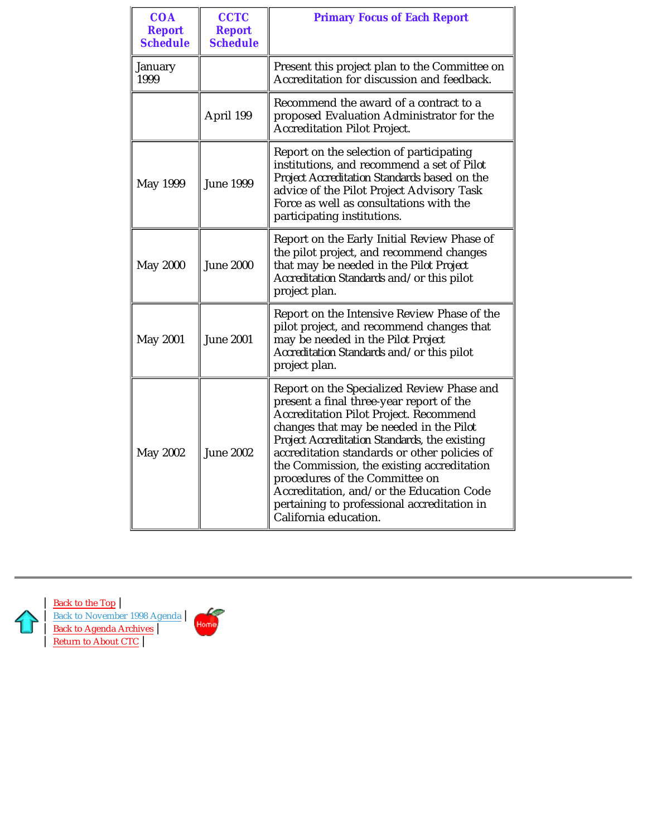| <b>COA</b><br><b>Report</b><br><b>Schedule</b> | <b>CCTC</b><br><b>Report</b><br><b>Schedule</b>                                                                                                                                                                                                                                                                                                                                                                                                                                                             | <b>Primary Focus of Each Report</b>                                                                                                                                                                                                                           |  |
|------------------------------------------------|-------------------------------------------------------------------------------------------------------------------------------------------------------------------------------------------------------------------------------------------------------------------------------------------------------------------------------------------------------------------------------------------------------------------------------------------------------------------------------------------------------------|---------------------------------------------------------------------------------------------------------------------------------------------------------------------------------------------------------------------------------------------------------------|--|
| January<br>1999                                |                                                                                                                                                                                                                                                                                                                                                                                                                                                                                                             | Present this project plan to the Committee on<br>Accreditation for discussion and feedback.                                                                                                                                                                   |  |
|                                                | April 199                                                                                                                                                                                                                                                                                                                                                                                                                                                                                                   | Recommend the award of a contract to a<br>proposed Evaluation Administrator for the<br><b>Accreditation Pilot Project.</b>                                                                                                                                    |  |
| May 1999                                       | <b>June 1999</b>                                                                                                                                                                                                                                                                                                                                                                                                                                                                                            | Report on the selection of participating<br>institutions, and recommend a set of Pilot<br>Project Accreditation Standards based on the<br>advice of the Pilot Project Advisory Task<br>Force as well as consultations with the<br>participating institutions. |  |
| <b>May 2000</b>                                | <b>June 2000</b>                                                                                                                                                                                                                                                                                                                                                                                                                                                                                            | Report on the Early Initial Review Phase of<br>the pilot project, and recommend changes<br>that may be needed in the Pilot Project<br>Accreditation Standards and/or this pilot<br>project plan.                                                              |  |
| <b>May 2001</b>                                | <b>June 2001</b>                                                                                                                                                                                                                                                                                                                                                                                                                                                                                            | Report on the Intensive Review Phase of the<br>pilot project, and recommend changes that<br>may be needed in the Pilot Project<br>Accreditation Standards and/or this pilot<br>project plan.                                                                  |  |
| May 2002                                       | Report on the Specialized Review Phase and<br>present a final three-year report of the<br><b>Accreditation Pilot Project. Recommend</b><br>changes that may be needed in the Pilot<br>Project Accreditation Standards, the existing<br><b>June 2002</b><br>accreditation standards or other policies of<br>the Commission, the existing accreditation<br>procedures of the Committee on<br>Accreditation, and/or the Education Code<br>pertaining to professional accreditation in<br>California education. |                                                                                                                                                                                                                                                               |  |



| Back to the Top | Back to November 1998 Agenda | Back to Agenda Archives | Return to About CTC

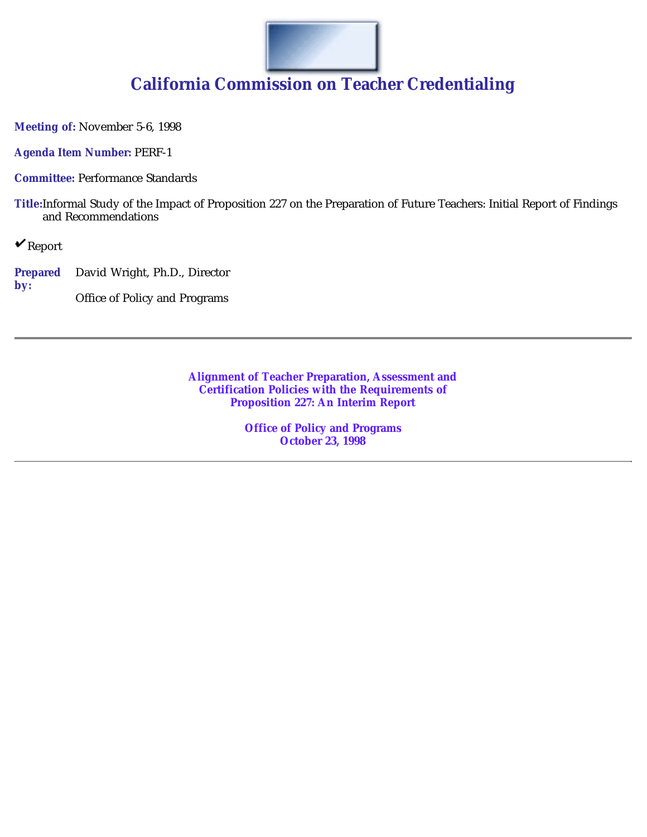

# **California Commission on Teacher Credentialing**

**Meeting of:** November 5-6, 1998

**Agenda Item Number:** PERF-1

**Committee:** Performance Standards

**Title:**Informal Study of the Impact of Proposition 227 on the Preparation of Future Teachers: Initial Report of Findings and Recommendations

 $\mathbf{v}_{\text{Report}}$ 

**Prepared by:** David Wright, Ph.D., Director Office of Policy and Programs

> **Alignment of Teacher Preparation, Assessment and Certification Policies with the Requirements of Proposition 227: An Interim Report**

> > **Office of Policy and Programs October 23, 1998**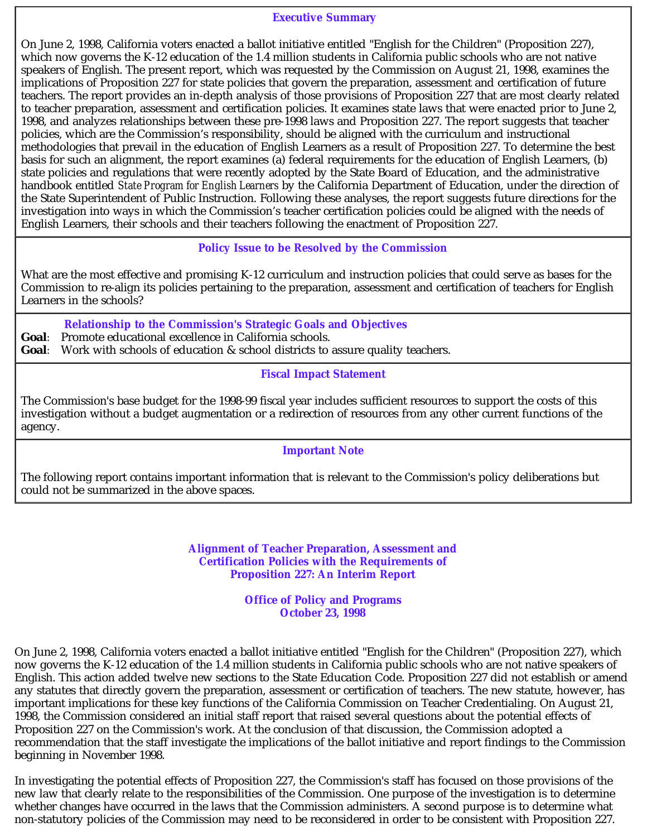#### **Executive Summary**

On June 2, 1998, California voters enacted a ballot initiative entitled "English for the Children" (Proposition 227), which now governs the K-12 education of the 1.4 million students in California public schools who are not native speakers of English. The present report, which was requested by the Commission on August 21, 1998, examines the implications of Proposition 227 for state policies that govern the preparation, assessment and certification of future teachers. The report provides an in-depth analysis of those provisions of Proposition 227 that are most clearly related to teacher preparation, assessment and certification policies. It examines state laws that were enacted prior to June 2, 1998, and analyzes relationships between these pre-1998 laws and Proposition 227. The report suggests that teacher policies, which are the Commission's responsibility, should be aligned with the curriculum and instructional methodologies that prevail in the education of English Learners as a result of Proposition 227. To determine the best basis for such an alignment, the report examines (a) federal requirements for the education of English Learners, (b) state policies and regulations that were recently adopted by the State Board of Education, and the administrative handbook entitled *State Program for English Learners* by the California Department of Education, under the direction of the State Superintendent of Public Instruction. Following these analyses, the report suggests future directions for the investigation into ways in which the Commission's teacher certification policies could be aligned with the needs of English Learners, their schools and their teachers following the enactment of Proposition 227.

# **Policy Issue to be Resolved by the Commission**

What are the most effective and promising K-12 curriculum and instruction policies that could serve as bases for the Commission to re-align its policies pertaining to the preparation, assessment and certification of teachers for English Learners in the schools?

**Relationship to the Commission's Strategic Goals and Objectives**

*Goal:* Promote educational excellence in California schools.

*Goal*: Work with schools of education & school districts to assure quality teachers.

**Fiscal Impact Statement**

The Commission's base budget for the 1998-99 fiscal year includes sufficient resources to support the costs of this investigation without a budget augmentation or a redirection of resources from any other current functions of the agency.

# **Important Note**

The following report contains important information that is relevant to the Commission's policy deliberations but could not be summarized in the above spaces.

> **Alignment of Teacher Preparation, Assessment and Certification Policies with the Requirements of Proposition 227: An Interim Report**

> > **Office of Policy and Programs October 23, 1998**

On June 2, 1998, California voters enacted a ballot initiative entitled "English for the Children" (Proposition 227), which now governs the K-12 education of the 1.4 million students in California public schools who are not native speakers of English. This action added twelve new sections to the State Education Code. Proposition 227 did not establish or amend any statutes that directly govern the preparation, assessment or certification of teachers. The new statute, however, has important implications for these key functions of the California Commission on Teacher Credentialing. On August 21, 1998, the Commission considered an initial staff report that raised several questions about the potential effects of Proposition 227 on the Commission's work. At the conclusion of that discussion, the Commission adopted a recommendation that the staff investigate the implications of the ballot initiative and report findings to the Commission beginning in November 1998.

In investigating the potential effects of Proposition 227, the Commission's staff has focused on those provisions of the new law that clearly relate to the responsibilities of the Commission. One purpose of the investigation is to determine whether changes have occurred in the laws that the Commission administers. A second purpose is to determine what non-statutory policies of the Commission may need to be reconsidered in order to be consistent with Proposition 227.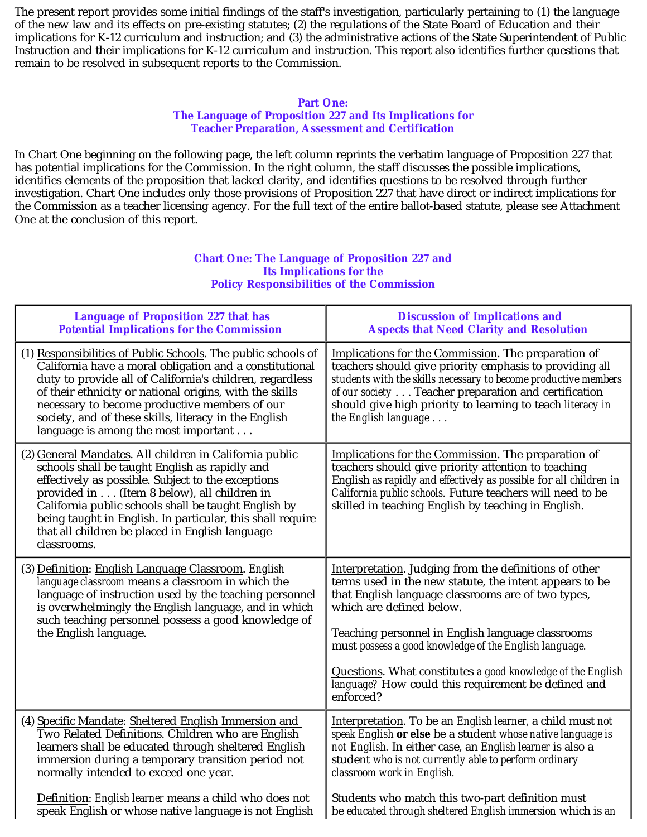The present report provides some initial findings of the staff's investigation, particularly pertaining to (1) the language of the new law and its effects on pre-existing statutes; (2) the regulations of the State Board of Education and their implications for K-12 curriculum and instruction; and (3) the administrative actions of the State Superintendent of Public Instruction and their implications for K-12 curriculum and instruction. This report also identifies further questions that remain to be resolved in subsequent reports to the Commission.

### **Part One:**

#### **The Language of Proposition 227 and Its Implications for Teacher Preparation, Assessment and Certification**

In Chart One beginning on the following page, the left column reprints the verbatim language of Proposition 227 that has potential implications for the Commission. In the right column, the staff discusses the possible implications, identifies elements of the proposition that lacked clarity, and identifies questions to be resolved through further investigation. Chart One includes only those provisions of Proposition 227 that have direct or indirect implications for the Commission as a teacher licensing agency. For the full text of the entire ballot-based statute, please see Attachment One at the conclusion of this report.

#### **Chart One: The Language of Proposition 227 and Its Implications for the Policy Responsibilities of the Commission**

| <b>Language of Proposition 227 that has</b>                                                                                                                                                                                                                                                                                                                                                            | <b>Discussion of Implications and</b>                                                                                                                                                                                                                                                                                                                                                                                                                |
|--------------------------------------------------------------------------------------------------------------------------------------------------------------------------------------------------------------------------------------------------------------------------------------------------------------------------------------------------------------------------------------------------------|------------------------------------------------------------------------------------------------------------------------------------------------------------------------------------------------------------------------------------------------------------------------------------------------------------------------------------------------------------------------------------------------------------------------------------------------------|
| <b>Potential Implications for the Commission</b>                                                                                                                                                                                                                                                                                                                                                       | <b>Aspects that Need Clarity and Resolution</b>                                                                                                                                                                                                                                                                                                                                                                                                      |
| (1) Responsibilities of Public Schools. The public schools of<br>California have a moral obligation and a constitutional<br>duty to provide all of California's children, regardless<br>of their ethnicity or national origins, with the skills<br>necessary to become productive members of our<br>society, and of these skills, literacy in the English<br>language is among the most important      | Implications for the Commission. The preparation of<br>teachers should give priority emphasis to providing all<br>students with the skills necessary to become productive members<br>of our society Teacher preparation and certification<br>should give high priority to learning to teach literacy in<br>the English language                                                                                                                      |
| (2) General Mandates. All children in California public<br>schools shall be taught English as rapidly and<br>effectively as possible. Subject to the exceptions<br>provided in (Item 8 below), all children in<br>California public schools shall be taught English by<br>being taught in English. In particular, this shall require<br>that all children be placed in English language<br>classrooms. | Implications for the Commission. The preparation of<br>teachers should give priority attention to teaching<br>English as rapidly and effectively as possible for all children in<br>California public schools. Future teachers will need to be<br>skilled in teaching English by teaching in English.                                                                                                                                                |
| (3) Definition: English Language Classroom. English<br>language classroom means a classroom in which the<br>language of instruction used by the teaching personnel<br>is overwhelmingly the English language, and in which<br>such teaching personnel possess a good knowledge of<br>the English language.                                                                                             | Interpretation. Judging from the definitions of other<br>terms used in the new statute, the intent appears to be<br>that English language classrooms are of two types,<br>which are defined below.<br>Teaching personnel in English language classrooms<br>must possess a good knowledge of the English language.<br>Questions. What constitutes a good knowledge of the English<br>language? How could this requirement be defined and<br>enforced? |
| (4) Specific Mandate: Sheltered English Immersion and                                                                                                                                                                                                                                                                                                                                                  | Interpretation. To be an <i>English learner</i> , a child must <i>not</i>                                                                                                                                                                                                                                                                                                                                                                            |
| Two Related Definitions. Children who are English                                                                                                                                                                                                                                                                                                                                                      | speak English or else be a student whose native language is                                                                                                                                                                                                                                                                                                                                                                                          |
| learners shall be educated through sheltered English                                                                                                                                                                                                                                                                                                                                                   | not English. In either case, an English learner is also a                                                                                                                                                                                                                                                                                                                                                                                            |
| immersion during a temporary transition period not                                                                                                                                                                                                                                                                                                                                                     | student who is not currently able to perform ordinary                                                                                                                                                                                                                                                                                                                                                                                                |
| normally intended to exceed one year.                                                                                                                                                                                                                                                                                                                                                                  | classroom work in English.                                                                                                                                                                                                                                                                                                                                                                                                                           |
| Definition: English learner means a child who does not                                                                                                                                                                                                                                                                                                                                                 | Students who match this two-part definition must                                                                                                                                                                                                                                                                                                                                                                                                     |
| speak English or whose native language is not English                                                                                                                                                                                                                                                                                                                                                  | be educated through sheltered English immersion which is an                                                                                                                                                                                                                                                                                                                                                                                          |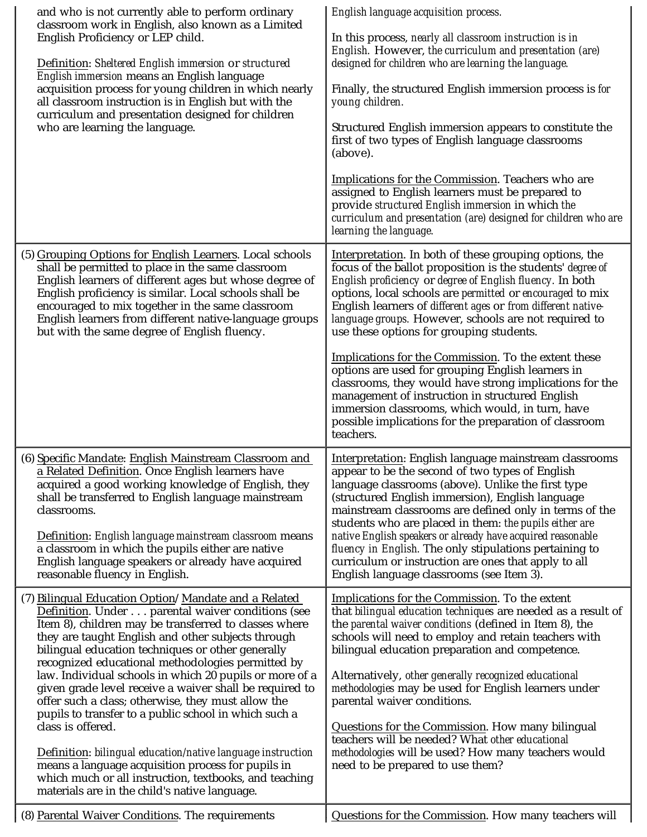| and who is not currently able to perform ordinary<br>classroom work in English, also known as a Limited<br>English Proficiency or LEP child.<br>Definition: Sheltered English immersion or structured<br>English immersion means an English language<br>acquisition process for young children in which nearly<br>all classroom instruction is in English but with the<br>curriculum and presentation designed for children<br>who are learning the language.                                                                                                                                                                                                                                                                                                                                                                | English language acquisition process.<br>In this process, <i>nearly all classroom instruction is in</i><br>English. However, the curriculum and presentation (are)<br>designed for children who are learning the language.<br>Finally, the structured English immersion process is for<br>young children.<br>Structured English immersion appears to constitute the<br>first of two types of English language classrooms<br>(above).<br>Implications for the Commission. Teachers who are<br>assigned to English learners must be prepared to<br>provide structured English immersion in which the<br>curriculum and presentation (are) designed for children who are<br>learning the language.                                                                                         |
|------------------------------------------------------------------------------------------------------------------------------------------------------------------------------------------------------------------------------------------------------------------------------------------------------------------------------------------------------------------------------------------------------------------------------------------------------------------------------------------------------------------------------------------------------------------------------------------------------------------------------------------------------------------------------------------------------------------------------------------------------------------------------------------------------------------------------|-----------------------------------------------------------------------------------------------------------------------------------------------------------------------------------------------------------------------------------------------------------------------------------------------------------------------------------------------------------------------------------------------------------------------------------------------------------------------------------------------------------------------------------------------------------------------------------------------------------------------------------------------------------------------------------------------------------------------------------------------------------------------------------------|
| (5) Grouping Options for English Learners. Local schools<br>shall be permitted to place in the same classroom<br>English learners of different ages but whose degree of<br>English proficiency is similar. Local schools shall be<br>encouraged to mix together in the same classroom<br>English learners from different native-language groups<br>but with the same degree of English fluency.                                                                                                                                                                                                                                                                                                                                                                                                                              | Interpretation. In both of these grouping options, the<br>focus of the ballot proposition is the students' degree of<br>English proficiency or degree of English fluency. In both<br>options, local schools are <i>permitted</i> or <i>encouraged</i> to mix<br>English learners of different ages or from different native-<br>language groups. However, schools are not required to<br>use these options for grouping students.<br>Implications for the Commission. To the extent these<br>options are used for grouping English learners in<br>classrooms, they would have strong implications for the<br>management of instruction in structured English<br>immersion classrooms, which would, in turn, have<br>possible implications for the preparation of classroom<br>teachers. |
| (6) Specific Mandate: English Mainstream Classroom and<br>a Related Definition. Once English learners have<br>acquired a good working knowledge of English, they<br>shall be transferred to English language mainstream<br>classrooms.<br>Definition: English language mainstream classroom means<br>a classroom in which the pupils either are native<br>English language speakers or already have acquired<br>reasonable fluency in English.                                                                                                                                                                                                                                                                                                                                                                               | <b>Interpretation: English language mainstream classrooms</b><br>appear to be the second of two types of English<br>language classrooms (above). Unlike the first type<br>(structured English immersion), English language<br>mainstream classrooms are defined only in terms of the<br>students who are placed in them: the pupils either are<br>native English speakers or already have acquired reasonable<br><i>fluency in English</i> . The only stipulations pertaining to<br>curriculum or instruction are ones that apply to all<br>English language classrooms (see Item 3).                                                                                                                                                                                                   |
| (7) Bilingual Education Option/Mandate and a Related<br>Definition. Under parental waiver conditions (see<br>Item 8), children may be transferred to classes where<br>they are taught English and other subjects through<br>bilingual education techniques or other generally<br>recognized educational methodologies permitted by<br>law. Individual schools in which 20 pupils or more of a<br>given grade level receive a waiver shall be required to<br>offer such a class; otherwise, they must allow the<br>pupils to transfer to a public school in which such a<br>class is offered.<br>Definition: bilingual education/native language instruction<br>means a language acquisition process for pupils in<br>which much or all instruction, textbooks, and teaching<br>materials are in the child's native language. | Implications for the Commission. To the extent<br>that bilingual education techniques are needed as a result of<br>the <i>parental waiver conditions</i> (defined in Item 8), the<br>schools will need to employ and retain teachers with<br>bilingual education preparation and competence.<br>Alternatively, other generally recognized educational<br>methodologies may be used for English learners under<br>parental waiver conditions.<br>Questions for the Commission. How many bilingual<br>teachers will be needed? What other educational<br>methodologies will be used? How many teachers would<br>need to be prepared to use them?                                                                                                                                          |
| (8) Parental Waiver Conditions. The requirements                                                                                                                                                                                                                                                                                                                                                                                                                                                                                                                                                                                                                                                                                                                                                                             | Questions for the Commission. How many teachers will                                                                                                                                                                                                                                                                                                                                                                                                                                                                                                                                                                                                                                                                                                                                    |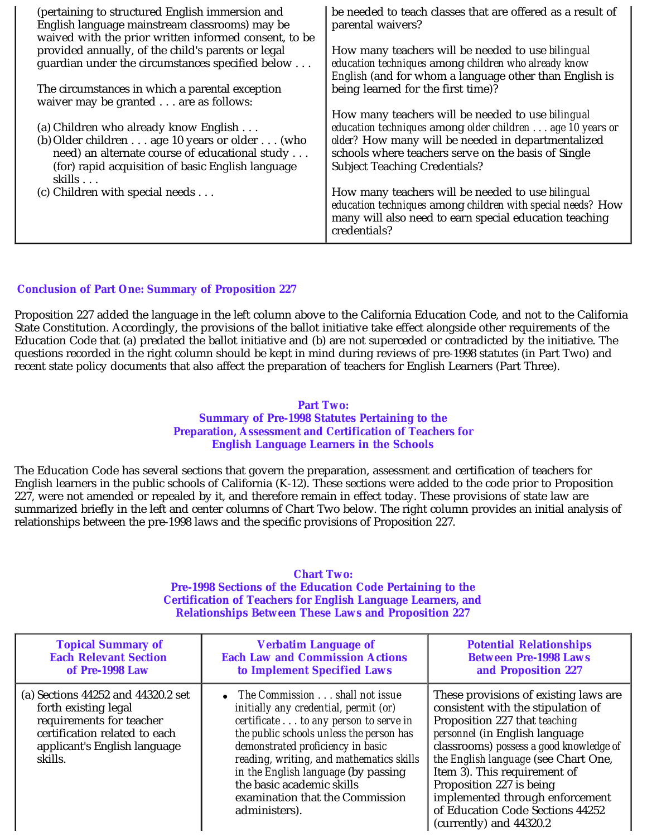| (pertaining to structured English immersion and<br>English language mainstream classrooms) may be<br>waived with the prior written informed consent, to be                                                                       | be needed to teach classes that are offered as a result of<br>parental waivers?                                                                                                                                                                                     |
|----------------------------------------------------------------------------------------------------------------------------------------------------------------------------------------------------------------------------------|---------------------------------------------------------------------------------------------------------------------------------------------------------------------------------------------------------------------------------------------------------------------|
| provided annually, of the child's parents or legal<br>guardian under the circumstances specified below                                                                                                                           | How many teachers will be needed to use bilingual<br>education techniques among children who already know<br>English (and for whom a language other than English is                                                                                                 |
| The circumstances in which a parental exception<br>waiver may be granted are as follows:                                                                                                                                         | being learned for the first time)?                                                                                                                                                                                                                                  |
| (a) Children who already know English<br>(b) Older children $\dots$ age 10 years or older $\dots$ (who<br>need) an alternate course of educational study<br>(for) rapid acquisition of basic English language<br>skills $\ldots$ | How many teachers will be needed to use bilingual<br>education techniques among older children age 10 years or<br>older? How many will be needed in departmentalized<br>schools where teachers serve on the basis of Single<br><b>Subject Teaching Credentials?</b> |
| (c) Children with special needs $\dots$                                                                                                                                                                                          | How many teachers will be needed to use <i>bilingual</i><br>education techniques among children with special needs? How<br>many will also need to earn special education teaching<br>credentials?                                                                   |

# **Conclusion of Part One: Summary of Proposition 227**

Proposition 227 added the language in the left column above to the California Education Code, and not to the California State Constitution. Accordingly, the provisions of the ballot initiative take effect alongside other requirements of the Education Code that (a) predated the ballot initiative and (b) are not superceded or contradicted by the initiative. The questions recorded in the right column should be kept in mind during reviews of pre-1998 statutes (in Part Two) and recent state policy documents that also affect the preparation of teachers for English Learners (Part Three).

## **Part Two: Summary of Pre-1998 Statutes Pertaining to the Preparation, Assessment and Certification of Teachers for English Language Learners in the Schools**

The Education Code has several sections that govern the preparation, assessment and certification of teachers for English learners in the public schools of California (K-12). These sections were added to the code prior to Proposition 227, were not amended or repealed by it, and therefore remain in effect today. These provisions of state law are summarized briefly in the left and center columns of Chart Two below. The right column provides an initial analysis of relationships between the pre-1998 laws and the specific provisions of Proposition 227.

# **Chart Two: Pre-1998 Sections of the Education Code Pertaining to the Certification of Teachers for English Language Learners, and Relationships Between These Laws and Proposition 227**

| <b>Topical Summary of</b>                                                                                                                                          | <b>Verbatim Language of</b>                                                                                                                                                                                                                                                                                                                                                        | <b>Potential Relationships</b>                                                                                                                                                                                                                                                                                                                                                                  |
|--------------------------------------------------------------------------------------------------------------------------------------------------------------------|------------------------------------------------------------------------------------------------------------------------------------------------------------------------------------------------------------------------------------------------------------------------------------------------------------------------------------------------------------------------------------|-------------------------------------------------------------------------------------------------------------------------------------------------------------------------------------------------------------------------------------------------------------------------------------------------------------------------------------------------------------------------------------------------|
| <b>Each Relevant Section</b>                                                                                                                                       | <b>Each Law and Commission Actions</b>                                                                                                                                                                                                                                                                                                                                             | <b>Between Pre-1998 Laws</b>                                                                                                                                                                                                                                                                                                                                                                    |
| of Pre-1998 Law                                                                                                                                                    | to Implement Specified Laws                                                                                                                                                                                                                                                                                                                                                        | and Proposition 227                                                                                                                                                                                                                                                                                                                                                                             |
| (a) Sections 44252 and 44320.2 set<br>forth existing legal<br>requirements for teacher<br>certification related to each<br>applicant's English language<br>skills. | The Commission shall not issue<br>$\bullet$<br>initially any credential, permit (or)<br>certificate to any person to serve in<br>the public schools unless the person has<br>demonstrated proficiency in basic<br>reading, writing, and mathematics skills<br>in the English language (by passing<br>the basic academic skills<br>examination that the Commission<br>administers). | These provisions of existing laws are<br>consistent with the stipulation of<br>Proposition 227 that teaching<br>personnel (in English language<br>classrooms) possess a good knowledge of<br>the English language (see Chart One,<br>Item 3). This requirement of<br>Proposition 227 is being<br>implemented through enforcement<br>of Education Code Sections 44252<br>(currently) and 44320.2 |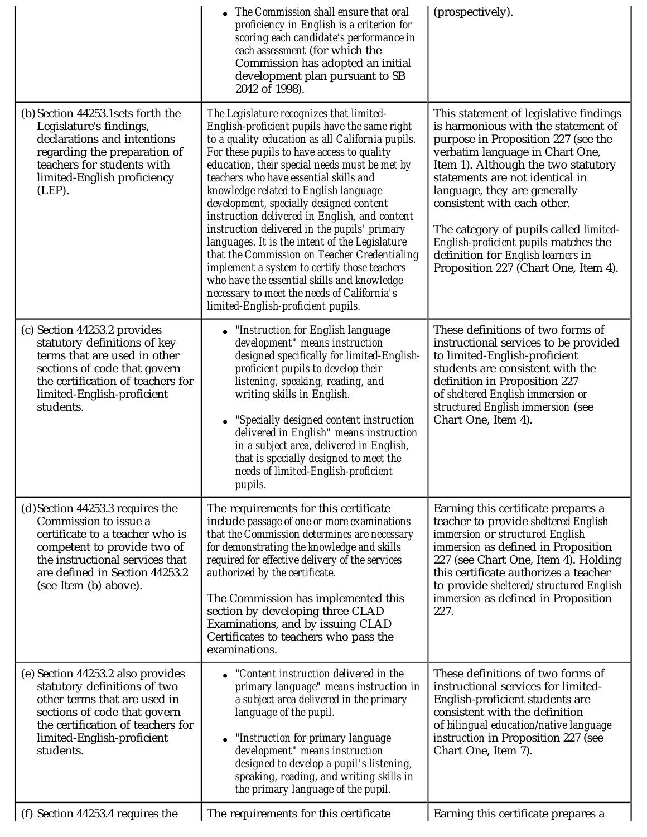|                                                                                                                                                                                                                           | The Commission shall ensure that oral<br>proficiency in English is a criterion for<br>scoring each candidate's performance in<br>each assessment (for which the<br>Commission has adopted an initial<br>development plan pursuant to SB<br>2042 of 1998).                                                                                                                                                                                                                                                                                                                                                                                                                                                                                                         | (prospectively).                                                                                                                                                                                                                                                                                                                                                                                                                                                          |
|---------------------------------------------------------------------------------------------------------------------------------------------------------------------------------------------------------------------------|-------------------------------------------------------------------------------------------------------------------------------------------------------------------------------------------------------------------------------------------------------------------------------------------------------------------------------------------------------------------------------------------------------------------------------------------------------------------------------------------------------------------------------------------------------------------------------------------------------------------------------------------------------------------------------------------------------------------------------------------------------------------|---------------------------------------------------------------------------------------------------------------------------------------------------------------------------------------------------------------------------------------------------------------------------------------------------------------------------------------------------------------------------------------------------------------------------------------------------------------------------|
| (b) Section 44253.1 sets forth the<br>Legislature's findings,<br>declarations and intentions<br>regarding the preparation of<br>teachers for students with<br>limited-English proficiency<br>(LEP).                       | The Legislature recognizes that limited-<br>English-proficient pupils have the same right<br>to a quality education as all California pupils.<br>For these pupils to have access to quality<br>education, their special needs must be met by<br>teachers who have essential skills and<br>knowledge related to English language<br>development, specially designed content<br>instruction delivered in English, and content<br>instruction delivered in the pupils' primary<br>languages. It is the intent of the Legislature<br>that the Commission on Teacher Credentialing<br>implement a system to certify those teachers<br>who have the essential skills and knowledge<br>necessary to meet the needs of California's<br>limited-English-proficient pupils. | This statement of legislative findings<br>is harmonious with the statement of<br>purpose in Proposition 227 (see the<br>verbatim language in Chart One,<br>Item 1). Although the two statutory<br>statements are not identical in<br>language, they are generally<br>consistent with each other.<br>The category of pupils called <i>limited</i> -<br>English-proficient pupils matches the<br>definition for English learners in<br>Proposition 227 (Chart One, Item 4). |
| (c) Section 44253.2 provides<br>statutory definitions of key<br>terms that are used in other<br>sections of code that govern<br>the certification of teachers for<br>limited-English-proficient<br>students.              | • "Instruction for English language<br>development" means instruction<br>designed specifically for limited-English-<br>proficient pupils to develop their<br>listening, speaking, reading, and<br>writing skills in English.<br>"Specially designed content instruction<br>delivered in English" means instruction<br>in a subject area, delivered in English,<br>that is specially designed to meet the<br>needs of limited-English-proficient<br>pupils.                                                                                                                                                                                                                                                                                                        | These definitions of two forms of<br>instructional services to be provided<br>to limited-English-proficient<br>students are consistent with the<br>definition in Proposition 227<br>of sheltered English immersion or<br>structured English immersion (see<br>Chart One, Item 4).                                                                                                                                                                                         |
| (d) Section 44253.3 requires the<br>Commission to issue a<br>certificate to a teacher who is<br>competent to provide two of<br>the instructional services that<br>are defined in Section 44253.2<br>(see Item (b) above). | The requirements for this certificate<br>include passage of one or more examinations<br>that the Commission determines are necessary<br>for demonstrating the knowledge and skills<br>required for effective delivery of the services<br>authorized by the certificate.<br>The Commission has implemented this<br>section by developing three CLAD<br>Examinations, and by issuing CLAD<br>Certificates to teachers who pass the<br>examinations.                                                                                                                                                                                                                                                                                                                 | Earning this certificate prepares a<br>teacher to provide sheltered English<br>immersion or structured English<br>immersion as defined in Proposition<br>227 (see Chart One, Item 4). Holding<br>this certificate authorizes a teacher<br>to provide sheltered/structured English<br>immersion as defined in Proposition<br>227.                                                                                                                                          |
| (e) Section 44253.2 also provides<br>statutory definitions of two<br>other terms that are used in<br>sections of code that govern<br>the certification of teachers for<br>limited-English-proficient<br>students.         | • "Content instruction delivered in the<br>primary language" means instruction in<br>a subject area delivered in the primary<br>language of the pupil.<br>"Instruction for primary language<br>development" means instruction<br>designed to develop a pupil's listening,<br>speaking, reading, and writing skills in<br>the primary language of the pupil.                                                                                                                                                                                                                                                                                                                                                                                                       | These definitions of two forms of<br>instructional services for limited-<br>English-proficient students are<br>consistent with the definition<br>of bilingual education/native language<br>instruction in Proposition 227 (see<br>Chart One, Item 7).                                                                                                                                                                                                                     |
| (f) Section 44253.4 requires the                                                                                                                                                                                          | The requirements for this certificate                                                                                                                                                                                                                                                                                                                                                                                                                                                                                                                                                                                                                                                                                                                             | Earning this certificate prepares a                                                                                                                                                                                                                                                                                                                                                                                                                                       |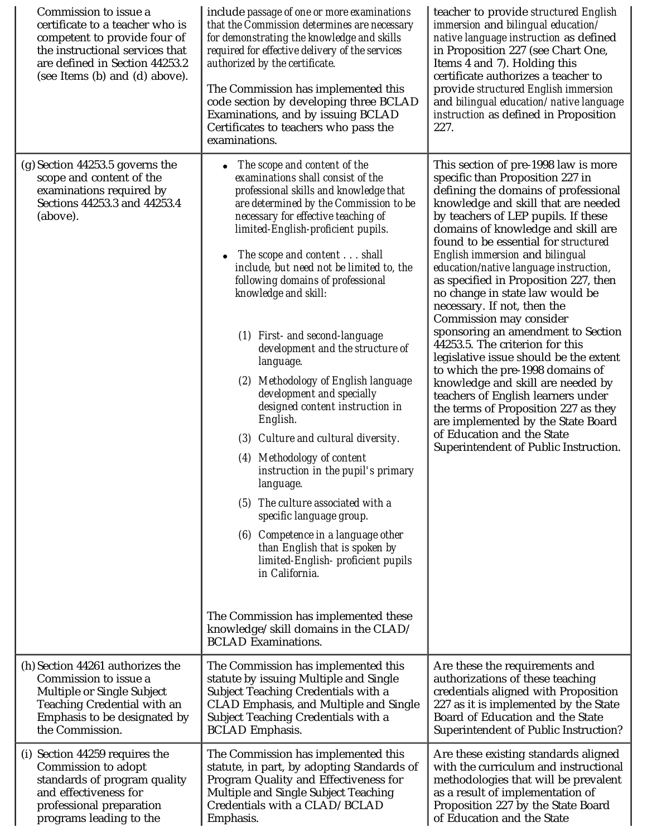| Commission to issue a<br>certificate to a teacher who is<br>competent to provide four of<br>the instructional services that<br>are defined in Section 44253.2<br>(see Items (b) and (d) above). | include passage of one or more examinations<br>that the Commission determines are necessary<br>for demonstrating the knowledge and skills<br>required for effective delivery of the services<br>authorized by the certificate.<br>The Commission has implemented this<br>code section by developing three BCLAD<br>Examinations, and by issuing BCLAD<br>Certificates to teachers who pass the<br>examinations.                                                                                                                                                                                                                                                                                                                                                                                                                                                                                                                                                                                                                         | teacher to provide structured English<br>immersion and bilingual education/<br>native language instruction as defined<br>in Proposition 227 (see Chart One,<br>Items 4 and 7). Holding this<br>certificate authorizes a teacher to<br>provide structured English immersion<br>and bilingual education/ native language<br>instruction as defined in Proposition<br>227.                                                                                                                                                                                                                                                                                                                                                                                                                                                                                                                       |
|-------------------------------------------------------------------------------------------------------------------------------------------------------------------------------------------------|-----------------------------------------------------------------------------------------------------------------------------------------------------------------------------------------------------------------------------------------------------------------------------------------------------------------------------------------------------------------------------------------------------------------------------------------------------------------------------------------------------------------------------------------------------------------------------------------------------------------------------------------------------------------------------------------------------------------------------------------------------------------------------------------------------------------------------------------------------------------------------------------------------------------------------------------------------------------------------------------------------------------------------------------|-----------------------------------------------------------------------------------------------------------------------------------------------------------------------------------------------------------------------------------------------------------------------------------------------------------------------------------------------------------------------------------------------------------------------------------------------------------------------------------------------------------------------------------------------------------------------------------------------------------------------------------------------------------------------------------------------------------------------------------------------------------------------------------------------------------------------------------------------------------------------------------------------|
| $(g)$ Section 44253.5 governs the<br>scope and content of the<br>examinations required by<br>Sections 44253.3 and 44253.4<br>(above).                                                           | The scope and content of the<br>examinations shall consist of the<br>professional skills and knowledge that<br>are determined by the Commission to be<br>necessary for effective teaching of<br>limited-English-proficient pupils.<br>The scope and content shall<br>include, but need not be limited to, the<br>following domains of professional<br>knowledge and skill:<br>(1) First- and second-language<br>development and the structure of<br>language.<br>(2) Methodology of English language<br>development and specially<br>designed content instruction in<br>English.<br>Culture and cultural diversity.<br>(3)<br>(4) Methodology of content<br>instruction in the pupil's primary<br><i>language.</i><br>The culture associated with a<br>(5)<br>specific language group.<br>Competence in a language other<br>(6)<br>than English that is spoken by<br>limited-English- proficient pupils<br>in California.<br>The Commission has implemented these<br>knowledge/skill domains in the CLAD/<br><b>BCLAD Examinations.</b> | This section of pre-1998 law is more<br>specific than Proposition 227 in<br>defining the domains of professional<br>knowledge and skill that are needed<br>by teachers of LEP pupils. If these<br>domains of knowledge and skill are<br>found to be essential for <i>structured</i><br>English immersion and bilingual<br>education/native language instruction,<br>as specified in Proposition 227, then<br>no change in state law would be<br>necessary. If not, then the<br>Commission may consider<br>sponsoring an amendment to Section<br>44253.5. The criterion for this<br>legislative issue should be the extent<br>to which the pre-1998 domains of<br>knowledge and skill are needed by<br>teachers of English learners under<br>the terms of Proposition 227 as they<br>are implemented by the State Board<br>of Education and the State<br>Superintendent of Public Instruction. |
| (h) Section 44261 authorizes the                                                                                                                                                                | The Commission has implemented this                                                                                                                                                                                                                                                                                                                                                                                                                                                                                                                                                                                                                                                                                                                                                                                                                                                                                                                                                                                                     | Are these the requirements and                                                                                                                                                                                                                                                                                                                                                                                                                                                                                                                                                                                                                                                                                                                                                                                                                                                                |
| Commission to issue a                                                                                                                                                                           | statute by issuing Multiple and Single                                                                                                                                                                                                                                                                                                                                                                                                                                                                                                                                                                                                                                                                                                                                                                                                                                                                                                                                                                                                  | authorizations of these teaching                                                                                                                                                                                                                                                                                                                                                                                                                                                                                                                                                                                                                                                                                                                                                                                                                                                              |
| Multiple or Single Subject                                                                                                                                                                      | Subject Teaching Credentials with a                                                                                                                                                                                                                                                                                                                                                                                                                                                                                                                                                                                                                                                                                                                                                                                                                                                                                                                                                                                                     | credentials aligned with Proposition                                                                                                                                                                                                                                                                                                                                                                                                                                                                                                                                                                                                                                                                                                                                                                                                                                                          |
| Teaching Credential with an                                                                                                                                                                     | CLAD Emphasis, and Multiple and Single                                                                                                                                                                                                                                                                                                                                                                                                                                                                                                                                                                                                                                                                                                                                                                                                                                                                                                                                                                                                  | 227 as it is implemented by the State                                                                                                                                                                                                                                                                                                                                                                                                                                                                                                                                                                                                                                                                                                                                                                                                                                                         |
| Emphasis to be designated by                                                                                                                                                                    | Subject Teaching Credentials with a                                                                                                                                                                                                                                                                                                                                                                                                                                                                                                                                                                                                                                                                                                                                                                                                                                                                                                                                                                                                     | Board of Education and the State                                                                                                                                                                                                                                                                                                                                                                                                                                                                                                                                                                                                                                                                                                                                                                                                                                                              |
| the Commission.                                                                                                                                                                                 | <b>BCLAD</b> Emphasis.                                                                                                                                                                                                                                                                                                                                                                                                                                                                                                                                                                                                                                                                                                                                                                                                                                                                                                                                                                                                                  | <b>Superintendent of Public Instruction?</b>                                                                                                                                                                                                                                                                                                                                                                                                                                                                                                                                                                                                                                                                                                                                                                                                                                                  |
| (i) Section 44259 requires the                                                                                                                                                                  | The Commission has implemented this                                                                                                                                                                                                                                                                                                                                                                                                                                                                                                                                                                                                                                                                                                                                                                                                                                                                                                                                                                                                     | Are these existing standards aligned                                                                                                                                                                                                                                                                                                                                                                                                                                                                                                                                                                                                                                                                                                                                                                                                                                                          |
| Commission to adopt                                                                                                                                                                             | statute, in part, by adopting Standards of                                                                                                                                                                                                                                                                                                                                                                                                                                                                                                                                                                                                                                                                                                                                                                                                                                                                                                                                                                                              | with the curriculum and instructional                                                                                                                                                                                                                                                                                                                                                                                                                                                                                                                                                                                                                                                                                                                                                                                                                                                         |
| standards of program quality                                                                                                                                                                    | Program Quality and Effectiveness for                                                                                                                                                                                                                                                                                                                                                                                                                                                                                                                                                                                                                                                                                                                                                                                                                                                                                                                                                                                                   | methodologies that will be prevalent                                                                                                                                                                                                                                                                                                                                                                                                                                                                                                                                                                                                                                                                                                                                                                                                                                                          |
| and effectiveness for                                                                                                                                                                           | Multiple and Single Subject Teaching                                                                                                                                                                                                                                                                                                                                                                                                                                                                                                                                                                                                                                                                                                                                                                                                                                                                                                                                                                                                    | as a result of implementation of                                                                                                                                                                                                                                                                                                                                                                                                                                                                                                                                                                                                                                                                                                                                                                                                                                                              |
| professional preparation                                                                                                                                                                        | Credentials with a CLAD/BCLAD                                                                                                                                                                                                                                                                                                                                                                                                                                                                                                                                                                                                                                                                                                                                                                                                                                                                                                                                                                                                           | Proposition 227 by the State Board                                                                                                                                                                                                                                                                                                                                                                                                                                                                                                                                                                                                                                                                                                                                                                                                                                                            |
| programs leading to the                                                                                                                                                                         | Emphasis.                                                                                                                                                                                                                                                                                                                                                                                                                                                                                                                                                                                                                                                                                                                                                                                                                                                                                                                                                                                                                               | of Education and the State                                                                                                                                                                                                                                                                                                                                                                                                                                                                                                                                                                                                                                                                                                                                                                                                                                                                    |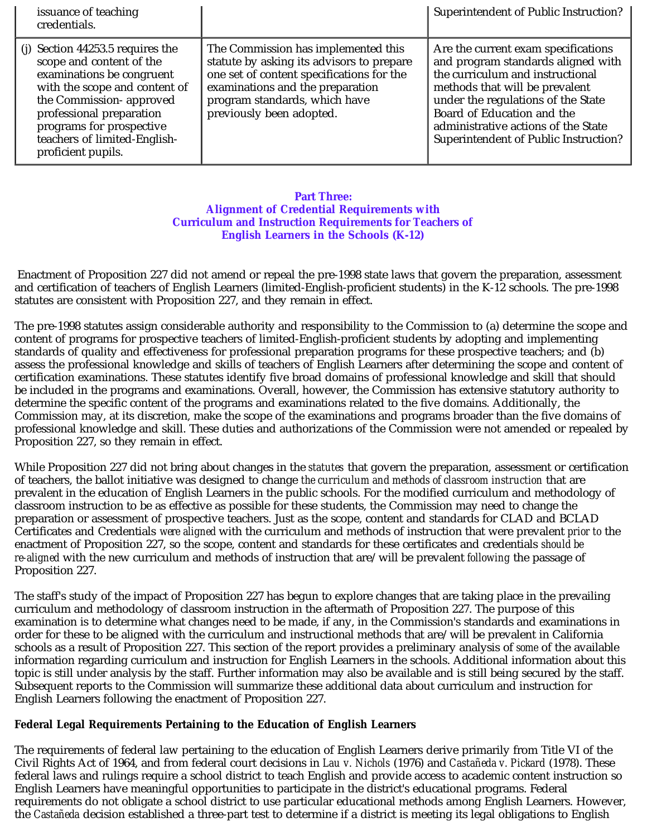| issuance of teaching<br>credentials.                                                                                                                                                                                                                                   |                                                                                                                                                                                                                                | Superintendent of Public Instruction?                                                                                                                                                                                                                                                               |
|------------------------------------------------------------------------------------------------------------------------------------------------------------------------------------------------------------------------------------------------------------------------|--------------------------------------------------------------------------------------------------------------------------------------------------------------------------------------------------------------------------------|-----------------------------------------------------------------------------------------------------------------------------------------------------------------------------------------------------------------------------------------------------------------------------------------------------|
| (j) Section $44253.5$ requires the<br>scope and content of the<br>examinations be congruent<br>with the scope and content of<br>the Commission- approved<br>professional preparation<br>programs for prospective<br>teachers of limited-English-<br>proficient pupils. | The Commission has implemented this<br>statute by asking its advisors to prepare<br>one set of content specifications for the<br>examinations and the preparation<br>program standards, which have<br>previously been adopted. | Are the current exam specifications<br>and program standards aligned with<br>the curriculum and instructional<br>methods that will be prevalent<br>under the regulations of the State<br>Board of Education and the<br>administrative actions of the State<br>Superintendent of Public Instruction? |

# **Part Three: Alignment of Credential Requirements with Curriculum and Instruction Requirements for Teachers of English Learners in the Schools (K-12)**

Enactment of Proposition 227 did not amend or repeal the pre-1998 state laws that govern the preparation, assessment and certification of teachers of English Learners (limited-English-proficient students) in the K-12 schools. The pre-1998 statutes are consistent with Proposition 227, and they remain in effect.

The pre-1998 statutes assign considerable authority and responsibility to the Commission to (a) determine the scope and content of programs for prospective teachers of limited-English-proficient students by adopting and implementing standards of quality and effectiveness for professional preparation programs for these prospective teachers; and (b) assess the professional knowledge and skills of teachers of English Learners after determining the scope and content of certification examinations. These statutes identify five broad domains of professional knowledge and skill that should be included in the programs and examinations. Overall, however, the Commission has extensive statutory authority to determine the specific content of the programs and examinations related to the five domains. Additionally, the Commission may, at its discretion, make the scope of the examinations and programs broader than the five domains of professional knowledge and skill. These duties and authorizations of the Commission were not amended or repealed by Proposition 227, so they remain in effect.

While Proposition 227 did not bring about changes in the *statutes* that govern the preparation, assessment or certification of teachers, the ballot initiative was designed to change *the curriculum and methods of classroom instruction* that are prevalent in the education of English Learners in the public schools. For the modified curriculum and methodology of classroom instruction to be as effective as possible for these students, the Commission may need to change the preparation or assessment of prospective teachers. Just as the scope, content and standards for CLAD and BCLAD Certificates and Credentials *were aligned* with the curriculum and methods of instruction that were prevalent *prior to* the enactment of Proposition 227, so the scope, content and standards for these certificates and credentials *should be re-aligned* with the new curriculum and methods of instruction that are/will be prevalent *following* the passage of Proposition 227.

The staff's study of the impact of Proposition 227 has begun to explore changes that are taking place in the prevailing curriculum and methodology of classroom instruction in the aftermath of Proposition 227. The purpose of this examination is to determine what changes need to be made, if any, in the Commission's standards and examinations in order for these to be aligned with the curriculum and instructional methods that are/will be prevalent in California schools as a result of Proposition 227. This section of the report provides a preliminary analysis of *some* of the available information regarding curriculum and instruction for English Learners in the schools. Additional information about this topic is still under analysis by the staff. Further information may also be available and is still being secured by the staff. Subsequent reports to the Commission will summarize these additional data about curriculum and instruction for English Learners following the enactment of Proposition 227.

# **Federal Legal Requirements Pertaining to the Education of English Learners**

The requirements of federal law pertaining to the education of English Learners derive primarily from Title VI of the Civil Rights Act of 1964, and from federal court decisions in *Lau v. Nichols* (1976) and *Castañeda v. Pickard* (1978). These federal laws and rulings require a school district to teach English and provide access to academic content instruction so English Learners have meaningful opportunities to participate in the district's educational programs. Federal requirements do not obligate a school district to use particular educational methods among English Learners. However, the *Castañeda* decision established a three-part test to determine if a district is meeting its legal obligations to English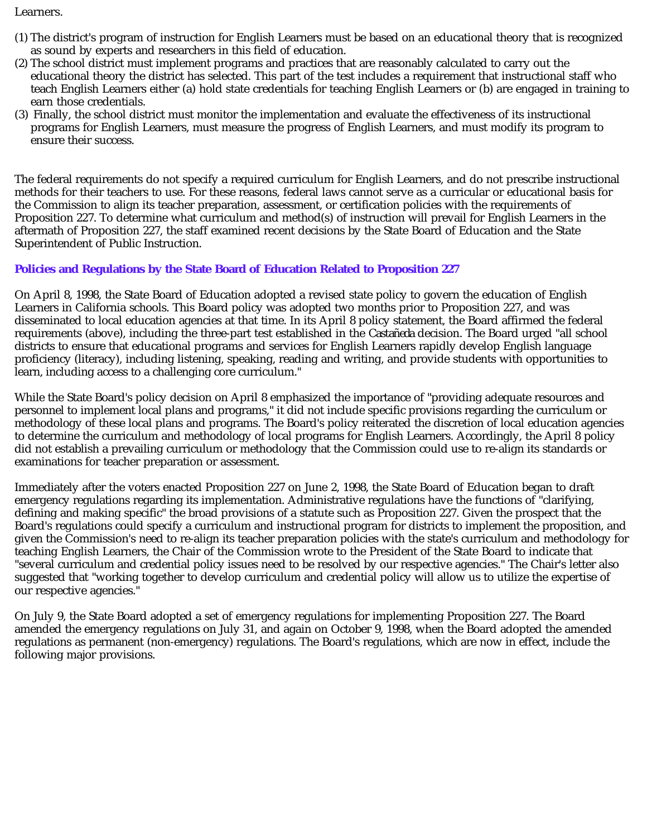## Learners.

- (1) The district's program of instruction for English Learners must be based on an educational theory that is recognized as sound by experts and researchers in this field of education.
- (2) The school district must implement programs and practices that are reasonably calculated to carry out the educational theory the district has selected. This part of the test includes a requirement that instructional staff who teach English Learners either (a) hold state credentials for teaching English Learners or (b) are engaged in training to earn those credentials.
- (3) Finally, the school district must monitor the implementation and evaluate the effectiveness of its instructional programs for English Learners, must measure the progress of English Learners, and must modify its program to ensure their success.

The federal requirements do not specify a required curriculum for English Learners, and do not prescribe instructional methods for their teachers to use. For these reasons, federal laws cannot serve as a curricular or educational basis for the Commission to align its teacher preparation, assessment, or certification policies with the requirements of Proposition 227. To determine what curriculum and method(s) of instruction will prevail for English Learners in the aftermath of Proposition 227, the staff examined recent decisions by the State Board of Education and the State Superintendent of Public Instruction.

# **Policies and Regulations by the State Board of Education Related to Proposition 227**

On April 8, 1998, the State Board of Education adopted a revised state policy to govern the education of English Learners in California schools. This Board policy was adopted two months prior to Proposition 227, and was disseminated to local education agencies at that time. In its April 8 policy statement, the Board affirmed the federal requirements (above), including the three-part test established in the *Castañeda* decision. The Board urged "all school districts to ensure that educational programs and services for English Learners rapidly develop English language proficiency (literacy), including listening, speaking, reading and writing, and provide students with opportunities to learn, including access to a challenging core curriculum."

While the State Board's policy decision on April 8 emphasized the importance of "providing adequate resources and personnel to implement local plans and programs," it did not include specific provisions regarding the curriculum or methodology of these local plans and programs. The Board's policy reiterated the discretion of local education agencies to determine the curriculum and methodology of local programs for English Learners. Accordingly, the April 8 policy did not establish a prevailing curriculum or methodology that the Commission could use to re-align its standards or examinations for teacher preparation or assessment.

Immediately after the voters enacted Proposition 227 on June 2, 1998, the State Board of Education began to draft emergency regulations regarding its implementation. Administrative regulations have the functions of "clarifying, defining and making specific" the broad provisions of a statute such as Proposition 227. Given the prospect that the Board's regulations could specify a curriculum and instructional program for districts to implement the proposition, and given the Commission's need to re-align its teacher preparation policies with the state's curriculum and methodology for teaching English Learners, the Chair of the Commission wrote to the President of the State Board to indicate that "several curriculum and credential policy issues need to be resolved by our respective agencies." The Chair's letter also suggested that "working together to develop curriculum and credential policy will allow us to utilize the expertise of our respective agencies."

On July 9, the State Board adopted a set of emergency regulations for implementing Proposition 227. The Board amended the emergency regulations on July 31, and again on October 9, 1998, when the Board adopted the amended regulations as permanent (non-emergency) regulations. The Board's regulations, which are now in effect, include the following major provisions.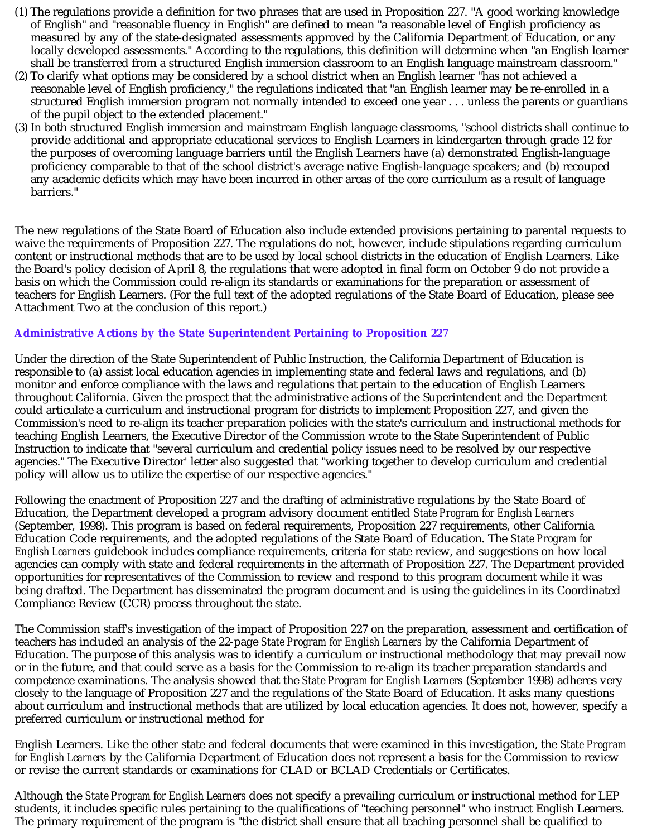- (1) The regulations provide a definition for two phrases that are used in Proposition 227. "A good working knowledge of English" and "reasonable fluency in English" are defined to mean "a reasonable level of English proficiency as measured by any of the state-designated assessments approved by the California Department of Education, or any locally developed assessments." According to the regulations, this definition will determine when "an English learner shall be transferred from a structured English immersion classroom to an English language mainstream classroom."
- (2) To clarify what options may be considered by a school district when an English learner "has not achieved a reasonable level of English proficiency," the regulations indicated that "an English learner may be re-enrolled in a structured English immersion program not normally intended to exceed one year . . . unless the parents or guardians of the pupil object to the extended placement."
- (3) In both structured English immersion and mainstream English language classrooms, "school districts shall continue to provide additional and appropriate educational services to English Learners in kindergarten through grade 12 for the purposes of overcoming language barriers until the English Learners have (a) demonstrated English-language proficiency comparable to that of the school district's average native English-language speakers; and (b) recouped any academic deficits which may have been incurred in other areas of the core curriculum as a result of language barriers."

The new regulations of the State Board of Education also include extended provisions pertaining to parental requests to waive the requirements of Proposition 227. The regulations do not, however, include stipulations regarding curriculum content or instructional methods that are to be used by local school districts in the education of English Learners. Like the Board's policy decision of April 8, the regulations that were adopted in final form on October 9 do not provide a basis on which the Commission could re-align its standards or examinations for the preparation or assessment of teachers for English Learners. (For the full text of the adopted regulations of the State Board of Education, please see Attachment Two at the conclusion of this report.)

# **Administrative Actions by the State Superintendent Pertaining to Proposition 227**

Under the direction of the State Superintendent of Public Instruction, the California Department of Education is responsible to (a) assist local education agencies in implementing state and federal laws and regulations, and (b) monitor and enforce compliance with the laws and regulations that pertain to the education of English Learners throughout California. Given the prospect that the administrative actions of the Superintendent and the Department could articulate a curriculum and instructional program for districts to implement Proposition 227, and given the Commission's need to re-align its teacher preparation policies with the state's curriculum and instructional methods for teaching English Learners, the Executive Director of the Commission wrote to the State Superintendent of Public Instruction to indicate that "several curriculum and credential policy issues need to be resolved by our respective agencies." The Executive Director' letter also suggested that "working together to develop curriculum and credential policy will allow us to utilize the expertise of our respective agencies."

Following the enactment of Proposition 227 and the drafting of administrative regulations by the State Board of Education, the Department developed a program advisory document entitled *State Program for English Learners* (September, 1998). This program is based on federal requirements, Proposition 227 requirements, other California Education Code requirements, and the adopted regulations of the State Board of Education. The *State Program for English Learners* guidebook includes compliance requirements, criteria for state review, and suggestions on how local agencies can comply with state and federal requirements in the aftermath of Proposition 227. The Department provided opportunities for representatives of the Commission to review and respond to this program document while it was being drafted. The Department has disseminated the program document and is using the guidelines in its Coordinated Compliance Review (CCR) process throughout the state.

The Commission staff's investigation of the impact of Proposition 227 on the preparation, assessment and certification of teachers has included an analysis of the 22-page *State Program for English Learners* by the California Department of Education. The purpose of this analysis was to identify a curriculum or instructional methodology that may prevail now or in the future, and that could serve as a basis for the Commission to re-align its teacher preparation standards and competence examinations. The analysis showed that the *State Program for English Learners* (September 1998) adheres very closely to the language of Proposition 227 and the regulations of the State Board of Education. It asks many questions about curriculum and instructional methods that are utilized by local education agencies. It does not, however, specify a preferred curriculum or instructional method for

English Learners. Like the other state and federal documents that were examined in this investigation, the *State Program*  for English Learners by the California Department of Education does not represent a basis for the Commission to review or revise the current standards or examinations for CLAD or BCLAD Credentials or Certificates.

Although the *State Program for English Learners* does not specify a prevailing curriculum or instructional method for LEP students, it includes specific rules pertaining to the qualifications of "teaching personnel" who instruct English Learners. The primary requirement of the program is "the district shall ensure that all teaching personnel shall be qualified to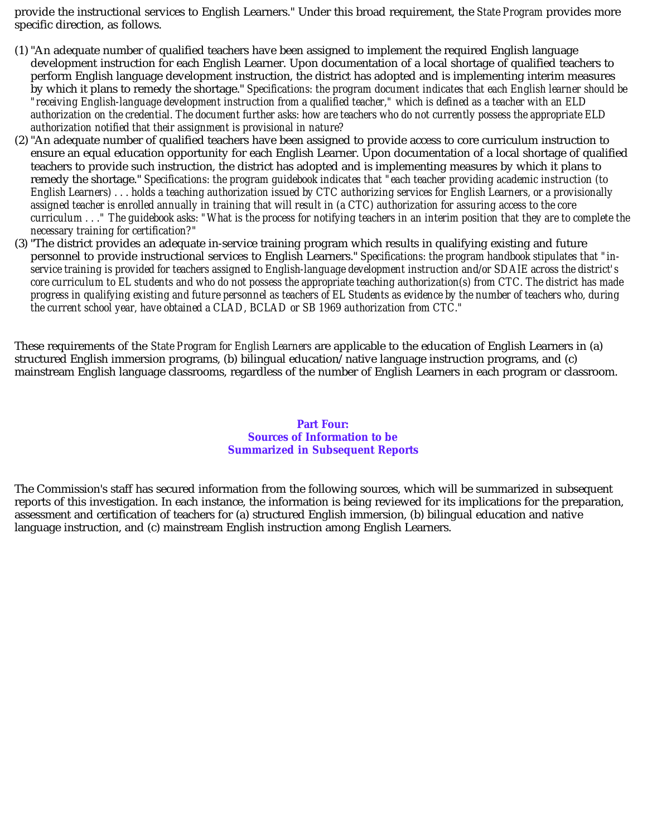provide the instructional services to English Learners." Under this broad requirement, the *State Program* provides more specific direction, as follows.

- (1) "An adequate number of qualified teachers have been assigned to implement the required English language development instruction for each English Learner. Upon documentation of a local shortage of qualified teachers to perform English language development instruction, the district has adopted and is implementing interim measures by which it plans to remedy the shortage." *Specifications: the program document indicates that each English learner should be "receiving English-language development instruction from a qualified teacher," which is defined as a teacher with an ELD authorization on the credential. The document further asks: how are teachers who do not currently possess the appropriate ELD authorization notified that their assignment is provisional in nature?*
- (2) "An adequate number of qualified teachers have been assigned to provide access to core curriculum instruction to ensure an equal education opportunity for each English Learner. Upon documentation of a local shortage of qualified teachers to provide such instruction, the district has adopted and is implementing measures by which it plans to remedy the shortage." *Specifications: the program guidebook indicates that "each teacher providing academic instruction (to English Learners) . . . holds a teaching authorization issued by CTC authorizing services for English Learners, or a provisionally assigned teacher is enrolled annually in training that will result in (a CTC) authorization for assuring access to the core curriculum . . ." The guidebook asks: "What is the process for notifying teachers in an interim position that they are to complete the necessary training for certification?"*
- (3) "The district provides an adequate in-service training program which results in qualifying existing and future personnel to provide instructional services to English Learners." *Specifications: the program handbook stipulates that "inservice training is provided for teachers assigned to English-language development instruction and/or SDAIE across the district's core curriculum to EL students and who do not possess the appropriate teaching authorization(s) from CTC. The district has made progress in qualifying existing and future personnel as teachers of EL Students as evidence by the number of teachers who, during the current school year, have obtained a CLAD, BCLAD or SB 1969 authorization from CTC."*

These requirements of the *State Program for English Learners* are applicable to the education of English Learners in (a) structured English immersion programs, (b) bilingual education/native language instruction programs, and (c) mainstream English language classrooms, regardless of the number of English Learners in each program or classroom.

## **Part Four: Sources of Information to be Summarized in Subsequent Reports**

The Commission's staff has secured information from the following sources, which will be summarized in subsequent reports of this investigation. In each instance, the information is being reviewed for its implications for the preparation, assessment and certification of teachers for (a) structured English immersion, (b) bilingual education and native language instruction, and (c) mainstream English instruction among English Learners.